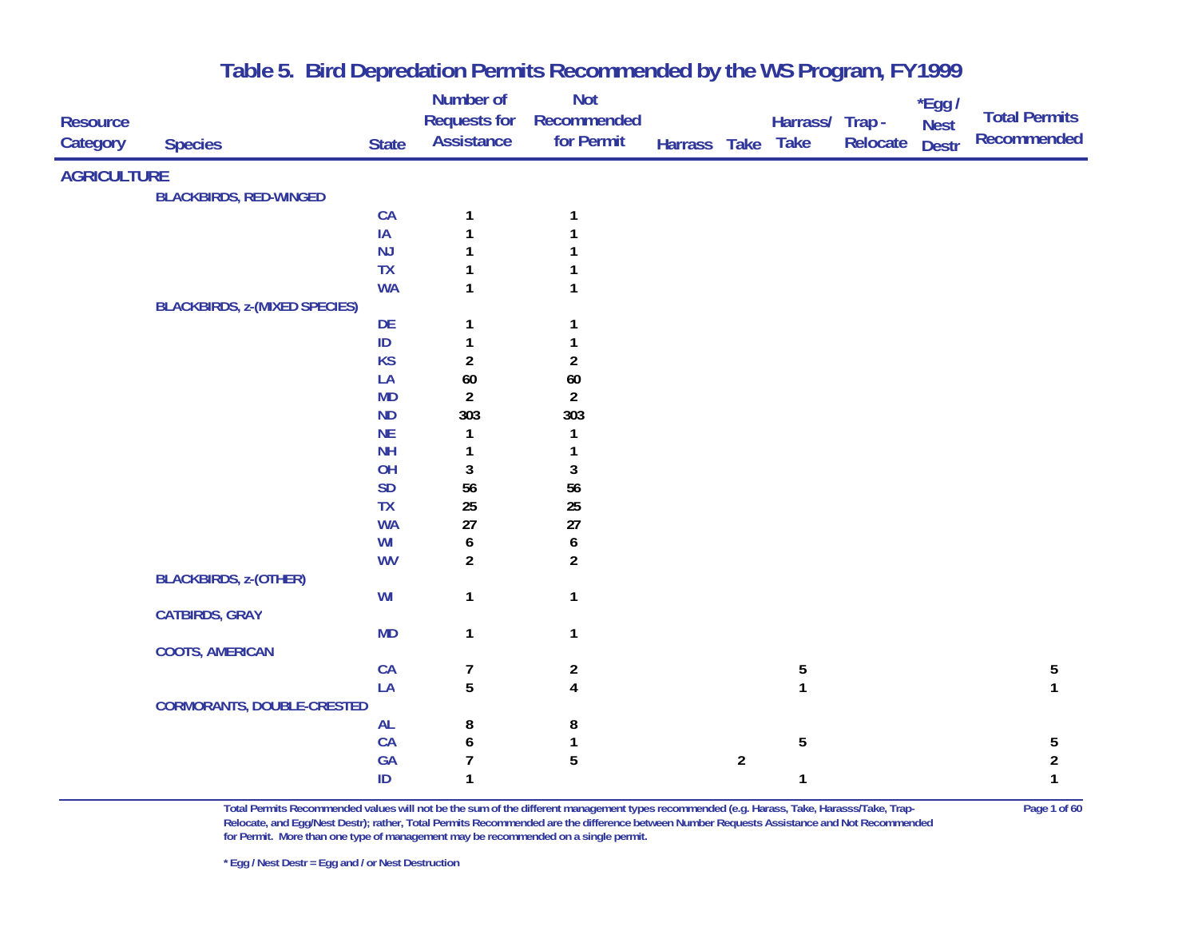|                             |                                      |              | Number of<br><b>Requests for</b> | <b>Not</b>                |              |                |                                       |          | *Egg /                      | <b>Total Permits</b> |
|-----------------------------|--------------------------------------|--------------|----------------------------------|---------------------------|--------------|----------------|---------------------------------------|----------|-----------------------------|----------------------|
| <b>Resource</b><br>Category | <b>Species</b>                       | <b>State</b> | <b>Assistance</b>                | Recommended<br>for Permit | Harrass Take |                | Harrass/ Trap -<br><b>Take</b>        | Relocate | <b>Nest</b><br><b>Destr</b> | Recommended          |
|                             |                                      |              |                                  |                           |              |                |                                       |          |                             |                      |
| <b>AGRICULTURE</b>          |                                      |              |                                  |                           |              |                |                                       |          |                             |                      |
|                             | <b>BLACKBIRDS, RED-WINGED</b>        |              |                                  |                           |              |                |                                       |          |                             |                      |
|                             |                                      | CA           | 1                                | 1                         |              |                |                                       |          |                             |                      |
|                             |                                      | IA           |                                  |                           |              |                |                                       |          |                             |                      |
|                             |                                      | <b>NJ</b>    |                                  |                           |              |                |                                       |          |                             |                      |
|                             |                                      | <b>TX</b>    |                                  |                           |              |                |                                       |          |                             |                      |
|                             |                                      | <b>WA</b>    | 1                                |                           |              |                |                                       |          |                             |                      |
|                             | <b>BLACKBIRDS, z-(MIXED SPECIES)</b> |              |                                  |                           |              |                |                                       |          |                             |                      |
|                             |                                      | DE           | 1                                |                           |              |                |                                       |          |                             |                      |
|                             |                                      | $\sf ID$     | $\mathbf{1}$                     |                           |              |                |                                       |          |                             |                      |
|                             |                                      | <b>KS</b>    | $\overline{2}$                   | $\overline{2}$            |              |                |                                       |          |                             |                      |
|                             |                                      | LA           | $60\,$                           | $60\,$                    |              |                |                                       |          |                             |                      |
|                             |                                      | MD           | $\overline{a}$                   | $\overline{2}$            |              |                |                                       |          |                             |                      |
|                             |                                      | <b>ND</b>    | 303                              | 303                       |              |                |                                       |          |                             |                      |
|                             |                                      | <b>NE</b>    | 1                                |                           |              |                |                                       |          |                             |                      |
|                             |                                      | <b>NH</b>    | 1                                |                           |              |                |                                       |          |                             |                      |
|                             |                                      | OH           | 3                                | 3                         |              |                |                                       |          |                             |                      |
|                             |                                      | <b>SD</b>    | 56                               | 56                        |              |                |                                       |          |                             |                      |
|                             |                                      | <b>TX</b>    | 25                               | 25                        |              |                |                                       |          |                             |                      |
|                             |                                      | <b>WA</b>    | 27                               | $27\,$                    |              |                |                                       |          |                             |                      |
|                             |                                      | WI           | 6                                | 6                         |              |                |                                       |          |                             |                      |
|                             |                                      | <b>WV</b>    | $\overline{a}$                   | $\overline{2}$            |              |                |                                       |          |                             |                      |
|                             | <b>BLACKBIRDS, z-(OTHER)</b>         |              |                                  |                           |              |                |                                       |          |                             |                      |
|                             |                                      | WI           | 1                                | $\mathbf{1}$              |              |                |                                       |          |                             |                      |
|                             | <b>CATBIRDS, GRAY</b>                |              |                                  |                           |              |                |                                       |          |                             |                      |
|                             |                                      | <b>MD</b>    | $\mathbf{1}$                     | $\mathbf{1}$              |              |                |                                       |          |                             |                      |
|                             | <b>COOTS, AMERICAN</b>               |              |                                  |                           |              |                |                                       |          |                             |                      |
|                             |                                      | CA           | 7                                | $\overline{2}$            |              |                | $\begin{array}{c} 5 \\ 1 \end{array}$ |          |                             | 5                    |
|                             |                                      | LA           | 5                                | $\overline{\mathbf{4}}$   |              |                |                                       |          |                             | $\mathbf{1}$         |
|                             | <b>CORMORANTS, DOUBLE-CRESTED</b>    |              |                                  |                           |              |                |                                       |          |                             |                      |
|                             |                                      | <b>AL</b>    | 8                                | 8                         |              |                |                                       |          |                             |                      |
|                             |                                      | CA           | 6                                | 1                         |              |                | 5                                     |          |                             | 5                    |
|                             |                                      | GA           | $\overline{7}$                   | $\overline{5}$            |              | $\overline{a}$ |                                       |          |                             | $\overline{a}$       |
|                             |                                      | ID           | 1                                |                           |              |                | 1                                     |          |                             | 1                    |

**Total Permits Recommended values will not be the sum of the different management types recommended (e.g. Harass, Take, Harasss/Take, Trap- Page 1 of 60 Relocate, and Egg/Nest Destr); rather, Total Permits Recommended are the difference between Number Requests Assistance and Not Recommended for Permit. More than one type of management may be recommended on a single permit.**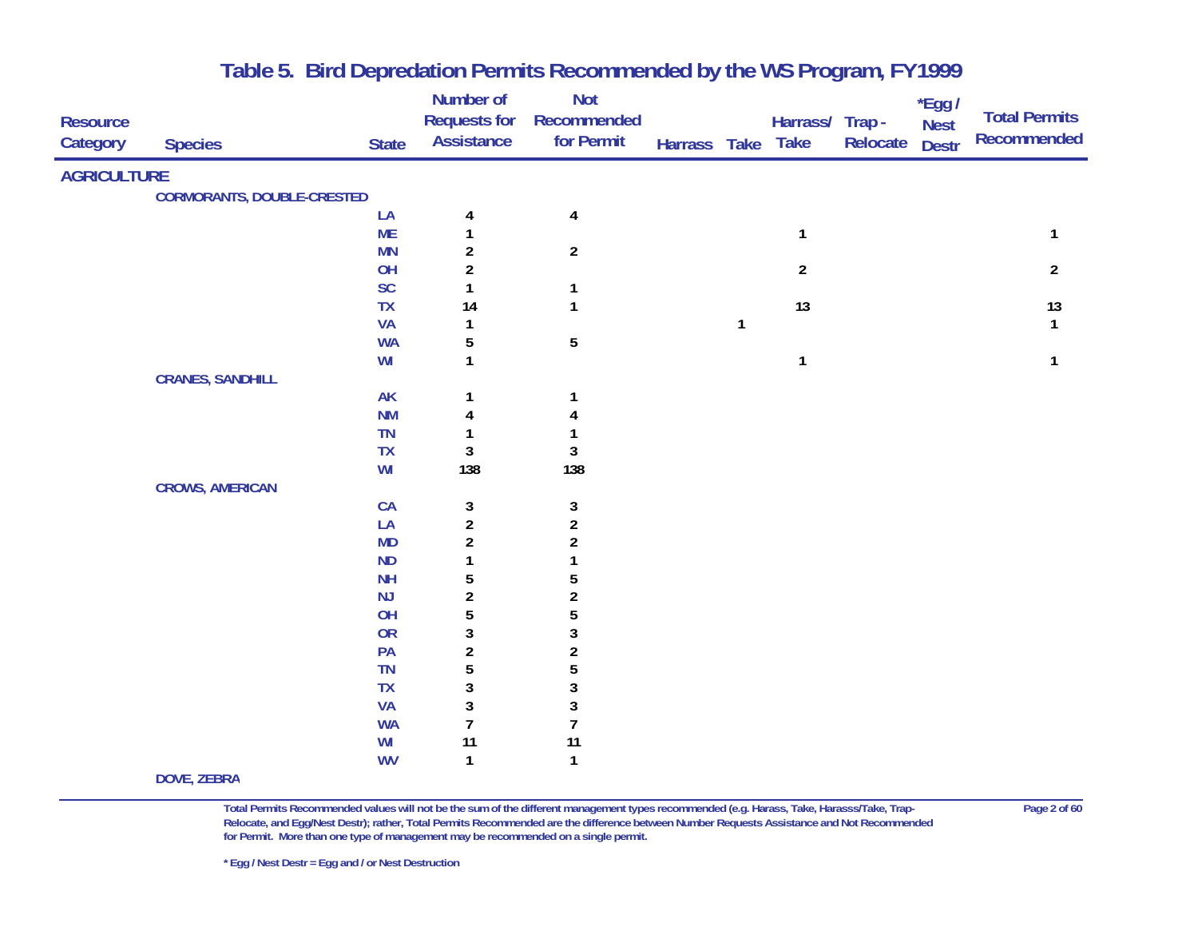| <b>Resource</b><br><b>Category</b> | <b>Species</b>                    | <b>State</b>           | Number of<br><b>Requests for</b><br><b>Assistance</b> | <b>Not</b><br>Recommended<br>for Permit | Harrass Take |   | Harrass/ Trap-<br><b>Take</b> | Relocate | *Egg /<br><b>Nest</b><br><b>Destr</b> | <b>Total Permits</b><br>Recommended |
|------------------------------------|-----------------------------------|------------------------|-------------------------------------------------------|-----------------------------------------|--------------|---|-------------------------------|----------|---------------------------------------|-------------------------------------|
| <b>AGRICULTURE</b>                 |                                   |                        |                                                       |                                         |              |   |                               |          |                                       |                                     |
|                                    | <b>CORMORANTS, DOUBLE-CRESTED</b> |                        |                                                       |                                         |              |   |                               |          |                                       |                                     |
|                                    |                                   | LA                     | $\overline{\mathbf{r}}$                               | $\overline{\mathbf{4}}$                 |              |   |                               |          |                                       |                                     |
|                                    |                                   | <b>ME</b>              | $\mathbf{1}$                                          |                                         |              |   | $\mathbf{1}$                  |          |                                       | $\mathbf{1}$                        |
|                                    |                                   | <b>MN</b>              | $\boldsymbol{2}$                                      | $\overline{2}$                          |              |   |                               |          |                                       |                                     |
|                                    |                                   | OH                     | $\overline{\mathbf{c}}$                               |                                         |              |   | $\overline{2}$                |          |                                       | $\overline{2}$                      |
|                                    |                                   | SC                     | $\mathbf{1}$                                          | $\mathbf{1}$                            |              |   |                               |          |                                       |                                     |
|                                    |                                   | <b>TX</b>              | 14                                                    | $\mathbf{1}$                            |              |   | 13                            |          |                                       | 13                                  |
|                                    |                                   | <b>VA</b><br><b>WA</b> | $\mathbf{1}$<br>5                                     | $\overline{5}$                          |              | 1 |                               |          |                                       | $\mathbf{1}$                        |
|                                    |                                   | WI                     | $\mathbf{1}$                                          |                                         |              |   | $\mathbf{1}$                  |          |                                       | $\mathbf{1}$                        |
|                                    | <b>CRANES, SANDHILL</b>           |                        |                                                       |                                         |              |   |                               |          |                                       |                                     |
|                                    |                                   | AK                     | 1                                                     | 1                                       |              |   |                               |          |                                       |                                     |
|                                    |                                   | <b>NM</b>              | 4                                                     | 4                                       |              |   |                               |          |                                       |                                     |
|                                    |                                   | <b>TN</b>              | $\mathbf{1}$                                          | 1                                       |              |   |                               |          |                                       |                                     |
|                                    |                                   | <b>TX</b>              | $\overline{3}$                                        | $\sqrt{3}$                              |              |   |                               |          |                                       |                                     |
|                                    |                                   | WI                     | 138                                                   | 138                                     |              |   |                               |          |                                       |                                     |
|                                    | <b>CROWS, AMERICAN</b>            |                        |                                                       |                                         |              |   |                               |          |                                       |                                     |
|                                    |                                   | CA                     | $\mathbf{3}$                                          | $\mathbf{3}$                            |              |   |                               |          |                                       |                                     |
|                                    |                                   | LA                     | $\overline{a}$                                        | $\overline{\mathbf{c}}$                 |              |   |                               |          |                                       |                                     |
|                                    |                                   | <b>MD</b>              | $\overline{2}$                                        | $\boldsymbol{2}$                        |              |   |                               |          |                                       |                                     |
|                                    |                                   | <b>ND</b>              | $\mathbf{1}$                                          | $\mathbf{1}$                            |              |   |                               |          |                                       |                                     |
|                                    |                                   | <b>NH</b>              | 5                                                     | 5                                       |              |   |                               |          |                                       |                                     |
|                                    |                                   | NJ                     | $\overline{\mathbf{c}}$                               | $\overline{\mathbf{c}}$                 |              |   |                               |          |                                       |                                     |
|                                    |                                   | OH                     | 5                                                     | 5                                       |              |   |                               |          |                                       |                                     |
|                                    |                                   | OR                     | $\mathbf{3}$                                          | $\mathbf{3}$                            |              |   |                               |          |                                       |                                     |
|                                    |                                   | PA                     | $\boldsymbol{2}$                                      | $\boldsymbol{2}$                        |              |   |                               |          |                                       |                                     |
|                                    |                                   | <b>TN</b>              | 5                                                     | 5                                       |              |   |                               |          |                                       |                                     |
|                                    |                                   | <b>TX</b>              | $\mathbf{3}$                                          | $\mathbf{3}$                            |              |   |                               |          |                                       |                                     |
|                                    |                                   | <b>VA</b>              | $\mathfrak z$<br>$\overline{7}$                       | $\mathbf{3}$<br>$\overline{1}$          |              |   |                               |          |                                       |                                     |
|                                    |                                   | <b>WA</b><br>WI        | 11                                                    | 11                                      |              |   |                               |          |                                       |                                     |
|                                    |                                   | <b>WV</b>              | $\mathbf{1}$                                          | $\mathbf{1}$                            |              |   |                               |          |                                       |                                     |
|                                    | <b>DOVE, ZEBRA</b>                |                        |                                                       |                                         |              |   |                               |          |                                       |                                     |

**Total Permits Recommended values will not be the sum of the different management types recommended (e.g. Harass, Take, Harasss/Take, Trap- Page 2 of 60 Relocate, and Egg/Nest Destr); rather, Total Permits Recommended are the difference between Number Requests Assistance and Not Recommended for Permit. More than one type of management may be recommended on a single permit.**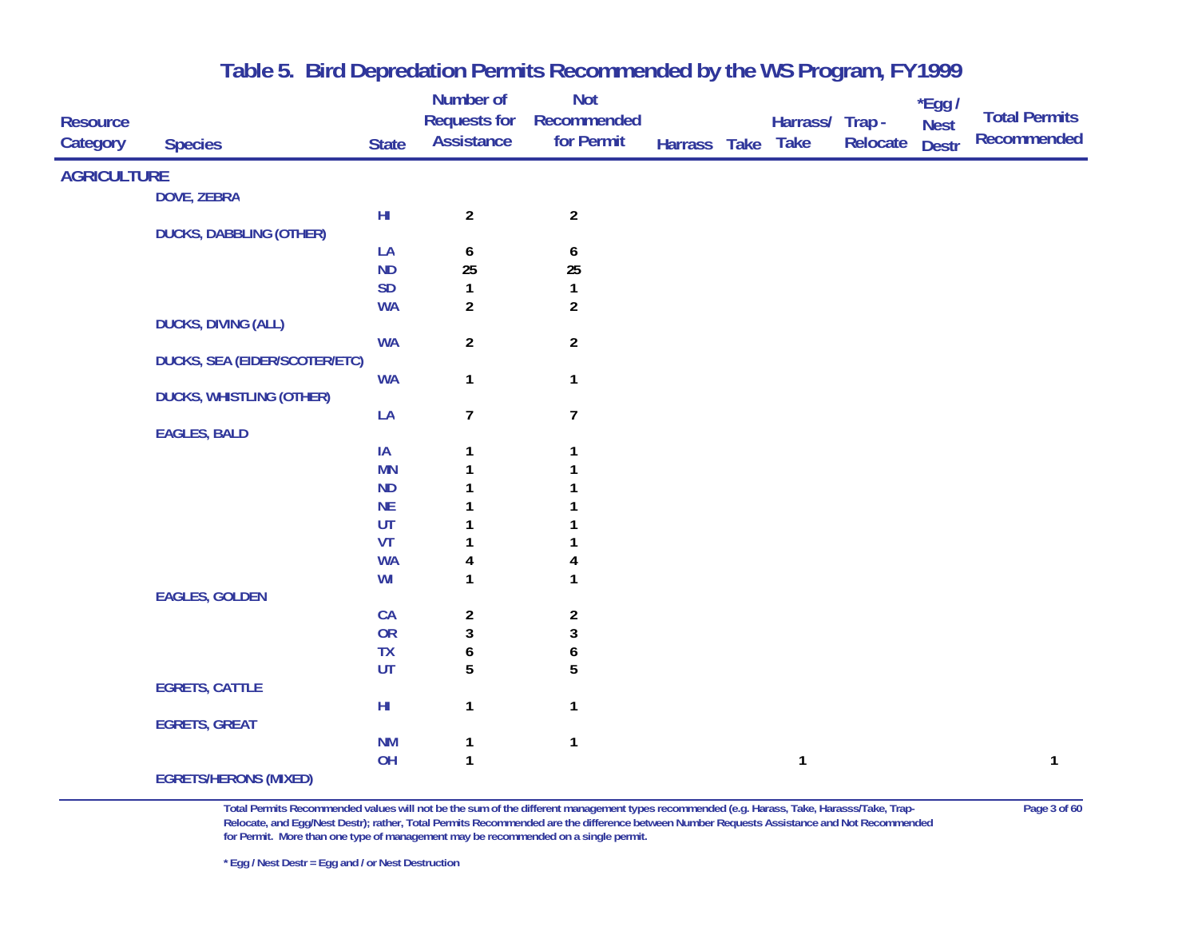|                             |                                      |              | Number of                                | <b>Not</b>                |              |                                |          | $*$ Egg /                   | <b>Total Permits</b> |
|-----------------------------|--------------------------------------|--------------|------------------------------------------|---------------------------|--------------|--------------------------------|----------|-----------------------------|----------------------|
| <b>Resource</b><br>Category | <b>Species</b>                       | <b>State</b> | <b>Requests for</b><br><b>Assistance</b> | Recommended<br>for Permit | Harrass Take | Harrass/ Trap -<br><b>Take</b> | Relocate | <b>Nest</b><br><b>Destr</b> | <b>Recommended</b>   |
|                             |                                      |              |                                          |                           |              |                                |          |                             |                      |
| <b>AGRICULTURE</b>          |                                      |              |                                          |                           |              |                                |          |                             |                      |
|                             | <b>DOVE, ZEBRA</b>                   |              |                                          |                           |              |                                |          |                             |                      |
|                             |                                      | $H\!I$       | $\overline{2}$                           | $\boldsymbol{2}$          |              |                                |          |                             |                      |
|                             | <b>DUCKS, DABBLING (OTHER)</b>       |              |                                          |                           |              |                                |          |                             |                      |
|                             |                                      | LA           | 6                                        | $\boldsymbol{6}$          |              |                                |          |                             |                      |
|                             |                                      | <b>ND</b>    | 25                                       | 25                        |              |                                |          |                             |                      |
|                             |                                      | <b>SD</b>    | $\mathbf{1}$                             | $\mathbf{1}$              |              |                                |          |                             |                      |
|                             |                                      | <b>WA</b>    | $\overline{2}$                           | $\boldsymbol{2}$          |              |                                |          |                             |                      |
|                             | <b>DUCKS, DIVING (ALL)</b>           |              |                                          |                           |              |                                |          |                             |                      |
|                             |                                      | <b>WA</b>    | $\overline{2}$                           | $\overline{2}$            |              |                                |          |                             |                      |
|                             | <b>DUCKS, SEA (EIDER/SCOTER/ETC)</b> |              |                                          |                           |              |                                |          |                             |                      |
|                             |                                      | <b>WA</b>    | $\mathbf{1}$                             | $\mathbf{1}$              |              |                                |          |                             |                      |
|                             | <b>DUCKS, WHISTLING (OTHER)</b>      |              |                                          |                           |              |                                |          |                             |                      |
|                             | <b>EAGLES, BALD</b>                  | LA           | $\overline{7}$                           | $\overline{7}$            |              |                                |          |                             |                      |
|                             |                                      | IA           |                                          |                           |              |                                |          |                             |                      |
|                             |                                      | <b>MN</b>    | 1                                        |                           |              |                                |          |                             |                      |
|                             |                                      | <b>ND</b>    |                                          |                           |              |                                |          |                             |                      |
|                             |                                      | <b>NE</b>    |                                          |                           |              |                                |          |                             |                      |
|                             |                                      | UT           |                                          |                           |              |                                |          |                             |                      |
|                             |                                      | VT           |                                          |                           |              |                                |          |                             |                      |
|                             |                                      | <b>WA</b>    | 4                                        | 4                         |              |                                |          |                             |                      |
|                             |                                      | WI           | $\mathbf{1}$                             | 1                         |              |                                |          |                             |                      |
|                             | <b>EAGLES, GOLDEN</b>                |              |                                          |                           |              |                                |          |                             |                      |
|                             |                                      | CA           | $\overline{\mathbf{c}}$                  | $\boldsymbol{2}$          |              |                                |          |                             |                      |
|                             |                                      | OR           | $\mathbf{3}$                             | $\mathbf{3}$              |              |                                |          |                             |                      |
|                             |                                      | <b>TX</b>    | $\boldsymbol{6}$                         | 6                         |              |                                |          |                             |                      |
|                             |                                      | UT           | 5                                        | 5                         |              |                                |          |                             |                      |
|                             | <b>EGRETS, CATTLE</b>                |              |                                          |                           |              |                                |          |                             |                      |
|                             |                                      | $H\!I$       | $\mathbf{1}$                             | $\mathbf{1}$              |              |                                |          |                             |                      |
|                             | <b>EGRETS, GREAT</b>                 |              |                                          |                           |              |                                |          |                             |                      |
|                             |                                      | <b>NM</b>    | 1                                        | $\mathbf{1}$              |              |                                |          |                             |                      |
|                             |                                      | OH           | $\mathbf{1}$                             |                           |              | $\mathbf{1}$                   |          |                             | 1                    |
|                             | <b>EGRETS/HERONS (MIXED)</b>         |              |                                          |                           |              |                                |          |                             |                      |

**Total Permits Recommended values will not be the sum of the different management types recommended (e.g. Harass, Take, Harasss/Take, Trap- Page 3 of 60 Relocate, and Egg/Nest Destr); rather, Total Permits Recommended are the difference between Number Requests Assistance and Not Recommended for Permit. More than one type of management may be recommended on a single permit.** 

**\* Egg / Nest Destr = Egg and / or Nest Destruction**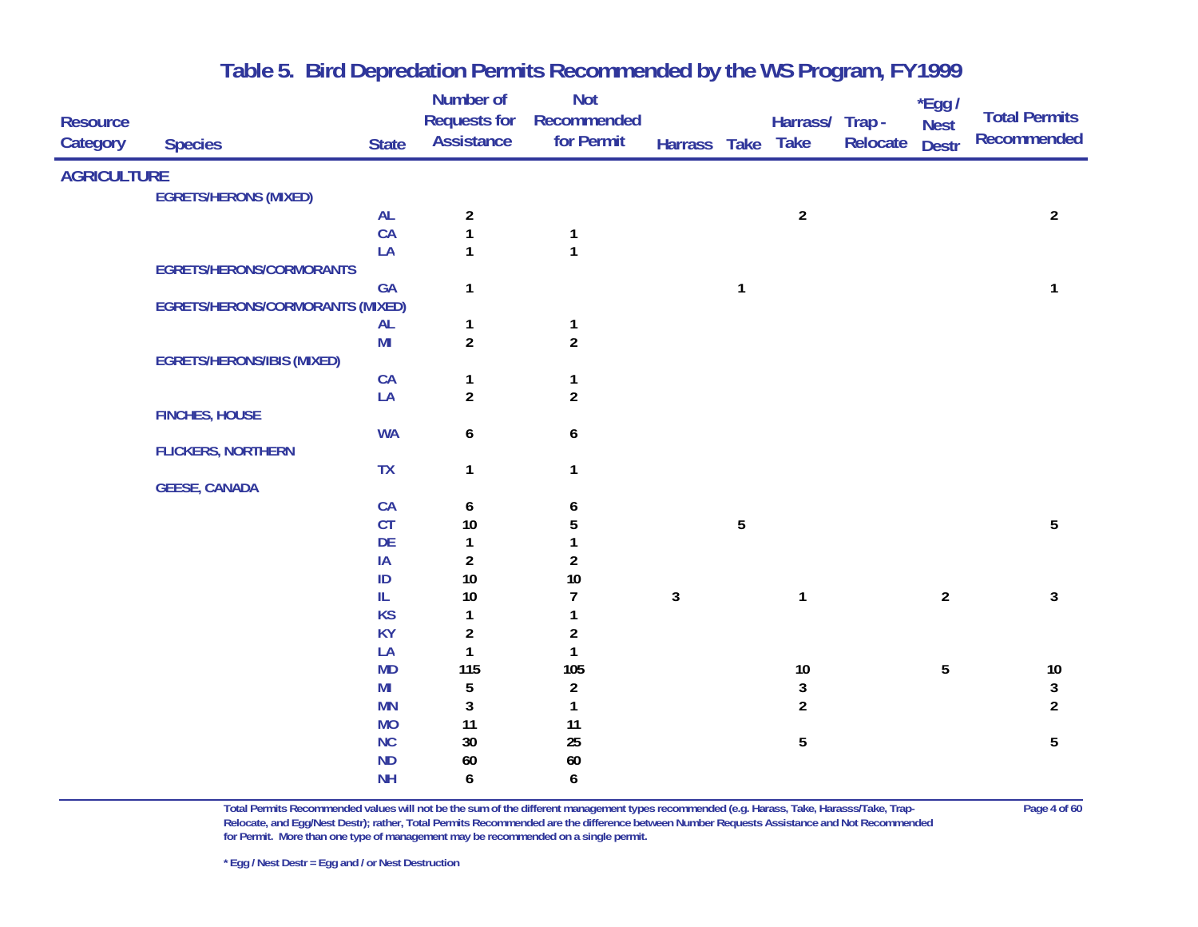| <b>Resource</b><br>Category | <b>Species</b>                          | <b>State</b>    | <b>Number of</b><br><b>Requests for</b><br><b>Assistance</b> | <b>Not</b><br>Recommended<br>for Permit | Harrass Take |                | Harrass/ Trap -<br><b>Take</b> | Relocate | *Egg /<br><b>Nest</b><br><b>Destr</b> | <b>Total Permits</b><br><b>Recommended</b> |
|-----------------------------|-----------------------------------------|-----------------|--------------------------------------------------------------|-----------------------------------------|--------------|----------------|--------------------------------|----------|---------------------------------------|--------------------------------------------|
| <b>AGRICULTURE</b>          |                                         |                 |                                                              |                                         |              |                |                                |          |                                       |                                            |
|                             | <b>EGRETS/HERONS (MIXED)</b>            |                 |                                                              |                                         |              |                |                                |          |                                       |                                            |
|                             |                                         | <b>AL</b>       | $\overline{\mathbf{c}}$                                      |                                         |              |                | $\boldsymbol{2}$               |          |                                       | $\overline{2}$                             |
|                             |                                         | CA              | $\mathbf{1}$                                                 | $\mathbf{1}$                            |              |                |                                |          |                                       |                                            |
|                             |                                         | LA              | $\mathbf{1}$                                                 | $\mathbf{1}$                            |              |                |                                |          |                                       |                                            |
|                             | <b>EGRETS/HERONS/CORMORANTS</b>         |                 |                                                              |                                         |              |                |                                |          |                                       |                                            |
|                             |                                         | GA              | 1                                                            |                                         |              | $\mathbf{1}$   |                                |          |                                       | 1                                          |
|                             | <b>EGRETS/HERONS/CORMORANTS (MIXED)</b> |                 |                                                              |                                         |              |                |                                |          |                                       |                                            |
|                             |                                         | <b>AL</b>       | 1                                                            | $\mathbf{1}$                            |              |                |                                |          |                                       |                                            |
|                             |                                         | M <sub>l</sub>  | $\overline{\mathbf{c}}$                                      | $\overline{2}$                          |              |                |                                |          |                                       |                                            |
|                             | <b>EGRETS/HERONS/IBIS (MIXED)</b>       | CA              | $\mathbf 1$                                                  | $\mathbf{1}$                            |              |                |                                |          |                                       |                                            |
|                             |                                         | LA              | $\overline{a}$                                               | $\overline{2}$                          |              |                |                                |          |                                       |                                            |
|                             | <b>FINCHES, HOUSE</b>                   |                 |                                                              |                                         |              |                |                                |          |                                       |                                            |
|                             |                                         | <b>WA</b>       | 6                                                            | 6                                       |              |                |                                |          |                                       |                                            |
|                             | <b>FLICKERS, NORTHERN</b>               |                 |                                                              |                                         |              |                |                                |          |                                       |                                            |
|                             |                                         | <b>TX</b>       | 1                                                            | $\mathbf{1}$                            |              |                |                                |          |                                       |                                            |
|                             | <b>GEESE, CANADA</b>                    |                 |                                                              |                                         |              |                |                                |          |                                       |                                            |
|                             |                                         | CA              | 6                                                            | 6                                       |              |                |                                |          |                                       |                                            |
|                             |                                         | CT              | $10$                                                         | 5                                       |              | $\overline{5}$ |                                |          |                                       | 5                                          |
|                             |                                         | DE              | $\mathbf{1}$                                                 | $\mathbf{1}$                            |              |                |                                |          |                                       |                                            |
|                             |                                         | IA              | $\overline{a}$                                               | $\overline{2}$                          |              |                |                                |          |                                       |                                            |
|                             |                                         | ID              | 10                                                           | 10                                      |              |                |                                |          |                                       |                                            |
|                             |                                         | IL<br><b>KS</b> | $10$                                                         | $\overline{1}$<br>1                     | $\mathbf{3}$ |                | $\mathbf{1}$                   |          | $\overline{2}$                        | 3                                          |
|                             |                                         | <b>KY</b>       | 1<br>$\boldsymbol{2}$                                        | $\boldsymbol{2}$                        |              |                |                                |          |                                       |                                            |
|                             |                                         | LA              | $\mathbf{1}$                                                 | $\mathbf{1}$                            |              |                |                                |          |                                       |                                            |
|                             |                                         | <b>MD</b>       | 115                                                          | 105                                     |              |                | $10\,$                         |          | 5                                     | $10\,$                                     |
|                             |                                         | MI              | 5                                                            | $\boldsymbol{2}$                        |              |                | $\mathbf{3}$                   |          |                                       | $\mathbf{3}$                               |
|                             |                                         | <b>MN</b>       | 3                                                            | $\mathbf{1}$                            |              |                | $\overline{2}$                 |          |                                       | $\overline{a}$                             |
|                             |                                         | <b>MO</b>       | 11                                                           | 11                                      |              |                |                                |          |                                       |                                            |
|                             |                                         | NC              | $30\,$                                                       | 25                                      |              |                | 5                              |          |                                       | $\sqrt{5}$                                 |
|                             |                                         | <b>ND</b>       | 60                                                           | $60\,$                                  |              |                |                                |          |                                       |                                            |
|                             |                                         | <b>NH</b>       | 6                                                            | 6                                       |              |                |                                |          |                                       |                                            |

**Total Permits Recommended values will not be the sum of the different management types recommended (e.g. Harass, Take, Harasss/Take, Trap- Page 4 of 60 Relocate, and Egg/Nest Destr); rather, Total Permits Recommended are the difference between Number Requests Assistance and Not Recommended for Permit. More than one type of management may be recommended on a single permit.**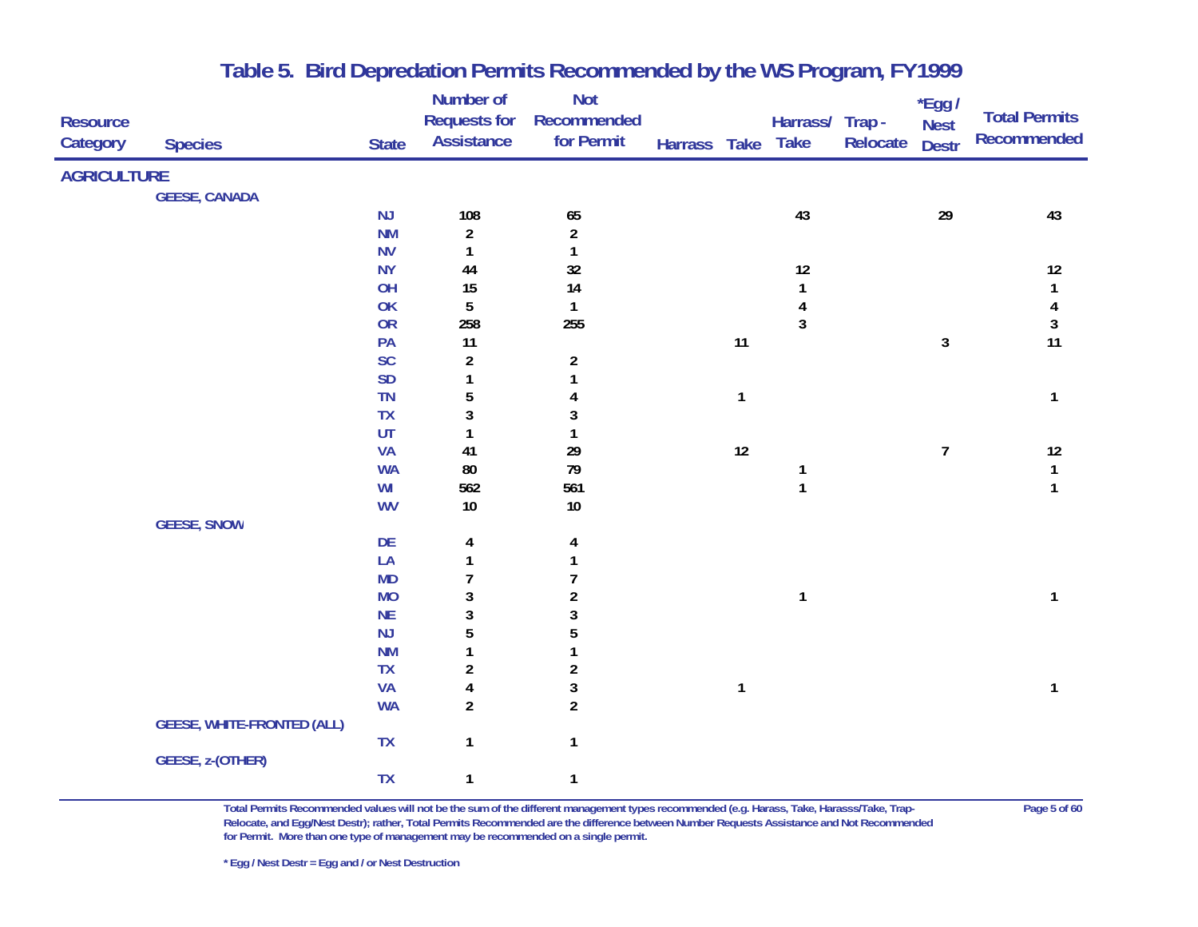| <b>Resource</b><br>Category | <b>Species</b>                    | <b>State</b> | <b>Number of</b><br><b>Requests for</b><br><b>Assistance</b> | <b>Not</b><br>Recommended<br>for Permit | Harrass Take Take |              | Harrass/ Trap - | Relocate | *Egg /<br><b>Nest</b><br><b>Destr</b> | <b>Total Permits</b><br><b>Recommended</b> |
|-----------------------------|-----------------------------------|--------------|--------------------------------------------------------------|-----------------------------------------|-------------------|--------------|-----------------|----------|---------------------------------------|--------------------------------------------|
| <b>AGRICULTURE</b>          |                                   |              |                                                              |                                         |                   |              |                 |          |                                       |                                            |
|                             | <b>GEESE, CANADA</b>              |              |                                                              |                                         |                   |              |                 |          |                                       |                                            |
|                             |                                   | NJ           | 108                                                          | 65                                      |                   |              | 43              |          | 29                                    | 43                                         |
|                             |                                   | <b>NM</b>    | $\overline{a}$                                               | $\boldsymbol{2}$                        |                   |              |                 |          |                                       |                                            |
|                             |                                   | <b>NV</b>    | 1                                                            | $\mathbf{1}$                            |                   |              |                 |          |                                       |                                            |
|                             |                                   | <b>NY</b>    | 44                                                           | 32                                      |                   |              | 12              |          |                                       | 12                                         |
|                             |                                   | OH           | 15                                                           | 14                                      |                   |              | $\mathbf{1}$    |          |                                       | $\mathbf{1}$                               |
|                             |                                   | OK           | 5                                                            | $\mathbf{1}$                            |                   |              | $\pmb{4}$       |          |                                       | $\overline{\mathbf{4}}$                    |
|                             |                                   | OR           | 258                                                          | 255                                     |                   |              | $\mathbf{3}$    |          |                                       | $\mathbf{3}$                               |
|                             |                                   | PA           | 11                                                           |                                         |                   | 11           |                 |          | $\mathbf{3}$                          | 11                                         |
|                             |                                   | <b>SC</b>    | $\boldsymbol{2}$                                             | $\overline{\mathbf{c}}$                 |                   |              |                 |          |                                       |                                            |
|                             |                                   | SD           | 1                                                            | 1                                       |                   |              |                 |          |                                       |                                            |
|                             |                                   | TN           | 5                                                            | 4                                       |                   | $\mathbf{1}$ |                 |          |                                       | $\mathbf{1}$                               |
|                             |                                   | <b>TX</b>    | $\mathbf{3}$                                                 | 3                                       |                   |              |                 |          |                                       |                                            |
|                             |                                   | UT           | $\mathbf{1}$                                                 | 1                                       |                   |              |                 |          |                                       |                                            |
|                             |                                   | <b>VA</b>    | 41                                                           | 29                                      |                   | 12           |                 |          | $\overline{7}$                        | $12$                                       |
|                             |                                   | <b>WA</b>    | 80                                                           | 79                                      |                   |              | $\mathbf{1}$    |          |                                       | $\mathbf{1}$                               |
|                             |                                   | WI           | 562                                                          | 561                                     |                   |              | $\mathbf{1}$    |          |                                       | $\mathbf{1}$                               |
|                             |                                   | <b>WV</b>    | $10\,$                                                       | $10$                                    |                   |              |                 |          |                                       |                                            |
|                             | <b>GEESE, SNOW</b>                |              |                                                              |                                         |                   |              |                 |          |                                       |                                            |
|                             |                                   | DE           | 4                                                            | 4                                       |                   |              |                 |          |                                       |                                            |
|                             |                                   | LA           | $\mathbf{1}$                                                 | 1                                       |                   |              |                 |          |                                       |                                            |
|                             |                                   | <b>MD</b>    | $\overline{7}$                                               | 7                                       |                   |              |                 |          |                                       |                                            |
|                             |                                   | <b>MO</b>    | $\mathbf{3}$                                                 | $\boldsymbol{2}$                        |                   |              | $\mathbf{1}$    |          |                                       | 1                                          |
|                             |                                   | <b>NE</b>    | $\mathbf{3}$                                                 | 3                                       |                   |              |                 |          |                                       |                                            |
|                             |                                   | NJ           | 5                                                            | 5                                       |                   |              |                 |          |                                       |                                            |
|                             |                                   | <b>NM</b>    | 1                                                            | 1                                       |                   |              |                 |          |                                       |                                            |
|                             |                                   | <b>TX</b>    | $\boldsymbol{2}$                                             | $\overline{\mathbf{c}}$                 |                   |              |                 |          |                                       |                                            |
|                             |                                   | <b>VA</b>    | $\overline{\mathbf{4}}$                                      | $\mathbf{3}$                            |                   | $\mathbf{1}$ |                 |          |                                       | $\mathbf{1}$                               |
|                             |                                   | <b>WA</b>    | $\overline{c}$                                               | $\overline{2}$                          |                   |              |                 |          |                                       |                                            |
|                             | <b>GEESE, WHITE-FRONTED (ALL)</b> |              |                                                              |                                         |                   |              |                 |          |                                       |                                            |
|                             |                                   | <b>TX</b>    | $\mathbf{1}$                                                 | $\mathbf{1}$                            |                   |              |                 |          |                                       |                                            |
|                             | GEESE, z-(OTHER)                  |              |                                                              |                                         |                   |              |                 |          |                                       |                                            |
|                             |                                   | <b>TX</b>    | $\mathbf{1}$                                                 | $\mathbf{1}$                            |                   |              |                 |          |                                       |                                            |

**Total Permits Recommended values will not be the sum of the different management types recommended (e.g. Harass, Take, Harasss/Take, Trap- Page 5 of 60 Relocate, and Egg/Nest Destr); rather, Total Permits Recommended are the difference between Number Requests Assistance and Not Recommended for Permit. More than one type of management may be recommended on a single permit.**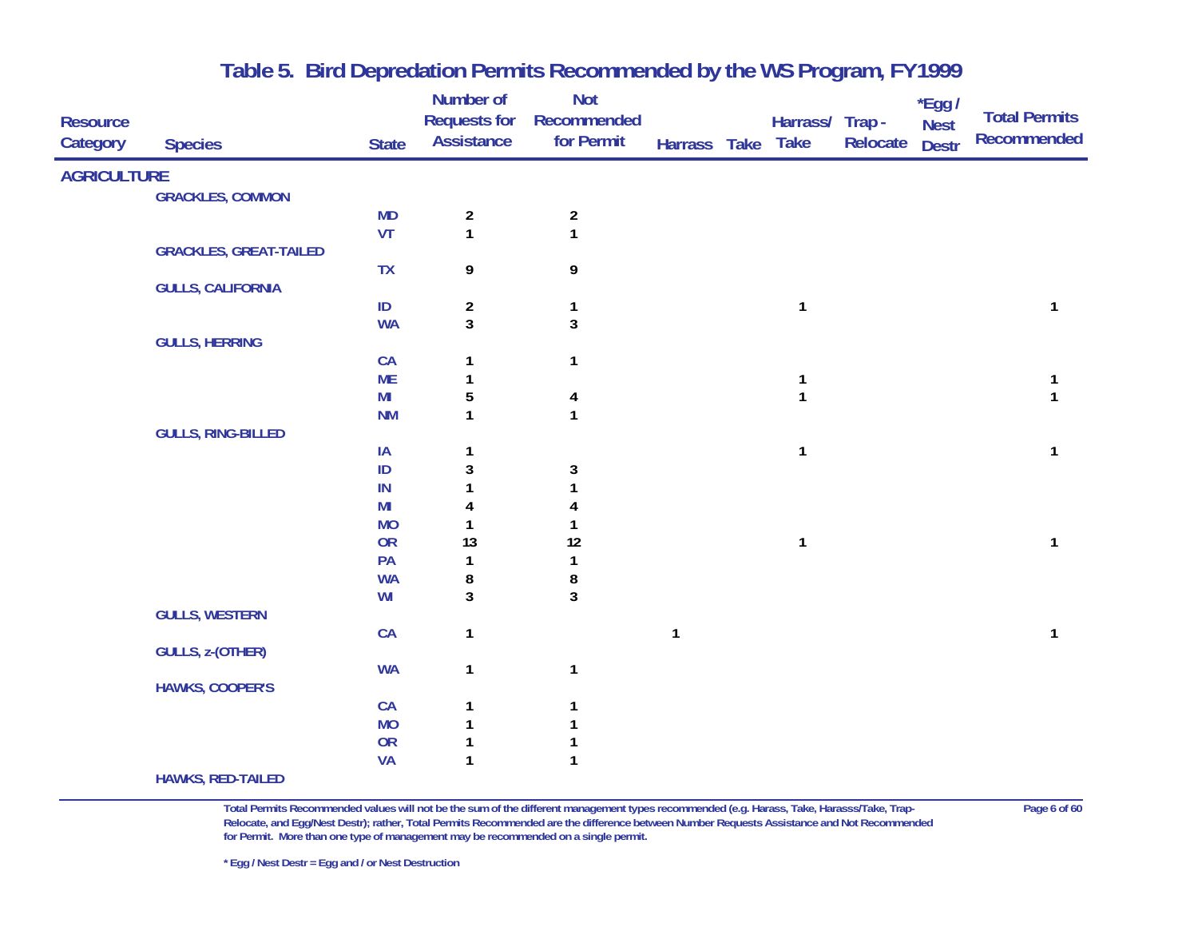| <b>Resource</b>    |                               |                | Number of<br><b>Requests for</b><br><b>Assistance</b> | <b>Not</b><br>Recommended  |              | Harrass/ Trap - |          | *Egg /<br><b>Nest</b> | <b>Total Permits</b><br><b>Recommended</b> |
|--------------------|-------------------------------|----------------|-------------------------------------------------------|----------------------------|--------------|-----------------|----------|-----------------------|--------------------------------------------|
| Category           | <b>Species</b>                | <b>State</b>   |                                                       | for Permit                 | Harrass Take | <b>Take</b>     | Relocate | <b>Destr</b>          |                                            |
| <b>AGRICULTURE</b> |                               |                |                                                       |                            |              |                 |          |                       |                                            |
|                    | <b>GRACKLES, COMMON</b>       |                |                                                       |                            |              |                 |          |                       |                                            |
|                    |                               | <b>MD</b>      | $\overline{\mathbf{c}}$                               | $\overline{\mathbf{c}}$    |              |                 |          |                       |                                            |
|                    |                               | VT             | $\mathbf{1}$                                          | $\mathbf{1}$               |              |                 |          |                       |                                            |
|                    | <b>GRACKLES, GREAT-TAILED</b> |                |                                                       |                            |              |                 |          |                       |                                            |
|                    |                               | <b>TX</b>      | 9                                                     | 9                          |              |                 |          |                       |                                            |
|                    | <b>GULLS, CALIFORNIA</b>      |                |                                                       |                            |              |                 |          |                       |                                            |
|                    |                               | ID             | $\overline{a}$<br>$\overline{3}$                      | $\mathbf{1}$<br>$\sqrt{3}$ |              | 1               |          |                       | 1                                          |
|                    | <b>GULLS, HERRING</b>         | <b>WA</b>      |                                                       |                            |              |                 |          |                       |                                            |
|                    |                               | CA             | 1                                                     | $\mathbf{1}$               |              |                 |          |                       |                                            |
|                    |                               | <b>ME</b>      |                                                       |                            |              |                 |          |                       | 1                                          |
|                    |                               | M <sub>l</sub> | 5                                                     | 4                          |              | 1               |          |                       | $\mathbf{1}$                               |
|                    |                               | <b>NM</b>      | $\mathbf{1}$                                          | $\mathbf{1}$               |              |                 |          |                       |                                            |
|                    | <b>GULLS, RING-BILLED</b>     |                |                                                       |                            |              |                 |          |                       |                                            |
|                    |                               | IA             | 1                                                     |                            |              | $\mathbf{1}$    |          |                       | 1                                          |
|                    |                               | $\sf ID$       | 3                                                     | 3                          |              |                 |          |                       |                                            |
|                    |                               | $\sf IN$       | 1                                                     |                            |              |                 |          |                       |                                            |
|                    |                               | M <sub>l</sub> | 4                                                     |                            |              |                 |          |                       |                                            |
|                    |                               | <b>MO</b>      | 1                                                     |                            |              |                 |          |                       |                                            |
|                    |                               | OR             | 13                                                    | 12                         |              | $\mathbf{1}$    |          |                       | 1                                          |
|                    |                               | PA             | 1                                                     | 1                          |              |                 |          |                       |                                            |
|                    |                               | <b>WA</b>      | 8                                                     | 8                          |              |                 |          |                       |                                            |
|                    |                               | WI             | 3                                                     | $\overline{3}$             |              |                 |          |                       |                                            |
|                    | <b>GULLS, WESTERN</b>         |                |                                                       |                            |              |                 |          |                       | 1                                          |
|                    | <b>GULLS, z-(OTHER)</b>       | CA             | $\mathbf{1}$                                          |                            | 1            |                 |          |                       |                                            |
|                    |                               | <b>WA</b>      | $\mathbf{1}$                                          | $\mathbf{1}$               |              |                 |          |                       |                                            |
|                    | <b>HAWKS, COOPER'S</b>        |                |                                                       |                            |              |                 |          |                       |                                            |
|                    |                               | CA             | 1                                                     | 1                          |              |                 |          |                       |                                            |
|                    |                               | <b>MO</b>      | $\mathbf{1}$                                          |                            |              |                 |          |                       |                                            |
|                    |                               | OR             | 1                                                     |                            |              |                 |          |                       |                                            |
|                    |                               | VA             | $\mathbf{1}$                                          | $\mathbf{1}$               |              |                 |          |                       |                                            |
|                    | <b>HAWKS, RED-TAILED</b>      |                |                                                       |                            |              |                 |          |                       |                                            |

**Total Permits Recommended values will not be the sum of the different management types recommended (e.g. Harass, Take, Harasss/Take, Trap- Page 6 of 60 Relocate, and Egg/Nest Destr); rather, Total Permits Recommended are the difference between Number Requests Assistance and Not Recommended for Permit. More than one type of management may be recommended on a single permit.**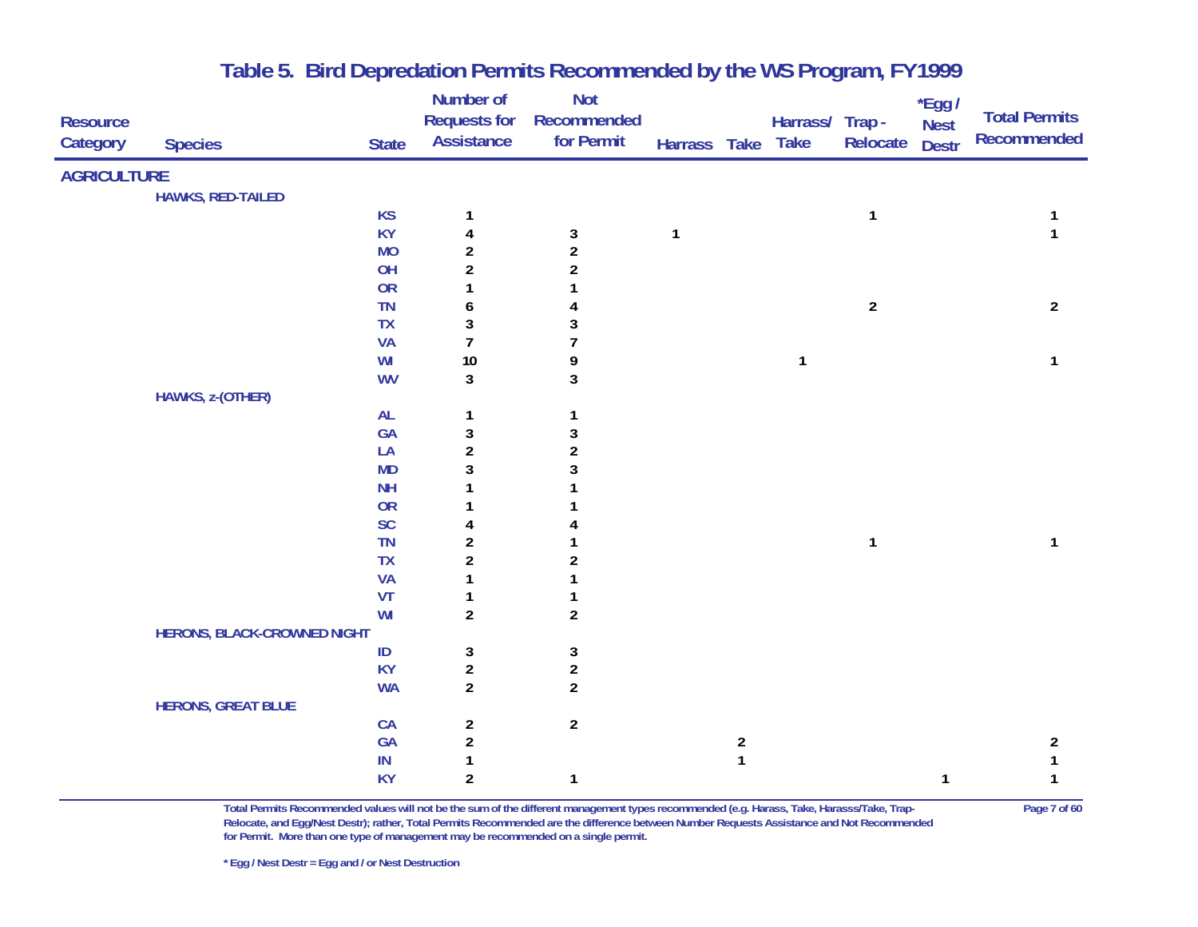|                    |                                    |              | Number of               | <b>Not</b>              |              |                         |                 |                | $*$ Egg /    |                      |
|--------------------|------------------------------------|--------------|-------------------------|-------------------------|--------------|-------------------------|-----------------|----------------|--------------|----------------------|
| <b>Resource</b>    |                                    |              | <b>Requests for</b>     | Recommended             |              |                         | Harrass/ Trap - |                | <b>Nest</b>  | <b>Total Permits</b> |
| Category           | <b>Species</b>                     | <b>State</b> | <b>Assistance</b>       | for Permit              | Harrass Take |                         | <b>Take</b>     | Relocate       | <b>Destr</b> | <b>Recommended</b>   |
| <b>AGRICULTURE</b> |                                    |              |                         |                         |              |                         |                 |                |              |                      |
|                    | <b>HAWKS, RED-TAILED</b>           |              |                         |                         |              |                         |                 |                |              |                      |
|                    |                                    | <b>KS</b>    | 1                       |                         |              |                         |                 | $\mathbf{1}$   |              |                      |
|                    |                                    | <b>KY</b>    | 4                       | 3                       | $\mathbf{1}$ |                         |                 |                |              | $\mathbf{1}$         |
|                    |                                    | <b>MO</b>    | $\boldsymbol{2}$        | $\overline{c}$          |              |                         |                 |                |              |                      |
|                    |                                    | OH           | $\overline{\mathbf{c}}$ | $\boldsymbol{2}$        |              |                         |                 |                |              |                      |
|                    |                                    | <b>OR</b>    | 1                       |                         |              |                         |                 |                |              |                      |
|                    |                                    | <b>TN</b>    | 6                       | 4                       |              |                         |                 | $\overline{2}$ |              | $\overline{2}$       |
|                    |                                    | TX           | 3                       | 3                       |              |                         |                 |                |              |                      |
|                    |                                    | <b>VA</b>    | $\overline{7}$          | $\overline{1}$          |              |                         |                 |                |              |                      |
|                    |                                    | WI           | $10$                    | 9                       |              |                         | 1               |                |              | $\mathbf{1}$         |
|                    |                                    | <b>WV</b>    | 3                       | 3                       |              |                         |                 |                |              |                      |
|                    | HAWKS, z-(OTHER)                   |              |                         |                         |              |                         |                 |                |              |                      |
|                    |                                    | AL           | $\mathbf{1}$            | $\mathbf{1}$            |              |                         |                 |                |              |                      |
|                    |                                    | GA           | 3                       | $\mathbf{3}$            |              |                         |                 |                |              |                      |
|                    |                                    | LA           | $\overline{\mathbf{c}}$ | $\boldsymbol{2}$        |              |                         |                 |                |              |                      |
|                    |                                    | <b>MD</b>    | 3                       | 3                       |              |                         |                 |                |              |                      |
|                    |                                    | <b>NH</b>    | 1                       |                         |              |                         |                 |                |              |                      |
|                    |                                    | <b>OR</b>    | 1                       |                         |              |                         |                 |                |              |                      |
|                    |                                    | SC           | 4                       | 4                       |              |                         |                 |                |              |                      |
|                    |                                    | <b>TN</b>    | $\overline{\mathbf{c}}$ |                         |              |                         |                 | $\mathbf{1}$   |              | 1                    |
|                    |                                    | <b>TX</b>    | $\overline{\mathbf{c}}$ | $\boldsymbol{2}$        |              |                         |                 |                |              |                      |
|                    |                                    | <b>VA</b>    | 1                       |                         |              |                         |                 |                |              |                      |
|                    |                                    | VT           | 1                       | 1                       |              |                         |                 |                |              |                      |
|                    |                                    | WI           | $\overline{2}$          | $\overline{\mathbf{c}}$ |              |                         |                 |                |              |                      |
|                    | <b>HERONS, BLACK-CROWNED NIGHT</b> |              |                         |                         |              |                         |                 |                |              |                      |
|                    |                                    | $\sf ID$     | 3                       | 3                       |              |                         |                 |                |              |                      |
|                    |                                    | <b>KY</b>    | $\overline{\mathbf{c}}$ | $\overline{\mathbf{c}}$ |              |                         |                 |                |              |                      |
|                    |                                    | <b>WA</b>    | $\overline{c}$          | $\overline{\mathbf{c}}$ |              |                         |                 |                |              |                      |
|                    | <b>HERONS, GREAT BLUE</b>          |              |                         |                         |              |                         |                 |                |              |                      |
|                    |                                    | CA           | $\boldsymbol{2}$        | $\boldsymbol{2}$        |              |                         |                 |                |              |                      |
|                    |                                    | GA           | $\overline{\mathbf{c}}$ |                         |              | $\overline{\mathbf{c}}$ |                 |                |              | $\overline{2}$       |
|                    |                                    | IN           | 1                       |                         |              | $\mathbf{1}$            |                 |                |              | 1                    |
|                    |                                    | <b>KY</b>    | $\overline{\mathbf{c}}$ | $\mathbf{1}$            |              |                         |                 |                | 1            | 1                    |

**Total Permits Recommended values will not be the sum of the different management types recommended (e.g. Harass, Take, Harasss/Take, Trap- Page 7 of 60 Relocate, and Egg/Nest Destr); rather, Total Permits Recommended are the difference between Number Requests Assistance and Not Recommended for Permit. More than one type of management may be recommended on a single permit.**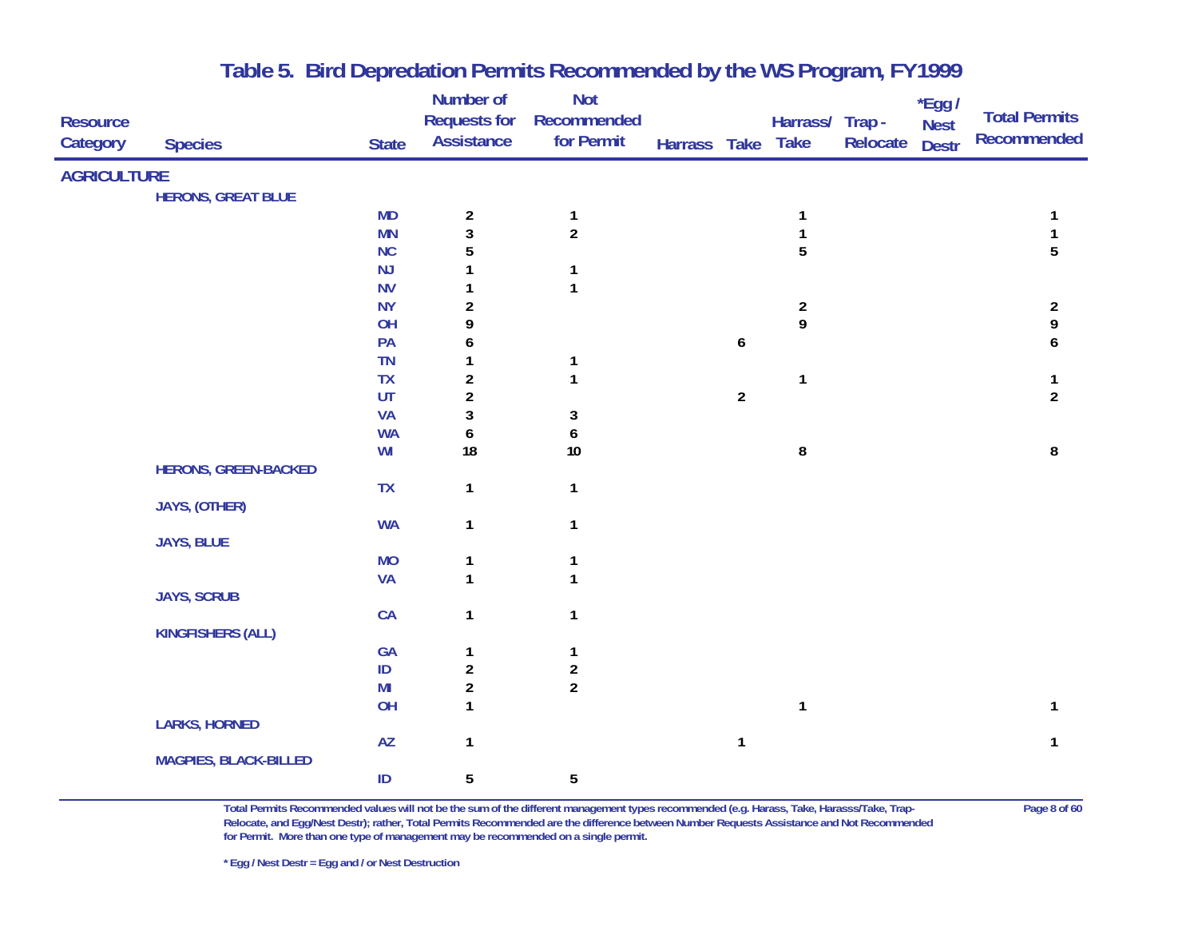|                    |                              |                        | Number of               | <b>Not</b>       |              |                |                         |          | $*$ Egg /    |                      |
|--------------------|------------------------------|------------------------|-------------------------|------------------|--------------|----------------|-------------------------|----------|--------------|----------------------|
| <b>Resource</b>    |                              |                        | <b>Requests for</b>     | Recommended      |              |                | Harrass/ Trap -         |          | <b>Nest</b>  | <b>Total Permits</b> |
| Category           | <b>Species</b>               | <b>State</b>           | <b>Assistance</b>       | for Permit       | Harrass Take |                | <b>Take</b>             | Relocate | <b>Destr</b> | <b>Recommended</b>   |
| <b>AGRICULTURE</b> |                              |                        |                         |                  |              |                |                         |          |              |                      |
|                    | <b>HERONS, GREAT BLUE</b>    |                        |                         |                  |              |                |                         |          |              |                      |
|                    |                              | <b>MD</b>              | $\overline{\mathbf{c}}$ | $\mathbf{1}$     |              |                | 1                       |          |              |                      |
|                    |                              | <b>MN</b>              | $\overline{3}$          | $\overline{2}$   |              |                | $\mathbf{1}$            |          |              | $\mathbf{1}$         |
|                    |                              | NC                     | 5                       |                  |              |                | 5                       |          |              | $\overline{5}$       |
|                    |                              | NJ                     |                         | $\mathbf 1$      |              |                |                         |          |              |                      |
|                    |                              | <b>NV</b>              | 1                       | $\mathbf{1}$     |              |                |                         |          |              |                      |
|                    |                              | <b>NY</b>              | $\boldsymbol{2}$        |                  |              |                | $\overline{\mathbf{c}}$ |          |              | $\frac{2}{9}$        |
|                    |                              | OH                     | 9                       |                  |              |                | 9                       |          |              |                      |
|                    |                              | PA                     | 6                       |                  |              | 6              |                         |          |              | 6                    |
|                    |                              | <b>TN</b>              | 1                       | $\mathbf{1}$     |              |                |                         |          |              |                      |
|                    |                              | <b>TX</b>              | $\overline{\mathbf{c}}$ | $\mathbf{1}$     |              |                | 1                       |          |              | $\mathbf{1}$         |
|                    |                              | UT                     | $\overline{\mathbf{c}}$ |                  |              | $\overline{2}$ |                         |          |              | $\overline{2}$       |
|                    |                              | <b>VA</b>              | 3                       | 3                |              |                |                         |          |              |                      |
|                    |                              | <b>WA</b>              | 6                       | 6                |              |                |                         |          |              |                      |
|                    |                              | WI                     | 18                      | $10$             |              |                | 8                       |          |              | 8                    |
|                    | <b>HERONS, GREEN-BACKED</b>  |                        |                         |                  |              |                |                         |          |              |                      |
|                    |                              | <b>TX</b>              | $\mathbf{1}$            | $\mathbf{1}$     |              |                |                         |          |              |                      |
|                    | JAYS, (OTHER)                | <b>WA</b>              | $\mathbf{1}$            | $\mathbf{1}$     |              |                |                         |          |              |                      |
|                    | <b>JAYS, BLUE</b>            |                        |                         |                  |              |                |                         |          |              |                      |
|                    |                              | <b>MO</b>              | 1                       | 1                |              |                |                         |          |              |                      |
|                    |                              | <b>VA</b>              | $\mathbf{1}$            | $\mathbf{1}$     |              |                |                         |          |              |                      |
|                    | <b>JAYS, SCRUB</b>           |                        |                         |                  |              |                |                         |          |              |                      |
|                    |                              | CA                     | $\mathbf{1}$            | $\mathbf{1}$     |              |                |                         |          |              |                      |
|                    | <b>KINGFISHERS (ALL)</b>     |                        |                         |                  |              |                |                         |          |              |                      |
|                    |                              | GA                     | 1                       | $\mathbf{1}$     |              |                |                         |          |              |                      |
|                    |                              | $\sf ID$               | $\boldsymbol{2}$        | $\boldsymbol{2}$ |              |                |                         |          |              |                      |
|                    |                              | MI                     | $\overline{\mathbf{c}}$ | $\boldsymbol{2}$ |              |                |                         |          |              |                      |
|                    |                              | OH                     | $\mathbf{1}$            |                  |              |                | $\mathbf{1}$            |          |              | $\mathbf{1}$         |
|                    | <b>LARKS, HORNED</b>         |                        |                         |                  |              |                |                         |          |              |                      |
|                    |                              | $\mathsf{A}\mathsf{Z}$ | $\mathbf{1}$            |                  |              | $\mathbf{1}$   |                         |          |              | $\mathbf{1}$         |
|                    | <b>MAGPIES, BLACK-BILLED</b> |                        |                         |                  |              |                |                         |          |              |                      |
|                    |                              | $\sf ID$               | 5                       | 5                |              |                |                         |          |              |                      |
|                    |                              |                        |                         |                  |              |                |                         |          |              |                      |

**Total Permits Recommended values will not be the sum of the different management types recommended (e.g. Harass, Take, Harasss/Take, Trap- Page 8 of 60 Relocate, and Egg/Nest Destr); rather, Total Permits Recommended are the difference between Number Requests Assistance and Not Recommended for Permit. More than one type of management may be recommended on a single permit.**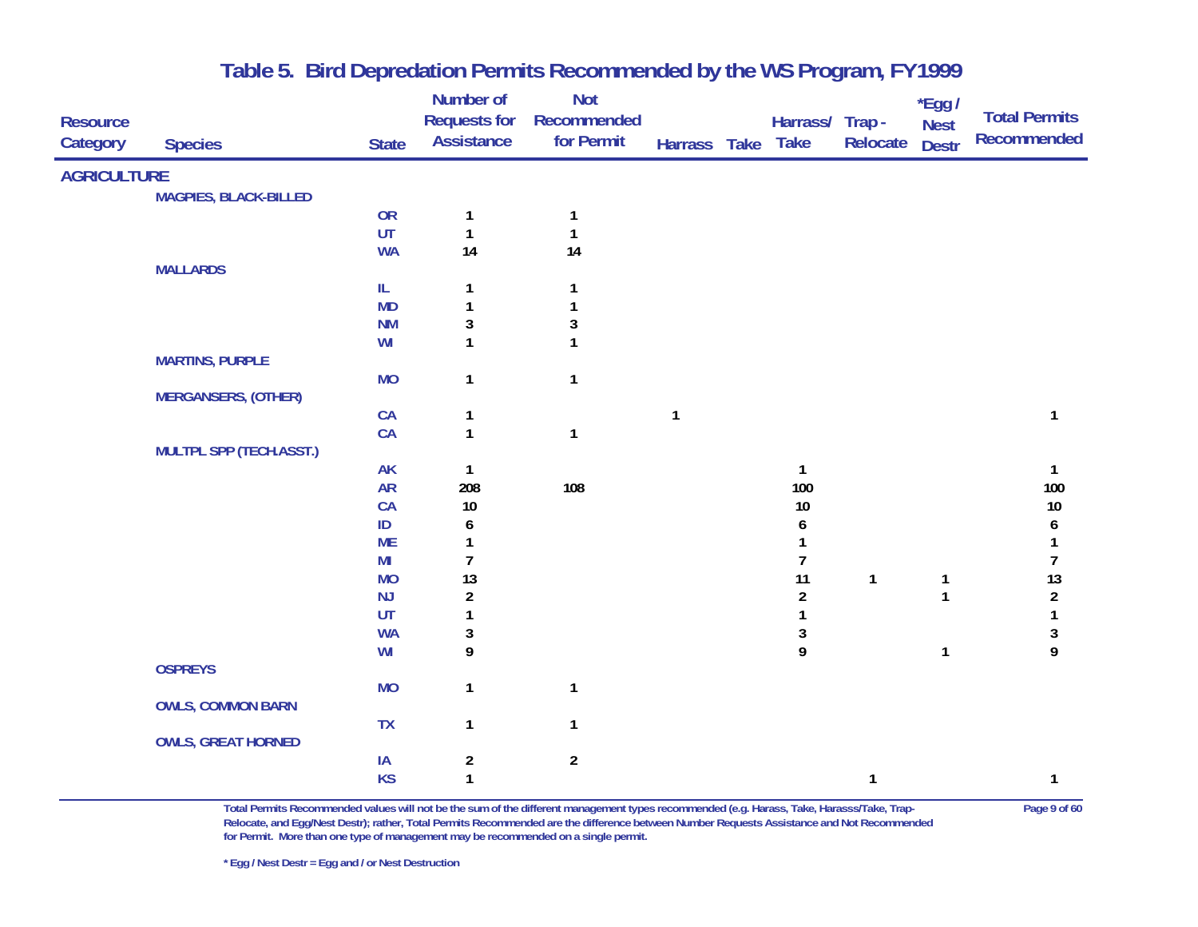|                    |                                |              | Number of               | <b>Not</b>       |              |                         |              | *Egg /       |                      |
|--------------------|--------------------------------|--------------|-------------------------|------------------|--------------|-------------------------|--------------|--------------|----------------------|
| <b>Resource</b>    |                                |              | <b>Requests for</b>     | Recommended      |              | Harrass/ Trap -         |              | <b>Nest</b>  | <b>Total Permits</b> |
| Category           | <b>Species</b>                 | <b>State</b> | <b>Assistance</b>       | for Permit       | Harrass Take | <b>Take</b>             | Relocate     | <b>Destr</b> | <b>Recommended</b>   |
| <b>AGRICULTURE</b> |                                |              |                         |                  |              |                         |              |              |                      |
|                    | <b>MAGPIES, BLACK-BILLED</b>   |              |                         |                  |              |                         |              |              |                      |
|                    |                                | OR           | 1                       | $\mathbf{1}$     |              |                         |              |              |                      |
|                    |                                | UT           | $\mathbf{1}$            | $\mathbf{1}$     |              |                         |              |              |                      |
|                    |                                | <b>WA</b>    | 14                      | 14               |              |                         |              |              |                      |
|                    | <b>MALLARDS</b>                |              |                         |                  |              |                         |              |              |                      |
|                    |                                | IL           | 1                       | 1                |              |                         |              |              |                      |
|                    |                                | <b>MD</b>    | 1                       | 1                |              |                         |              |              |                      |
|                    |                                | <b>NM</b>    | 3                       | $\mathbf 3$      |              |                         |              |              |                      |
|                    |                                | WI           | 1                       | $\mathbf{1}$     |              |                         |              |              |                      |
|                    | <b>MARTINS, PURPLE</b>         |              |                         |                  |              |                         |              |              |                      |
|                    |                                | <b>MO</b>    | $\mathbf{1}$            | $\mathbf{1}$     |              |                         |              |              |                      |
|                    | <b>MERGANSERS, (OTHER)</b>     |              |                         |                  |              |                         |              |              |                      |
|                    |                                | CA           | 1                       |                  | 1            |                         |              |              | 1                    |
|                    |                                | CA           | $\mathbf{1}$            | $\mathbf{1}$     |              |                         |              |              |                      |
|                    | <b>MULTPL SPP (TECH.ASST.)</b> |              |                         |                  |              |                         |              |              |                      |
|                    |                                | <b>AK</b>    | 1                       |                  |              | $\mathbf{1}$            |              |              | 1                    |
|                    |                                | ${\sf AR}$   | 208                     | 108              |              | 100                     |              |              | 100                  |
|                    |                                | CA           | $10$                    |                  |              | 10                      |              |              | $10\,$               |
|                    |                                | $\sf ID$     | 6                       |                  |              | 6                       |              |              | 6                    |
|                    |                                | <b>ME</b>    | 1                       |                  |              | 1                       |              |              | 1                    |
|                    |                                | MI           | $\overline{7}$          |                  |              | $\overline{7}$          |              |              | $\overline{7}$       |
|                    |                                | <b>MO</b>    | 13                      |                  |              | 11                      | $\mathbf{1}$ | 1            | 13                   |
|                    |                                | NJ           | $\overline{\mathbf{c}}$ |                  |              | $\overline{\mathbf{c}}$ |              | $\mathbf{1}$ | $\sqrt{2}$           |
|                    |                                | UT           | 1                       |                  |              | 1                       |              |              | $\mathbf{1}$         |
|                    |                                | <b>WA</b>    | 3                       |                  |              | 3                       |              |              | $\sqrt{3}$           |
|                    |                                | WI           | 9                       |                  |              | 9                       |              | $\mathbf{1}$ | 9                    |
|                    | <b>OSPREYS</b>                 |              |                         |                  |              |                         |              |              |                      |
|                    |                                | <b>MO</b>    | $\mathbf{1}$            | $\mathbf{1}$     |              |                         |              |              |                      |
|                    | <b>OWLS, COMMON BARN</b>       |              |                         |                  |              |                         |              |              |                      |
|                    |                                | <b>TX</b>    | $\mathbf{1}$            | $\mathbf{1}$     |              |                         |              |              |                      |
|                    | <b>OWLS, GREAT HORNED</b>      |              |                         |                  |              |                         |              |              |                      |
|                    |                                | IA           | $\boldsymbol{2}$        | $\boldsymbol{2}$ |              |                         |              |              |                      |
|                    |                                | <b>KS</b>    | $\mathbf{1}$            |                  |              |                         | 1            |              | 1                    |

**Total Permits Recommended values will not be the sum of the different management types recommended (e.g. Harass, Take, Harasss/Take, Trap- Page 9 of 60 Relocate, and Egg/Nest Destr); rather, Total Permits Recommended are the difference between Number Requests Assistance and Not Recommended for Permit. More than one type of management may be recommended on a single permit.**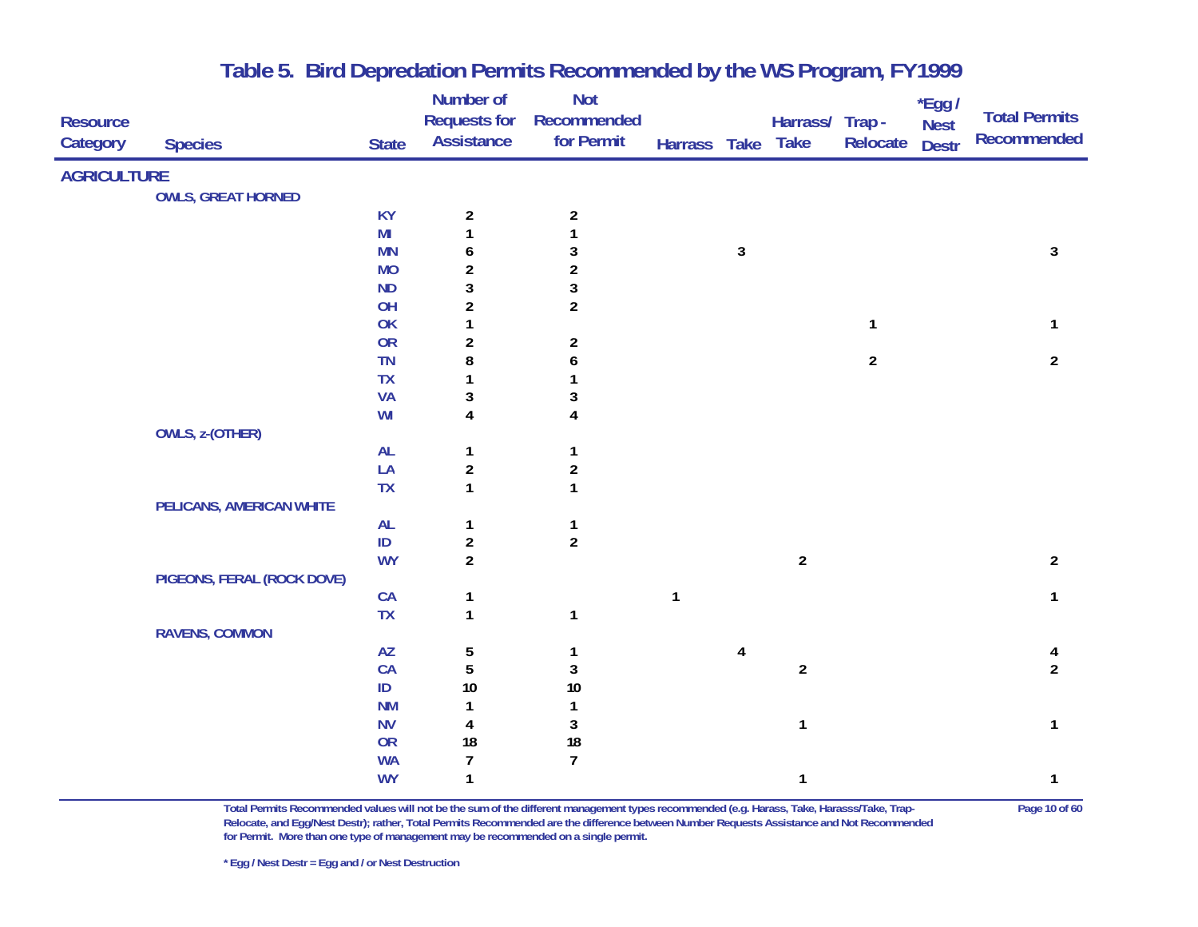|                    |                            |              | Number of               | <b>Not</b>       |              |              |                  |                | *Egg /       |                                            |
|--------------------|----------------------------|--------------|-------------------------|------------------|--------------|--------------|------------------|----------------|--------------|--------------------------------------------|
| <b>Resource</b>    |                            |              | <b>Requests for</b>     | Recommended      |              |              | Harrass/ Trap -  |                | <b>Nest</b>  | <b>Total Permits</b><br><b>Recommended</b> |
| Category           | <b>Species</b>             | <b>State</b> | <b>Assistance</b>       | for Permit       | Harrass Take |              | <b>Take</b>      | Relocate       | <b>Destr</b> |                                            |
| <b>AGRICULTURE</b> |                            |              |                         |                  |              |              |                  |                |              |                                            |
|                    | <b>OWLS, GREAT HORNED</b>  |              |                         |                  |              |              |                  |                |              |                                            |
|                    |                            | <b>KY</b>    | $\overline{a}$          | $\overline{2}$   |              |              |                  |                |              |                                            |
|                    |                            | MI           | $\mathbf{1}$            |                  |              |              |                  |                |              |                                            |
|                    |                            | <b>MN</b>    | 6                       | 3                |              | $\mathbf{3}$ |                  |                |              | $\sqrt{3}$                                 |
|                    |                            | <b>MO</b>    | $\overline{\mathbf{c}}$ | $\sqrt{2}$       |              |              |                  |                |              |                                            |
|                    |                            | <b>ND</b>    | 3                       | 3                |              |              |                  |                |              |                                            |
|                    |                            | OH           | $\overline{\mathbf{c}}$ | $\overline{2}$   |              |              |                  |                |              |                                            |
|                    |                            | OK           | 1                       |                  |              |              |                  | 1              |              | $\mathbf{1}$                               |
|                    |                            | OR           | $\overline{2}$          | $\overline{2}$   |              |              |                  |                |              |                                            |
|                    |                            | <b>TN</b>    | 8                       | 6                |              |              |                  | $\overline{a}$ |              | $\overline{2}$                             |
|                    |                            | <b>TX</b>    | 1                       |                  |              |              |                  |                |              |                                            |
|                    |                            | <b>VA</b>    | $\sqrt{3}$              | 3                |              |              |                  |                |              |                                            |
|                    |                            | WI           | 4                       | $\overline{4}$   |              |              |                  |                |              |                                            |
|                    | <b>OWLS, z-(OTHER)</b>     |              |                         |                  |              |              |                  |                |              |                                            |
|                    |                            | <b>AL</b>    | 1                       | 1                |              |              |                  |                |              |                                            |
|                    |                            | LA           | $\boldsymbol{2}$        | $\boldsymbol{2}$ |              |              |                  |                |              |                                            |
|                    |                            | <b>TX</b>    | $\mathbf{1}$            | $\mathbf{1}$     |              |              |                  |                |              |                                            |
|                    | PELICANS, AMERICAN WHITE   |              |                         |                  |              |              |                  |                |              |                                            |
|                    |                            | <b>AL</b>    | $\mathbf{1}$            | 1                |              |              |                  |                |              |                                            |
|                    |                            | ID           | $\overline{2}$          | $\overline{2}$   |              |              |                  |                |              |                                            |
|                    |                            | <b>WY</b>    | $\overline{2}$          |                  |              |              | $\overline{2}$   |                |              | $\overline{a}$                             |
|                    | PIGEONS, FERAL (ROCK DOVE) |              |                         |                  |              |              |                  |                |              |                                            |
|                    |                            | CA           | $\mathbf{1}$            |                  | $\mathbf{1}$ |              |                  |                |              | $\mathbf{1}$                               |
|                    |                            | <b>TX</b>    | $\mathbf{1}$            | $\mathbf{1}$     |              |              |                  |                |              |                                            |
|                    | <b>RAVENS, COMMON</b>      |              |                         |                  |              |              |                  |                |              |                                            |
|                    |                            | AZ           | 5                       | 1                |              | 4            |                  |                |              | 4                                          |
|                    |                            | CA           | 5                       | $\sqrt{3}$       |              |              | $\boldsymbol{2}$ |                |              | $\overline{2}$                             |
|                    |                            | $\sf ID$     | $10$                    | $10\,$           |              |              |                  |                |              |                                            |
|                    |                            | <b>NM</b>    | 1                       | $\mathbf{1}$     |              |              |                  |                |              |                                            |
|                    |                            | <b>NV</b>    | 4                       | $\mathbf{3}$     |              |              | 1                |                |              | 1                                          |
|                    |                            | OR           | 18                      | 18               |              |              |                  |                |              |                                            |
|                    |                            | <b>WA</b>    | $\overline{7}$          | $\overline{7}$   |              |              |                  |                |              |                                            |
|                    |                            | <b>WY</b>    | $\mathbf{1}$            |                  |              |              | 1                |                |              | 1                                          |

**Total Permits Recommended values will not be the sum of the different management types recommended (e.g. Harass, Take, Harasss/Take, Trap- Page 10 of 60 Relocate, and Egg/Nest Destr); rather, Total Permits Recommended are the difference between Number Requests Assistance and Not Recommended for Permit. More than one type of management may be recommended on a single permit.**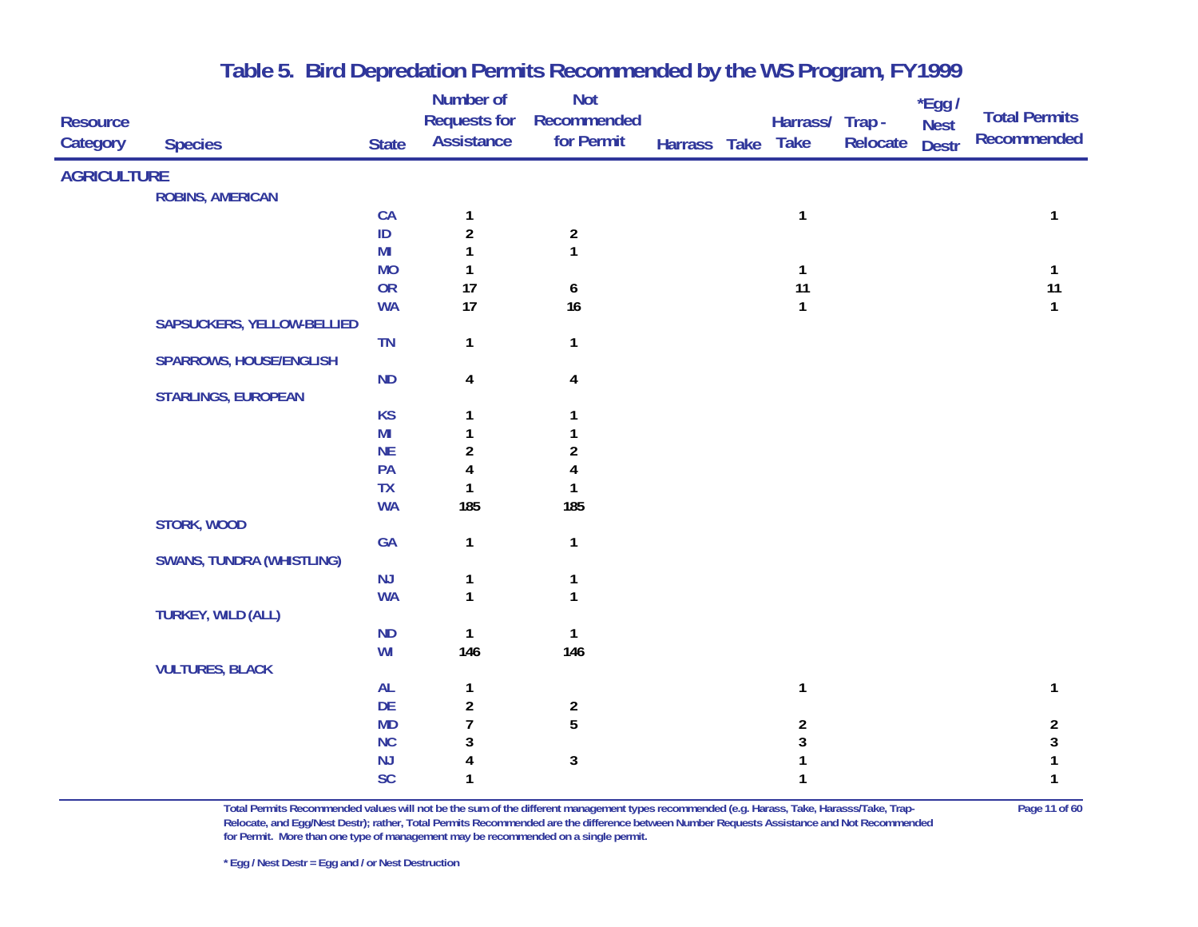|                    |                                  |                | Number of               | <b>Not</b>              |              |                  |          | $*$ Egg /    |                      |
|--------------------|----------------------------------|----------------|-------------------------|-------------------------|--------------|------------------|----------|--------------|----------------------|
| <b>Resource</b>    |                                  |                | <b>Requests for</b>     | Recommended             |              | Harrass/ Trap -  |          | <b>Nest</b>  | <b>Total Permits</b> |
| Category           | <b>Species</b>                   | <b>State</b>   | <b>Assistance</b>       | for Permit              | Harrass Take | <b>Take</b>      | Relocate | <b>Destr</b> | <b>Recommended</b>   |
| <b>AGRICULTURE</b> |                                  |                |                         |                         |              |                  |          |              |                      |
|                    | <b>ROBINS, AMERICAN</b>          |                |                         |                         |              |                  |          |              |                      |
|                    |                                  | CA             | $\mathbf 1$             |                         |              | $\mathbf{1}$     |          |              | 1                    |
|                    |                                  | $\sf ID$       | $\overline{\mathbf{c}}$ | $\overline{2}$          |              |                  |          |              |                      |
|                    |                                  | M <sub>l</sub> | 1                       | $\mathbf{1}$            |              |                  |          |              |                      |
|                    |                                  | <b>MO</b>      | 1                       |                         |              | $\mathbf{1}$     |          |              | $\mathbf{1}$         |
|                    |                                  | <b>OR</b>      | 17                      | 6                       |              | 11               |          |              | 11                   |
|                    |                                  | <b>WA</b>      | 17                      | 16                      |              | $\mathbf{1}$     |          |              | $\mathbf{1}$         |
|                    | SAPSUCKERS, YELLOW-BELLIED       |                |                         |                         |              |                  |          |              |                      |
|                    |                                  | TN             | $\mathbf{1}$            | $\mathbf{1}$            |              |                  |          |              |                      |
|                    | <b>SPARROWS, HOUSE/ENGLISH</b>   |                |                         |                         |              |                  |          |              |                      |
|                    |                                  | ND             | 4                       | $\overline{\mathbf{4}}$ |              |                  |          |              |                      |
|                    | <b>STARLINGS, EUROPEAN</b>       |                |                         |                         |              |                  |          |              |                      |
|                    |                                  | <b>KS</b>      | 1                       | 1                       |              |                  |          |              |                      |
|                    |                                  | MI             | 1                       | 1                       |              |                  |          |              |                      |
|                    |                                  | <b>NE</b>      | $\overline{\mathbf{c}}$ | $\boldsymbol{2}$        |              |                  |          |              |                      |
|                    |                                  | PA             | 4                       | 4                       |              |                  |          |              |                      |
|                    |                                  | <b>TX</b>      | 1                       | 1                       |              |                  |          |              |                      |
|                    |                                  | <b>WA</b>      | 185                     | 185                     |              |                  |          |              |                      |
|                    | STORK, WOOD                      |                |                         |                         |              |                  |          |              |                      |
|                    |                                  | GA             | $\mathbf{1}$            | $\mathbf{1}$            |              |                  |          |              |                      |
|                    | <b>SWANS, TUNDRA (WHISTLING)</b> |                |                         |                         |              |                  |          |              |                      |
|                    |                                  | NJ             | 1                       | $\mathbf{1}$            |              |                  |          |              |                      |
|                    |                                  | <b>WA</b>      | $\mathbf{1}$            | $\mathbf{1}$            |              |                  |          |              |                      |
|                    | <b>TURKEY, WILD (ALL)</b>        |                |                         |                         |              |                  |          |              |                      |
|                    |                                  | <b>ND</b>      | 1<br>146                | $\mathbf{1}$<br>146     |              |                  |          |              |                      |
|                    | <b>VULTURES, BLACK</b>           | WI             |                         |                         |              |                  |          |              |                      |
|                    |                                  | AL             | 1                       |                         |              | 1                |          |              | 1                    |
|                    |                                  | DE             | $\overline{\mathbf{c}}$ | $\boldsymbol{2}$        |              |                  |          |              |                      |
|                    |                                  | <b>MD</b>      | $\overline{1}$          | 5                       |              | $\boldsymbol{2}$ |          |              | $\overline{2}$       |
|                    |                                  | NC             | 3                       |                         |              | 3                |          |              | $\mathsf 3$          |
|                    |                                  | NJ             | 4                       | $\mathbf 3$             |              | 1                |          |              | 1                    |
|                    |                                  | <b>SC</b>      | 1                       |                         |              | 1                |          |              | 1                    |
|                    |                                  |                |                         |                         |              |                  |          |              |                      |

**Total Permits Recommended values will not be the sum of the different management types recommended (e.g. Harass, Take, Harasss/Take, Trap- Page 11 of 60 Relocate, and Egg/Nest Destr); rather, Total Permits Recommended are the difference between Number Requests Assistance and Not Recommended for Permit. More than one type of management may be recommended on a single permit.**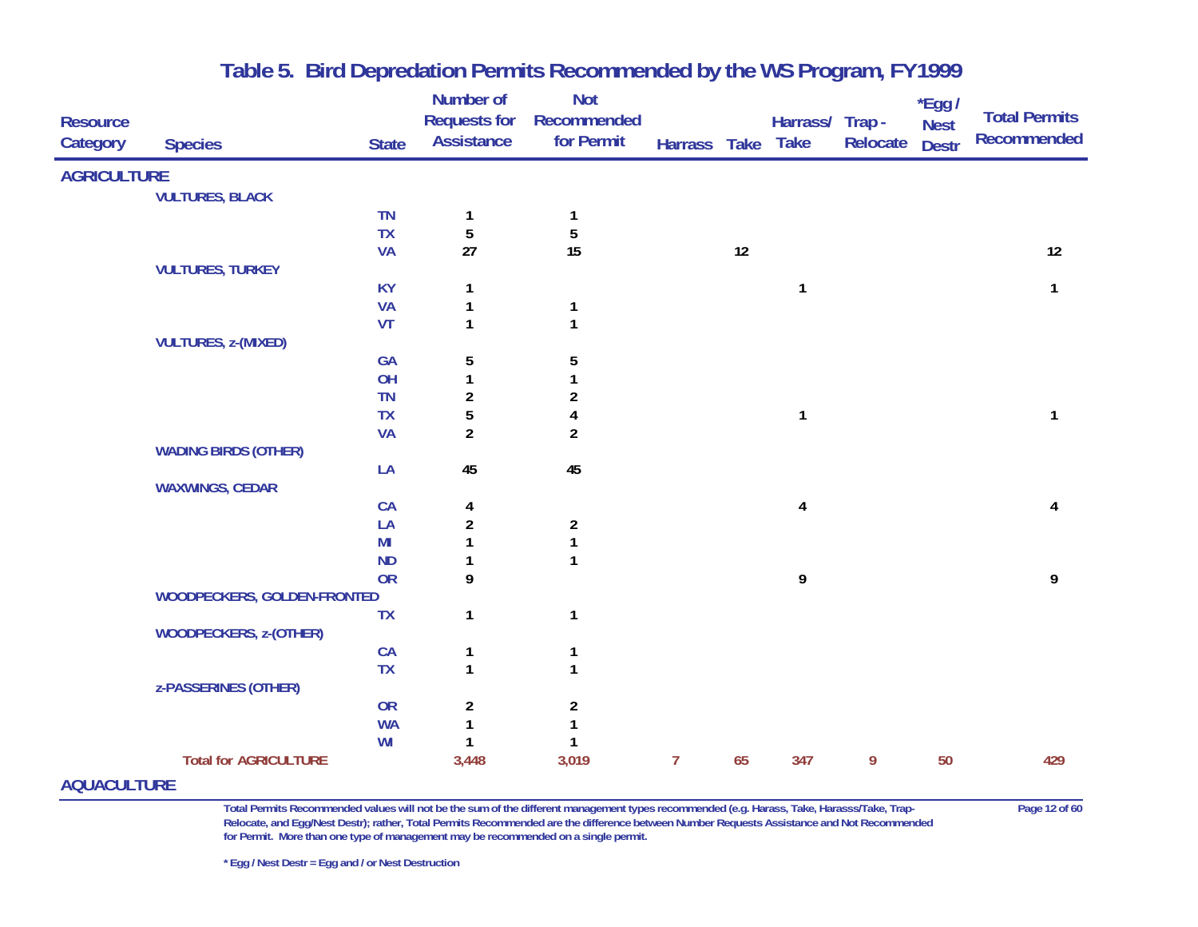| <b>Resource</b><br>Category                                                                                                                                                                                                          | <b>Species</b>                | <b>State</b>   | Number of<br><b>Requests for</b><br><b>Assistance</b> | <b>Not</b><br>Recommended<br>for Permit | Harrass Take   |    | Harrass/ Trap -<br><b>Take</b> | Relocate | $*$ Egg /<br><b>Nest</b><br><b>Destr</b> | <b>Total Permits</b><br><b>Recommended</b> |
|--------------------------------------------------------------------------------------------------------------------------------------------------------------------------------------------------------------------------------------|-------------------------------|----------------|-------------------------------------------------------|-----------------------------------------|----------------|----|--------------------------------|----------|------------------------------------------|--------------------------------------------|
| <b>AGRICULTURE</b>                                                                                                                                                                                                                   |                               |                |                                                       |                                         |                |    |                                |          |                                          |                                            |
|                                                                                                                                                                                                                                      | <b>VULTURES, BLACK</b>        |                |                                                       |                                         |                |    |                                |          |                                          |                                            |
|                                                                                                                                                                                                                                      |                               | <b>TN</b>      | 1                                                     | 1                                       |                |    |                                |          |                                          |                                            |
|                                                                                                                                                                                                                                      |                               | <b>TX</b>      | $\sqrt{5}$                                            | 5                                       |                |    |                                |          |                                          |                                            |
|                                                                                                                                                                                                                                      |                               | <b>VA</b>      | 27                                                    | 15                                      |                | 12 |                                |          |                                          | 12                                         |
|                                                                                                                                                                                                                                      | <b>VULTURES, TURKEY</b>       |                |                                                       |                                         |                |    |                                |          |                                          |                                            |
|                                                                                                                                                                                                                                      |                               | <b>KY</b>      | 1                                                     |                                         |                |    | $\mathbf{1}$                   |          |                                          | $\mathbf{1}$                               |
|                                                                                                                                                                                                                                      |                               | <b>VA</b>      | 1                                                     | 1                                       |                |    |                                |          |                                          |                                            |
|                                                                                                                                                                                                                                      |                               | VT             | 1                                                     | $\mathbf{1}$                            |                |    |                                |          |                                          |                                            |
|                                                                                                                                                                                                                                      | <b>VULTURES, z-(MIXED)</b>    |                |                                                       |                                         |                |    |                                |          |                                          |                                            |
|                                                                                                                                                                                                                                      |                               | GA             | 5                                                     | 5                                       |                |    |                                |          |                                          |                                            |
|                                                                                                                                                                                                                                      |                               | OH             | $\mathbf{1}$                                          |                                         |                |    |                                |          |                                          |                                            |
|                                                                                                                                                                                                                                      |                               | <b>TN</b>      | $\boldsymbol{2}$                                      | $\overline{c}$                          |                |    |                                |          |                                          |                                            |
|                                                                                                                                                                                                                                      |                               | <b>TX</b>      | 5                                                     |                                         |                |    | $\mathbf{1}$                   |          |                                          | 1                                          |
|                                                                                                                                                                                                                                      |                               | <b>VA</b>      | $\overline{2}$                                        | $\overline{2}$                          |                |    |                                |          |                                          |                                            |
|                                                                                                                                                                                                                                      | <b>WADING BIRDS (OTHER)</b>   |                |                                                       | 45                                      |                |    |                                |          |                                          |                                            |
|                                                                                                                                                                                                                                      | <b>WAXWINGS, CEDAR</b>        | LA             | 45                                                    |                                         |                |    |                                |          |                                          |                                            |
|                                                                                                                                                                                                                                      |                               | <b>CA</b>      | 4                                                     |                                         |                |    | 4                              |          |                                          | 4                                          |
|                                                                                                                                                                                                                                      |                               | LA             | $\boldsymbol{2}$                                      | $\overline{a}$                          |                |    |                                |          |                                          |                                            |
|                                                                                                                                                                                                                                      |                               | M <sub>l</sub> | 1                                                     |                                         |                |    |                                |          |                                          |                                            |
|                                                                                                                                                                                                                                      |                               | <b>ND</b>      |                                                       |                                         |                |    |                                |          |                                          |                                            |
|                                                                                                                                                                                                                                      |                               | <b>OR</b>      | 9                                                     |                                         |                |    | 9                              |          |                                          | 9                                          |
|                                                                                                                                                                                                                                      | WOODPECKERS, GOLDEN-FRONTED   |                |                                                       |                                         |                |    |                                |          |                                          |                                            |
|                                                                                                                                                                                                                                      |                               | <b>TX</b>      | 1                                                     | 1                                       |                |    |                                |          |                                          |                                            |
|                                                                                                                                                                                                                                      | <b>WOODPECKERS, z-(OTHER)</b> |                |                                                       |                                         |                |    |                                |          |                                          |                                            |
|                                                                                                                                                                                                                                      |                               | CA             | 1                                                     |                                         |                |    |                                |          |                                          |                                            |
|                                                                                                                                                                                                                                      |                               | <b>TX</b>      | $\mathbf{1}$                                          | $\mathbf{1}$                            |                |    |                                |          |                                          |                                            |
|                                                                                                                                                                                                                                      | <b>z-PASSERINES (OTHER)</b>   |                |                                                       |                                         |                |    |                                |          |                                          |                                            |
|                                                                                                                                                                                                                                      |                               | <b>OR</b>      | $\overline{\mathbf{c}}$                               | $\overline{a}$                          |                |    |                                |          |                                          |                                            |
|                                                                                                                                                                                                                                      |                               | <b>WA</b>      | 1                                                     |                                         |                |    |                                |          |                                          |                                            |
|                                                                                                                                                                                                                                      |                               | WI             | $\mathbf{1}$                                          | 1                                       |                |    |                                |          |                                          |                                            |
|                                                                                                                                                                                                                                      | <b>Total for AGRICULTURE</b>  |                | 3,448                                                 | 3,019                                   | $\overline{7}$ | 65 | 347                            | 9        | 50                                       | 429                                        |
| <u>and a straightful contract and the straight of the straight of the straight of the straight of the straight of the straight of the straight of the straight of the straight of the straight of the straight of the straight o</u> |                               |                |                                                       |                                         |                |    |                                |          |                                          |                                            |

#### **AQUACULTURE**

**Total Permits Recommended values will not be the sum of the different management types recommended (e.g. Harass, Take, Harasss/Take, Trap- Page 12 of 60 Relocate, and Egg/Nest Destr); rather, Total Permits Recommended are the difference between Number Requests Assistance and Not Recommended for Permit. More than one type of management may be recommended on a single permit.** 

**\* Egg / Nest Destr = Egg and / or Nest Destruction**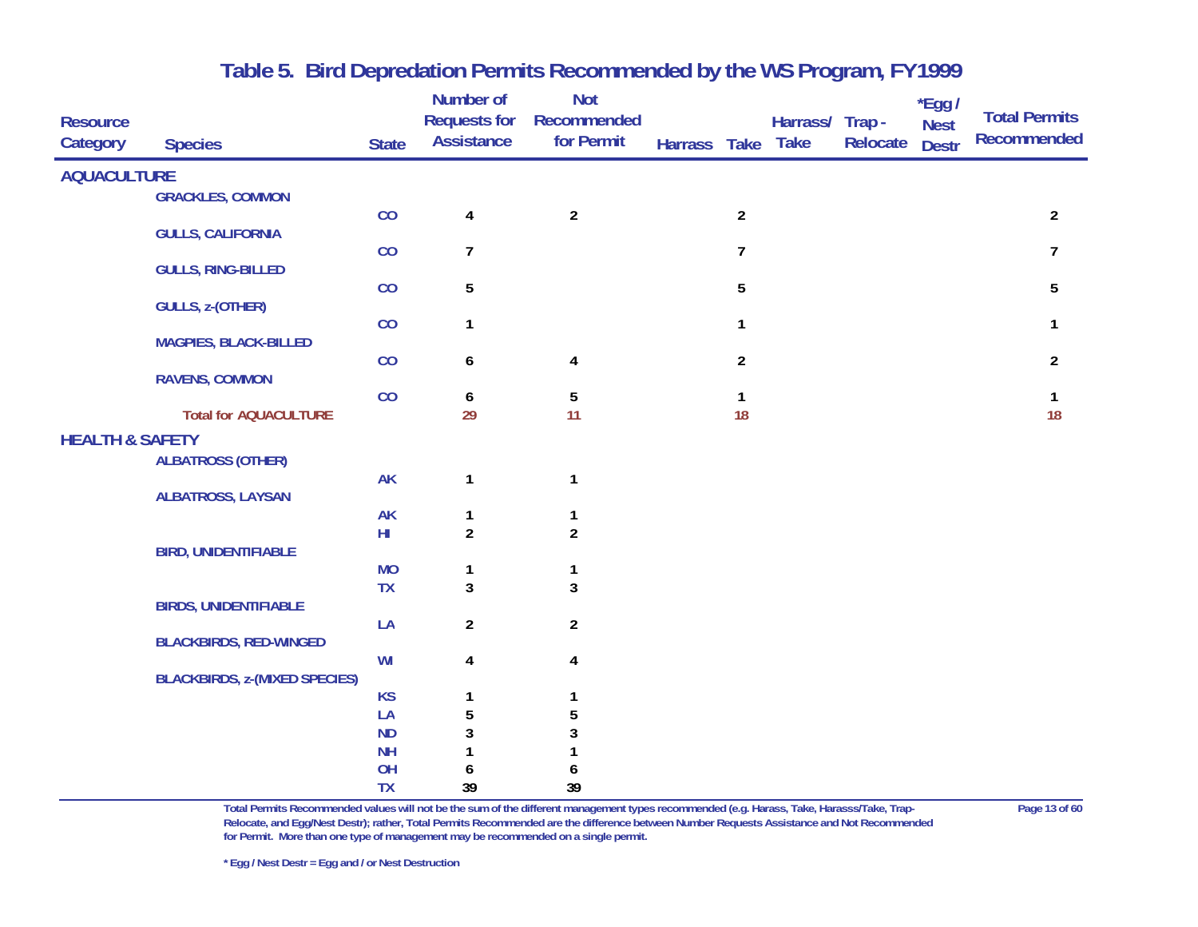| <b>Resource</b><br><b>Category</b> | <b>Species</b>                       | <b>State</b>    | <b>Number of</b><br><b>Requests for</b><br><b>Assistance</b> | <b>Not</b><br>Recommended<br>for Permit | Harrass Take Take |                | Harrass/ | Trap -<br>Relocate | *Egg /<br><b>Nest</b><br><b>Destr</b> | <b>Total Permits</b><br><b>Recommended</b> |
|------------------------------------|--------------------------------------|-----------------|--------------------------------------------------------------|-----------------------------------------|-------------------|----------------|----------|--------------------|---------------------------------------|--------------------------------------------|
| <b>AQUACULTURE</b>                 |                                      |                 |                                                              |                                         |                   |                |          |                    |                                       |                                            |
|                                    | <b>GRACKLES, COMMON</b>              |                 |                                                              |                                         |                   |                |          |                    |                                       |                                            |
|                                    | <b>GULLS, CALIFORNIA</b>             | CO              | $\overline{\mathbf{4}}$                                      | $\overline{2}$                          |                   | $\overline{2}$ |          |                    |                                       | $\overline{2}$                             |
|                                    |                                      | CO              | $\overline{7}$                                               |                                         |                   | $\overline{7}$ |          |                    |                                       | $\overline{7}$                             |
|                                    | <b>GULLS, RING-BILLED</b>            | CO              |                                                              |                                         |                   | 5              |          |                    |                                       | 5                                          |
|                                    | <b>GULLS, z-(OTHER)</b>              |                 | 5                                                            |                                         |                   |                |          |                    |                                       |                                            |
|                                    |                                      | CO              | 1                                                            |                                         |                   | $\mathbf{1}$   |          |                    |                                       | $\mathbf{1}$                               |
|                                    | <b>MAGPIES, BLACK-BILLED</b>         | CO              | 6                                                            | $\overline{\mathbf{4}}$                 |                   | $\overline{2}$ |          |                    |                                       | $\overline{2}$                             |
|                                    | <b>RAVENS, COMMON</b>                |                 |                                                              |                                         |                   |                |          |                    |                                       |                                            |
|                                    |                                      | CO              | 6                                                            | $\overline{5}$                          |                   | $\mathbf{1}$   |          |                    |                                       | $\mathbf{1}$                               |
|                                    | <b>Total for AQUACULTURE</b>         |                 | 29                                                           | 11                                      |                   | 18             |          |                    |                                       | 18                                         |
| <b>HEALTH &amp; SAFETY</b>         |                                      |                 |                                                              |                                         |                   |                |          |                    |                                       |                                            |
|                                    | <b>ALBATROSS (OTHER)</b>             | <b>AK</b>       | $\mathbf{1}$                                                 | $\mathbf{1}$                            |                   |                |          |                    |                                       |                                            |
|                                    | <b>ALBATROSS, LAYSAN</b>             |                 |                                                              |                                         |                   |                |          |                    |                                       |                                            |
|                                    |                                      | <b>AK</b>       | 1                                                            | 1                                       |                   |                |          |                    |                                       |                                            |
|                                    |                                      | $H\!I$          | $\overline{2}$                                               | $\overline{2}$                          |                   |                |          |                    |                                       |                                            |
|                                    | <b>BIRD, UNIDENTIFIABLE</b>          |                 |                                                              |                                         |                   |                |          |                    |                                       |                                            |
|                                    |                                      | <b>MO</b>       | 1                                                            | 1                                       |                   |                |          |                    |                                       |                                            |
|                                    | <b>BIRDS, UNIDENTIFIABLE</b>         | TX              | $\mathbf{3}$                                                 | $\overline{3}$                          |                   |                |          |                    |                                       |                                            |
|                                    |                                      | LA              | $\overline{2}$                                               | $\overline{2}$                          |                   |                |          |                    |                                       |                                            |
|                                    | <b>BLACKBIRDS, RED-WINGED</b>        |                 |                                                              |                                         |                   |                |          |                    |                                       |                                            |
|                                    |                                      | WI              | 4                                                            | 4                                       |                   |                |          |                    |                                       |                                            |
|                                    | <b>BLACKBIRDS, z-(MIXED SPECIES)</b> |                 |                                                              |                                         |                   |                |          |                    |                                       |                                            |
|                                    |                                      | <b>KS</b>       |                                                              |                                         |                   |                |          |                    |                                       |                                            |
|                                    |                                      | LA              | 5                                                            |                                         |                   |                |          |                    |                                       |                                            |
|                                    |                                      | <b>ND</b>       | 3                                                            |                                         |                   |                |          |                    |                                       |                                            |
|                                    |                                      | <b>NH</b>       |                                                              |                                         |                   |                |          |                    |                                       |                                            |
|                                    |                                      | OH<br><b>TX</b> | 6<br>39                                                      | 6<br>39                                 |                   |                |          |                    |                                       |                                            |
|                                    |                                      |                 |                                                              |                                         |                   |                |          |                    |                                       |                                            |

**Total Permits Recommended values will not be the sum of the different management types recommended (e.g. Harass, Take, Harasss/Take, Trap- Page 13 of 60 Relocate, and Egg/Nest Destr); rather, Total Permits Recommended are the difference between Number Requests Assistance and Not Recommended for Permit. More than one type of management may be recommended on a single permit.**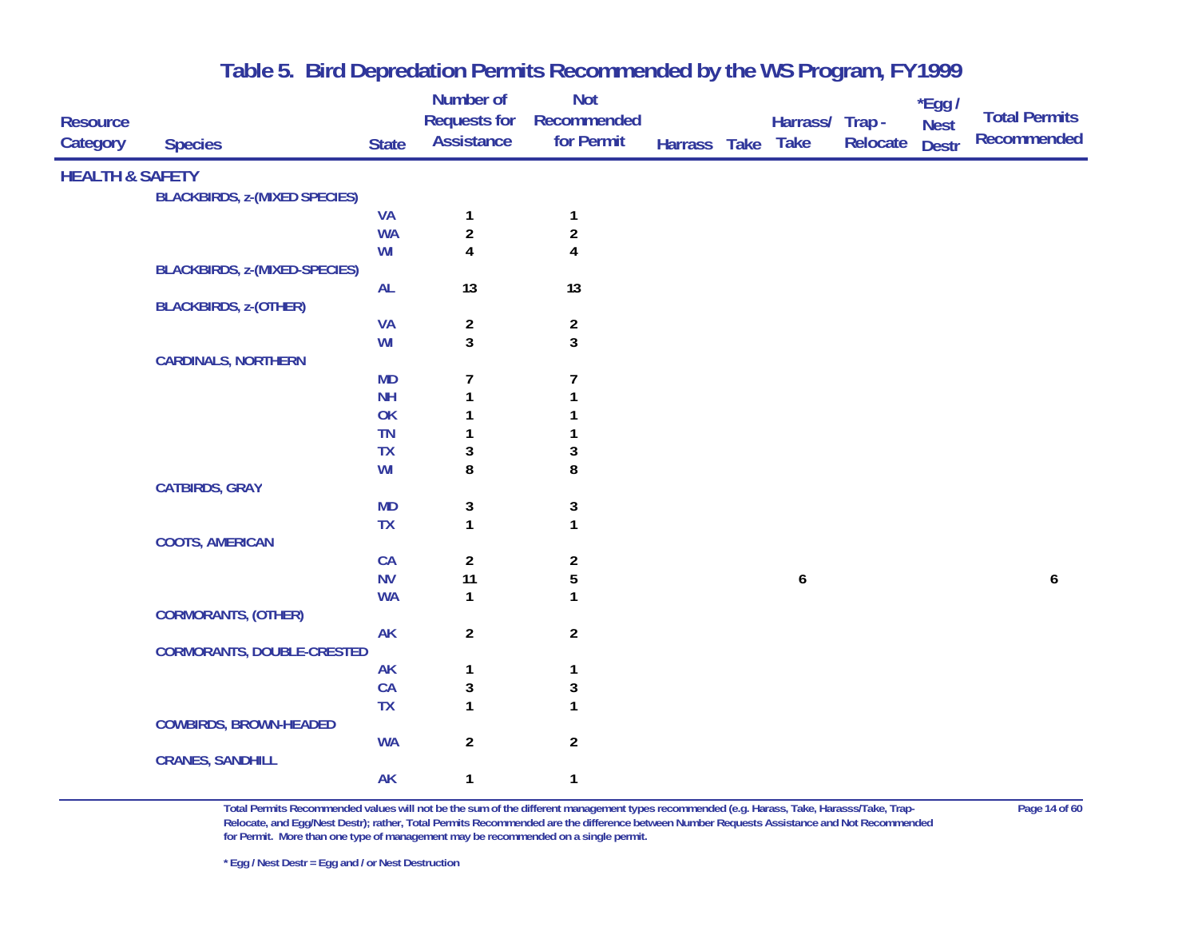| <b>Resource</b>            |                                      |              | Number of<br><b>Requests for</b> | <b>Not</b><br>Recommended |              | Harrass/ Trap -  |          | $*$ Egg /                   | <b>Total Permits</b> |
|----------------------------|--------------------------------------|--------------|----------------------------------|---------------------------|--------------|------------------|----------|-----------------------------|----------------------|
| Category                   | <b>Species</b>                       | <b>State</b> | <b>Assistance</b>                | for Permit                | Harrass Take | <b>Take</b>      | Relocate | <b>Nest</b><br><b>Destr</b> | <b>Recommended</b>   |
| <b>HEALTH &amp; SAFETY</b> |                                      |              |                                  |                           |              |                  |          |                             |                      |
|                            | <b>BLACKBIRDS, z-(MIXED SPECIES)</b> |              |                                  |                           |              |                  |          |                             |                      |
|                            |                                      | <b>VA</b>    | $\mathbf{1}$                     | $\mathbf{1}$              |              |                  |          |                             |                      |
|                            |                                      | <b>WA</b>    | $\overline{2}$                   | $\sqrt{2}$                |              |                  |          |                             |                      |
|                            |                                      | WI           | 4                                | 4                         |              |                  |          |                             |                      |
|                            | <b>BLACKBIRDS, z-(MIXED-SPECIES)</b> |              |                                  |                           |              |                  |          |                             |                      |
|                            |                                      | <b>AL</b>    | 13                               | 13                        |              |                  |          |                             |                      |
|                            | <b>BLACKBIRDS, z-(OTHER)</b>         |              |                                  |                           |              |                  |          |                             |                      |
|                            |                                      | <b>VA</b>    | $\overline{\mathbf{c}}$          | $\overline{a}$            |              |                  |          |                             |                      |
|                            |                                      | WI           | $\overline{3}$                   | 3                         |              |                  |          |                             |                      |
|                            | <b>CARDINALS, NORTHERN</b>           |              |                                  |                           |              |                  |          |                             |                      |
|                            |                                      | <b>MD</b>    | 7                                | 7                         |              |                  |          |                             |                      |
|                            |                                      | <b>NH</b>    | $\mathbf{1}$                     |                           |              |                  |          |                             |                      |
|                            |                                      | OK           |                                  |                           |              |                  |          |                             |                      |
|                            |                                      | <b>TN</b>    |                                  |                           |              |                  |          |                             |                      |
|                            |                                      | <b>TX</b>    | 3                                | 3                         |              |                  |          |                             |                      |
|                            |                                      | WI           | 8                                | 8                         |              |                  |          |                             |                      |
|                            | <b>CATBIRDS, GRAY</b>                |              |                                  |                           |              |                  |          |                             |                      |
|                            |                                      | <b>MD</b>    | 3                                | 3                         |              |                  |          |                             |                      |
|                            |                                      | <b>TX</b>    | $\mathbf{1}$                     | 1                         |              |                  |          |                             |                      |
|                            | <b>COOTS, AMERICAN</b>               | CA           |                                  |                           |              |                  |          |                             |                      |
|                            |                                      | <b>NV</b>    | $\overline{\mathbf{c}}$<br>11    | $\boldsymbol{2}$<br>5     |              | $\boldsymbol{6}$ |          |                             | $\boldsymbol{6}$     |
|                            |                                      | <b>WA</b>    | $\mathbf{1}$                     | 1                         |              |                  |          |                             |                      |
|                            | <b>CORMORANTS, (OTHER)</b>           |              |                                  |                           |              |                  |          |                             |                      |
|                            |                                      | <b>AK</b>    | $\overline{2}$                   | $\overline{2}$            |              |                  |          |                             |                      |
|                            | <b>CORMORANTS, DOUBLE-CRESTED</b>    |              |                                  |                           |              |                  |          |                             |                      |
|                            |                                      | <b>AK</b>    | 1                                | $\mathbf{1}$              |              |                  |          |                             |                      |
|                            |                                      | CA           | $\mathbf{3}$                     | 3                         |              |                  |          |                             |                      |
|                            |                                      | <b>TX</b>    | $\mathbf{1}$                     | 1                         |              |                  |          |                             |                      |
|                            | <b>COWBIRDS, BROWN-HEADED</b>        |              |                                  |                           |              |                  |          |                             |                      |
|                            |                                      | <b>WA</b>    | $\overline{\mathbf{c}}$          | $\overline{2}$            |              |                  |          |                             |                      |
|                            | <b>CRANES, SANDHILL</b>              |              |                                  |                           |              |                  |          |                             |                      |
|                            |                                      | <b>AK</b>    | $\mathbf{1}$                     | $\mathbf{1}$              |              |                  |          |                             |                      |
|                            |                                      |              |                                  |                           |              |                  |          |                             |                      |

**Total Permits Recommended values will not be the sum of the different management types recommended (e.g. Harass, Take, Harasss/Take, Trap- Page 14 of 60 Relocate, and Egg/Nest Destr); rather, Total Permits Recommended are the difference between Number Requests Assistance and Not Recommended for Permit. More than one type of management may be recommended on a single permit.**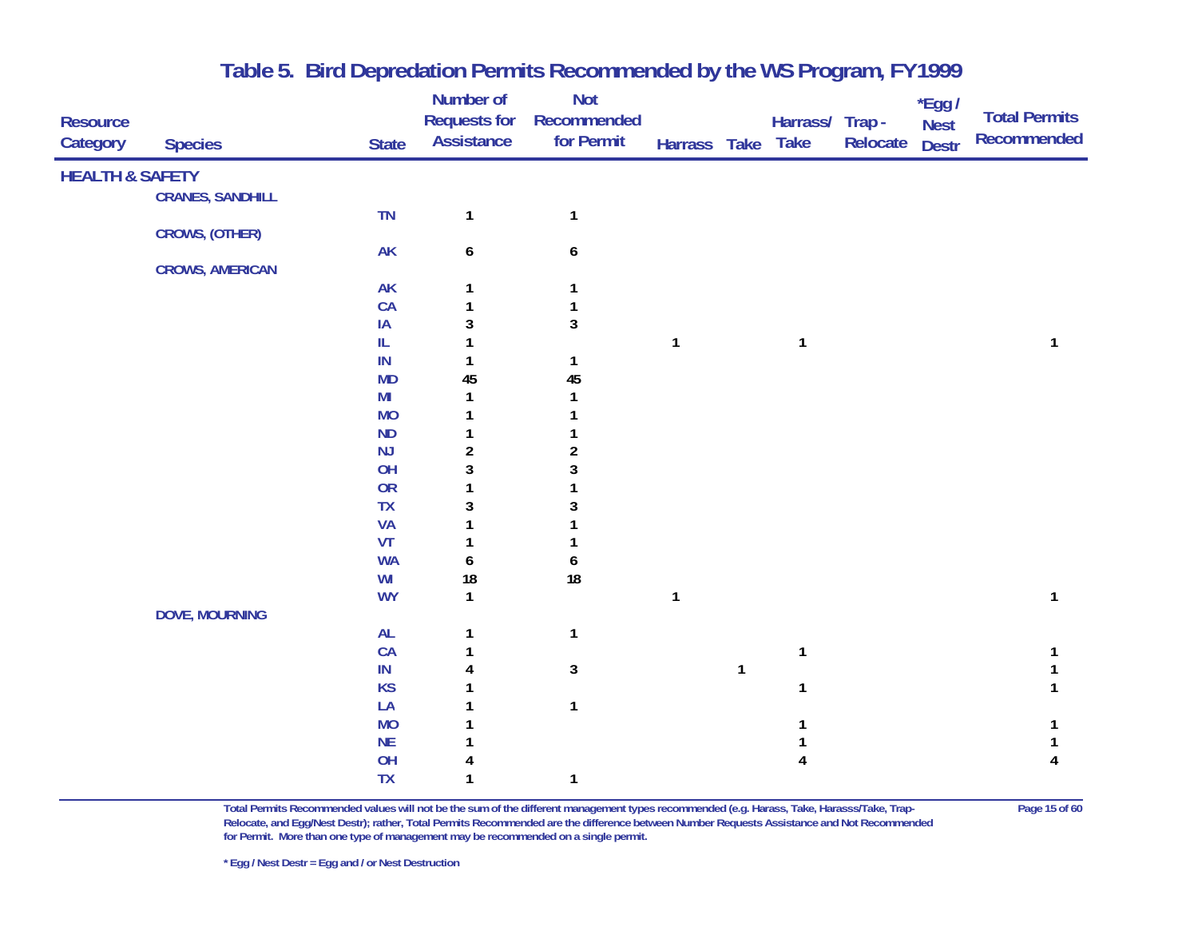|                            |                         |                                   | Number of           | <b>Not</b>     |              |              |                 |          | $*$ Egg /    |                      |
|----------------------------|-------------------------|-----------------------------------|---------------------|----------------|--------------|--------------|-----------------|----------|--------------|----------------------|
| <b>Resource</b>            |                         |                                   | <b>Requests for</b> | Recommended    |              |              | Harrass/ Trap - |          | <b>Nest</b>  | <b>Total Permits</b> |
| Category                   | <b>Species</b>          | <b>State</b>                      | <b>Assistance</b>   | for Permit     | Harrass Take |              | <b>Take</b>     | Relocate | <b>Destr</b> | Recommended          |
| <b>HEALTH &amp; SAFETY</b> |                         |                                   |                     |                |              |              |                 |          |              |                      |
|                            | <b>CRANES, SANDHILL</b> |                                   |                     |                |              |              |                 |          |              |                      |
|                            |                         | TN                                | $\mathbf{1}$        | $\mathbf{1}$   |              |              |                 |          |              |                      |
|                            | CROWS, (OTHER)          |                                   |                     |                |              |              |                 |          |              |                      |
|                            |                         | <b>AK</b>                         | 6                   | 6              |              |              |                 |          |              |                      |
|                            | <b>CROWS, AMERICAN</b>  |                                   |                     |                |              |              |                 |          |              |                      |
|                            |                         | <b>AK</b>                         |                     | 1              |              |              |                 |          |              |                      |
|                            |                         | CA                                |                     | 1              |              |              |                 |          |              |                      |
|                            |                         | IA                                | 3                   | $\mathbf{3}$   |              |              |                 |          |              |                      |
|                            |                         | $\ensuremath{\mathsf{IL}}\xspace$ |                     |                | $\mathbf{1}$ |              | $\mathbf{1}$    |          |              | 1                    |
|                            |                         | IN                                |                     | $\mathbf{1}$   |              |              |                 |          |              |                      |
|                            |                         | MD                                | 45                  | 45             |              |              |                 |          |              |                      |
|                            |                         | M <sub>l</sub>                    | 1                   | $\mathbf{1}$   |              |              |                 |          |              |                      |
|                            |                         | <b>MO</b>                         | 1                   |                |              |              |                 |          |              |                      |
|                            |                         | <b>ND</b>                         | 1                   |                |              |              |                 |          |              |                      |
|                            |                         | NJ                                | $\overline{2}$      | $\overline{c}$ |              |              |                 |          |              |                      |
|                            |                         | OH                                | 3                   | 3              |              |              |                 |          |              |                      |
|                            |                         | OR                                | 1                   | 1              |              |              |                 |          |              |                      |
|                            |                         | TX                                | 3                   | 3              |              |              |                 |          |              |                      |
|                            |                         | <b>VA</b>                         | 1                   |                |              |              |                 |          |              |                      |
|                            |                         | VT                                | 1                   |                |              |              |                 |          |              |                      |
|                            |                         | <b>WA</b>                         | 6                   | 6              |              |              |                 |          |              |                      |
|                            |                         | WI                                | 18                  | 18             |              |              |                 |          |              |                      |
|                            |                         | <b>WY</b>                         | $\mathbf{1}$        |                | $\mathbf{1}$ |              |                 |          |              | 1                    |
|                            | <b>DOVE, MOURNING</b>   |                                   |                     |                |              |              |                 |          |              |                      |
|                            |                         | AL                                |                     | $\mathbf{1}$   |              |              |                 |          |              |                      |
|                            |                         | CA                                |                     |                |              |              | $\mathbf{1}$    |          |              |                      |
|                            |                         | $\sf IN$                          |                     | $\mathbf 3$    |              | $\mathbf{1}$ |                 |          |              |                      |
|                            |                         | <b>KS</b>                         |                     |                |              |              | $\mathbf{1}$    |          |              |                      |
|                            |                         | LA                                |                     | $\mathbf{1}$   |              |              |                 |          |              |                      |
|                            |                         | <b>MO</b>                         |                     |                |              |              |                 |          |              |                      |
|                            |                         | $\sf NE$                          |                     |                |              |              |                 |          |              |                      |
|                            |                         | OH                                |                     |                |              |              |                 |          |              |                      |
|                            |                         | <b>TX</b>                         | 1                   | $\mathbf{1}$   |              |              |                 |          |              |                      |

**Total Permits Recommended values will not be the sum of the different management types recommended (e.g. Harass, Take, Harasss/Take, Trap- Page 15 of 60 Relocate, and Egg/Nest Destr); rather, Total Permits Recommended are the difference between Number Requests Assistance and Not Recommended for Permit. More than one type of management may be recommended on a single permit.**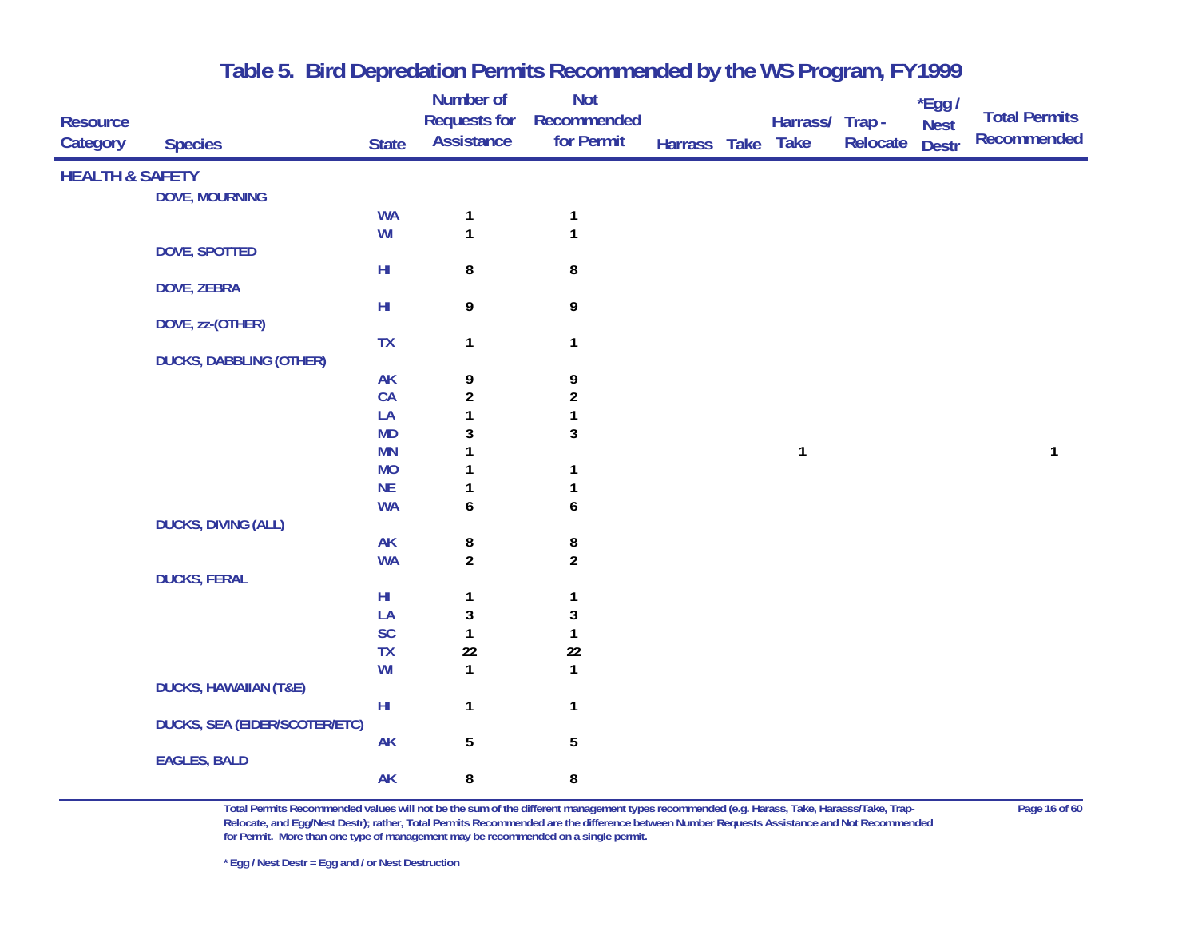| <b>Resource</b><br>Category | <b>Species</b>                       | <b>State</b>           | Number of<br><b>Requests for</b><br><b>Assistance</b> | <b>Not</b><br>Recommended<br>for Permit | Harrass Take | Harrass/ Trap -<br><b>Take</b> | Relocate | *Egg /<br><b>Nest</b><br><b>Destr</b> | <b>Total Permits</b><br>Recommended |
|-----------------------------|--------------------------------------|------------------------|-------------------------------------------------------|-----------------------------------------|--------------|--------------------------------|----------|---------------------------------------|-------------------------------------|
| <b>HEALTH &amp; SAFETY</b>  |                                      |                        |                                                       |                                         |              |                                |          |                                       |                                     |
|                             | <b>DOVE, MOURNING</b>                |                        |                                                       |                                         |              |                                |          |                                       |                                     |
|                             |                                      | <b>WA</b>              | $\mathbf{1}$                                          | $\mathbf{1}$                            |              |                                |          |                                       |                                     |
|                             |                                      | WI                     | $\mathbf{1}$                                          | 1                                       |              |                                |          |                                       |                                     |
|                             | DOVE, SPOTTED                        |                        |                                                       |                                         |              |                                |          |                                       |                                     |
|                             |                                      | $H\!I$                 | 8                                                     | 8                                       |              |                                |          |                                       |                                     |
|                             | <b>DOVE, ZEBRA</b>                   |                        |                                                       |                                         |              |                                |          |                                       |                                     |
|                             |                                      | ${\sf HI}$             | 9                                                     | 9                                       |              |                                |          |                                       |                                     |
|                             | DOVE, zz-(OTHER)                     |                        |                                                       |                                         |              |                                |          |                                       |                                     |
|                             | <b>DUCKS, DABBLING (OTHER)</b>       | <b>TX</b>              | 1                                                     | $\mathbf{1}$                            |              |                                |          |                                       |                                     |
|                             |                                      | <b>AK</b>              | 9                                                     | 9                                       |              |                                |          |                                       |                                     |
|                             |                                      | CA                     | $\overline{a}$                                        | $\overline{\mathbf{c}}$                 |              |                                |          |                                       |                                     |
|                             |                                      | LA                     | $\mathbf{1}$                                          | 1                                       |              |                                |          |                                       |                                     |
|                             |                                      | <b>MD</b>              | 3                                                     | 3                                       |              |                                |          |                                       |                                     |
|                             |                                      | <b>MN</b>              |                                                       |                                         |              | $\mathbf{1}$                   |          |                                       | $\mathbf{1}$                        |
|                             |                                      | <b>MO</b>              |                                                       | 1                                       |              |                                |          |                                       |                                     |
|                             |                                      | <b>NE</b>              |                                                       |                                         |              |                                |          |                                       |                                     |
|                             |                                      | <b>WA</b>              | 6                                                     | 6                                       |              |                                |          |                                       |                                     |
|                             | <b>DUCKS, DIVING (ALL)</b>           |                        |                                                       |                                         |              |                                |          |                                       |                                     |
|                             |                                      | <b>AK</b>              | 8                                                     | 8                                       |              |                                |          |                                       |                                     |
|                             |                                      | <b>WA</b>              | $\overline{2}$                                        | $\overline{2}$                          |              |                                |          |                                       |                                     |
|                             | <b>DUCKS, FERAL</b>                  |                        |                                                       |                                         |              |                                |          |                                       |                                     |
|                             |                                      | $H\!I$                 | 1                                                     | 1                                       |              |                                |          |                                       |                                     |
|                             |                                      | LA<br>SC               | $\mathbf{3}$<br>$\mathbf{1}$                          | 3                                       |              |                                |          |                                       |                                     |
|                             |                                      | <b>TX</b>              | 22                                                    | 1<br>$22\,$                             |              |                                |          |                                       |                                     |
|                             |                                      | WI                     | $\mathbf{1}$                                          | $\mathbf{1}$                            |              |                                |          |                                       |                                     |
|                             | <b>DUCKS, HAWAIIAN (T&amp;E)</b>     |                        |                                                       |                                         |              |                                |          |                                       |                                     |
|                             |                                      | $\mathsf{H}\mathsf{I}$ | $\mathbf{1}$                                          | $\mathbf{1}$                            |              |                                |          |                                       |                                     |
|                             | <b>DUCKS, SEA (EIDER/SCOTER/ETC)</b> |                        |                                                       |                                         |              |                                |          |                                       |                                     |
|                             |                                      | <b>AK</b>              | 5                                                     | $\overline{5}$                          |              |                                |          |                                       |                                     |
|                             | <b>EAGLES, BALD</b>                  |                        |                                                       |                                         |              |                                |          |                                       |                                     |
|                             |                                      | <b>AK</b>              | 8                                                     | 8                                       |              |                                |          |                                       |                                     |

**Total Permits Recommended values will not be the sum of the different management types recommended (e.g. Harass, Take, Harasss/Take, Trap- Page 16 of 60 Relocate, and Egg/Nest Destr); rather, Total Permits Recommended are the difference between Number Requests Assistance and Not Recommended for Permit. More than one type of management may be recommended on a single permit.**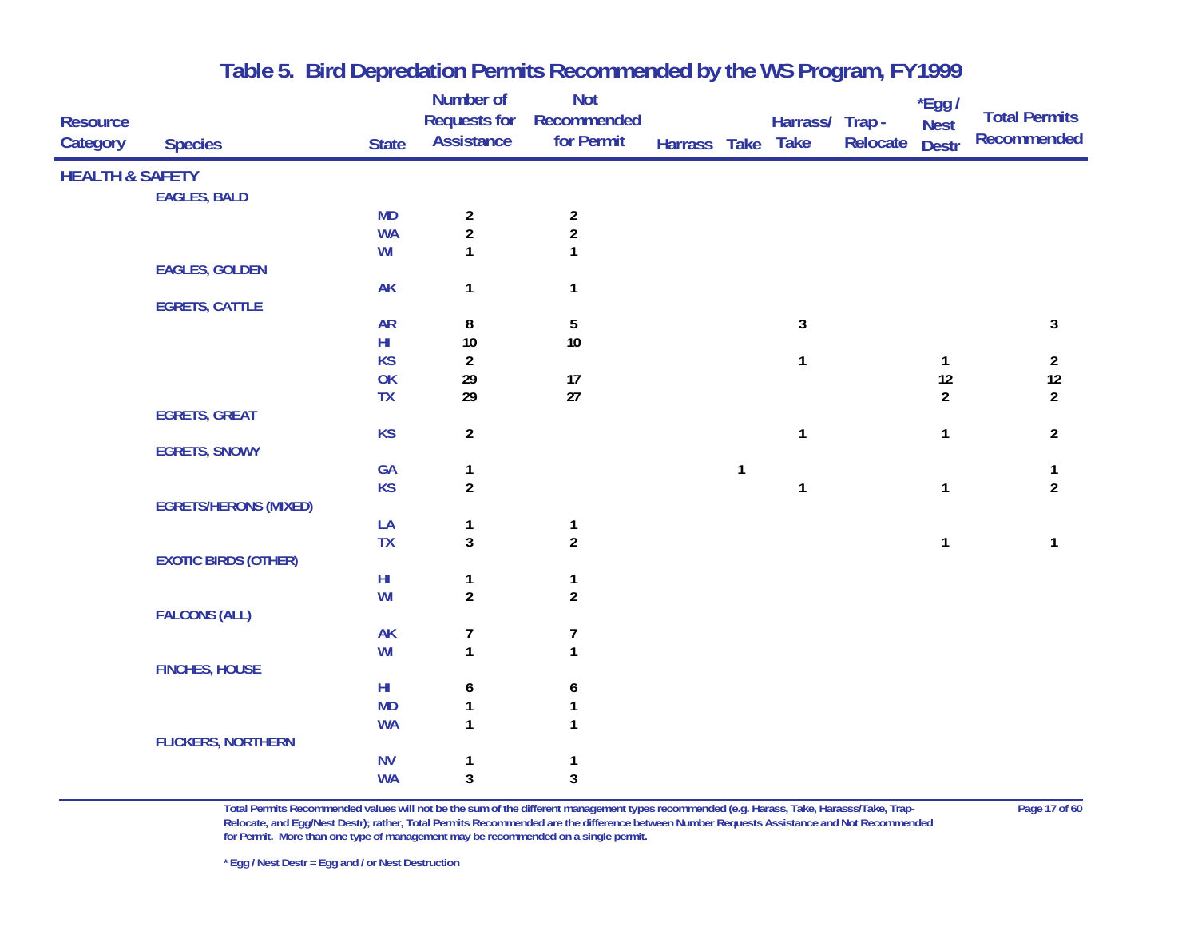| <b>Resource</b><br>Category | <b>Species</b>               | <b>State</b>    | <b>Number of</b><br><b>Requests for</b><br><b>Assistance</b> | <b>Not</b><br>Recommended<br>for Permit | Harrass Take Take |              | Harrass/ Trap - | Relocate | $*$ Egg /<br><b>Nest</b><br><b>Destr</b> | <b>Total Permits</b><br>Recommended |
|-----------------------------|------------------------------|-----------------|--------------------------------------------------------------|-----------------------------------------|-------------------|--------------|-----------------|----------|------------------------------------------|-------------------------------------|
| <b>HEALTH &amp; SAFETY</b>  |                              |                 |                                                              |                                         |                   |              |                 |          |                                          |                                     |
|                             | <b>EAGLES, BALD</b>          |                 |                                                              |                                         |                   |              |                 |          |                                          |                                     |
|                             |                              | <b>MD</b>       |                                                              |                                         |                   |              |                 |          |                                          |                                     |
|                             |                              | <b>WA</b>       | $\begin{array}{c} 2 \\ 2 \end{array}$                        | $\begin{array}{c} 2 \\ 2 \end{array}$   |                   |              |                 |          |                                          |                                     |
|                             |                              | WI              | 1                                                            | $\mathbf{1}$                            |                   |              |                 |          |                                          |                                     |
|                             | <b>EAGLES, GOLDEN</b>        |                 |                                                              |                                         |                   |              |                 |          |                                          |                                     |
|                             |                              | <b>AK</b>       | $\mathbf{1}$                                                 | $\mathbf{1}$                            |                   |              |                 |          |                                          |                                     |
|                             | <b>EGRETS, CATTLE</b>        |                 |                                                              |                                         |                   |              |                 |          |                                          |                                     |
|                             |                              | <b>AR</b>       | 8                                                            | $\overline{5}$                          |                   |              | $\mathbf{3}$    |          |                                          | $\mathbf{3}$                        |
|                             |                              | $H\!I$          | $10\,$                                                       | 10                                      |                   |              |                 |          |                                          |                                     |
|                             |                              | <b>KS</b>       | $\overline{2}$                                               |                                         |                   |              | $\mathbf{1}$    |          | $\mathbf{1}$                             | $\overline{a}$                      |
|                             |                              | OK<br><b>TX</b> | 29<br>29                                                     | 17<br>27                                |                   |              |                 |          | 12<br>$\overline{2}$                     | $12\,$                              |
|                             | <b>EGRETS, GREAT</b>         |                 |                                                              |                                         |                   |              |                 |          |                                          | $\overline{2}$                      |
|                             |                              | <b>KS</b>       | $\overline{2}$                                               |                                         |                   |              | $\mathbf{1}$    |          | $\mathbf{1}$                             | $\overline{2}$                      |
|                             | <b>EGRETS, SNOWY</b>         |                 |                                                              |                                         |                   |              |                 |          |                                          |                                     |
|                             |                              | GA              | $\mathbf{1}$                                                 |                                         |                   | $\mathbf{1}$ |                 |          |                                          | $\mathbf{1}$                        |
|                             |                              | <b>KS</b>       | $\boldsymbol{2}$                                             |                                         |                   |              | $\mathbf{1}$    |          | $\mathbf{1}$                             | $\overline{2}$                      |
|                             | <b>EGRETS/HERONS (MIXED)</b> |                 |                                                              |                                         |                   |              |                 |          |                                          |                                     |
|                             |                              | LA              | $\mathbf{1}$                                                 | $\mathbf{1}$                            |                   |              |                 |          |                                          |                                     |
|                             |                              | <b>TX</b>       | $\overline{3}$                                               | $\overline{2}$                          |                   |              |                 |          | $\mathbf{1}$                             | $\mathbf{1}$                        |
|                             | <b>EXOTIC BIRDS (OTHER)</b>  |                 |                                                              |                                         |                   |              |                 |          |                                          |                                     |
|                             |                              | $H\!I$          | $\mathbf{1}$                                                 | $\mathbf{1}$                            |                   |              |                 |          |                                          |                                     |
|                             |                              | WI              | $\boldsymbol{2}$                                             | $\overline{2}$                          |                   |              |                 |          |                                          |                                     |
|                             | <b>FALCONS (ALL)</b>         |                 |                                                              |                                         |                   |              |                 |          |                                          |                                     |
|                             |                              | AK              | 7                                                            | 7                                       |                   |              |                 |          |                                          |                                     |
|                             |                              | WI              | $\mathbf{1}$                                                 | $\mathbf{1}$                            |                   |              |                 |          |                                          |                                     |
|                             | <b>FINCHES, HOUSE</b>        |                 |                                                              |                                         |                   |              |                 |          |                                          |                                     |
|                             |                              | $H\!I$          | 6                                                            | 6                                       |                   |              |                 |          |                                          |                                     |
|                             |                              | <b>MD</b>       | $\mathbf{1}$                                                 | $\mathbf{1}$                            |                   |              |                 |          |                                          |                                     |
|                             |                              | <b>WA</b>       | 1                                                            | $\mathbf{1}$                            |                   |              |                 |          |                                          |                                     |
|                             | <b>FLICKERS, NORTHERN</b>    | <b>NV</b>       |                                                              |                                         |                   |              |                 |          |                                          |                                     |
|                             |                              | <b>WA</b>       | $\mathbf{1}$<br>3                                            | $\mathbf{1}$<br>3                       |                   |              |                 |          |                                          |                                     |
|                             |                              |                 |                                                              |                                         |                   |              |                 |          |                                          |                                     |

**Total Permits Recommended values will not be the sum of the different management types recommended (e.g. Harass, Take, Harasss/Take, Trap- Page 17 of 60 Relocate, and Egg/Nest Destr); rather, Total Permits Recommended are the difference between Number Requests Assistance and Not Recommended for Permit. More than one type of management may be recommended on a single permit.**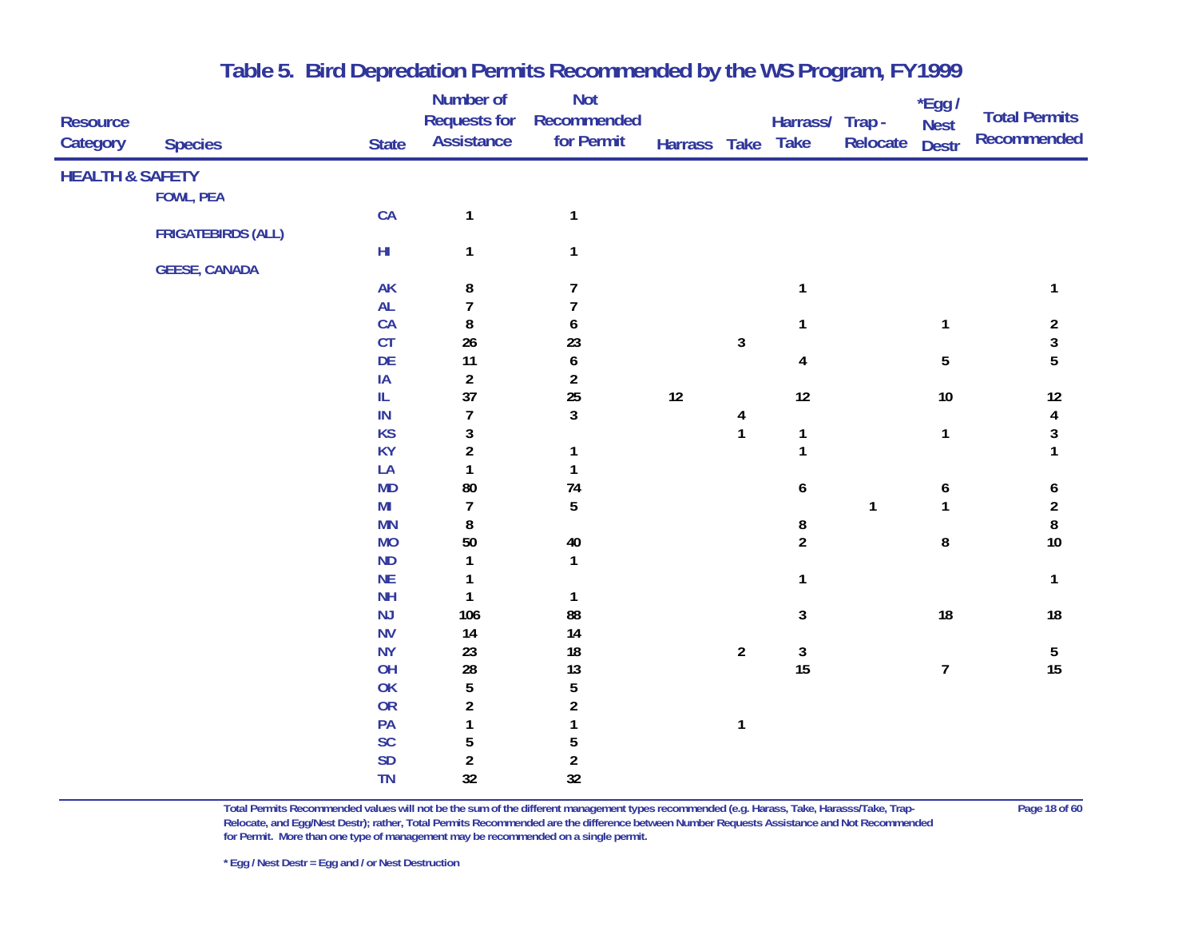| <b>Resource</b><br>Category | <b>Species</b>            | <b>State</b> | Number of<br><b>Requests for</b><br><b>Assistance</b> | <b>Not</b><br>Recommended<br>for Permit | Harrass Take Take |                         | Harrass/ Trap -         | Relocate     | $*$ Egg /<br><b>Nest</b><br><b>Destr</b> | <b>Total Permits</b><br>Recommended |
|-----------------------------|---------------------------|--------------|-------------------------------------------------------|-----------------------------------------|-------------------|-------------------------|-------------------------|--------------|------------------------------------------|-------------------------------------|
| <b>HEALTH &amp; SAFETY</b>  |                           |              |                                                       |                                         |                   |                         |                         |              |                                          |                                     |
|                             | <b>FOWL, PEA</b>          |              |                                                       |                                         |                   |                         |                         |              |                                          |                                     |
|                             |                           | CA           | $\mathbf{1}$                                          | $\mathbf{1}$                            |                   |                         |                         |              |                                          |                                     |
|                             | <b>FRIGATEBIRDS (ALL)</b> |              |                                                       |                                         |                   |                         |                         |              |                                          |                                     |
|                             |                           | $H\!I$       | 1                                                     | $\mathbf{1}$                            |                   |                         |                         |              |                                          |                                     |
|                             | <b>GEESE, CANADA</b>      |              |                                                       |                                         |                   |                         |                         |              |                                          |                                     |
|                             |                           | AK           | 8                                                     | 7                                       |                   |                         | 1                       |              |                                          | 1                                   |
|                             |                           | AL           | $\overline{7}$                                        | $\overline{7}$                          |                   |                         |                         |              |                                          |                                     |
|                             |                           | CA           | 8                                                     | 6                                       |                   |                         | 1                       |              | $\mathbf{1}$                             | $\overline{a}$                      |
|                             |                           | CT           | 26                                                    | 23                                      |                   | 3                       |                         |              |                                          | $\mathbf{3}$                        |
|                             |                           | DE           | 11                                                    | $\pmb{6}$                               |                   |                         | $\overline{\mathbf{4}}$ |              | $5\phantom{.0}$                          | 5                                   |
|                             |                           | IA           | $\overline{a}$                                        | $\overline{2}$                          |                   |                         |                         |              |                                          |                                     |
|                             |                           | IL           | 37                                                    | 25                                      | 12                |                         | 12                      |              | $10\,$                                   | 12                                  |
|                             |                           | IN           | $\overline{7}$                                        | $\mathbf{3}$                            |                   | $\overline{\mathbf{4}}$ |                         |              |                                          | $\overline{\mathbf{4}}$             |
|                             |                           | <b>KS</b>    | $\mathfrak z$                                         |                                         |                   | $\mathbf{1}$            | $\mathbf{1}$            |              | $\mathbf{1}$                             | $\sqrt{3}$                          |
|                             |                           | <b>KY</b>    | $\overline{2}$                                        | $\mathbf{1}$                            |                   |                         | $\mathbf{1}$            |              |                                          | 1                                   |
|                             |                           | LA           | $\mathbf{1}$                                          | $\mathbf{1}$                            |                   |                         |                         |              |                                          |                                     |
|                             |                           | <b>MD</b>    | 80                                                    | 74                                      |                   |                         | 6                       |              | 6                                        | 6                                   |
|                             |                           | MI           | $\overline{7}$                                        | 5                                       |                   |                         |                         | $\mathbf{1}$ | $\mathbf{1}$                             | $\boldsymbol{2}$                    |
|                             |                           | <b>MN</b>    | 8                                                     |                                         |                   |                         | 8                       |              |                                          | 8                                   |
|                             |                           | <b>MO</b>    | 50                                                    | $40\,$                                  |                   |                         | $\overline{2}$          |              | 8                                        | 10                                  |
|                             |                           | <b>ND</b>    | $\mathbf{1}$                                          | $\mathbf{1}$                            |                   |                         |                         |              |                                          |                                     |
|                             |                           | <b>NE</b>    | $\mathbf{1}$                                          |                                         |                   |                         | $\mathbf{1}$            |              |                                          | $\mathbf{1}$                        |
|                             |                           | <b>NH</b>    | $\mathbf{1}$                                          | $\mathbf{1}$                            |                   |                         |                         |              |                                          |                                     |
|                             |                           | NJ           | 106                                                   | 88                                      |                   |                         | $\mathbf{3}$            |              | 18                                       | 18                                  |
|                             |                           | <b>NV</b>    | 14                                                    | 14                                      |                   |                         |                         |              |                                          |                                     |
|                             |                           | <b>NY</b>    | 23                                                    | 18                                      |                   | $\overline{2}$          | $\mathbf{3}$            |              |                                          | 5                                   |
|                             |                           | OH           | ${\bf 28}$                                            | 13                                      |                   |                         | 15                      |              | $\overline{7}$                           | 15                                  |
|                             |                           | OK           | 5                                                     | $5\,$                                   |                   |                         |                         |              |                                          |                                     |
|                             |                           | OR           | $\overline{a}$                                        | $\overline{2}$                          |                   |                         |                         |              |                                          |                                     |
|                             |                           | PA           | $\mathbf{1}$                                          | $\mathbf{1}$                            |                   | $\mathbf{1}$            |                         |              |                                          |                                     |
|                             |                           | SC           | 5                                                     | 5                                       |                   |                         |                         |              |                                          |                                     |
|                             |                           | <b>SD</b>    | $\overline{\mathbf{c}}$                               | $\boldsymbol{2}$                        |                   |                         |                         |              |                                          |                                     |
|                             |                           | <b>TN</b>    | 32                                                    | 32                                      |                   |                         |                         |              |                                          |                                     |

**Total Permits Recommended values will not be the sum of the different management types recommended (e.g. Harass, Take, Harasss/Take, Trap- Page 18 of 60 Relocate, and Egg/Nest Destr); rather, Total Permits Recommended are the difference between Number Requests Assistance and Not Recommended for Permit. More than one type of management may be recommended on a single permit.**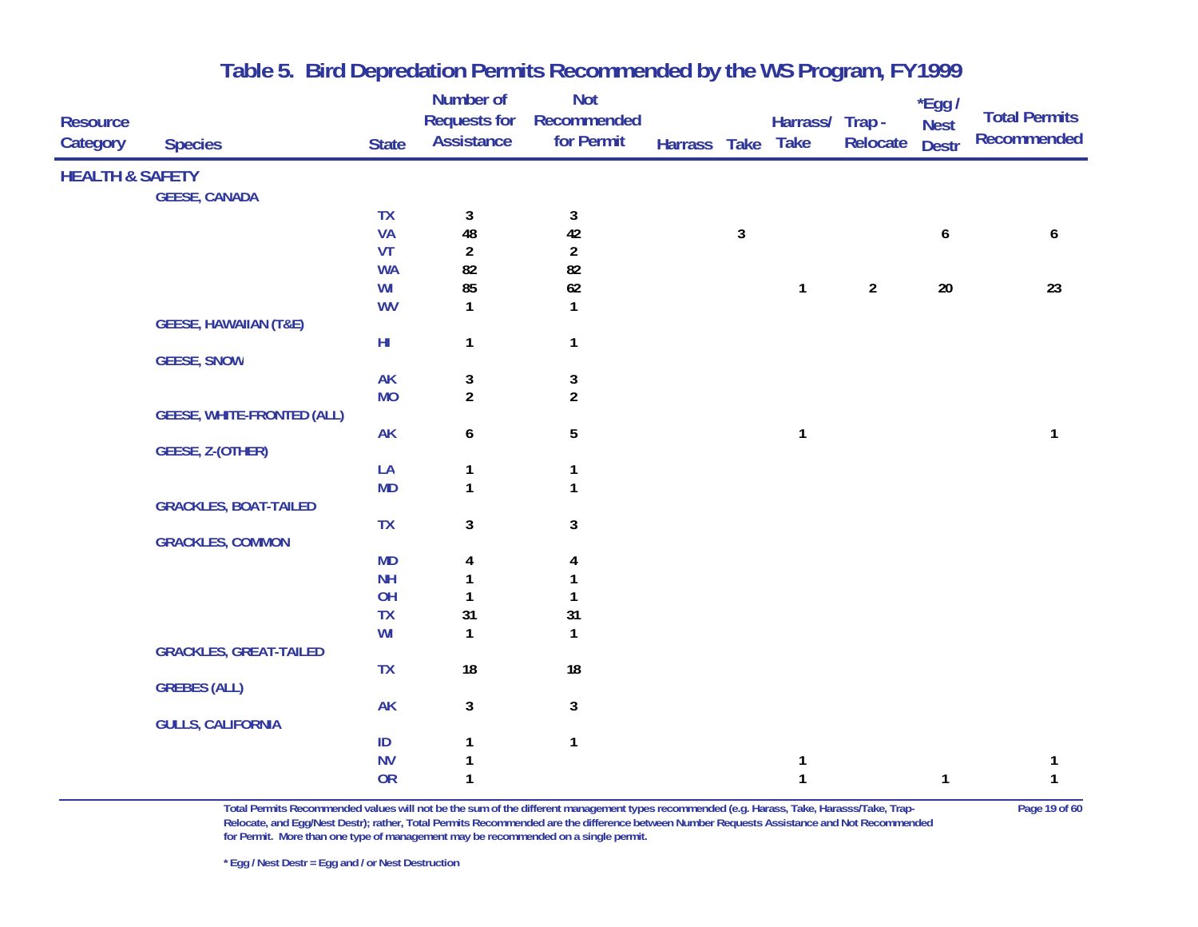| <b>Resource</b><br>Category | <b>Species</b>                    | <b>State</b> | <b>Number of</b><br><b>Requests for</b><br><b>Assistance</b> | <b>Not</b><br>Recommended<br>for Permit | Harrass Take Take |            | Harrass/ Trap - | Relocate       | *Egg /<br><b>Nest</b><br><b>Destr</b> | <b>Total Permits</b><br><b>Recommended</b> |
|-----------------------------|-----------------------------------|--------------|--------------------------------------------------------------|-----------------------------------------|-------------------|------------|-----------------|----------------|---------------------------------------|--------------------------------------------|
| <b>HEALTH &amp; SAFETY</b>  |                                   |              |                                                              |                                         |                   |            |                 |                |                                       |                                            |
|                             | <b>GEESE, CANADA</b>              |              |                                                              |                                         |                   |            |                 |                |                                       |                                            |
|                             |                                   | <b>TX</b>    | $\mathbf{3}$                                                 | 3                                       |                   |            |                 |                |                                       |                                            |
|                             |                                   | <b>VA</b>    | 48                                                           | 42                                      |                   | $\sqrt{3}$ |                 |                | 6                                     | 6                                          |
|                             |                                   | <b>VT</b>    | $\overline{2}$                                               | $\overline{a}$                          |                   |            |                 |                |                                       |                                            |
|                             |                                   | <b>WA</b>    | 82                                                           | 82                                      |                   |            |                 |                |                                       |                                            |
|                             |                                   | WI           | 85                                                           | $62\,$                                  |                   |            | $\mathbf{1}$    | $\overline{2}$ | $20\,$                                | 23                                         |
|                             |                                   | <b>WV</b>    | 1                                                            | $\mathbf{1}$                            |                   |            |                 |                |                                       |                                            |
|                             | <b>GEESE, HAWAIIAN (T&amp;E)</b>  |              |                                                              |                                         |                   |            |                 |                |                                       |                                            |
|                             |                                   | $H\!I$       | $\mathbf{1}$                                                 | $\mathbf{1}$                            |                   |            |                 |                |                                       |                                            |
|                             | <b>GEESE, SNOW</b>                |              |                                                              |                                         |                   |            |                 |                |                                       |                                            |
|                             |                                   | <b>AK</b>    | 3                                                            | $\sqrt{3}$                              |                   |            |                 |                |                                       |                                            |
|                             |                                   | <b>MO</b>    | $\overline{2}$                                               | $\overline{2}$                          |                   |            |                 |                |                                       |                                            |
|                             | <b>GEESE, WHITE-FRONTED (ALL)</b> |              |                                                              |                                         |                   |            |                 |                |                                       |                                            |
|                             |                                   | <b>AK</b>    | 6                                                            | $5\,$                                   |                   |            | $\mathbf{1}$    |                |                                       | $\mathbf{1}$                               |
|                             | GEESE, Z-(OTHER)                  |              |                                                              |                                         |                   |            |                 |                |                                       |                                            |
|                             |                                   | LA           | $\mathbf{1}$                                                 | $\mathbf{1}$                            |                   |            |                 |                |                                       |                                            |
|                             |                                   | <b>MD</b>    | $\mathbf{1}$                                                 | $\mathbf{1}$                            |                   |            |                 |                |                                       |                                            |
|                             | <b>GRACKLES, BOAT-TAILED</b>      |              |                                                              |                                         |                   |            |                 |                |                                       |                                            |
|                             |                                   | <b>TX</b>    | 3                                                            | $\mathbf{3}$                            |                   |            |                 |                |                                       |                                            |
|                             | <b>GRACKLES, COMMON</b>           |              |                                                              |                                         |                   |            |                 |                |                                       |                                            |
|                             |                                   | <b>MD</b>    | 4                                                            | 4                                       |                   |            |                 |                |                                       |                                            |
|                             |                                   | <b>NH</b>    | $\mathbf{1}$                                                 | 1                                       |                   |            |                 |                |                                       |                                            |
|                             |                                   | OH           | $\mathbf{1}$                                                 | 1                                       |                   |            |                 |                |                                       |                                            |
|                             |                                   | TX           | 31                                                           | 31                                      |                   |            |                 |                |                                       |                                            |
|                             |                                   | WI           | $\mathbf{1}$                                                 | $\mathbf{1}$                            |                   |            |                 |                |                                       |                                            |
|                             | <b>GRACKLES, GREAT-TAILED</b>     |              |                                                              |                                         |                   |            |                 |                |                                       |                                            |
|                             |                                   | <b>TX</b>    | 18                                                           | 18                                      |                   |            |                 |                |                                       |                                            |
|                             | <b>GREBES (ALL)</b>               |              |                                                              |                                         |                   |            |                 |                |                                       |                                            |
|                             |                                   | <b>AK</b>    | 3                                                            | 3                                       |                   |            |                 |                |                                       |                                            |
|                             | <b>GULLS, CALIFORNIA</b>          |              |                                                              |                                         |                   |            |                 |                |                                       |                                            |
|                             |                                   | ID           | 1                                                            | $\mathbf{1}$                            |                   |            |                 |                |                                       |                                            |
|                             |                                   | <b>NV</b>    | 1                                                            |                                         |                   |            | 1               |                |                                       | 1                                          |
|                             |                                   | <b>OR</b>    | $\mathbf{1}$                                                 |                                         |                   |            | $\mathbf{1}$    |                | $\mathbf{1}$                          | $\mathbf{1}$                               |

**Total Permits Recommended values will not be the sum of the different management types recommended (e.g. Harass, Take, Harasss/Take, Trap- Page 19 of 60 Relocate, and Egg/Nest Destr); rather, Total Permits Recommended are the difference between Number Requests Assistance and Not Recommended for Permit. More than one type of management may be recommended on a single permit.**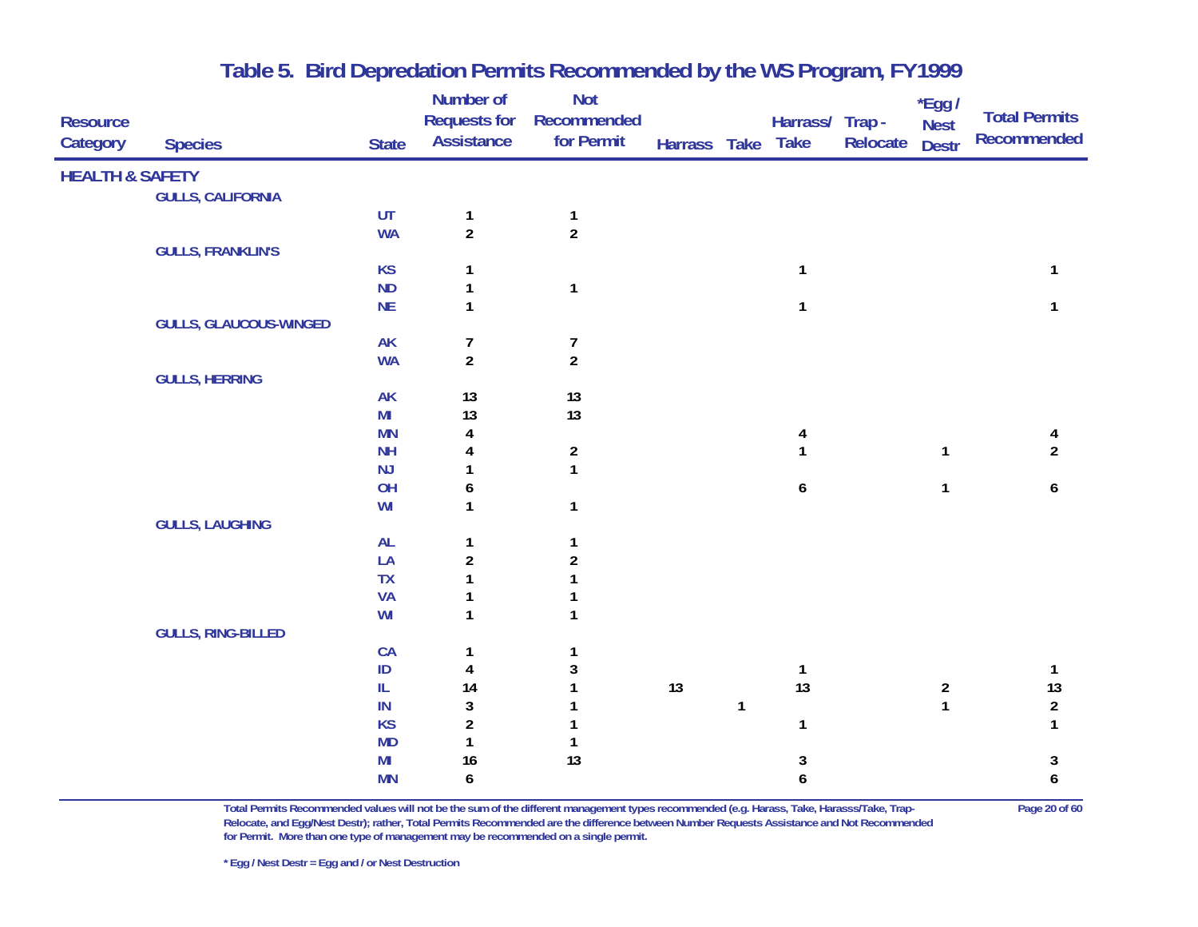|                            |                               |                        | Number of               | Not                 |              |              |                  |          | $*$ Egg /               | <b>Total Permits</b> |
|----------------------------|-------------------------------|------------------------|-------------------------|---------------------|--------------|--------------|------------------|----------|-------------------------|----------------------|
| <b>Resource</b>            |                               |                        | <b>Requests for</b>     | Recommended         |              |              | Harrass/ Trap -  |          | <b>Nest</b>             | <b>Recommended</b>   |
| Category                   | <b>Species</b>                | <b>State</b>           | <b>Assistance</b>       | for Permit          | Harrass Take |              | <b>Take</b>      | Relocate | <b>Destr</b>            |                      |
| <b>HEALTH &amp; SAFETY</b> |                               |                        |                         |                     |              |              |                  |          |                         |                      |
|                            | <b>GULLS, CALIFORNIA</b>      |                        |                         |                     |              |              |                  |          |                         |                      |
|                            |                               | UT                     | $\mathbf{1}$            | $\mathbf{1}$        |              |              |                  |          |                         |                      |
|                            |                               | <b>WA</b>              | $\overline{a}$          | $\overline{2}$      |              |              |                  |          |                         |                      |
|                            | <b>GULLS, FRANKLIN'S</b>      |                        |                         |                     |              |              |                  |          |                         |                      |
|                            |                               | <b>KS</b>              | 1                       |                     |              |              | 1                |          |                         | 1                    |
|                            |                               | ND                     | $\mathbf{1}$            | $\mathbf{1}$        |              |              |                  |          |                         |                      |
|                            |                               | NE                     | $\mathbf{1}$            |                     |              |              | 1                |          |                         | 1                    |
|                            | <b>GULLS, GLAUCOUS-WINGED</b> |                        |                         |                     |              |              |                  |          |                         |                      |
|                            |                               | AK                     | 7                       | $\overline{7}$      |              |              |                  |          |                         |                      |
|                            |                               | <b>WA</b>              | $\overline{a}$          | $\overline{2}$      |              |              |                  |          |                         |                      |
|                            | <b>GULLS, HERRING</b>         |                        |                         |                     |              |              |                  |          |                         |                      |
|                            |                               | <b>AK</b>              | 13                      | 13                  |              |              |                  |          |                         |                      |
|                            |                               | M <sub>l</sub>         | 13                      | 13                  |              |              |                  |          |                         |                      |
|                            |                               | <b>MN</b><br><b>NH</b> | 4                       |                     |              |              |                  |          |                         | 4<br>$\overline{2}$  |
|                            |                               | NJ                     | 4                       | $\overline{2}$<br>1 |              |              |                  |          | $\mathbf{1}$            |                      |
|                            |                               | OH                     | 6                       |                     |              |              | 6                |          | $\mathbf{1}$            | 6                    |
|                            |                               | WI                     | 1                       | $\mathbf{1}$        |              |              |                  |          |                         |                      |
|                            | <b>GULLS, LAUGHING</b>        |                        |                         |                     |              |              |                  |          |                         |                      |
|                            |                               | AL                     | $\mathbf{1}$            | 1                   |              |              |                  |          |                         |                      |
|                            |                               | LA                     | $\overline{\mathbf{c}}$ | $\overline{c}$      |              |              |                  |          |                         |                      |
|                            |                               | <b>TX</b>              | 1                       |                     |              |              |                  |          |                         |                      |
|                            |                               | <b>VA</b>              | 1                       |                     |              |              |                  |          |                         |                      |
|                            |                               | WI                     | 1                       | 1                   |              |              |                  |          |                         |                      |
|                            | <b>GULLS, RING-BILLED</b>     |                        |                         |                     |              |              |                  |          |                         |                      |
|                            |                               | CA                     | 1                       |                     |              |              |                  |          |                         |                      |
|                            |                               | $\mathsf{ID}$          | 4                       | 3                   |              |              | 1                |          |                         | $\mathbf{1}$         |
|                            |                               | ${\rm IL}$             | 14                      |                     | 13           |              | 13               |          | $\overline{\mathbf{c}}$ | 13                   |
|                            |                               | IN                     | $\mathbf{3}$            |                     |              | $\mathbf{1}$ |                  |          | $\mathbf{1}$            | $\overline{a}$       |
|                            |                               | <b>KS</b>              | $\overline{2}$          |                     |              |              | $\mathbf{1}$     |          |                         | $\mathbf{1}$         |
|                            |                               | <b>MD</b>              | $\mathbf{1}$            | 1                   |              |              |                  |          |                         |                      |
|                            |                               | M <sub>l</sub>         | 16                      | 13                  |              |              | 3                |          |                         | 3                    |
|                            |                               | <b>MN</b>              | 6                       |                     |              |              | $\boldsymbol{6}$ |          |                         | 6                    |
|                            |                               |                        |                         |                     |              |              |                  |          |                         |                      |

**Total Permits Recommended values will not be the sum of the different management types recommended (e.g. Harass, Take, Harasss/Take, Trap- Page 20 of 60 Relocate, and Egg/Nest Destr); rather, Total Permits Recommended are the difference between Number Requests Assistance and Not Recommended for Permit. More than one type of management may be recommended on a single permit.**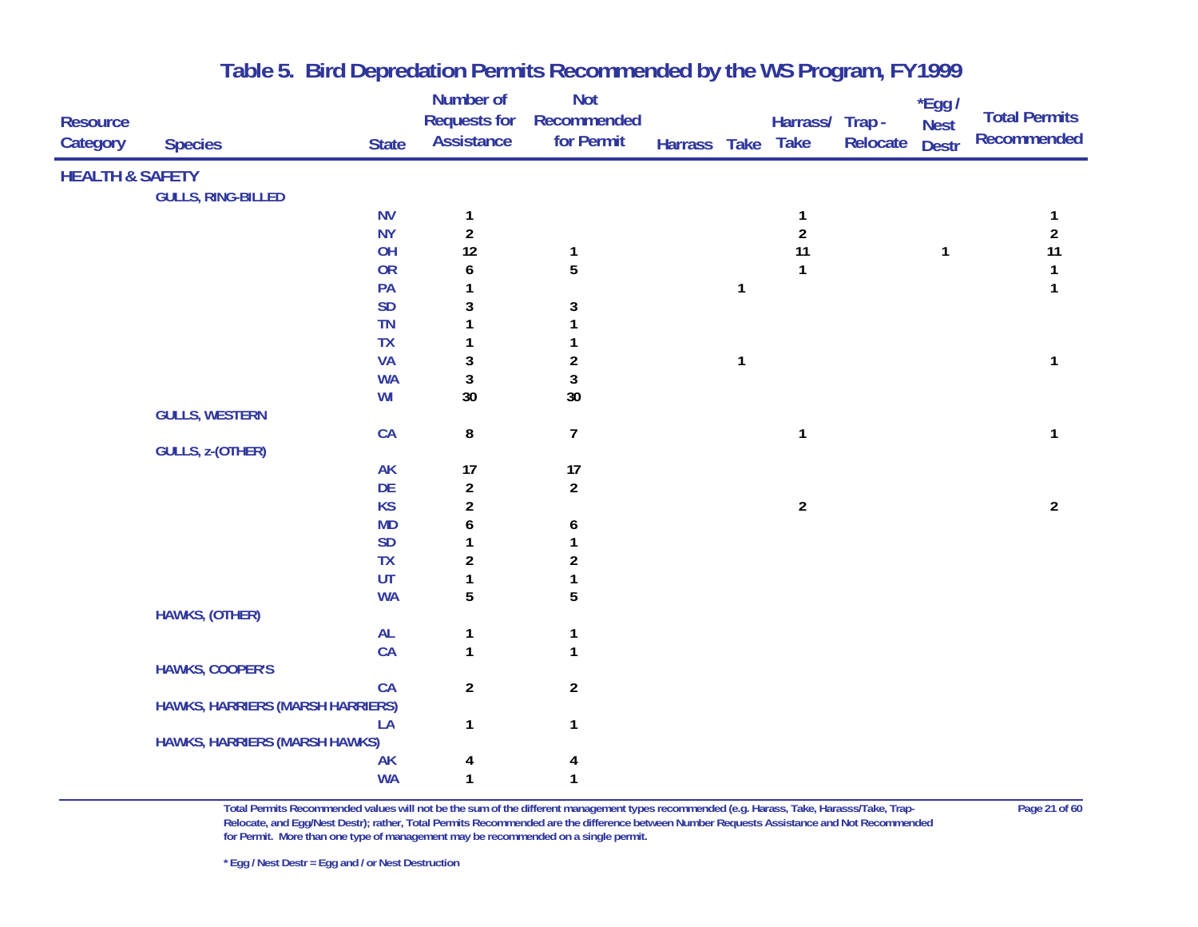|                            |                                  |                        | Number of               | <b>Not</b>              |              |              |                         |          | *Egg /       |                      |
|----------------------------|----------------------------------|------------------------|-------------------------|-------------------------|--------------|--------------|-------------------------|----------|--------------|----------------------|
| <b>Resource</b>            |                                  |                        | <b>Requests for</b>     | Recommended             |              |              | Harrass/ Trap -         |          | <b>Nest</b>  | <b>Total Permits</b> |
| Category                   | <b>Species</b>                   | <b>State</b>           | <b>Assistance</b>       | for Permit              | Harrass Take |              | <b>Take</b>             | Relocate | <b>Destr</b> | <b>Recommended</b>   |
| <b>HEALTH &amp; SAFETY</b> |                                  |                        |                         |                         |              |              |                         |          |              |                      |
|                            | <b>GULLS, RING-BILLED</b>        |                        |                         |                         |              |              |                         |          |              |                      |
|                            |                                  | <b>NV</b>              | 1                       |                         |              |              | 1                       |          |              |                      |
|                            |                                  | <b>NY</b>              | $\overline{\mathbf{c}}$ |                         |              |              | $\overline{\mathbf{c}}$ |          |              | $\boldsymbol{2}$     |
|                            |                                  | OH                     | 12                      | $\mathbf{1}$            |              |              | 11                      |          | 1            | 11                   |
|                            |                                  | OR                     | 6                       | 5                       |              |              | 1                       |          |              | $\mathbf{1}$         |
|                            |                                  | PA                     | 1                       |                         |              | $\mathbf{1}$ |                         |          |              | $\mathbf{1}$         |
|                            |                                  | <b>SD</b>              | 3                       | 3                       |              |              |                         |          |              |                      |
|                            |                                  | TN                     | 1                       |                         |              |              |                         |          |              |                      |
|                            |                                  | TX                     | 1                       |                         |              |              |                         |          |              |                      |
|                            |                                  | <b>VA</b>              | 3                       | $\boldsymbol{2}$        |              | $\mathbf{1}$ |                         |          |              | $\mathbf{1}$         |
|                            |                                  | <b>WA</b>              | 3                       | $\mathfrak z$           |              |              |                         |          |              |                      |
|                            |                                  | WI                     | 30                      | 30                      |              |              |                         |          |              |                      |
|                            | <b>GULLS, WESTERN</b>            |                        |                         |                         |              |              |                         |          |              |                      |
|                            |                                  | CA                     | 8                       | $\overline{7}$          |              |              | $\mathbf{1}$            |          |              | 1                    |
|                            | <b>GULLS, z-(OTHER)</b>          |                        |                         |                         |              |              |                         |          |              |                      |
|                            |                                  | <b>AK</b>              | 17                      | 17                      |              |              |                         |          |              |                      |
|                            |                                  | DE                     | $\overline{\mathbf{c}}$ | $\overline{2}$          |              |              |                         |          |              |                      |
|                            |                                  | <b>KS</b>              | $\overline{\mathbf{c}}$ |                         |              |              | $\overline{2}$          |          |              | $\overline{2}$       |
|                            |                                  | <b>MD</b>              | 6                       | 6                       |              |              |                         |          |              |                      |
|                            |                                  | <b>SD</b>              | 1                       | 1                       |              |              |                         |          |              |                      |
|                            |                                  | TX                     | $\boldsymbol{2}$        | $\overline{\mathbf{c}}$ |              |              |                         |          |              |                      |
|                            |                                  | UT                     | $\mathbf{1}$            |                         |              |              |                         |          |              |                      |
|                            |                                  | <b>WA</b>              | 5                       | 5                       |              |              |                         |          |              |                      |
|                            | HAWKS, (OTHER)                   |                        |                         |                         |              |              |                         |          |              |                      |
|                            |                                  | AL                     | 1                       | 1                       |              |              |                         |          |              |                      |
|                            |                                  | CA                     | $\mathbf{1}$            | $\mathbf{1}$            |              |              |                         |          |              |                      |
|                            | <b>HAWKS, COOPER'S</b>           |                        |                         |                         |              |              |                         |          |              |                      |
|                            |                                  | CA                     | $\overline{a}$          | $\boldsymbol{2}$        |              |              |                         |          |              |                      |
|                            | HAWKS, HARRIERS (MARSH HARRIERS) |                        |                         |                         |              |              |                         |          |              |                      |
|                            |                                  | LA                     | $\mathbf{1}$            | $\mathbf{1}$            |              |              |                         |          |              |                      |
|                            | HAWKS, HARRIERS (MARSH HAWKS)    |                        |                         |                         |              |              |                         |          |              |                      |
|                            |                                  | <b>AK</b><br><b>WA</b> | 4<br>1                  | 4                       |              |              |                         |          |              |                      |
|                            |                                  |                        |                         | 1                       |              |              |                         |          |              |                      |

**Total Permits Recommended values will not be the sum of the different management types recommended (e.g. Harass, Take, Harasss/Take, Trap- Page 21 of 60 Relocate, and Egg/Nest Destr); rather, Total Permits Recommended are the difference between Number Requests Assistance and Not Recommended for Permit. More than one type of management may be recommended on a single permit.**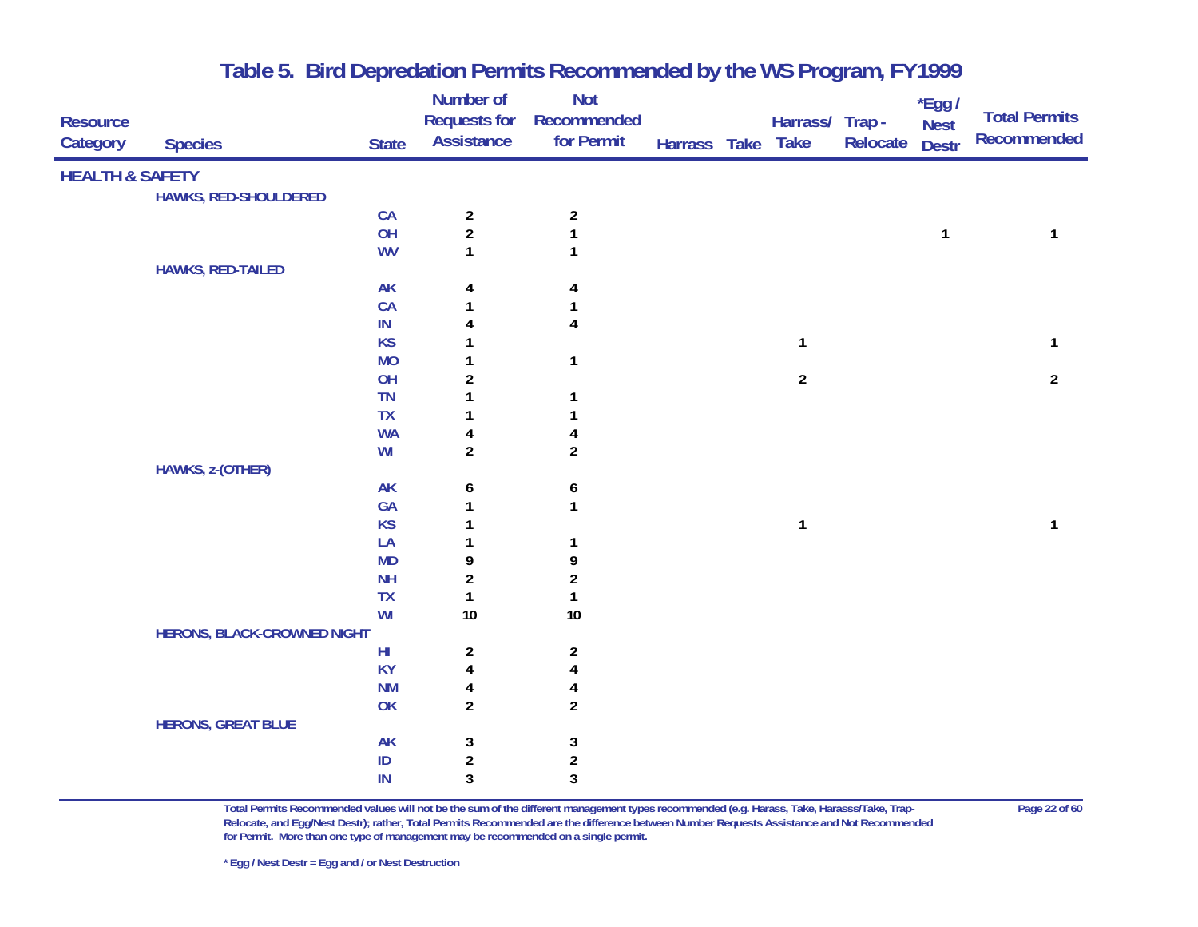| <b>HEALTH &amp; SAFETY</b><br>HAWKS, RED-SHOULDERED<br>CA<br>$\overline{\mathbf{c}}$<br>$\boldsymbol{2}$<br>$\overline{\mathbf{c}}$<br>OH<br>$\mathbf{1}$<br>1<br>1<br><b>WV</b><br>1<br>1<br><b>HAWKS, RED-TAILED</b><br><b>AK</b><br>4<br>4<br>CA<br>1<br>1<br>IN<br>4<br>4<br><b>KS</b><br>1<br>$\mathbf{1}$<br>1<br><b>MO</b><br>$\mathbf{1}$<br>1<br>$\overline{2}$<br>OH<br>$\boldsymbol{2}$<br>$\overline{2}$<br>TN<br>1<br>$\mathbf{1}$<br>TX<br>1<br>1<br><b>WA</b><br>4<br>4<br>$\overline{2}$<br>$\overline{\mathbf{c}}$<br>WI<br>HAWKS, z-(OTHER)<br><b>AK</b><br>6<br>6<br>GA<br>$\mathbf{1}$<br>1<br><b>KS</b><br>1<br>$\mathbf{1}$<br>1<br>LA<br>1<br>1<br><b>MD</b><br>9<br>9<br><b>NH</b><br>$\overline{\mathbf{c}}$<br>$\overline{\mathbf{c}}$<br>TX<br>$\mathbf{1}$<br>$\mathbf{1}$<br>WI<br>10<br>10<br><b>HERONS, BLACK-CROWNED NIGHT</b><br>$H\!I$<br>$\boldsymbol{2}$<br>$\overline{a}$<br><b>KY</b><br>$\overline{\mathbf{4}}$<br>$\pmb{4}$<br><b>NM</b><br>4<br>4<br>OK<br>$\overline{2}$<br>$\overline{\mathbf{c}}$<br><b>HERONS, GREAT BLUE</b><br>AK<br>3<br>3<br>$\overline{\mathbf{c}}$<br>ID<br>$\overline{\mathbf{c}}$ | <b>Resource</b><br>Category | <b>Species</b> | <b>State</b> | Number of<br><b>Requests for</b><br><b>Assistance</b> | <b>Not</b><br>Recommended<br>for Permit | Harrass Take Take | Harrass/ Trap- | Relocate | *Egg /<br><b>Nest</b><br><b>Destr</b> | <b>Total Permits</b><br><b>Recommended</b> |
|--------------------------------------------------------------------------------------------------------------------------------------------------------------------------------------------------------------------------------------------------------------------------------------------------------------------------------------------------------------------------------------------------------------------------------------------------------------------------------------------------------------------------------------------------------------------------------------------------------------------------------------------------------------------------------------------------------------------------------------------------------------------------------------------------------------------------------------------------------------------------------------------------------------------------------------------------------------------------------------------------------------------------------------------------------------------------------------------------------------------------------------------------------|-----------------------------|----------------|--------------|-------------------------------------------------------|-----------------------------------------|-------------------|----------------|----------|---------------------------------------|--------------------------------------------|
|                                                                                                                                                                                                                                                                                                                                                                                                                                                                                                                                                                                                                                                                                                                                                                                                                                                                                                                                                                                                                                                                                                                                                        |                             |                |              |                                                       |                                         |                   |                |          |                                       |                                            |
|                                                                                                                                                                                                                                                                                                                                                                                                                                                                                                                                                                                                                                                                                                                                                                                                                                                                                                                                                                                                                                                                                                                                                        |                             |                |              |                                                       |                                         |                   |                |          |                                       |                                            |
|                                                                                                                                                                                                                                                                                                                                                                                                                                                                                                                                                                                                                                                                                                                                                                                                                                                                                                                                                                                                                                                                                                                                                        |                             |                |              |                                                       |                                         |                   |                |          |                                       |                                            |
|                                                                                                                                                                                                                                                                                                                                                                                                                                                                                                                                                                                                                                                                                                                                                                                                                                                                                                                                                                                                                                                                                                                                                        |                             |                |              |                                                       |                                         |                   |                |          |                                       |                                            |
|                                                                                                                                                                                                                                                                                                                                                                                                                                                                                                                                                                                                                                                                                                                                                                                                                                                                                                                                                                                                                                                                                                                                                        |                             |                |              |                                                       |                                         |                   |                |          |                                       |                                            |
|                                                                                                                                                                                                                                                                                                                                                                                                                                                                                                                                                                                                                                                                                                                                                                                                                                                                                                                                                                                                                                                                                                                                                        |                             |                |              |                                                       |                                         |                   |                |          |                                       |                                            |
|                                                                                                                                                                                                                                                                                                                                                                                                                                                                                                                                                                                                                                                                                                                                                                                                                                                                                                                                                                                                                                                                                                                                                        |                             |                |              |                                                       |                                         |                   |                |          |                                       |                                            |
|                                                                                                                                                                                                                                                                                                                                                                                                                                                                                                                                                                                                                                                                                                                                                                                                                                                                                                                                                                                                                                                                                                                                                        |                             |                |              |                                                       |                                         |                   |                |          |                                       |                                            |
|                                                                                                                                                                                                                                                                                                                                                                                                                                                                                                                                                                                                                                                                                                                                                                                                                                                                                                                                                                                                                                                                                                                                                        |                             |                |              |                                                       |                                         |                   |                |          |                                       |                                            |
|                                                                                                                                                                                                                                                                                                                                                                                                                                                                                                                                                                                                                                                                                                                                                                                                                                                                                                                                                                                                                                                                                                                                                        |                             |                |              |                                                       |                                         |                   |                |          |                                       |                                            |
|                                                                                                                                                                                                                                                                                                                                                                                                                                                                                                                                                                                                                                                                                                                                                                                                                                                                                                                                                                                                                                                                                                                                                        |                             |                |              |                                                       |                                         |                   |                |          |                                       |                                            |
|                                                                                                                                                                                                                                                                                                                                                                                                                                                                                                                                                                                                                                                                                                                                                                                                                                                                                                                                                                                                                                                                                                                                                        |                             |                |              |                                                       |                                         |                   |                |          |                                       |                                            |
|                                                                                                                                                                                                                                                                                                                                                                                                                                                                                                                                                                                                                                                                                                                                                                                                                                                                                                                                                                                                                                                                                                                                                        |                             |                |              |                                                       |                                         |                   |                |          |                                       |                                            |
|                                                                                                                                                                                                                                                                                                                                                                                                                                                                                                                                                                                                                                                                                                                                                                                                                                                                                                                                                                                                                                                                                                                                                        |                             |                |              |                                                       |                                         |                   |                |          |                                       |                                            |
|                                                                                                                                                                                                                                                                                                                                                                                                                                                                                                                                                                                                                                                                                                                                                                                                                                                                                                                                                                                                                                                                                                                                                        |                             |                |              |                                                       |                                         |                   |                |          |                                       |                                            |
|                                                                                                                                                                                                                                                                                                                                                                                                                                                                                                                                                                                                                                                                                                                                                                                                                                                                                                                                                                                                                                                                                                                                                        |                             |                |              |                                                       |                                         |                   |                |          |                                       |                                            |
|                                                                                                                                                                                                                                                                                                                                                                                                                                                                                                                                                                                                                                                                                                                                                                                                                                                                                                                                                                                                                                                                                                                                                        |                             |                |              |                                                       |                                         |                   |                |          |                                       |                                            |
|                                                                                                                                                                                                                                                                                                                                                                                                                                                                                                                                                                                                                                                                                                                                                                                                                                                                                                                                                                                                                                                                                                                                                        |                             |                |              |                                                       |                                         |                   |                |          |                                       |                                            |
|                                                                                                                                                                                                                                                                                                                                                                                                                                                                                                                                                                                                                                                                                                                                                                                                                                                                                                                                                                                                                                                                                                                                                        |                             |                |              |                                                       |                                         |                   |                |          |                                       |                                            |
|                                                                                                                                                                                                                                                                                                                                                                                                                                                                                                                                                                                                                                                                                                                                                                                                                                                                                                                                                                                                                                                                                                                                                        |                             |                |              |                                                       |                                         |                   |                |          |                                       |                                            |
|                                                                                                                                                                                                                                                                                                                                                                                                                                                                                                                                                                                                                                                                                                                                                                                                                                                                                                                                                                                                                                                                                                                                                        |                             |                |              |                                                       |                                         |                   |                |          |                                       |                                            |
|                                                                                                                                                                                                                                                                                                                                                                                                                                                                                                                                                                                                                                                                                                                                                                                                                                                                                                                                                                                                                                                                                                                                                        |                             |                |              |                                                       |                                         |                   |                |          |                                       |                                            |
|                                                                                                                                                                                                                                                                                                                                                                                                                                                                                                                                                                                                                                                                                                                                                                                                                                                                                                                                                                                                                                                                                                                                                        |                             |                |              |                                                       |                                         |                   |                |          |                                       |                                            |
|                                                                                                                                                                                                                                                                                                                                                                                                                                                                                                                                                                                                                                                                                                                                                                                                                                                                                                                                                                                                                                                                                                                                                        |                             |                |              |                                                       |                                         |                   |                |          |                                       |                                            |
|                                                                                                                                                                                                                                                                                                                                                                                                                                                                                                                                                                                                                                                                                                                                                                                                                                                                                                                                                                                                                                                                                                                                                        |                             |                |              |                                                       |                                         |                   |                |          |                                       |                                            |
|                                                                                                                                                                                                                                                                                                                                                                                                                                                                                                                                                                                                                                                                                                                                                                                                                                                                                                                                                                                                                                                                                                                                                        |                             |                |              |                                                       |                                         |                   |                |          |                                       |                                            |
|                                                                                                                                                                                                                                                                                                                                                                                                                                                                                                                                                                                                                                                                                                                                                                                                                                                                                                                                                                                                                                                                                                                                                        |                             |                |              |                                                       |                                         |                   |                |          |                                       |                                            |
|                                                                                                                                                                                                                                                                                                                                                                                                                                                                                                                                                                                                                                                                                                                                                                                                                                                                                                                                                                                                                                                                                                                                                        |                             |                |              |                                                       |                                         |                   |                |          |                                       |                                            |
|                                                                                                                                                                                                                                                                                                                                                                                                                                                                                                                                                                                                                                                                                                                                                                                                                                                                                                                                                                                                                                                                                                                                                        |                             |                |              |                                                       |                                         |                   |                |          |                                       |                                            |
|                                                                                                                                                                                                                                                                                                                                                                                                                                                                                                                                                                                                                                                                                                                                                                                                                                                                                                                                                                                                                                                                                                                                                        |                             |                |              |                                                       |                                         |                   |                |          |                                       |                                            |
|                                                                                                                                                                                                                                                                                                                                                                                                                                                                                                                                                                                                                                                                                                                                                                                                                                                                                                                                                                                                                                                                                                                                                        |                             |                |              |                                                       |                                         |                   |                |          |                                       |                                            |
|                                                                                                                                                                                                                                                                                                                                                                                                                                                                                                                                                                                                                                                                                                                                                                                                                                                                                                                                                                                                                                                                                                                                                        |                             |                |              |                                                       |                                         |                   |                |          |                                       |                                            |
|                                                                                                                                                                                                                                                                                                                                                                                                                                                                                                                                                                                                                                                                                                                                                                                                                                                                                                                                                                                                                                                                                                                                                        |                             |                | IN           | 3                                                     | 3                                       |                   |                |          |                                       |                                            |

**Total Permits Recommended values will not be the sum of the different management types recommended (e.g. Harass, Take, Harasss/Take, Trap- Page 22 of 60 Relocate, and Egg/Nest Destr); rather, Total Permits Recommended are the difference between Number Requests Assistance and Not Recommended for Permit. More than one type of management may be recommended on a single permit.**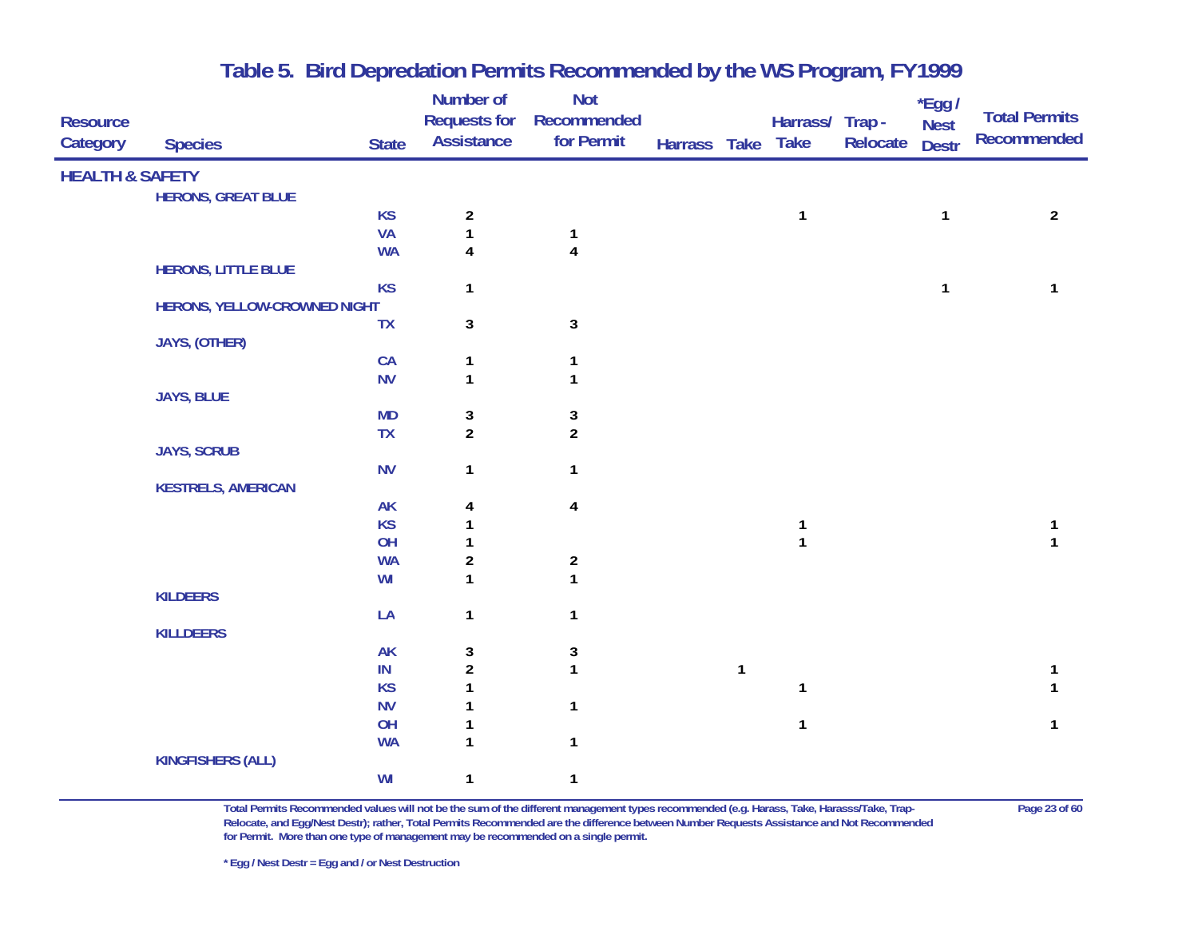| <b>Resource</b><br>Category | <b>Species</b>               | <b>State</b>    | <b>Number of</b><br><b>Requests for</b><br><b>Assistance</b> | <b>Not</b><br>Recommended<br>for Permit | Harrass Take Take |              | Harrass/ Trap -   | Relocate | *Egg /<br><b>Nest</b><br><b>Destr</b> | <b>Total Permits</b><br><b>Recommended</b> |
|-----------------------------|------------------------------|-----------------|--------------------------------------------------------------|-----------------------------------------|-------------------|--------------|-------------------|----------|---------------------------------------|--------------------------------------------|
| <b>HEALTH &amp; SAFETY</b>  |                              |                 |                                                              |                                         |                   |              |                   |          |                                       |                                            |
|                             | <b>HERONS, GREAT BLUE</b>    |                 |                                                              |                                         |                   |              |                   |          |                                       |                                            |
|                             |                              | <b>KS</b>       | $\boldsymbol{2}$                                             |                                         |                   |              | $\mathbf{1}$      |          | $\mathbf{1}$                          | $\overline{2}$                             |
|                             |                              | <b>VA</b>       | $\mathbf{1}$                                                 | $\mathbf{1}$                            |                   |              |                   |          |                                       |                                            |
|                             |                              | <b>WA</b>       | $\overline{\mathbf{4}}$                                      | $\overline{\mathbf{4}}$                 |                   |              |                   |          |                                       |                                            |
|                             | <b>HERONS, LITTLE BLUE</b>   |                 |                                                              |                                         |                   |              |                   |          |                                       |                                            |
|                             |                              | <b>KS</b>       | 1                                                            |                                         |                   |              |                   |          | $\mathbf{1}$                          | $\mathbf{1}$                               |
|                             | HERONS, YELLOW-CROWNED NIGHT |                 |                                                              |                                         |                   |              |                   |          |                                       |                                            |
|                             |                              | <b>TX</b>       | $\mathbf{3}$                                                 | $\overline{3}$                          |                   |              |                   |          |                                       |                                            |
|                             | JAYS, (OTHER)                |                 |                                                              |                                         |                   |              |                   |          |                                       |                                            |
|                             |                              | CA              | 1                                                            | $\mathbf{1}$                            |                   |              |                   |          |                                       |                                            |
|                             |                              | <b>NV</b>       | $\mathbf{1}$                                                 | $\mathbf{1}$                            |                   |              |                   |          |                                       |                                            |
|                             | JAYS, BLUE                   |                 |                                                              |                                         |                   |              |                   |          |                                       |                                            |
|                             |                              | <b>MD</b>       | 3                                                            | 3                                       |                   |              |                   |          |                                       |                                            |
|                             |                              | <b>TX</b>       | $\overline{a}$                                               | $\overline{2}$                          |                   |              |                   |          |                                       |                                            |
|                             | <b>JAYS, SCRUB</b>           |                 |                                                              |                                         |                   |              |                   |          |                                       |                                            |
|                             |                              | <b>NV</b>       | $\mathbf{1}$                                                 | $\mathbf{1}$                            |                   |              |                   |          |                                       |                                            |
|                             | <b>KESTRELS, AMERICAN</b>    |                 |                                                              |                                         |                   |              |                   |          |                                       |                                            |
|                             |                              | <b>AK</b>       | 4                                                            | $\overline{\mathbf{4}}$                 |                   |              |                   |          |                                       |                                            |
|                             |                              | <b>KS</b>       | 1<br>1                                                       |                                         |                   |              | 1<br>$\mathbf{1}$ |          |                                       | 1<br>$\mathbf{1}$                          |
|                             |                              | OH<br><b>WA</b> |                                                              |                                         |                   |              |                   |          |                                       |                                            |
|                             |                              | WI              | $\sqrt{2}$<br>$\mathbf{1}$                                   | $\overline{2}$<br>$\mathbf{1}$          |                   |              |                   |          |                                       |                                            |
|                             | <b>KILDEERS</b>              |                 |                                                              |                                         |                   |              |                   |          |                                       |                                            |
|                             |                              | LA              | 1                                                            | $\mathbf{1}$                            |                   |              |                   |          |                                       |                                            |
|                             | <b>KILLDEERS</b>             |                 |                                                              |                                         |                   |              |                   |          |                                       |                                            |
|                             |                              | <b>AK</b>       | 3                                                            | 3                                       |                   |              |                   |          |                                       |                                            |
|                             |                              | IN              | $\boldsymbol{2}$                                             | $\mathbf{1}$                            |                   | $\mathbf{1}$ |                   |          |                                       | 1                                          |
|                             |                              | <b>KS</b>       | 1                                                            |                                         |                   |              | $\mathbf{1}$      |          |                                       | 1                                          |
|                             |                              | <b>NV</b>       | 1                                                            | $\mathbf{1}$                            |                   |              |                   |          |                                       |                                            |
|                             |                              | OH              | 1                                                            |                                         |                   |              | $\mathbf{1}$      |          |                                       | $\mathbf{1}$                               |
|                             |                              | <b>WA</b>       | $\mathbf{1}$                                                 | $\mathbf{1}$                            |                   |              |                   |          |                                       |                                            |
|                             | <b>KINGFISHERS (ALL)</b>     |                 |                                                              |                                         |                   |              |                   |          |                                       |                                            |
|                             |                              | WI              | 1                                                            | $\mathbf{1}$                            |                   |              |                   |          |                                       |                                            |

**Total Permits Recommended values will not be the sum of the different management types recommended (e.g. Harass, Take, Harasss/Take, Trap- Page 23 of 60 Relocate, and Egg/Nest Destr); rather, Total Permits Recommended are the difference between Number Requests Assistance and Not Recommended for Permit. More than one type of management may be recommended on a single permit.**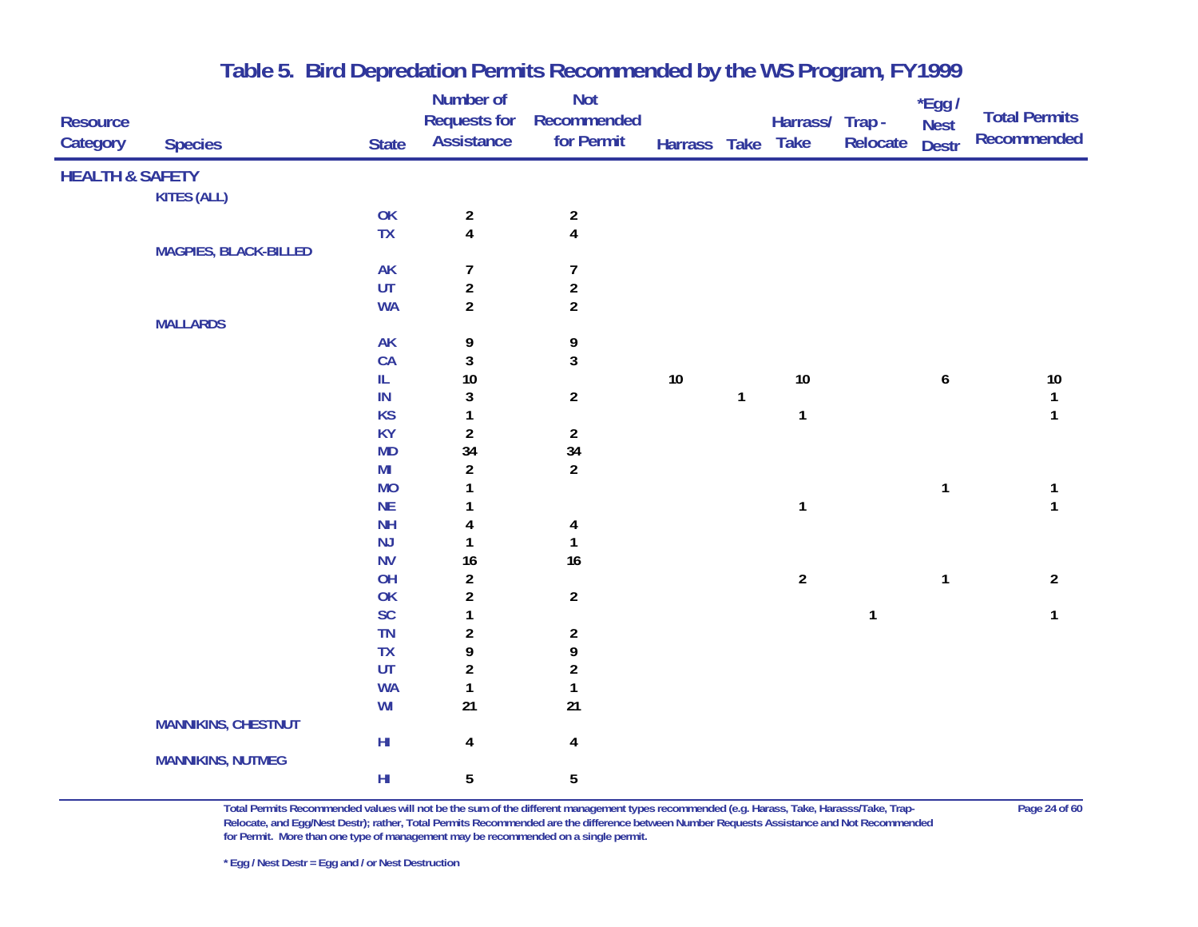|                            |                              |                | Number of               | <b>Not</b>              |              |   |                 |              | $*$ Egg /        |                      |
|----------------------------|------------------------------|----------------|-------------------------|-------------------------|--------------|---|-----------------|--------------|------------------|----------------------|
| <b>Resource</b>            |                              |                | <b>Requests for</b>     | Recommended             |              |   | Harrass/ Trap - |              | <b>Nest</b>      | <b>Total Permits</b> |
| Category                   | <b>Species</b>               | <b>State</b>   | <b>Assistance</b>       | for Permit              | Harrass Take |   | <b>Take</b>     | Relocate     | <b>Destr</b>     | <b>Recommended</b>   |
| <b>HEALTH &amp; SAFETY</b> |                              |                |                         |                         |              |   |                 |              |                  |                      |
|                            | <b>KITES (ALL)</b>           |                |                         |                         |              |   |                 |              |                  |                      |
|                            |                              | OK             | $\overline{a}$          | $\overline{a}$          |              |   |                 |              |                  |                      |
|                            |                              | <b>TX</b>      | $\overline{\mathbf{4}}$ | $\overline{\mathbf{4}}$ |              |   |                 |              |                  |                      |
|                            | <b>MAGPIES, BLACK-BILLED</b> |                |                         |                         |              |   |                 |              |                  |                      |
|                            |                              | AK             | $\overline{7}$          | $\overline{7}$          |              |   |                 |              |                  |                      |
|                            |                              | UT             | $\overline{a}$          | $\overline{c}$          |              |   |                 |              |                  |                      |
|                            |                              | <b>WA</b>      | $\overline{2}$          | $\overline{2}$          |              |   |                 |              |                  |                      |
|                            | <b>MALLARDS</b>              |                |                         |                         |              |   |                 |              |                  |                      |
|                            |                              | <b>AK</b>      | 9                       | 9                       |              |   |                 |              |                  |                      |
|                            |                              | CA             | $\mathfrak z$           | $\mathbf{3}$            |              |   |                 |              |                  |                      |
|                            |                              | IL.            | 10                      |                         | 10           |   | $10\,$          |              | $\boldsymbol{6}$ | $10\,$               |
|                            |                              | ${\sf IN}$     | 3                       | $\overline{a}$          |              | 1 |                 |              |                  | $\mathbf{1}$         |
|                            |                              | <b>KS</b>      | 1                       |                         |              |   | $\mathbf{1}$    |              |                  | $\mathbf{1}$         |
|                            |                              | <b>KY</b>      | $\overline{\mathbf{c}}$ | $\overline{2}$          |              |   |                 |              |                  |                      |
|                            |                              | <b>MD</b>      | 34                      | 34                      |              |   |                 |              |                  |                      |
|                            |                              | M <sub>l</sub> | $\overline{a}$          | $\overline{2}$          |              |   |                 |              |                  |                      |
|                            |                              | <b>MO</b>      | 1                       |                         |              |   |                 |              | $\mathbf{1}$     | 1                    |
|                            |                              | NE             |                         |                         |              |   | $\mathbf{1}$    |              |                  | $\mathbf{1}$         |
|                            |                              | <b>NH</b>      | 4                       | 4                       |              |   |                 |              |                  |                      |
|                            |                              | NJ             |                         | $\mathbf{1}$            |              |   |                 |              |                  |                      |
|                            |                              | <b>NV</b>      | 16                      | 16                      |              |   |                 |              |                  |                      |
|                            |                              | OH             | $\overline{\mathbf{c}}$ |                         |              |   | $\overline{2}$  |              | $\mathbf{1}$     | $\overline{2}$       |
|                            |                              | OK             | $\overline{a}$          | $\overline{2}$          |              |   |                 |              |                  |                      |
|                            |                              | SC             | 1                       |                         |              |   |                 | $\mathbf{1}$ |                  | $\mathbf{1}$         |
|                            |                              | <b>TN</b>      | $\overline{\mathbf{c}}$ | $\overline{2}$          |              |   |                 |              |                  |                      |
|                            |                              | <b>TX</b>      | 9                       | 9                       |              |   |                 |              |                  |                      |
|                            |                              | UT             | $\overline{\mathbf{c}}$ | $\overline{\mathbf{c}}$ |              |   |                 |              |                  |                      |
|                            |                              | <b>WA</b>      | $\mathbf{1}$            | 1                       |              |   |                 |              |                  |                      |
|                            |                              | WI             | 21                      | 21                      |              |   |                 |              |                  |                      |
|                            | <b>MANNIKINS, CHESTNUT</b>   |                |                         |                         |              |   |                 |              |                  |                      |
|                            |                              | ${\sf HI}$     | $\overline{\mathbf{4}}$ | $\overline{\mathbf{4}}$ |              |   |                 |              |                  |                      |
|                            | <b>MANNIKINS, NUTMEG</b>     |                |                         |                         |              |   |                 |              |                  |                      |
|                            |                              | ${\sf HI}$     | 5                       | 5                       |              |   |                 |              |                  |                      |
|                            |                              |                |                         |                         |              |   |                 |              |                  |                      |

**Total Permits Recommended values will not be the sum of the different management types recommended (e.g. Harass, Take, Harasss/Take, Trap- Page 24 of 60 Relocate, and Egg/Nest Destr); rather, Total Permits Recommended are the difference between Number Requests Assistance and Not Recommended for Permit. More than one type of management may be recommended on a single permit.**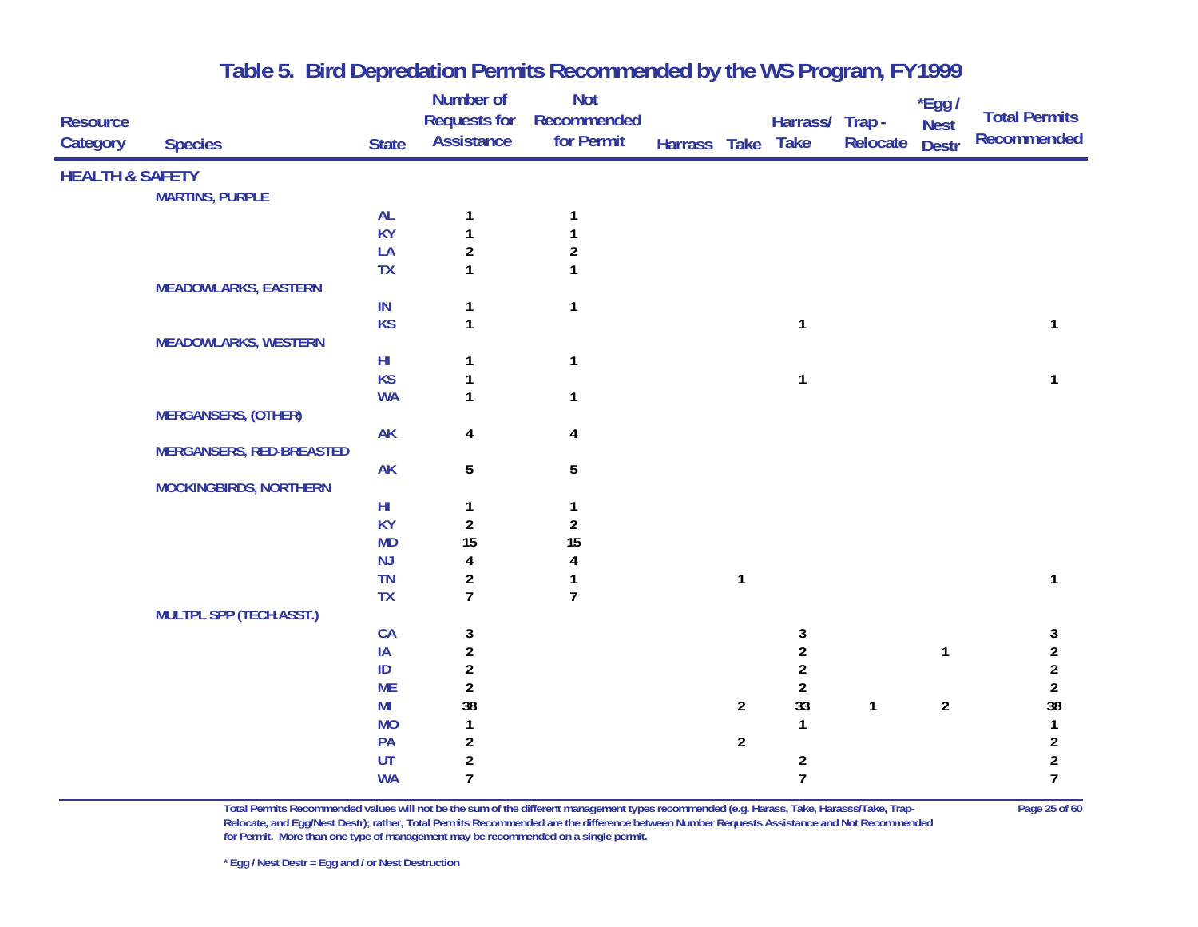|                             |                                 |                        | Number of                         | Not                       |                   |                |                         |              | *Egg /                      | <b>Total Permits</b>                      |
|-----------------------------|---------------------------------|------------------------|-----------------------------------|---------------------------|-------------------|----------------|-------------------------|--------------|-----------------------------|-------------------------------------------|
| <b>Resource</b><br>Category | <b>Species</b>                  | <b>State</b>           | <b>Requests for</b><br>Assistance | Recommended<br>for Permit | Harrass Take Take |                | Harrass/ Trap -         | Relocate     | <b>Nest</b><br><b>Destr</b> | <b>Recommended</b>                        |
|                             |                                 |                        |                                   |                           |                   |                |                         |              |                             |                                           |
| <b>HEALTH &amp; SAFETY</b>  |                                 |                        |                                   |                           |                   |                |                         |              |                             |                                           |
|                             | <b>MARTINS, PURPLE</b>          |                        |                                   |                           |                   |                |                         |              |                             |                                           |
|                             |                                 | <b>AL</b><br><b>KY</b> | $\mathbf{1}$                      | 1                         |                   |                |                         |              |                             |                                           |
|                             |                                 | LA                     | $\mathbf{1}$<br>$\overline{a}$    | 1<br>$\overline{c}$       |                   |                |                         |              |                             |                                           |
|                             |                                 | <b>TX</b>              | $\mathbf{1}$                      | $\mathbf{1}$              |                   |                |                         |              |                             |                                           |
|                             | <b>MEADOWLARKS, EASTERN</b>     |                        |                                   |                           |                   |                |                         |              |                             |                                           |
|                             |                                 | IN                     | $\mathbf{1}$                      | $\mathbf{1}$              |                   |                |                         |              |                             |                                           |
|                             |                                 | <b>KS</b>              | $\mathbf{1}$                      |                           |                   |                | 1                       |              |                             | 1                                         |
|                             | <b>MEADOWLARKS, WESTERN</b>     |                        |                                   |                           |                   |                |                         |              |                             |                                           |
|                             |                                 | $\mathsf{H}\mathsf{I}$ |                                   | $\mathbf{1}$              |                   |                |                         |              |                             |                                           |
|                             |                                 | <b>KS</b>              |                                   |                           |                   |                | 1                       |              |                             | 1                                         |
|                             |                                 | <b>WA</b>              | $\mathbf{1}$                      | 1                         |                   |                |                         |              |                             |                                           |
|                             | <b>MERGANSERS, (OTHER)</b>      |                        |                                   |                           |                   |                |                         |              |                             |                                           |
|                             |                                 | <b>AK</b>              | 4                                 | 4                         |                   |                |                         |              |                             |                                           |
|                             | <b>MERGANSERS, RED-BREASTED</b> |                        |                                   |                           |                   |                |                         |              |                             |                                           |
|                             |                                 | <b>AK</b>              | $5\phantom{.0}$                   | $\overline{5}$            |                   |                |                         |              |                             |                                           |
|                             | <b>MOCKINGBIRDS, NORTHERN</b>   |                        |                                   |                           |                   |                |                         |              |                             |                                           |
|                             |                                 | $\mathsf{H}\mathsf{I}$ | $\mathbf{1}$                      | 1                         |                   |                |                         |              |                             |                                           |
|                             |                                 | <b>KY</b>              | $\overline{2}$                    | $\overline{2}$            |                   |                |                         |              |                             |                                           |
|                             |                                 | <b>MD</b>              | 15                                | 15                        |                   |                |                         |              |                             |                                           |
|                             |                                 | NJ                     | 4                                 | 4                         |                   |                |                         |              |                             |                                           |
|                             |                                 | TN                     | $\overline{a}$                    | 1                         |                   | $\mathbf{1}$   |                         |              |                             | 1                                         |
|                             |                                 | <b>TX</b>              | $\overline{7}$                    | $\overline{1}$            |                   |                |                         |              |                             |                                           |
|                             | <b>MULTPL SPP (TECH.ASST.)</b>  |                        |                                   |                           |                   |                |                         |              |                             |                                           |
|                             |                                 | CA                     | 3                                 |                           |                   |                | 3<br>$\overline{a}$     |              |                             | 3                                         |
|                             |                                 | IA<br>$\sf ID$         | $\overline{2}$                    |                           |                   |                | $\overline{\mathbf{c}}$ |              | $\mathbf{1}$                | $\overline{\mathbf{c}}$<br>$\overline{a}$ |
|                             |                                 | <b>ME</b>              | $\overline{a}$<br>$\overline{a}$  |                           |                   |                | $\overline{2}$          |              |                             | $\overline{\mathbf{c}}$                   |
|                             |                                 | MI                     | 38                                |                           |                   | $\overline{2}$ | 33                      | $\mathbf{1}$ | $\overline{2}$              | 38                                        |
|                             |                                 | <b>MO</b>              | $\mathbf{1}$                      |                           |                   |                | $\mathbf{1}$            |              |                             | $\mathbf{1}$                              |
|                             |                                 | PA                     | $\overline{a}$                    |                           |                   | $\overline{2}$ |                         |              |                             | $\overline{2}$                            |
|                             |                                 | UT                     | $\overline{a}$                    |                           |                   |                | $\overline{\mathbf{c}}$ |              |                             | $\overline{\mathbf{c}}$                   |
|                             |                                 | <b>WA</b>              | $\overline{7}$                    |                           |                   |                | $\overline{7}$          |              |                             | $\overline{1}$                            |
|                             |                                 |                        |                                   |                           |                   |                |                         |              |                             |                                           |

**Total Permits Recommended values will not be the sum of the different management types recommended (e.g. Harass, Take, Harasss/Take, Trap- Page 25 of 60 Relocate, and Egg/Nest Destr); rather, Total Permits Recommended are the difference between Number Requests Assistance and Not Recommended for Permit. More than one type of management may be recommended on a single permit.**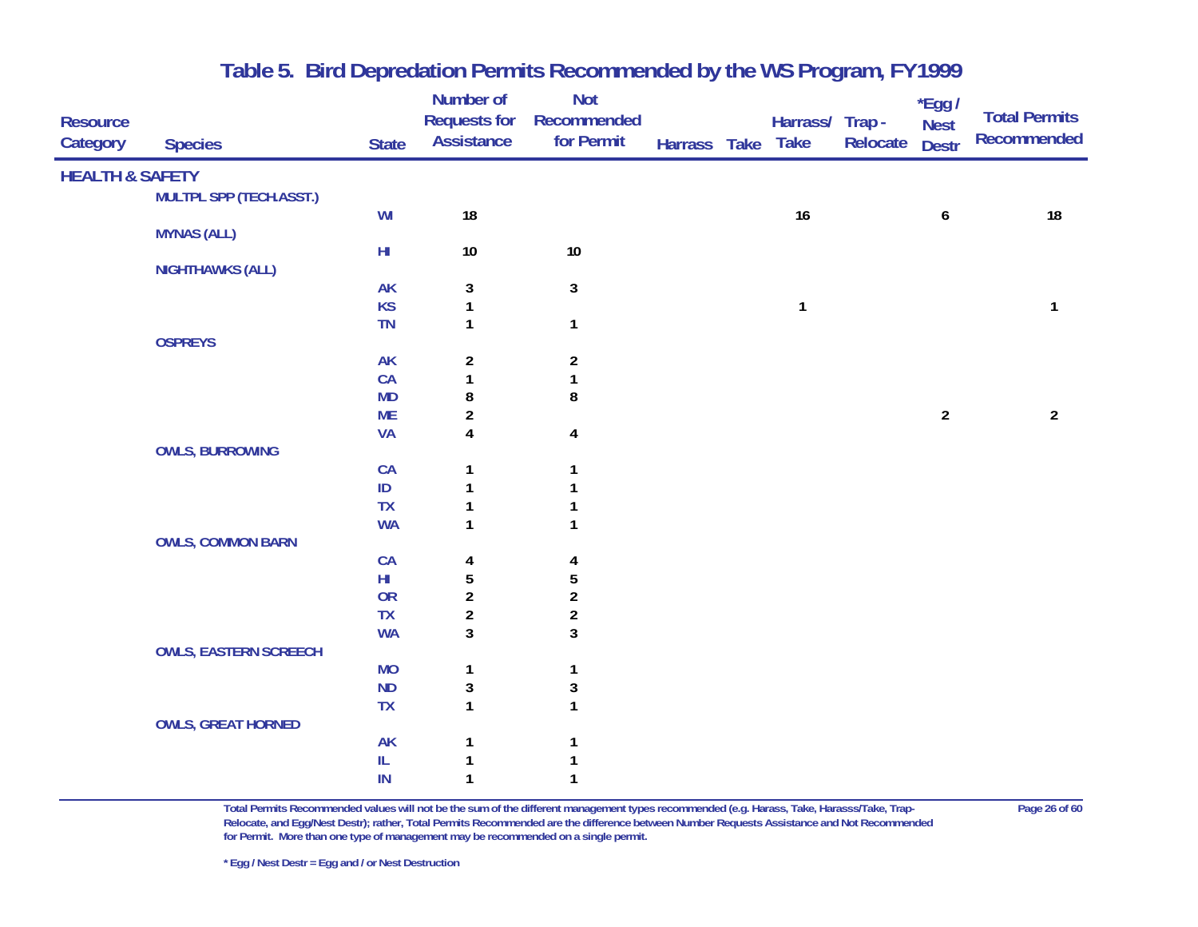| <b>Resource</b><br>Category | <b>Species</b>                 | <b>State</b>                      | Number of<br><b>Requests for</b><br><b>Assistance</b> | <b>Not</b><br>Recommended<br>for Permit | Harrass Take | Harrass/ Trap -<br><b>Take</b> | Relocate | $*$ Egg /<br><b>Nest</b><br><b>Destr</b> | <b>Total Permits</b><br>Recommended |
|-----------------------------|--------------------------------|-----------------------------------|-------------------------------------------------------|-----------------------------------------|--------------|--------------------------------|----------|------------------------------------------|-------------------------------------|
| <b>HEALTH &amp; SAFETY</b>  |                                |                                   |                                                       |                                         |              |                                |          |                                          |                                     |
|                             | <b>MULTPL SPP (TECH.ASST.)</b> |                                   |                                                       |                                         |              |                                |          |                                          |                                     |
|                             |                                | WI                                | 18                                                    |                                         |              | 16                             |          | 6                                        | 18                                  |
|                             | <b>MYNAS (ALL)</b>             |                                   |                                                       |                                         |              |                                |          |                                          |                                     |
|                             |                                | $\mathsf{H}\mathsf{I}$            | $10\,$                                                | $10\,$                                  |              |                                |          |                                          |                                     |
|                             | <b>NIGHTHAWKS (ALL)</b>        |                                   |                                                       |                                         |              |                                |          |                                          |                                     |
|                             |                                | AK                                | $\mathbf{3}$                                          | $\mathbf{3}$                            |              |                                |          |                                          |                                     |
|                             |                                | <b>KS</b>                         | 1                                                     |                                         |              | $\mathbf{1}$                   |          |                                          | $\mathbf{1}$                        |
|                             |                                | TN                                | $\mathbf{1}$                                          | $\mathbf{1}$                            |              |                                |          |                                          |                                     |
|                             | <b>OSPREYS</b>                 |                                   |                                                       |                                         |              |                                |          |                                          |                                     |
|                             |                                | <b>AK</b>                         | $\overline{2}$                                        | $\overline{2}$                          |              |                                |          |                                          |                                     |
|                             |                                | CA                                | $\mathbf{1}$                                          | $\mathbf{1}$                            |              |                                |          |                                          |                                     |
|                             |                                | <b>MD</b>                         | 8                                                     | 8                                       |              |                                |          |                                          |                                     |
|                             |                                | <b>ME</b>                         | $\overline{a}$                                        |                                         |              |                                |          | $\overline{2}$                           | $\overline{2}$                      |
|                             |                                | <b>VA</b>                         | $\overline{\mathbf{4}}$                               | $\overline{\mathbf{4}}$                 |              |                                |          |                                          |                                     |
|                             | <b>OWLS, BURROWING</b>         |                                   |                                                       |                                         |              |                                |          |                                          |                                     |
|                             |                                | CA                                | 1                                                     | 1                                       |              |                                |          |                                          |                                     |
|                             |                                | $\mathsf{ID}$                     |                                                       | 1                                       |              |                                |          |                                          |                                     |
|                             |                                | <b>TX</b>                         | 1                                                     | 1                                       |              |                                |          |                                          |                                     |
|                             |                                | <b>WA</b>                         | 1                                                     | 1                                       |              |                                |          |                                          |                                     |
|                             | <b>OWLS, COMMON BARN</b>       |                                   |                                                       |                                         |              |                                |          |                                          |                                     |
|                             |                                | CA                                | 4                                                     | 4                                       |              |                                |          |                                          |                                     |
|                             |                                | $H\!I$                            | $\sqrt{5}$                                            | $\sqrt{5}$                              |              |                                |          |                                          |                                     |
|                             |                                | OR                                | $\boldsymbol{2}$                                      | $\overline{\mathbf{c}}$                 |              |                                |          |                                          |                                     |
|                             |                                | <b>TX</b>                         | $\overline{2}$                                        | $\overline{\mathbf{c}}$                 |              |                                |          |                                          |                                     |
|                             |                                | <b>WA</b>                         | $\mathbf{3}$                                          | $\overline{3}$                          |              |                                |          |                                          |                                     |
|                             | <b>OWLS, EASTERN SCREECH</b>   |                                   |                                                       |                                         |              |                                |          |                                          |                                     |
|                             |                                | <b>MO</b>                         | $\mathbf{1}$                                          | $\mathbf{1}$                            |              |                                |          |                                          |                                     |
|                             |                                | <b>ND</b>                         | 3                                                     | $\mathbf{3}$                            |              |                                |          |                                          |                                     |
|                             |                                | <b>TX</b>                         | $\mathbf{1}$                                          | $\mathbf{1}$                            |              |                                |          |                                          |                                     |
|                             | <b>OWLS, GREAT HORNED</b>      |                                   |                                                       |                                         |              |                                |          |                                          |                                     |
|                             |                                | <b>AK</b>                         |                                                       | $\mathbf{1}$                            |              |                                |          |                                          |                                     |
|                             |                                | $\ensuremath{\mathsf{IL}}\xspace$ |                                                       |                                         |              |                                |          |                                          |                                     |
|                             |                                | IN                                | 1                                                     | $\mathbf{1}$                            |              |                                |          |                                          |                                     |

**Total Permits Recommended values will not be the sum of the different management types recommended (e.g. Harass, Take, Harasss/Take, Trap- Page 26 of 60 Relocate, and Egg/Nest Destr); rather, Total Permits Recommended are the difference between Number Requests Assistance and Not Recommended for Permit. More than one type of management may be recommended on a single permit.**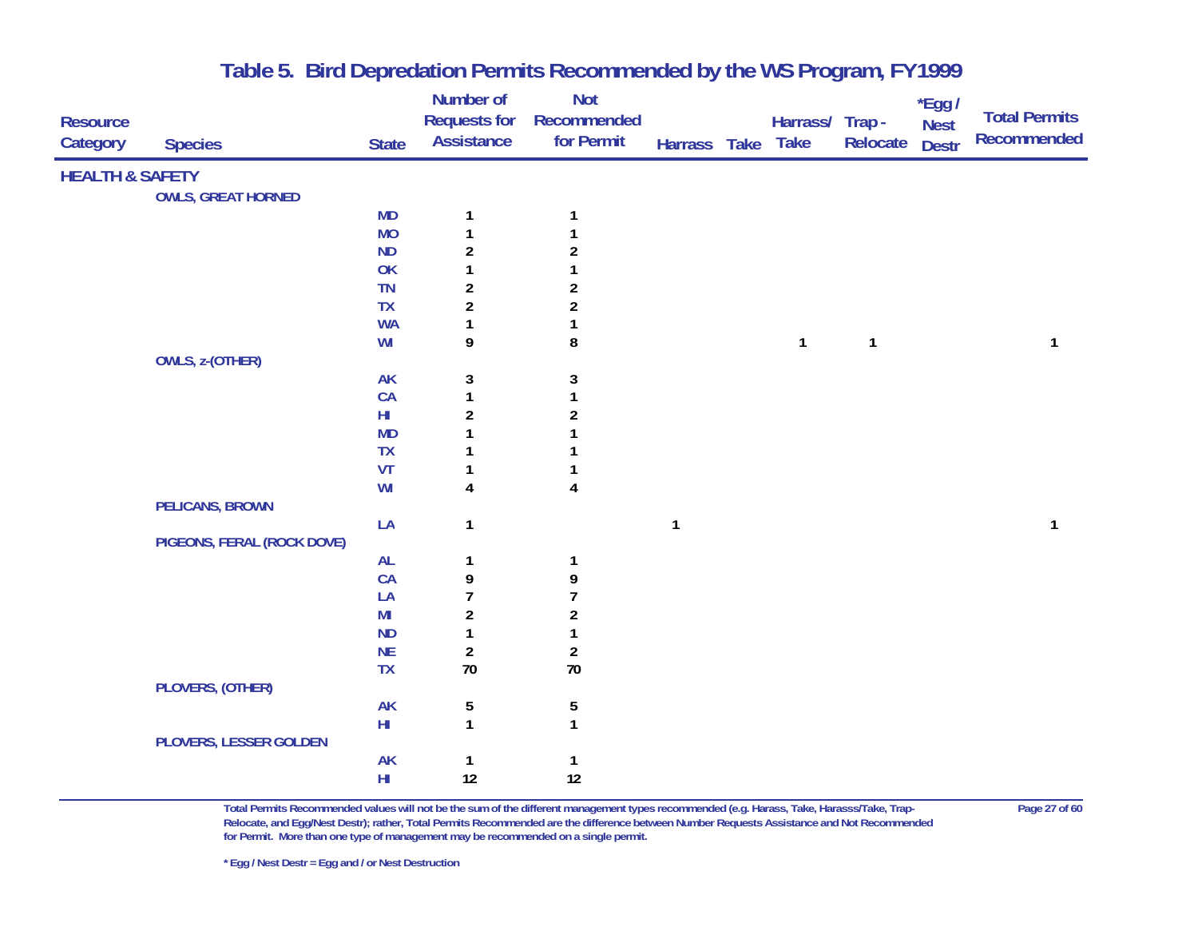|                            |                            |                 | Number of           | <b>Not</b>              |              |                 |              | $*$ Egg /    |                      |
|----------------------------|----------------------------|-----------------|---------------------|-------------------------|--------------|-----------------|--------------|--------------|----------------------|
| <b>Resource</b>            |                            |                 | <b>Requests for</b> | Recommended             |              | Harrass/ Trap - |              | <b>Nest</b>  | <b>Total Permits</b> |
| Category                   | <b>Species</b>             | <b>State</b>    | <b>Assistance</b>   | for Permit              | Harrass Take | <b>Take</b>     | Relocate     | <b>Destr</b> | Recommended          |
| <b>HEALTH &amp; SAFETY</b> |                            |                 |                     |                         |              |                 |              |              |                      |
|                            | <b>OWLS, GREAT HORNED</b>  |                 |                     |                         |              |                 |              |              |                      |
|                            |                            | <b>MD</b>       | 1                   | $\mathbf{1}$            |              |                 |              |              |                      |
|                            |                            | <b>MO</b>       | 1                   | 1                       |              |                 |              |              |                      |
|                            |                            | <b>ND</b>       | $\overline{2}$      | $\overline{\mathbf{c}}$ |              |                 |              |              |                      |
|                            |                            | OK              | 1                   | $\mathbf{1}$            |              |                 |              |              |                      |
|                            |                            | <b>TN</b>       | $\overline{2}$      | $\overline{\mathbf{c}}$ |              |                 |              |              |                      |
|                            |                            | <b>TX</b>       | $\overline{2}$      | $\overline{\mathbf{c}}$ |              |                 |              |              |                      |
|                            |                            | <b>WA</b>       | $\mathbf{1}$        | $\mathbf{1}$            |              |                 |              |              |                      |
|                            |                            | WI              | 9                   | 8                       |              | $\mathbf{1}$    | $\mathbf{1}$ |              | 1                    |
|                            | <b>OWLS, z-(OTHER)</b>     |                 |                     |                         |              |                 |              |              |                      |
|                            |                            | <b>AK</b>       | $\mathbf{3}$        | $\mathbf{3}$            |              |                 |              |              |                      |
|                            |                            | CA              | $\mathbf{1}$        | 1                       |              |                 |              |              |                      |
|                            |                            | $H\!I$          | $\boldsymbol{2}$    | $\overline{\mathbf{c}}$ |              |                 |              |              |                      |
|                            |                            | <b>MD</b>       | 1                   | $\mathbf{1}$            |              |                 |              |              |                      |
|                            |                            | <b>TX</b>       | 1                   | 1                       |              |                 |              |              |                      |
|                            |                            | VT              | 1                   | 1                       |              |                 |              |              |                      |
|                            |                            | WI              | 4                   | $\overline{\mathbf{4}}$ |              |                 |              |              |                      |
|                            | <b>PELICANS, BROWN</b>     |                 |                     |                         |              |                 |              |              |                      |
|                            |                            | LA              | $\mathbf{1}$        |                         | $\mathbf{1}$ |                 |              |              | 1                    |
|                            | PIGEONS, FERAL (ROCK DOVE) |                 |                     |                         |              |                 |              |              |                      |
|                            |                            | <b>AL</b>       | 1                   | $\mathbf{1}$            |              |                 |              |              |                      |
|                            |                            | CA              | 9                   | 9                       |              |                 |              |              |                      |
|                            |                            | LA              | $\overline{1}$      | $\overline{1}$          |              |                 |              |              |                      |
|                            |                            | MI              | $\overline{2}$      | $\overline{2}$          |              |                 |              |              |                      |
|                            |                            | <b>ND</b>       | $\mathbf{1}$        | 1                       |              |                 |              |              |                      |
|                            |                            | <b>NE</b>       | $\boldsymbol{2}$    | $\boldsymbol{2}$        |              |                 |              |              |                      |
|                            |                            | <b>TX</b>       | 70                  | 70                      |              |                 |              |              |                      |
|                            | PLOVERS, (OTHER)           |                 |                     |                         |              |                 |              |              |                      |
|                            |                            | AK              | 5                   | $\sqrt{5}$              |              |                 |              |              |                      |
|                            |                            | H <sub>II</sub> | $\mathbf{1}$        | $\mathbf{1}$            |              |                 |              |              |                      |
|                            | PLOVERS, LESSER GOLDEN     |                 |                     |                         |              |                 |              |              |                      |
|                            |                            | <b>AK</b>       | $\mathbf{1}$        | 1                       |              |                 |              |              |                      |
|                            |                            | $H\!I$          | 12                  | 12                      |              |                 |              |              |                      |

**Total Permits Recommended values will not be the sum of the different management types recommended (e.g. Harass, Take, Harasss/Take, Trap- Page 27 of 60 Relocate, and Egg/Nest Destr); rather, Total Permits Recommended are the difference between Number Requests Assistance and Not Recommended for Permit. More than one type of management may be recommended on a single permit.**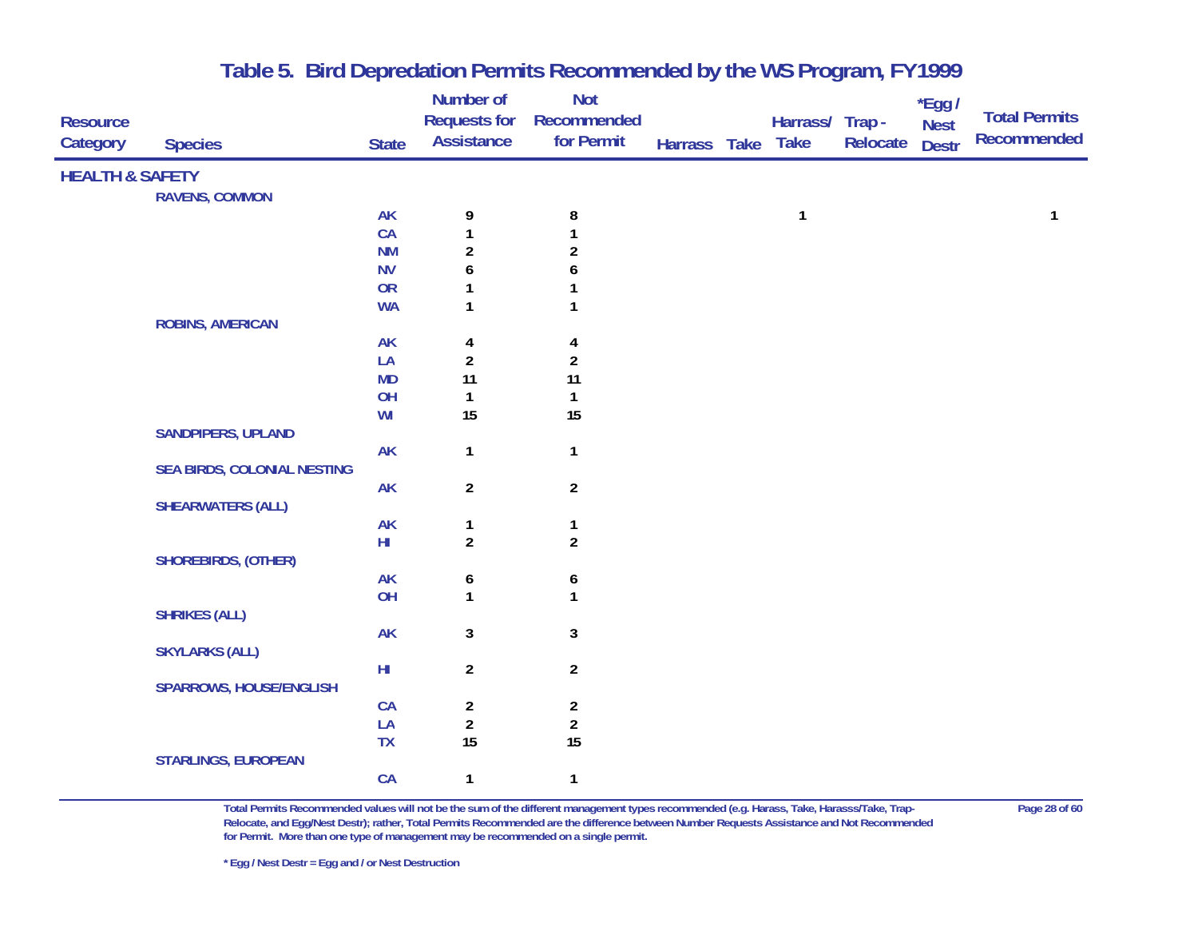| <b>Resource</b><br>Category | <b>Species</b>                     | <b>State</b>        | <b>Number of</b><br><b>Requests for</b><br><b>Assistance</b> | <b>Not</b><br>Recommended<br>for Permit | Harrass Take | Harrass/ Trap -<br><b>Take</b> | Relocate | *Egg /<br><b>Nest</b><br><b>Destr</b> | <b>Total Permits</b><br><b>Recommended</b> |
|-----------------------------|------------------------------------|---------------------|--------------------------------------------------------------|-----------------------------------------|--------------|--------------------------------|----------|---------------------------------------|--------------------------------------------|
| <b>HEALTH &amp; SAFETY</b>  |                                    |                     |                                                              |                                         |              |                                |          |                                       |                                            |
|                             | <b>RAVENS, COMMON</b>              |                     |                                                              |                                         |              |                                |          |                                       |                                            |
|                             |                                    | <b>AK</b>           | 9                                                            | 8                                       |              | $\mathbf{1}$                   |          |                                       | 1                                          |
|                             |                                    | CA                  | 1                                                            | 1                                       |              |                                |          |                                       |                                            |
|                             |                                    | <b>NM</b>           | $\overline{2}$                                               | $\overline{c}$                          |              |                                |          |                                       |                                            |
|                             |                                    | <b>NV</b>           | 6                                                            | 6                                       |              |                                |          |                                       |                                            |
|                             |                                    | <b>OR</b>           | 1                                                            | 1                                       |              |                                |          |                                       |                                            |
|                             |                                    | <b>WA</b>           | 1                                                            | 1                                       |              |                                |          |                                       |                                            |
|                             | <b>ROBINS, AMERICAN</b>            |                     |                                                              |                                         |              |                                |          |                                       |                                            |
|                             |                                    | <b>AK</b>           | 4                                                            | 4                                       |              |                                |          |                                       |                                            |
|                             |                                    | LA                  | $\overline{2}$                                               | $\overline{c}$                          |              |                                |          |                                       |                                            |
|                             |                                    | <b>MD</b>           | 11                                                           | 11                                      |              |                                |          |                                       |                                            |
|                             |                                    | OH                  | $\mathbf{1}$                                                 | $\mathbf{1}$                            |              |                                |          |                                       |                                            |
|                             |                                    | WI                  | 15                                                           | 15                                      |              |                                |          |                                       |                                            |
|                             | <b>SANDPIPERS, UPLAND</b>          |                     |                                                              |                                         |              |                                |          |                                       |                                            |
|                             |                                    | <b>AK</b>           | $\mathbf{1}$                                                 | $\mathbf{1}$                            |              |                                |          |                                       |                                            |
|                             | <b>SEA BIRDS, COLONIAL NESTING</b> |                     |                                                              |                                         |              |                                |          |                                       |                                            |
|                             |                                    | <b>AK</b>           | $\overline{a}$                                               | $\overline{2}$                          |              |                                |          |                                       |                                            |
|                             | <b>SHEARWATERS (ALL)</b>           |                     |                                                              |                                         |              |                                |          |                                       |                                            |
|                             |                                    | <b>AK</b><br>$H\!I$ | $\mathbf{1}$<br>$\overline{2}$                               | $\mathbf{1}$<br>$\overline{2}$          |              |                                |          |                                       |                                            |
|                             | <b>SHOREBIRDS, (OTHER)</b>         |                     |                                                              |                                         |              |                                |          |                                       |                                            |
|                             |                                    | <b>AK</b>           |                                                              |                                         |              |                                |          |                                       |                                            |
|                             |                                    | OH                  | 6<br>$\mathbf{1}$                                            | 6<br>$\mathbf{1}$                       |              |                                |          |                                       |                                            |
|                             | <b>SHRIKES (ALL)</b>               |                     |                                                              |                                         |              |                                |          |                                       |                                            |
|                             |                                    | <b>AK</b>           | 3                                                            | $\mathbf 3$                             |              |                                |          |                                       |                                            |
|                             | <b>SKYLARKS (ALL)</b>              |                     |                                                              |                                         |              |                                |          |                                       |                                            |
|                             |                                    | $H\!I$              | $\overline{a}$                                               | $\boldsymbol{2}$                        |              |                                |          |                                       |                                            |
|                             | <b>SPARROWS, HOUSE/ENGLISH</b>     |                     |                                                              |                                         |              |                                |          |                                       |                                            |
|                             |                                    | CA                  | $\overline{\mathbf{c}}$                                      | $\overline{\mathbf{c}}$                 |              |                                |          |                                       |                                            |
|                             |                                    | LA                  | $\overline{\mathbf{c}}$                                      | $\boldsymbol{2}$                        |              |                                |          |                                       |                                            |
|                             |                                    | TX                  | 15                                                           | 15                                      |              |                                |          |                                       |                                            |
|                             | <b>STARLINGS, EUROPEAN</b>         |                     |                                                              |                                         |              |                                |          |                                       |                                            |
|                             |                                    | CA                  | $\mathbf{1}$                                                 | $\mathbf{1}$                            |              |                                |          |                                       |                                            |

**Total Permits Recommended values will not be the sum of the different management types recommended (e.g. Harass, Take, Harasss/Take, Trap- Page 28 of 60 Relocate, and Egg/Nest Destr); rather, Total Permits Recommended are the difference between Number Requests Assistance and Not Recommended for Permit. More than one type of management may be recommended on a single permit.**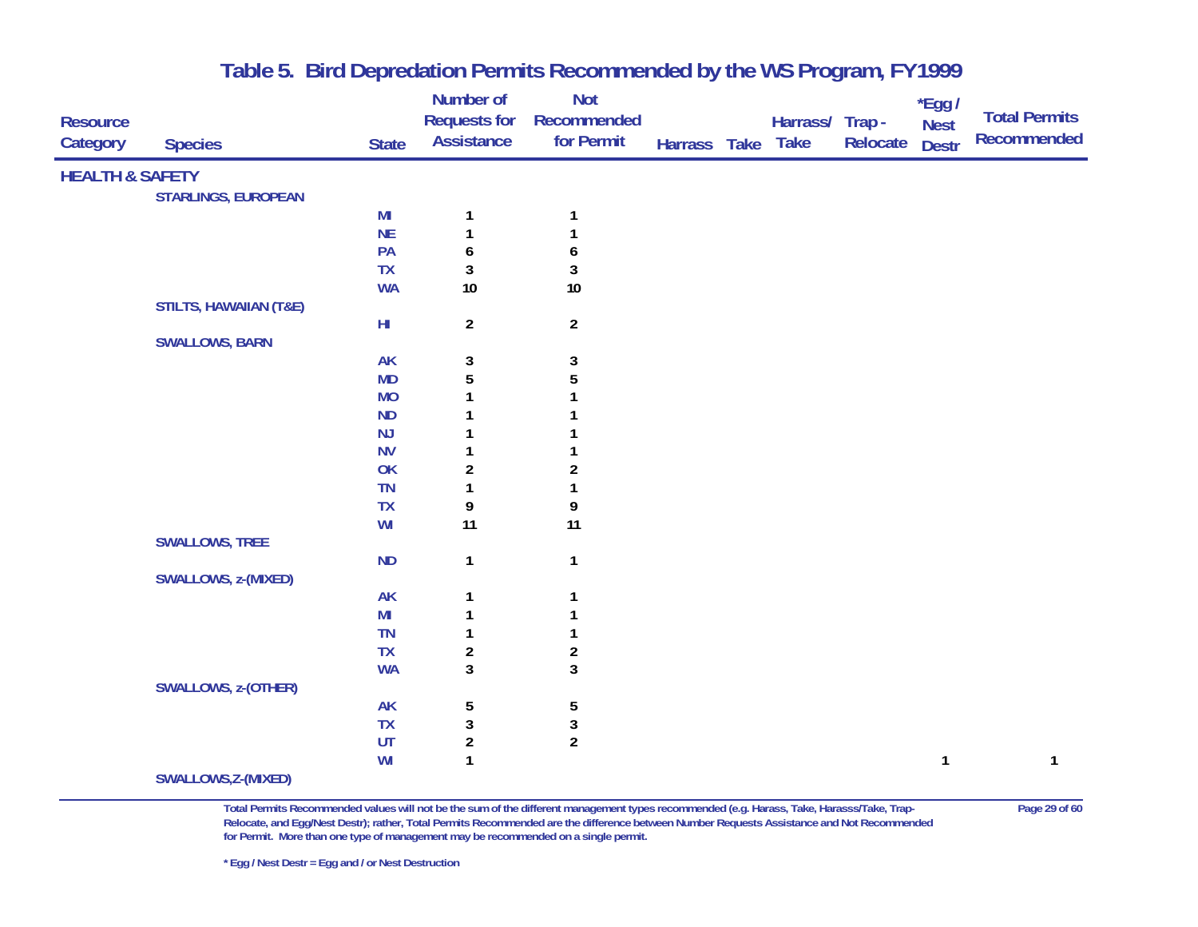|                            |                                   |                            | Number of                | Not                     |              |                 |          | *Egg /       |                      |
|----------------------------|-----------------------------------|----------------------------|--------------------------|-------------------------|--------------|-----------------|----------|--------------|----------------------|
| <b>Resource</b>            |                                   |                            | <b>Requests for</b>      | Recommended             |              | Harrass/ Trap - |          | <b>Nest</b>  | <b>Total Permits</b> |
| Category                   | <b>Species</b>                    | <b>State</b>               | <b>Assistance</b>        | for Permit              | Harrass Take | <b>Take</b>     | Relocate | <b>Destr</b> | <b>Recommended</b>   |
| <b>HEALTH &amp; SAFETY</b> |                                   |                            |                          |                         |              |                 |          |              |                      |
|                            | <b>STARLINGS, EUROPEAN</b>        |                            |                          |                         |              |                 |          |              |                      |
|                            |                                   | MI                         | $\mathbf{1}$             | $\mathbf{1}$            |              |                 |          |              |                      |
|                            |                                   | <b>NE</b>                  | $\mathbf{1}$             |                         |              |                 |          |              |                      |
|                            |                                   | PA                         | $\boldsymbol{6}$         | 6                       |              |                 |          |              |                      |
|                            |                                   | <b>TX</b>                  | 3                        | $\mathbf{3}$            |              |                 |          |              |                      |
|                            |                                   | <b>WA</b>                  | 10                       | $10\,$                  |              |                 |          |              |                      |
|                            | <b>STILTS, HAWAIIAN (T&amp;E)</b> |                            |                          |                         |              |                 |          |              |                      |
|                            |                                   | $\mathsf{H}\mathsf{I}$     | $\overline{a}$           | $\overline{2}$          |              |                 |          |              |                      |
|                            | <b>SWALLOWS, BARN</b>             |                            |                          |                         |              |                 |          |              |                      |
|                            |                                   | <b>AK</b>                  | $\mathbf{3}$             | 3                       |              |                 |          |              |                      |
|                            |                                   | <b>MD</b>                  | $\overline{5}$           | 5                       |              |                 |          |              |                      |
|                            |                                   | <b>MO</b>                  |                          |                         |              |                 |          |              |                      |
|                            |                                   | ND                         |                          |                         |              |                 |          |              |                      |
|                            |                                   | NJ                         |                          |                         |              |                 |          |              |                      |
|                            |                                   | <b>NV</b>                  | 1                        |                         |              |                 |          |              |                      |
|                            |                                   | OK                         | $\boldsymbol{2}$         | 2                       |              |                 |          |              |                      |
|                            |                                   | <b>TN</b>                  | 1                        |                         |              |                 |          |              |                      |
|                            |                                   | <b>TX</b>                  | 9                        | 9                       |              |                 |          |              |                      |
|                            |                                   | WI                         | 11                       | 11                      |              |                 |          |              |                      |
|                            | <b>SWALLOWS, TREE</b>             |                            |                          |                         |              |                 |          |              |                      |
|                            |                                   | <b>ND</b>                  | $\mathbf{1}$             | $\mathbf{1}$            |              |                 |          |              |                      |
|                            | SWALLOWS, z-(MIXED)               |                            |                          |                         |              |                 |          |              |                      |
|                            |                                   | <b>AK</b>                  | $\mathbf{1}$             | $\mathbf{1}$            |              |                 |          |              |                      |
|                            |                                   | MI                         | $\mathbf{1}$             |                         |              |                 |          |              |                      |
|                            |                                   | <b>TN</b>                  | $\mathbf{1}$             |                         |              |                 |          |              |                      |
|                            |                                   | <b>TX</b>                  | $\boldsymbol{2}$         | $\overline{\mathbf{c}}$ |              |                 |          |              |                      |
|                            |                                   | <b>WA</b>                  | 3                        | $\mathbf{3}$            |              |                 |          |              |                      |
|                            | SWALLOWS, z-(OTHER)               |                            |                          |                         |              |                 |          |              |                      |
|                            |                                   | <b>AK</b><br><b>TX</b>     | 5                        | 5                       |              |                 |          |              |                      |
|                            |                                   | $\ensuremath{\mathsf{UT}}$ | $\sqrt{3}$<br>$\sqrt{2}$ | 3<br>$\overline{2}$     |              |                 |          |              |                      |
|                            |                                   | WI                         | $\mathbf{1}$             |                         |              |                 |          | $\mathbf{1}$ | 1                    |
|                            | SWALLOWS, Z-(MIXED)               |                            |                          |                         |              |                 |          |              |                      |
|                            |                                   |                            |                          |                         |              |                 |          |              |                      |

**Total Permits Recommended values will not be the sum of the different management types recommended (e.g. Harass, Take, Harasss/Take, Trap- Page 29 of 60 Relocate, and Egg/Nest Destr); rather, Total Permits Recommended are the difference between Number Requests Assistance and Not Recommended for Permit. More than one type of management may be recommended on a single permit.** 

**\* Egg / Nest Destr = Egg and / or Nest Destruction**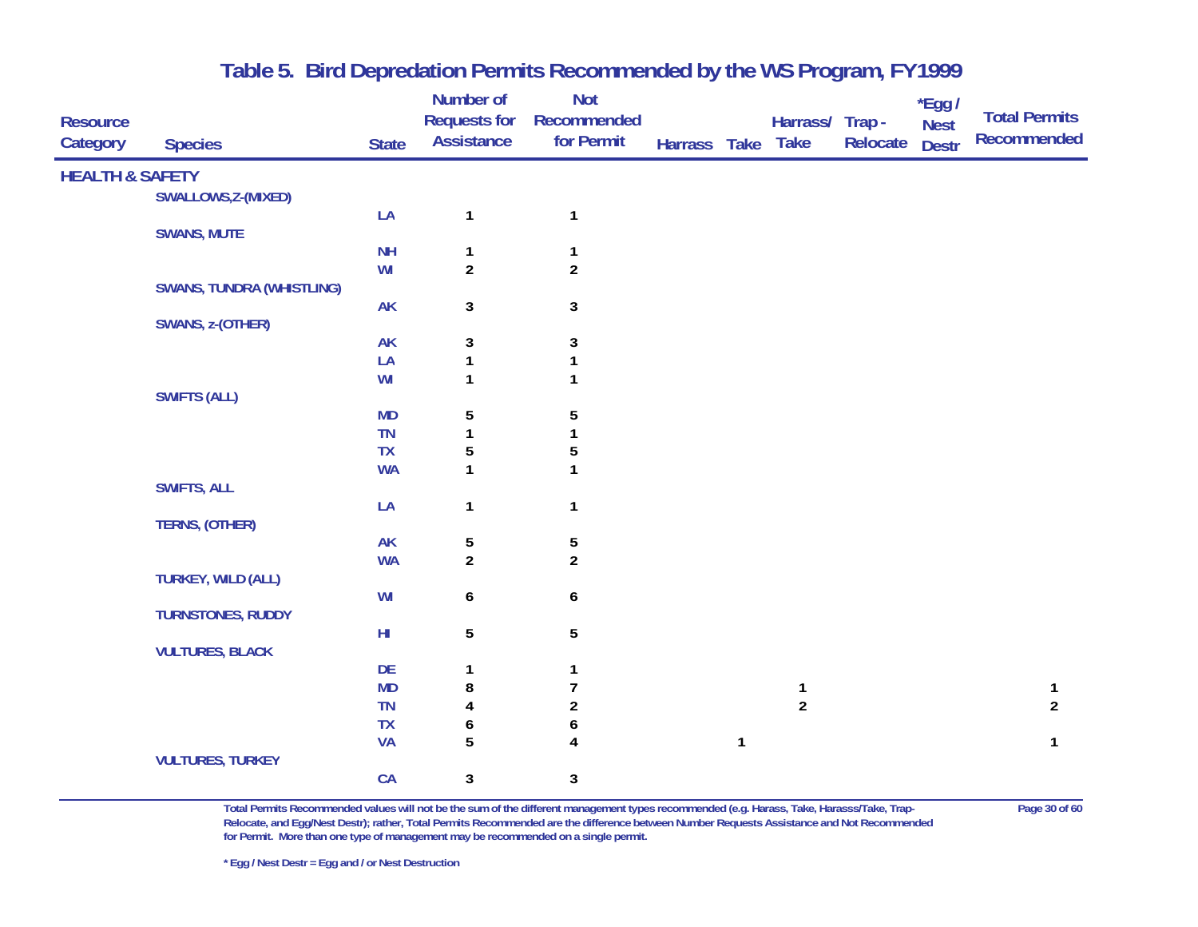|                             |                                  |              | Number of                                | <b>Not</b>                |              |              |                                |          | *Egg /       | <b>Total Permits</b> |
|-----------------------------|----------------------------------|--------------|------------------------------------------|---------------------------|--------------|--------------|--------------------------------|----------|--------------|----------------------|
| <b>Resource</b><br>Category | <b>Species</b>                   | <b>State</b> | <b>Requests for</b><br><b>Assistance</b> | Recommended<br>for Permit | Harrass Take |              | Harrass/ Trap -<br><b>Take</b> | Relocate | <b>Nest</b>  | <b>Recommended</b>   |
|                             |                                  |              |                                          |                           |              |              |                                |          | <b>Destr</b> |                      |
| <b>HEALTH &amp; SAFETY</b>  |                                  |              |                                          |                           |              |              |                                |          |              |                      |
|                             | SWALLOWS, Z-(MIXED)              |              |                                          |                           |              |              |                                |          |              |                      |
|                             |                                  | LA           | $\mathbf{1}$                             | $\mathbf{1}$              |              |              |                                |          |              |                      |
|                             | <b>SWANS, MUTE</b>               |              |                                          |                           |              |              |                                |          |              |                      |
|                             |                                  | <b>NH</b>    | $\mathbf{1}$                             | $\mathbf{1}$              |              |              |                                |          |              |                      |
|                             |                                  | WI           | $\overline{\mathbf{c}}$                  | $\overline{2}$            |              |              |                                |          |              |                      |
|                             | <b>SWANS, TUNDRA (WHISTLING)</b> |              |                                          |                           |              |              |                                |          |              |                      |
|                             | SWANS, z-(OTHER)                 | <b>AK</b>    | 3                                        | $\mathbf{3}$              |              |              |                                |          |              |                      |
|                             |                                  | <b>AK</b>    | 3                                        | $\mathbf{3}$              |              |              |                                |          |              |                      |
|                             |                                  | LA           | 1                                        | $\mathbf{1}$              |              |              |                                |          |              |                      |
|                             |                                  | WI           | 1                                        | $\mathbf{1}$              |              |              |                                |          |              |                      |
|                             | <b>SWIFTS (ALL)</b>              |              |                                          |                           |              |              |                                |          |              |                      |
|                             |                                  | <b>MD</b>    | 5                                        | 5                         |              |              |                                |          |              |                      |
|                             |                                  | TN           | $\mathbf{1}$                             | 1                         |              |              |                                |          |              |                      |
|                             |                                  | <b>TX</b>    | 5                                        | 5                         |              |              |                                |          |              |                      |
|                             |                                  | <b>WA</b>    | 1                                        | $\mathbf{1}$              |              |              |                                |          |              |                      |
|                             | <b>SWIFTS, ALL</b>               |              |                                          |                           |              |              |                                |          |              |                      |
|                             |                                  | LA           | 1                                        | $\mathbf{1}$              |              |              |                                |          |              |                      |
|                             | TERNS, (OTHER)                   |              |                                          |                           |              |              |                                |          |              |                      |
|                             |                                  | <b>AK</b>    | 5                                        | 5                         |              |              |                                |          |              |                      |
|                             |                                  | <b>WA</b>    | $\overline{\mathbf{c}}$                  | $\overline{c}$            |              |              |                                |          |              |                      |
|                             | <b>TURKEY, WILD (ALL)</b>        |              |                                          |                           |              |              |                                |          |              |                      |
|                             | <b>TURNSTONES, RUDDY</b>         | WI           | 6                                        | 6                         |              |              |                                |          |              |                      |
|                             |                                  | $H\!I$       | 5                                        | 5                         |              |              |                                |          |              |                      |
|                             | <b>VULTURES, BLACK</b>           |              |                                          |                           |              |              |                                |          |              |                      |
|                             |                                  | DE           | 1                                        | $\mathbf{1}$              |              |              |                                |          |              |                      |
|                             |                                  | <b>MD</b>    | 8                                        | $\overline{7}$            |              |              | $\mathbf{1}$                   |          |              | $\mathbf{1}$         |
|                             |                                  | <b>TN</b>    | 4                                        | $\boldsymbol{2}$          |              |              | $\overline{2}$                 |          |              | $\overline{2}$       |
|                             |                                  | TX           | 6                                        | 6                         |              |              |                                |          |              |                      |
|                             |                                  | <b>VA</b>    | 5                                        | 4                         |              | $\mathbf{1}$ |                                |          |              | $\mathbf{1}$         |
|                             | <b>VULTURES, TURKEY</b>          |              |                                          |                           |              |              |                                |          |              |                      |
|                             |                                  | CA           | 3                                        | 3                         |              |              |                                |          |              |                      |

**Total Permits Recommended values will not be the sum of the different management types recommended (e.g. Harass, Take, Harasss/Take, Trap- Page 30 of 60 Relocate, and Egg/Nest Destr); rather, Total Permits Recommended are the difference between Number Requests Assistance and Not Recommended for Permit. More than one type of management may be recommended on a single permit.** 

**\* Egg / Nest Destr = Egg and / or Nest Destruction**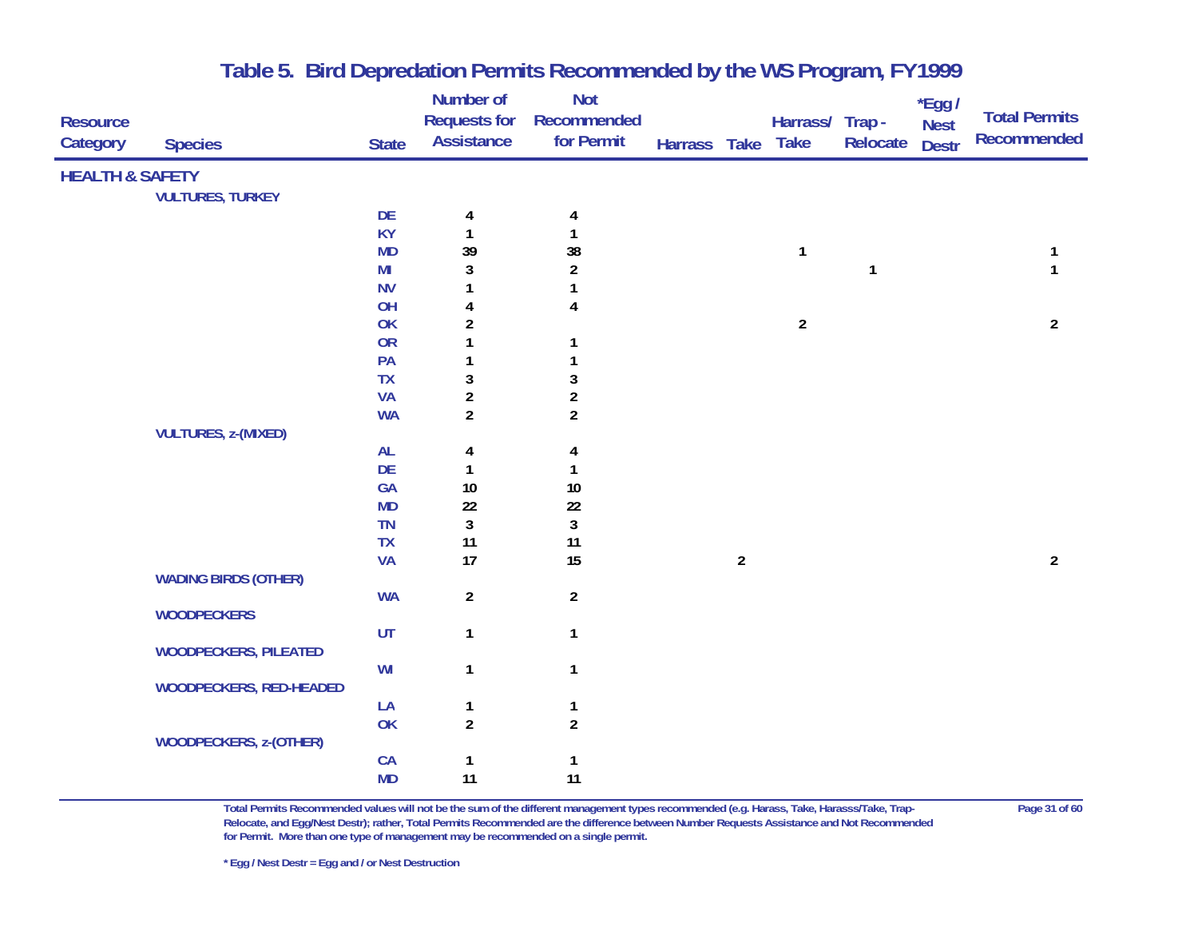|                            |                                |              | Number of               | <b>Not</b>              |              |                |                 |              | *Egg /       |                      |
|----------------------------|--------------------------------|--------------|-------------------------|-------------------------|--------------|----------------|-----------------|--------------|--------------|----------------------|
| <b>Resource</b>            |                                |              | <b>Requests for</b>     | Recommended             |              |                | Harrass/ Trap - |              | <b>Nest</b>  | <b>Total Permits</b> |
| Category                   | <b>Species</b>                 | <b>State</b> | <b>Assistance</b>       | for Permit              | Harrass Take |                | <b>Take</b>     | Relocate     | <b>Destr</b> | <b>Recommended</b>   |
| <b>HEALTH &amp; SAFETY</b> |                                |              |                         |                         |              |                |                 |              |              |                      |
|                            | <b>VULTURES, TURKEY</b>        |              |                         |                         |              |                |                 |              |              |                      |
|                            |                                | DE           | 4                       | 4                       |              |                |                 |              |              |                      |
|                            |                                | <b>KY</b>    | $\mathbf{1}$            | 1                       |              |                |                 |              |              |                      |
|                            |                                | <b>MD</b>    | 39                      | 38                      |              |                | $\mathbf{1}$    |              |              | 1                    |
|                            |                                | MI           | 3                       | $\boldsymbol{2}$        |              |                |                 | $\mathbf{1}$ |              | $\mathbf{1}$         |
|                            |                                | <b>NV</b>    | 1                       | 1                       |              |                |                 |              |              |                      |
|                            |                                | OH           | 4                       | 4                       |              |                |                 |              |              |                      |
|                            |                                | OK           | $\overline{\mathbf{c}}$ |                         |              |                | $\overline{a}$  |              |              | $\overline{2}$       |
|                            |                                | <b>OR</b>    | 1                       | 1                       |              |                |                 |              |              |                      |
|                            |                                | PA           | 1                       | 1                       |              |                |                 |              |              |                      |
|                            |                                | <b>TX</b>    | 3                       | $\mathbf{3}$            |              |                |                 |              |              |                      |
|                            |                                | <b>VA</b>    | $\overline{\mathbf{c}}$ | $\overline{\mathbf{c}}$ |              |                |                 |              |              |                      |
|                            |                                | <b>WA</b>    | $\overline{a}$          | $\overline{2}$          |              |                |                 |              |              |                      |
|                            | <b>VULTURES, z-(MIXED)</b>     |              |                         |                         |              |                |                 |              |              |                      |
|                            |                                | AL           | 4                       | 4                       |              |                |                 |              |              |                      |
|                            |                                | DE           | $\mathbf{1}$            | 1                       |              |                |                 |              |              |                      |
|                            |                                | GA           | $10\,$                  | $10$                    |              |                |                 |              |              |                      |
|                            |                                | <b>MD</b>    | $22\,$                  | 22                      |              |                |                 |              |              |                      |
|                            |                                | <b>TN</b>    | 3                       | $\mathbf{3}$            |              |                |                 |              |              |                      |
|                            |                                | TX           | 11                      | 11                      |              |                |                 |              |              |                      |
|                            |                                | <b>VA</b>    | 17                      | 15                      |              | $\overline{2}$ |                 |              |              | $\overline{2}$       |
|                            | <b>WADING BIRDS (OTHER)</b>    |              |                         |                         |              |                |                 |              |              |                      |
|                            |                                | <b>WA</b>    | $\overline{\mathbf{c}}$ | $\overline{2}$          |              |                |                 |              |              |                      |
|                            | <b>WOODPECKERS</b>             |              |                         |                         |              |                |                 |              |              |                      |
|                            |                                | UT           | $\mathbf{1}$            | $\mathbf{1}$            |              |                |                 |              |              |                      |
|                            | <b>WOODPECKERS, PILEATED</b>   |              |                         |                         |              |                |                 |              |              |                      |
|                            |                                | WI           | $\mathbf{1}$            | $\mathbf{1}$            |              |                |                 |              |              |                      |
|                            | <b>WOODPECKERS, RED-HEADED</b> |              |                         |                         |              |                |                 |              |              |                      |
|                            |                                | LA           | 1                       | $\mathbf{1}$            |              |                |                 |              |              |                      |
|                            |                                | OK           | $\overline{2}$          | $\overline{2}$          |              |                |                 |              |              |                      |
|                            | <b>WOODPECKERS, z-(OTHER)</b>  |              |                         |                         |              |                |                 |              |              |                      |
|                            |                                | CA           | $\mathbf{1}$            | $\mathbf{1}$            |              |                |                 |              |              |                      |
|                            |                                | <b>MD</b>    | 11                      | 11                      |              |                |                 |              |              |                      |

**Total Permits Recommended values will not be the sum of the different management types recommended (e.g. Harass, Take, Harasss/Take, Trap- Page 31 of 60 Relocate, and Egg/Nest Destr); rather, Total Permits Recommended are the difference between Number Requests Assistance and Not Recommended for Permit. More than one type of management may be recommended on a single permit.**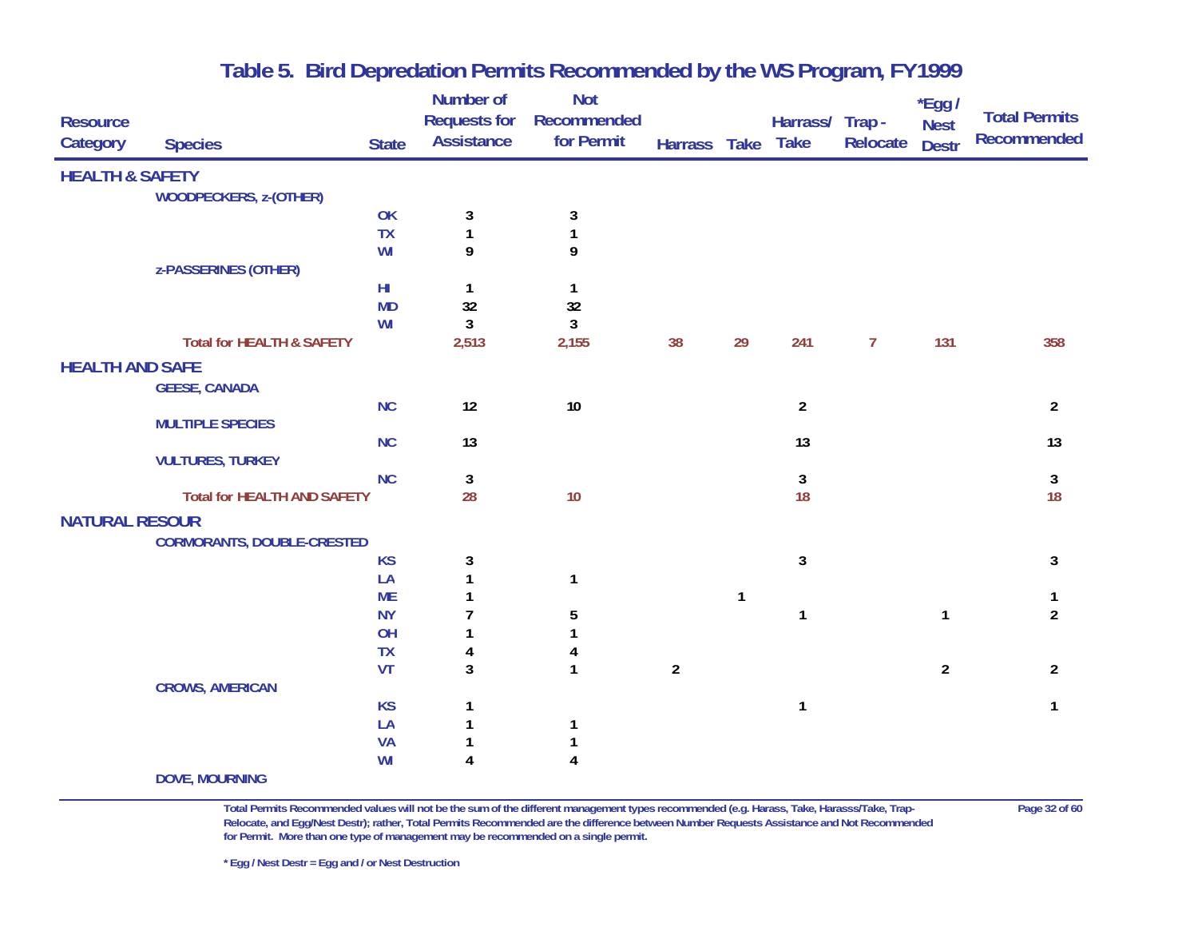|                            |                                      |              | Number of           | <b>Not</b>              |                |              |                 |                | $*$ Egg /      |                      |
|----------------------------|--------------------------------------|--------------|---------------------|-------------------------|----------------|--------------|-----------------|----------------|----------------|----------------------|
| <b>Resource</b>            |                                      |              | <b>Requests for</b> | Recommended             |                |              | Harrass/ Trap - |                | <b>Nest</b>    | <b>Total Permits</b> |
| Category                   | <b>Species</b>                       | <b>State</b> | <b>Assistance</b>   | for Permit              | Harrass Take   |              | <b>Take</b>     | Relocate       | <b>Destr</b>   | Recommended          |
| <b>HEALTH &amp; SAFETY</b> |                                      |              |                     |                         |                |              |                 |                |                |                      |
|                            | <b>WOODPECKERS, z-(OTHER)</b>        |              |                     |                         |                |              |                 |                |                |                      |
|                            |                                      | OK           | 3                   | 3                       |                |              |                 |                |                |                      |
|                            |                                      | <b>TX</b>    | $\mathbf{1}$        | 1                       |                |              |                 |                |                |                      |
|                            |                                      | WI           | 9                   | 9                       |                |              |                 |                |                |                      |
|                            | z-PASSERINES (OTHER)                 |              |                     |                         |                |              |                 |                |                |                      |
|                            |                                      | $H\!I$       | $\mathbf{1}$        | 1                       |                |              |                 |                |                |                      |
|                            |                                      | <b>MD</b>    | 32                  | 32                      |                |              |                 |                |                |                      |
|                            |                                      | WI           | $\mathbf{3}$        | 3                       |                |              |                 |                |                |                      |
|                            | <b>Total for HEALTH &amp; SAFETY</b> |              | 2,513               | 2,155                   | 38             | 29           | 241             | $\overline{7}$ | 131            | 358                  |
| <b>HEALTH AND SAFE</b>     |                                      |              |                     |                         |                |              |                 |                |                |                      |
|                            | <b>GEESE, CANADA</b>                 |              |                     |                         |                |              |                 |                |                |                      |
|                            |                                      | NC           | 12                  | 10                      |                |              | $\overline{2}$  |                |                | $\overline{2}$       |
|                            | <b>MULTIPLE SPECIES</b>              |              |                     |                         |                |              |                 |                |                |                      |
|                            |                                      | <b>NC</b>    | 13                  |                         |                |              | 13              |                |                | 13                   |
|                            | <b>VULTURES, TURKEY</b>              |              |                     |                         |                |              |                 |                |                |                      |
|                            |                                      | <b>NC</b>    | 3                   |                         |                |              | 3               |                |                | 3                    |
|                            | <b>Total for HEALTH AND SAFETY</b>   |              | 28                  | 10                      |                |              | 18              |                |                | 18                   |
| <b>NATURAL RESOUR</b>      |                                      |              |                     |                         |                |              |                 |                |                |                      |
|                            | <b>CORMORANTS, DOUBLE-CRESTED</b>    |              |                     |                         |                |              |                 |                |                |                      |
|                            |                                      | <b>KS</b>    | 3                   |                         |                |              | 3               |                |                | 3                    |
|                            |                                      | LA           | $\mathbf{1}$        | 1                       |                |              |                 |                |                |                      |
|                            |                                      | <b>ME</b>    | 1                   |                         |                | $\mathbf{1}$ |                 |                |                | 1                    |
|                            |                                      | <b>NY</b>    | 7                   | 5                       |                |              | 1               |                | $\mathbf{1}$   | $\overline{2}$       |
|                            |                                      | OH           | 1                   | 1                       |                |              |                 |                |                |                      |
|                            |                                      | <b>TX</b>    | 4                   | 4                       |                |              |                 |                |                |                      |
|                            |                                      | <b>VT</b>    | 3                   | $\mathbf{1}$            | $\overline{2}$ |              |                 |                | $\overline{2}$ | $\overline{2}$       |
|                            | <b>CROWS, AMERICAN</b>               |              |                     |                         |                |              |                 |                |                |                      |
|                            |                                      | <b>KS</b>    | 1                   |                         |                |              | 1               |                |                | $\mathbf{1}$         |
|                            |                                      | LA           |                     | 1                       |                |              |                 |                |                |                      |
|                            |                                      | VA           |                     |                         |                |              |                 |                |                |                      |
|                            |                                      | WI           | 4                   | $\overline{\mathbf{4}}$ |                |              |                 |                |                |                      |
|                            | <b>DOVE, MOURNING</b>                |              |                     |                         |                |              |                 |                |                |                      |

**Total Permits Recommended values will not be the sum of the different management types recommended (e.g. Harass, Take, Harasss/Take, Trap- Page 32 of 60 Relocate, and Egg/Nest Destr); rather, Total Permits Recommended are the difference between Number Requests Assistance and Not Recommended for Permit. More than one type of management may be recommended on a single permit.** 

**\* Egg / Nest Destr = Egg and / or Nest Destruction**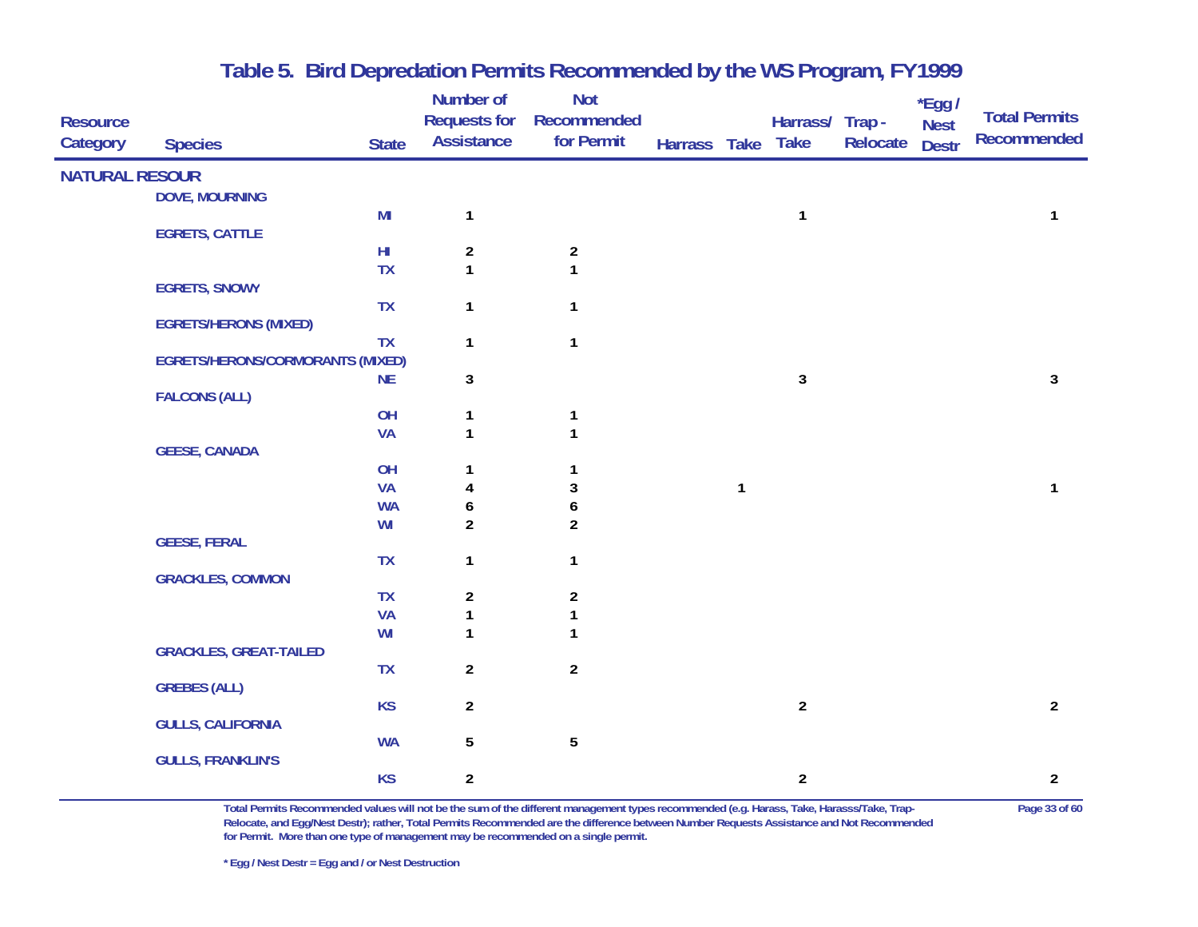| <b>Resource</b>       |                                         |              | Number of<br><b>Requests for</b>        | <b>Not</b><br>Recommended        |              |              | Harrass/ Trap - |          | *Egg /<br><b>Nest</b> | <b>Total Permits</b> |
|-----------------------|-----------------------------------------|--------------|-----------------------------------------|----------------------------------|--------------|--------------|-----------------|----------|-----------------------|----------------------|
| Category              | <b>Species</b>                          | <b>State</b> | <b>Assistance</b>                       | for Permit                       | Harrass Take |              | <b>Take</b>     | Relocate | <b>Destr</b>          | <b>Recommended</b>   |
| <b>NATURAL RESOUR</b> |                                         |              |                                         |                                  |              |              |                 |          |                       |                      |
|                       | <b>DOVE, MOURNING</b>                   |              |                                         |                                  |              |              |                 |          |                       |                      |
|                       |                                         | MI           | $\mathbf{1}$                            |                                  |              |              | $\mathbf{1}$    |          |                       | 1                    |
|                       | <b>EGRETS, CATTLE</b>                   | $H\!I$       |                                         |                                  |              |              |                 |          |                       |                      |
|                       |                                         | <b>TX</b>    | $\overline{\mathbf{c}}$<br>$\mathbf{1}$ | $\boldsymbol{2}$<br>$\mathbf{1}$ |              |              |                 |          |                       |                      |
|                       | <b>EGRETS, SNOWY</b>                    |              |                                         |                                  |              |              |                 |          |                       |                      |
|                       |                                         | <b>TX</b>    | $\mathbf{1}$                            | $\mathbf{1}$                     |              |              |                 |          |                       |                      |
|                       | <b>EGRETS/HERONS (MIXED)</b>            |              |                                         |                                  |              |              |                 |          |                       |                      |
|                       |                                         | TX           | $\mathbf{1}$                            | $\mathbf{1}$                     |              |              |                 |          |                       |                      |
|                       | <b>EGRETS/HERONS/CORMORANTS (MIXED)</b> |              |                                         |                                  |              |              |                 |          |                       |                      |
|                       |                                         | <b>NE</b>    | 3                                       |                                  |              |              | 3               |          |                       | 3                    |
|                       | <b>FALCONS (ALL)</b>                    |              |                                         |                                  |              |              |                 |          |                       |                      |
|                       |                                         | OH           | 1<br>$\mathbf{1}$                       | 1<br>$\mathbf{1}$                |              |              |                 |          |                       |                      |
|                       | <b>GEESE, CANADA</b>                    | <b>VA</b>    |                                         |                                  |              |              |                 |          |                       |                      |
|                       |                                         | OH           | 1                                       | 1                                |              |              |                 |          |                       |                      |
|                       |                                         | <b>VA</b>    | 4                                       | 3                                |              | $\mathbf{1}$ |                 |          |                       | 1                    |
|                       |                                         | <b>WA</b>    | 6                                       | 6                                |              |              |                 |          |                       |                      |
|                       |                                         | WI           | $\overline{a}$                          | $\overline{2}$                   |              |              |                 |          |                       |                      |
|                       | <b>GEESE, FERAL</b>                     |              |                                         |                                  |              |              |                 |          |                       |                      |
|                       |                                         | TX           | $\mathbf{1}$                            | $\mathbf{1}$                     |              |              |                 |          |                       |                      |
|                       | <b>GRACKLES, COMMON</b>                 |              |                                         |                                  |              |              |                 |          |                       |                      |
|                       |                                         | <b>TX</b>    | $\boldsymbol{2}$                        | $\boldsymbol{2}$                 |              |              |                 |          |                       |                      |
|                       |                                         | <b>VA</b>    | 1                                       | 1                                |              |              |                 |          |                       |                      |
|                       |                                         | WI           | $\mathbf{1}$                            | 1                                |              |              |                 |          |                       |                      |
|                       | <b>GRACKLES, GREAT-TAILED</b>           |              |                                         |                                  |              |              |                 |          |                       |                      |
|                       |                                         | <b>TX</b>    | $\overline{a}$                          | $\overline{2}$                   |              |              |                 |          |                       |                      |
|                       | <b>GREBES (ALL)</b>                     |              |                                         |                                  |              |              |                 |          |                       |                      |
|                       | <b>GULLS, CALIFORNIA</b>                | <b>KS</b>    | $\overline{a}$                          |                                  |              |              | $\overline{2}$  |          |                       | $\overline{2}$       |
|                       |                                         | <b>WA</b>    | 5                                       | 5                                |              |              |                 |          |                       |                      |
|                       | <b>GULLS, FRANKLIN'S</b>                |              |                                         |                                  |              |              |                 |          |                       |                      |
|                       |                                         | <b>KS</b>    | $\overline{2}$                          |                                  |              |              | $\overline{2}$  |          |                       | $\overline{2}$       |
|                       |                                         |              |                                         |                                  |              |              |                 |          |                       |                      |

**Total Permits Recommended values will not be the sum of the different management types recommended (e.g. Harass, Take, Harasss/Take, Trap- Page 33 of 60 Relocate, and Egg/Nest Destr); rather, Total Permits Recommended are the difference between Number Requests Assistance and Not Recommended for Permit. More than one type of management may be recommended on a single permit.**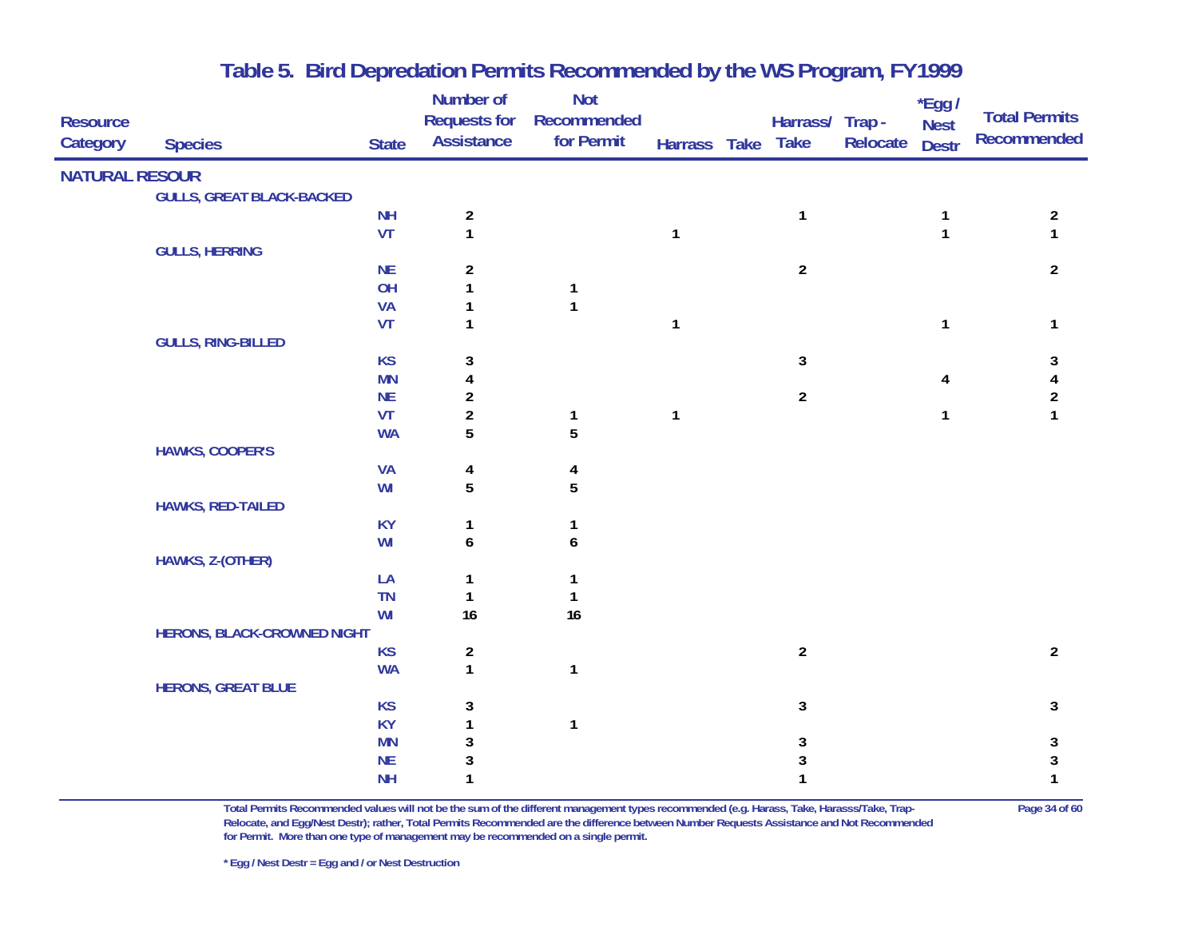| <b>Resource</b>       |                                    |                        | Number of<br><b>Requests for</b>        | <b>Not</b><br>Recommended |              | Harrass/ Trap - |          | $*$ Egg /<br><b>Nest</b> | <b>Total Permits</b>  |
|-----------------------|------------------------------------|------------------------|-----------------------------------------|---------------------------|--------------|-----------------|----------|--------------------------|-----------------------|
| Category              | <b>Species</b>                     | <b>State</b>           | <b>Assistance</b>                       | for Permit                | Harrass Take | <b>Take</b>     | Relocate | <b>Destr</b>             | <b>Recommended</b>    |
| <b>NATURAL RESOUR</b> |                                    |                        |                                         |                           |              |                 |          |                          |                       |
|                       | <b>GULLS, GREAT BLACK-BACKED</b>   |                        |                                         |                           |              |                 |          |                          |                       |
|                       |                                    | <b>NH</b>              | $\overline{\mathbf{c}}$                 |                           |              | $\mathbf{1}$    |          | 1                        | $\overline{2}$        |
|                       |                                    | VT                     | $\mathbf{1}$                            |                           | $\mathbf{1}$ |                 |          | $\mathbf{1}$             | $\mathbf{1}$          |
|                       | <b>GULLS, HERRING</b>              | NE                     | $\overline{\mathbf{c}}$                 |                           |              | $\overline{a}$  |          |                          | $\overline{2}$        |
|                       |                                    | OH                     | $\mathbf{1}$                            | $\mathbf{1}$              |              |                 |          |                          |                       |
|                       |                                    | <b>VA</b>              | 1                                       | $\mathbf{1}$              |              |                 |          |                          |                       |
|                       |                                    | VT                     | $\mathbf{1}$                            |                           | $\mathbf{1}$ |                 |          | 1                        | 1                     |
|                       | <b>GULLS, RING-BILLED</b>          |                        |                                         |                           |              |                 |          |                          |                       |
|                       |                                    | <b>KS</b>              | 3                                       |                           |              | 3               |          |                          | 3                     |
|                       |                                    | <b>MN</b><br><b>NE</b> | 4<br>$\overline{\mathbf{c}}$            |                           |              | $\overline{2}$  |          | 4                        | 4<br>$\boldsymbol{2}$ |
|                       |                                    | VT                     | $\overline{2}$                          | $\mathbf{1}$              | $\mathbf{1}$ |                 |          | 1                        | $\mathbf{1}$          |
|                       |                                    | <b>WA</b>              | 5                                       | 5                         |              |                 |          |                          |                       |
|                       | <b>HAWKS, COOPER'S</b>             |                        |                                         |                           |              |                 |          |                          |                       |
|                       |                                    | <b>VA</b>              | 4                                       | 4                         |              |                 |          |                          |                       |
|                       |                                    | WI                     | 5                                       | 5                         |              |                 |          |                          |                       |
|                       | <b>HAWKS, RED-TAILED</b>           |                        |                                         |                           |              |                 |          |                          |                       |
|                       |                                    | <b>KY</b><br>WI        | 1<br>6                                  | 1<br>6                    |              |                 |          |                          |                       |
|                       | HAWKS, Z-(OTHER)                   |                        |                                         |                           |              |                 |          |                          |                       |
|                       |                                    | LA                     | 1                                       | 1                         |              |                 |          |                          |                       |
|                       |                                    | <b>TN</b>              | $\mathbf{1}$                            | $\mathbf{1}$              |              |                 |          |                          |                       |
|                       |                                    | WI                     | 16                                      | 16                        |              |                 |          |                          |                       |
|                       | <b>HERONS, BLACK-CROWNED NIGHT</b> |                        |                                         |                           |              |                 |          |                          |                       |
|                       |                                    | <b>KS</b>              | $\overline{\mathbf{c}}$<br>$\mathbf{1}$ |                           |              | $\overline{a}$  |          |                          | $\overline{2}$        |
|                       | <b>HERONS, GREAT BLUE</b>          | <b>WA</b>              |                                         | $\mathbf{1}$              |              |                 |          |                          |                       |
|                       |                                    | <b>KS</b>              | 3                                       |                           |              | 3               |          |                          | 3                     |
|                       |                                    | <b>KY</b>              | $\mathbf{1}$                            | $\mathbf{1}$              |              |                 |          |                          |                       |
|                       |                                    | <b>MN</b>              | 3                                       |                           |              | 3               |          |                          | $\sqrt{3}$            |
|                       |                                    | $\sf NE$               | 3                                       |                           |              | 3               |          |                          | 3                     |
|                       |                                    | <b>NH</b>              | 1                                       |                           |              | $\mathbf{1}$    |          |                          | $\mathbf{1}$          |

**Total Permits Recommended values will not be the sum of the different management types recommended (e.g. Harass, Take, Harasss/Take, Trap- Page 34 of 60 Relocate, and Egg/Nest Destr); rather, Total Permits Recommended are the difference between Number Requests Assistance and Not Recommended for Permit. More than one type of management may be recommended on a single permit.**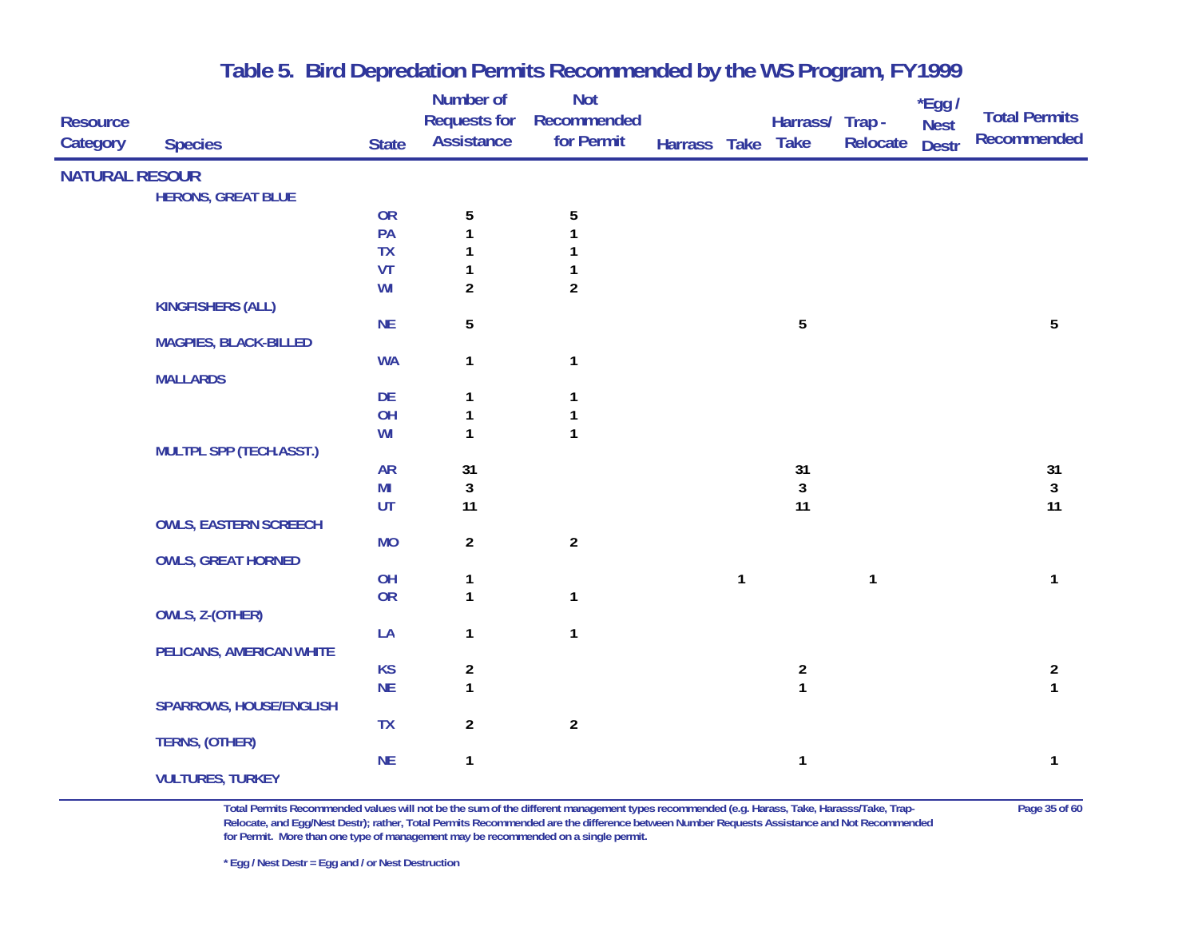| <b>Resource</b>       |                              |              | Number of<br><b>Requests for</b> | <b>Not</b><br>Recommended |              |              | Harrass/ Trap -                       |              | *Egg /                      | <b>Total Permits</b>                    |
|-----------------------|------------------------------|--------------|----------------------------------|---------------------------|--------------|--------------|---------------------------------------|--------------|-----------------------------|-----------------------------------------|
| Category              | <b>Species</b>               | <b>State</b> | <b>Assistance</b>                | for Permit                | Harrass Take |              | <b>Take</b>                           | Relocate     | <b>Nest</b><br><b>Destr</b> | <b>Recommended</b>                      |
| <b>NATURAL RESOUR</b> |                              |              |                                  |                           |              |              |                                       |              |                             |                                         |
|                       | <b>HERONS, GREAT BLUE</b>    |              |                                  |                           |              |              |                                       |              |                             |                                         |
|                       |                              | <b>OR</b>    | 5                                | $\sqrt{5}$                |              |              |                                       |              |                             |                                         |
|                       |                              | PA           | 1                                | 1                         |              |              |                                       |              |                             |                                         |
|                       |                              | TX           | 1                                | 1                         |              |              |                                       |              |                             |                                         |
|                       |                              | VT           | 1                                | 1                         |              |              |                                       |              |                             |                                         |
|                       |                              | WI           | $\overline{2}$                   | $\overline{c}$            |              |              |                                       |              |                             |                                         |
|                       | <b>KINGFISHERS (ALL)</b>     |              |                                  |                           |              |              |                                       |              |                             |                                         |
|                       |                              | <b>NE</b>    | 5                                |                           |              |              | $\overline{5}$                        |              |                             | 5                                       |
|                       | <b>MAGPIES, BLACK-BILLED</b> |              |                                  |                           |              |              |                                       |              |                             |                                         |
|                       | <b>MALLARDS</b>              | <b>WA</b>    | $\mathbf{1}$                     | $\mathbf{1}$              |              |              |                                       |              |                             |                                         |
|                       |                              | DE           | 1                                | 1                         |              |              |                                       |              |                             |                                         |
|                       |                              | OH           | 1                                | 1                         |              |              |                                       |              |                             |                                         |
|                       |                              | WI           | $\mathbf{1}$                     | $\mathbf{1}$              |              |              |                                       |              |                             |                                         |
|                       | MULTPL SPP (TECH.ASST.)      |              |                                  |                           |              |              |                                       |              |                             |                                         |
|                       |                              | <b>AR</b>    | 31                               |                           |              |              | 31                                    |              |                             | 31                                      |
|                       |                              | MI           | $\sqrt{3}$                       |                           |              |              | 3                                     |              |                             | $\mathbf{3}$                            |
|                       |                              | UT           | 11                               |                           |              |              | 11                                    |              |                             | 11                                      |
|                       | <b>OWLS, EASTERN SCREECH</b> |              |                                  |                           |              |              |                                       |              |                             |                                         |
|                       |                              | <b>MO</b>    | $\overline{a}$                   | $\overline{2}$            |              |              |                                       |              |                             |                                         |
|                       | <b>OWLS, GREAT HORNED</b>    |              |                                  |                           |              |              |                                       |              |                             |                                         |
|                       |                              | OH           | 1                                |                           |              | $\mathbf{1}$ |                                       | $\mathbf{1}$ |                             | $\mathbf{1}$                            |
|                       |                              | OR           | $\mathbf{1}$                     | $\mathbf{1}$              |              |              |                                       |              |                             |                                         |
|                       | OWLS, Z-(OTHER)              |              |                                  |                           |              |              |                                       |              |                             |                                         |
|                       |                              | LA           | $\mathbf{1}$                     | $\mathbf{1}$              |              |              |                                       |              |                             |                                         |
|                       | PELICANS, AMERICAN WHITE     |              |                                  |                           |              |              |                                       |              |                             |                                         |
|                       |                              | <b>KS</b>    | $\overline{\mathbf{c}}$          |                           |              |              | $\begin{array}{c} 2 \\ 1 \end{array}$ |              |                             | $\overline{\mathbf{c}}$<br>$\mathbf{1}$ |
|                       | SPARROWS, HOUSE/ENGLISH      | <b>NE</b>    | $\mathbf{1}$                     |                           |              |              |                                       |              |                             |                                         |
|                       |                              | <b>TX</b>    | $\overline{a}$                   | $\boldsymbol{2}$          |              |              |                                       |              |                             |                                         |
|                       | <b>TERNS, (OTHER)</b>        |              |                                  |                           |              |              |                                       |              |                             |                                         |
|                       |                              | <b>NE</b>    | 1                                |                           |              |              | $\mathbf{1}$                          |              |                             | 1                                       |
|                       | <b>VULTURES, TURKEY</b>      |              |                                  |                           |              |              |                                       |              |                             |                                         |
|                       |                              |              |                                  |                           |              |              |                                       |              |                             |                                         |

**Total Permits Recommended values will not be the sum of the different management types recommended (e.g. Harass, Take, Harasss/Take, Trap- Page 35 of 60 Relocate, and Egg/Nest Destr); rather, Total Permits Recommended are the difference between Number Requests Assistance and Not Recommended for Permit. More than one type of management may be recommended on a single permit.** 

**\* Egg / Nest Destr = Egg and / or Nest Destruction**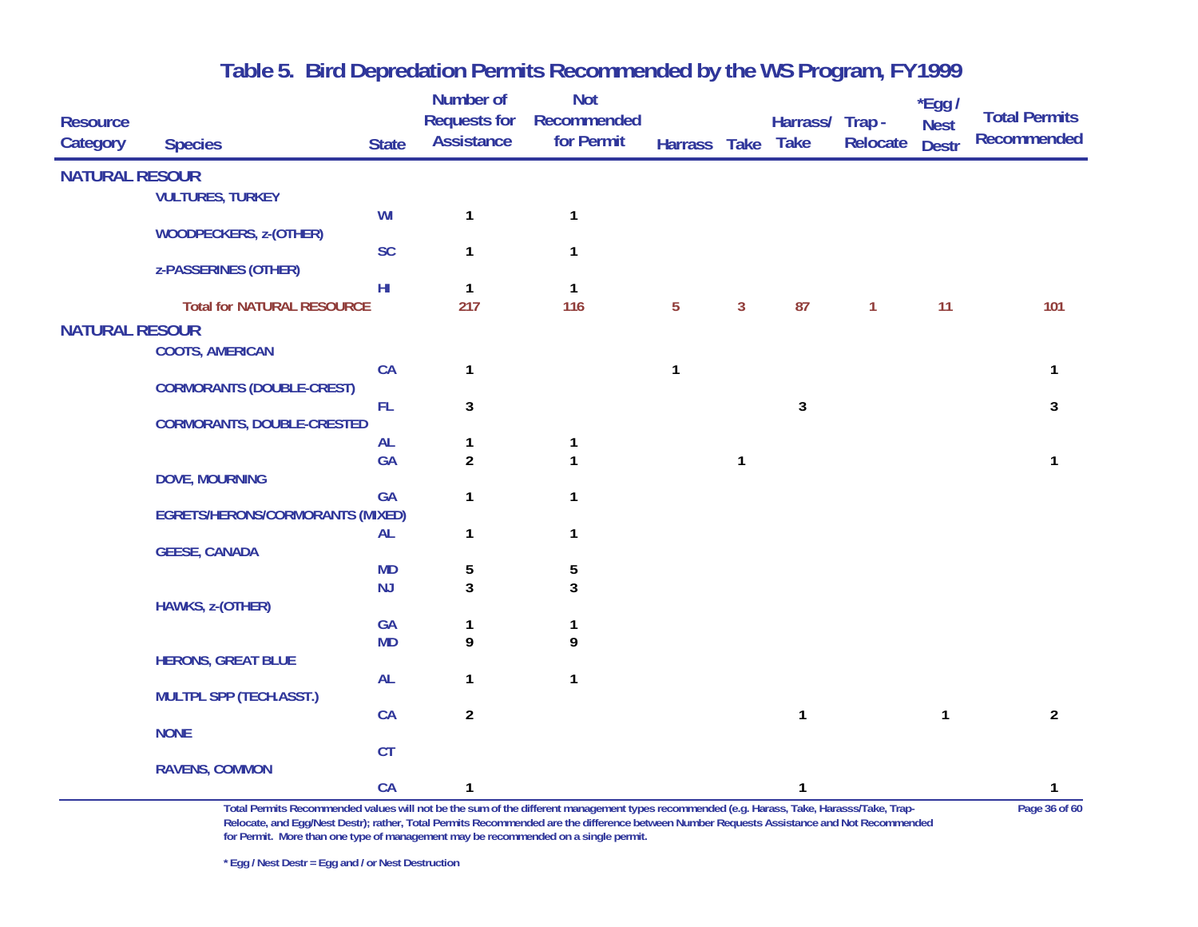| <b>Resource</b>       |                                         |                        | Number of<br><b>Requests for</b> | <b>Not</b><br>Recommended |                 |              | Harrass/ Trap - |                 | $*$ Egg /<br><b>Nest</b> | <b>Total Permits</b> |
|-----------------------|-----------------------------------------|------------------------|----------------------------------|---------------------------|-----------------|--------------|-----------------|-----------------|--------------------------|----------------------|
| Category              | <b>Species</b>                          | <b>State</b>           | <b>Assistance</b>                | for Permit                | Harrass Take    |              | <b>Take</b>     | <b>Relocate</b> | <b>Destr</b>             | <b>Recommended</b>   |
| <b>NATURAL RESOUR</b> |                                         |                        |                                  |                           |                 |              |                 |                 |                          |                      |
|                       | <b>VULTURES, TURKEY</b>                 |                        |                                  |                           |                 |              |                 |                 |                          |                      |
|                       | <b>WOODPECKERS, z-(OTHER)</b>           | WI                     | 1                                | $\mathbf{1}$              |                 |              |                 |                 |                          |                      |
|                       |                                         | SC                     | 1                                | $\mathbf{1}$              |                 |              |                 |                 |                          |                      |
|                       | z-PASSERINES (OTHER)                    |                        |                                  |                           |                 |              |                 |                 |                          |                      |
|                       | <b>Total for NATURAL RESOURCE</b>       | H <sub>II</sub>        | $\mathbf{1}$<br>217              | $\mathbf{1}$<br>116       | $5\phantom{.0}$ | $\mathbf{3}$ | 87              | $\mathbf{1}$    | 11                       | 101                  |
|                       |                                         |                        |                                  |                           |                 |              |                 |                 |                          |                      |
| <b>NATURAL RESOUR</b> |                                         |                        |                                  |                           |                 |              |                 |                 |                          |                      |
|                       | <b>COOTS, AMERICAN</b>                  | CA                     | 1                                |                           | $\mathbf{1}$    |              |                 |                 |                          | 1                    |
|                       | <b>CORMORANTS (DOUBLE-CREST)</b>        |                        |                                  |                           |                 |              |                 |                 |                          |                      |
|                       |                                         | <b>FL</b>              | $\mathbf{3}$                     |                           |                 |              | 3               |                 |                          | 3                    |
|                       | <b>CORMORANTS, DOUBLE-CRESTED</b>       |                        |                                  |                           |                 |              |                 |                 |                          |                      |
|                       |                                         | <b>AL</b><br><b>GA</b> | $\mathbf{1}$<br>$\overline{2}$   | 1<br>$\mathbf{1}$         |                 | $\mathbf{1}$ |                 |                 |                          | $\mathbf{1}$         |
|                       | <b>DOVE, MOURNING</b>                   |                        |                                  |                           |                 |              |                 |                 |                          |                      |
|                       |                                         | <b>GA</b>              | $\mathbf{1}$                     | $\mathbf{1}$              |                 |              |                 |                 |                          |                      |
|                       | <b>EGRETS/HERONS/CORMORANTS (MIXED)</b> |                        |                                  |                           |                 |              |                 |                 |                          |                      |
|                       |                                         | <b>AL</b>              | 1                                | $\mathbf{1}$              |                 |              |                 |                 |                          |                      |
|                       | <b>GEESE, CANADA</b>                    | <b>MD</b>              | 5                                | 5                         |                 |              |                 |                 |                          |                      |
|                       |                                         | NJ                     | 3                                | 3                         |                 |              |                 |                 |                          |                      |
|                       | HAWKS, z-(OTHER)                        |                        |                                  |                           |                 |              |                 |                 |                          |                      |
|                       |                                         | GA                     | 1                                | 1                         |                 |              |                 |                 |                          |                      |
|                       |                                         | <b>MD</b>              | 9                                | 9                         |                 |              |                 |                 |                          |                      |
|                       | <b>HERONS, GREAT BLUE</b>               | <b>AL</b>              | $\mathbf{1}$                     | $\mathbf{1}$              |                 |              |                 |                 |                          |                      |
|                       | <b>MULTPL SPP (TECH.ASST.)</b>          |                        |                                  |                           |                 |              |                 |                 |                          |                      |
|                       |                                         | CA                     | $\overline{a}$                   |                           |                 |              | $\mathbf{1}$    |                 | $\mathbf{1}$             | $\overline{2}$       |
|                       | <b>NONE</b>                             |                        |                                  |                           |                 |              |                 |                 |                          |                      |
|                       | <b>RAVENS, COMMON</b>                   | CT                     |                                  |                           |                 |              |                 |                 |                          |                      |
|                       |                                         | CA                     | 1                                |                           |                 |              | $\mathbf{1}$    |                 |                          | $\mathbf{1}$         |

**Total Permits Recommended values will not be the sum of the different management types recommended (e.g. Harass, Take, Harasss/Take, Trap- Page 36 of 60 Relocate, and Egg/Nest Destr); rather, Total Permits Recommended are the difference between Number Requests Assistance and Not Recommended for Permit. More than one type of management may be recommended on a single permit.**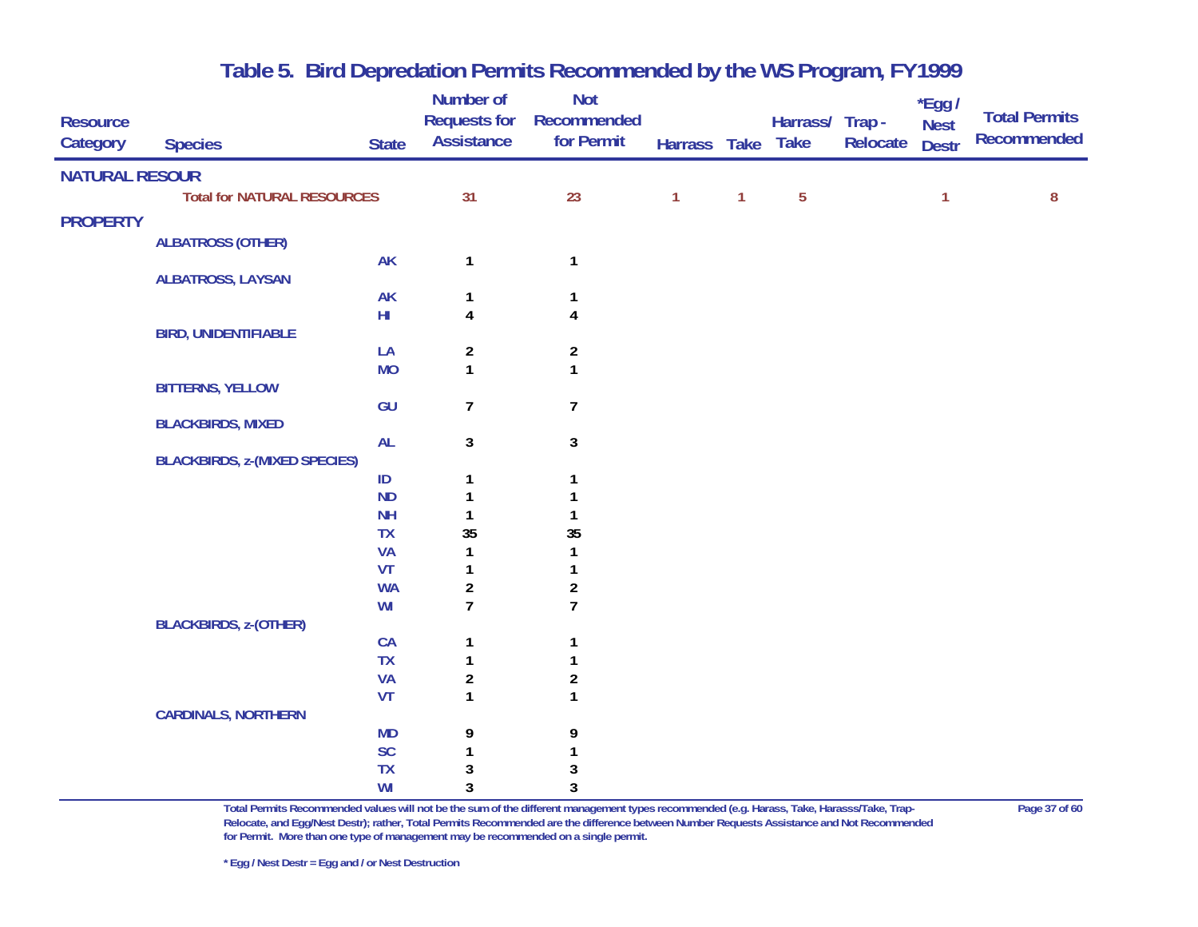| <b>Resource</b><br>Category | <b>Species</b>                       | <b>State</b> | <b>Number of</b><br><b>Requests for</b><br><b>Assistance</b> | <b>Not</b><br>Recommended<br>for Permit | Harrass Take Take |              | Harrass/ Trap- | Relocate | *Egg /<br><b>Nest</b><br><b>Destr</b> | <b>Total Permits</b><br>Recommended |
|-----------------------------|--------------------------------------|--------------|--------------------------------------------------------------|-----------------------------------------|-------------------|--------------|----------------|----------|---------------------------------------|-------------------------------------|
| <b>NATURAL RESOUR</b>       |                                      |              |                                                              |                                         |                   |              |                |          |                                       |                                     |
|                             | <b>Total for NATURAL RESOURCES</b>   |              | 31                                                           | 23                                      | $\mathbf{1}$      | $\mathbf{1}$ | $\overline{5}$ |          | 1                                     | 8                                   |
| <b>PROPERTY</b>             |                                      |              |                                                              |                                         |                   |              |                |          |                                       |                                     |
|                             | <b>ALBATROSS (OTHER)</b>             |              |                                                              |                                         |                   |              |                |          |                                       |                                     |
|                             |                                      | <b>AK</b>    | $\mathbf{1}$                                                 | $\mathbf{1}$                            |                   |              |                |          |                                       |                                     |
|                             | <b>ALBATROSS, LAYSAN</b>             |              |                                                              |                                         |                   |              |                |          |                                       |                                     |
|                             |                                      | <b>AK</b>    | 1                                                            | $\mathbf 1$                             |                   |              |                |          |                                       |                                     |
|                             |                                      | HI           | $\overline{\mathbf{4}}$                                      | $\overline{\mathbf{4}}$                 |                   |              |                |          |                                       |                                     |
|                             | <b>BIRD, UNIDENTIFIABLE</b>          |              |                                                              |                                         |                   |              |                |          |                                       |                                     |
|                             |                                      | LA           | $\overline{\mathbf{c}}$                                      | $\boldsymbol{2}$                        |                   |              |                |          |                                       |                                     |
|                             | <b>BITTERNS, YELLOW</b>              | <b>MO</b>    | $\mathbf{1}$                                                 | $\mathbf{1}$                            |                   |              |                |          |                                       |                                     |
|                             |                                      | GU           | $\overline{7}$                                               | $\boldsymbol{7}$                        |                   |              |                |          |                                       |                                     |
|                             | <b>BLACKBIRDS, MIXED</b>             |              |                                                              |                                         |                   |              |                |          |                                       |                                     |
|                             |                                      | AL           | 3                                                            | 3                                       |                   |              |                |          |                                       |                                     |
|                             | <b>BLACKBIRDS, z-(MIXED SPECIES)</b> |              |                                                              |                                         |                   |              |                |          |                                       |                                     |
|                             |                                      | ID           | 1                                                            | 1                                       |                   |              |                |          |                                       |                                     |
|                             |                                      | <b>ND</b>    | 1                                                            | 1                                       |                   |              |                |          |                                       |                                     |
|                             |                                      | <b>NH</b>    | $\mathbf{1}$                                                 | $\mathbf{1}$                            |                   |              |                |          |                                       |                                     |
|                             |                                      | <b>TX</b>    | 35                                                           | 35                                      |                   |              |                |          |                                       |                                     |
|                             |                                      | <b>VA</b>    | 1                                                            | 1                                       |                   |              |                |          |                                       |                                     |
|                             |                                      | VT           | 1                                                            | $\mathbf{1}$                            |                   |              |                |          |                                       |                                     |
|                             |                                      | <b>WA</b>    | $\overline{\mathbf{c}}$                                      | $\boldsymbol{2}$                        |                   |              |                |          |                                       |                                     |
|                             | <b>BLACKBIRDS, z-(OTHER)</b>         | WI           | $\overline{7}$                                               | $\overline{1}$                          |                   |              |                |          |                                       |                                     |
|                             |                                      | CA           | $\mathbf{1}$                                                 | $\mathbf{1}$                            |                   |              |                |          |                                       |                                     |
|                             |                                      | <b>TX</b>    | 1                                                            | 1                                       |                   |              |                |          |                                       |                                     |
|                             |                                      | <b>VA</b>    | $\overline{\mathbf{c}}$                                      | $\boldsymbol{2}$                        |                   |              |                |          |                                       |                                     |
|                             |                                      | VT           | $\mathbf{1}$                                                 | $\mathbf{1}$                            |                   |              |                |          |                                       |                                     |
|                             | <b>CARDINALS, NORTHERN</b>           |              |                                                              |                                         |                   |              |                |          |                                       |                                     |
|                             |                                      | <b>MD</b>    | 9                                                            | 9                                       |                   |              |                |          |                                       |                                     |
|                             |                                      | <b>SC</b>    | $\mathbf{1}$                                                 | 1                                       |                   |              |                |          |                                       |                                     |
|                             |                                      | <b>TX</b>    | 3                                                            | 3                                       |                   |              |                |          |                                       |                                     |
|                             |                                      | WI           | 3                                                            | 3                                       |                   |              |                |          |                                       |                                     |

**Total Permits Recommended values will not be the sum of the different management types recommended (e.g. Harass, Take, Harasss/Take, Trap- Page 37 of 60 Relocate, and Egg/Nest Destr); rather, Total Permits Recommended are the difference between Number Requests Assistance and Not Recommended for Permit. More than one type of management may be recommended on a single permit.**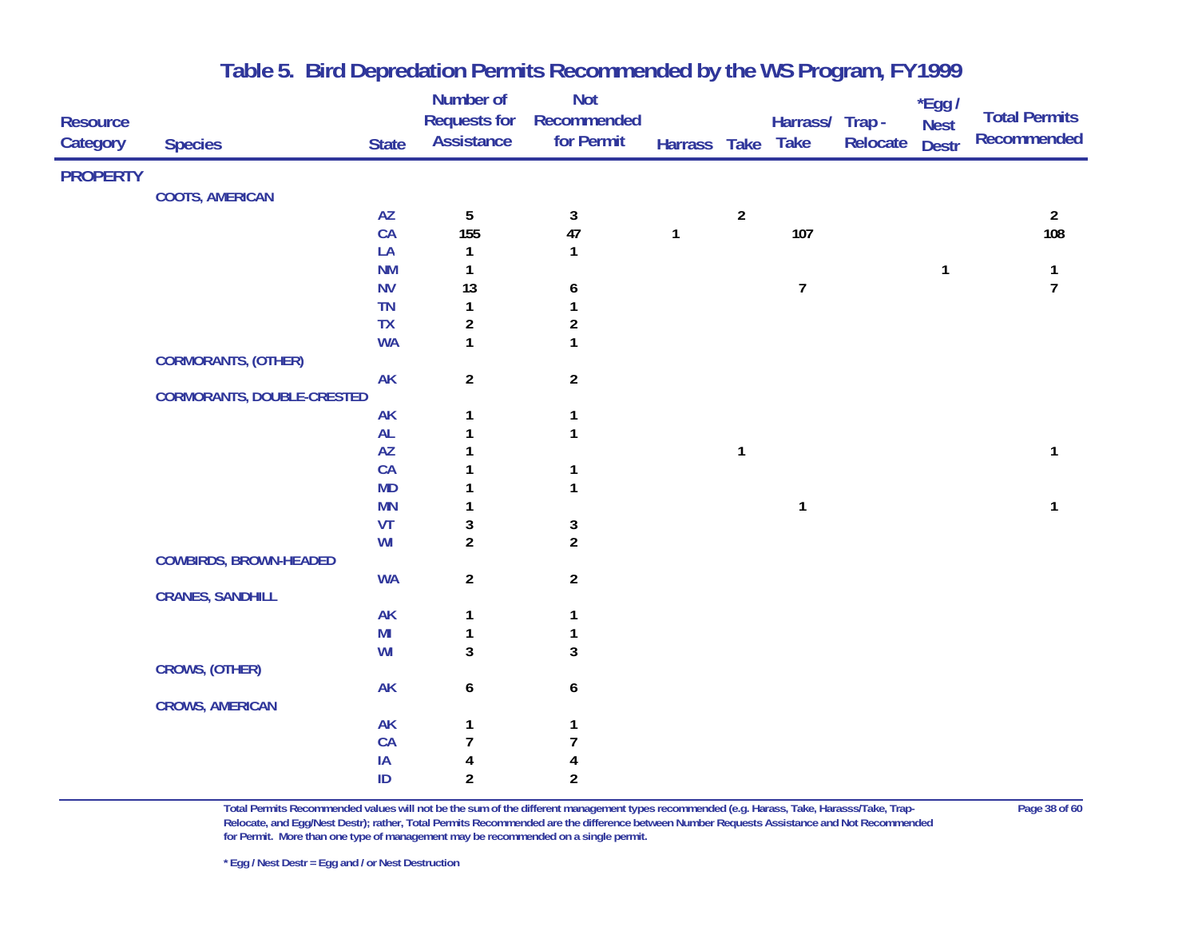| <b>Resource</b><br>Category | <b>Species</b>                    | <b>State</b>           | Number of<br><b>Requests for</b><br><b>Assistance</b> | <b>Not</b><br>Recommended<br>for Permit | Harrass Take |                | Harrass/ Trap -<br><b>Take</b> | Relocate | *Egg /<br><b>Nest</b><br><b>Destr</b> | <b>Total Permits</b><br>Recommended |
|-----------------------------|-----------------------------------|------------------------|-------------------------------------------------------|-----------------------------------------|--------------|----------------|--------------------------------|----------|---------------------------------------|-------------------------------------|
| <b>PROPERTY</b>             |                                   |                        |                                                       |                                         |              |                |                                |          |                                       |                                     |
|                             | <b>COOTS, AMERICAN</b>            |                        |                                                       |                                         |              |                |                                |          |                                       |                                     |
|                             |                                   | $\mathsf{A}\mathsf{Z}$ | $\sqrt{5}$                                            | $\sqrt{3}$                              |              | $\overline{2}$ |                                |          |                                       | $\overline{2}$                      |
|                             |                                   | CA                     | 155                                                   | 47                                      | $\mathbf{1}$ |                | 107                            |          |                                       | 108                                 |
|                             |                                   | LA                     | $\mathbf{1}$                                          | $\mathbf{1}$                            |              |                |                                |          |                                       |                                     |
|                             |                                   | <b>NM</b>              | 1                                                     |                                         |              |                |                                |          | 1                                     | 1                                   |
|                             |                                   | <b>NV</b>              | 13                                                    | 6                                       |              |                | $\overline{7}$                 |          |                                       | $\overline{7}$                      |
|                             |                                   | TN                     | 1                                                     | 1                                       |              |                |                                |          |                                       |                                     |
|                             |                                   | TX                     | $\boldsymbol{2}$                                      | $\boldsymbol{2}$                        |              |                |                                |          |                                       |                                     |
|                             |                                   | <b>WA</b>              | $\mathbf{1}$                                          | $\mathbf{1}$                            |              |                |                                |          |                                       |                                     |
|                             | <b>CORMORANTS, (OTHER)</b>        |                        |                                                       |                                         |              |                |                                |          |                                       |                                     |
|                             |                                   | <b>AK</b>              | $\overline{a}$                                        | $\overline{2}$                          |              |                |                                |          |                                       |                                     |
|                             | <b>CORMORANTS, DOUBLE-CRESTED</b> |                        |                                                       |                                         |              |                |                                |          |                                       |                                     |
|                             |                                   | <b>AK</b>              | 1                                                     | $\mathbf{1}$                            |              |                |                                |          |                                       |                                     |
|                             |                                   | AL                     | 1                                                     | $\mathbf{1}$                            |              |                |                                |          |                                       |                                     |
|                             |                                   | $\mathsf{A}\mathsf{Z}$ |                                                       |                                         |              | $\mathbf{1}$   |                                |          |                                       | 1                                   |
|                             |                                   | CA                     |                                                       | $\mathbf 1$                             |              |                |                                |          |                                       |                                     |
|                             |                                   | <b>MD</b>              |                                                       | $\mathbf{1}$                            |              |                |                                |          |                                       |                                     |
|                             |                                   | <b>MN</b>              | 1                                                     |                                         |              |                | $\mathbf{1}$                   |          |                                       | 1                                   |
|                             |                                   | VT                     | 3                                                     | $\mathbf{3}$                            |              |                |                                |          |                                       |                                     |
|                             |                                   | WI                     | $\overline{2}$                                        | $\boldsymbol{2}$                        |              |                |                                |          |                                       |                                     |
|                             | <b>COWBIRDS, BROWN-HEADED</b>     |                        |                                                       |                                         |              |                |                                |          |                                       |                                     |
|                             |                                   | <b>WA</b>              | $\overline{a}$                                        | $\overline{2}$                          |              |                |                                |          |                                       |                                     |
|                             | <b>CRANES, SANDHILL</b>           |                        |                                                       |                                         |              |                |                                |          |                                       |                                     |
|                             |                                   | <b>AK</b>              | $\mathbf{1}$                                          | $\mathbf{1}$                            |              |                |                                |          |                                       |                                     |
|                             |                                   | MI                     | $\mathbf{1}$                                          | $\mathbf 1$                             |              |                |                                |          |                                       |                                     |
|                             |                                   | WI                     | 3                                                     | 3                                       |              |                |                                |          |                                       |                                     |
|                             | <b>CROWS, (OTHER)</b>             |                        |                                                       |                                         |              |                |                                |          |                                       |                                     |
|                             |                                   | <b>AK</b>              | 6                                                     | 6                                       |              |                |                                |          |                                       |                                     |
|                             | <b>CROWS, AMERICAN</b>            |                        |                                                       |                                         |              |                |                                |          |                                       |                                     |
|                             |                                   | AK                     | 1                                                     | 1                                       |              |                |                                |          |                                       |                                     |
|                             |                                   | CA                     | $\overline{7}$                                        | 7                                       |              |                |                                |          |                                       |                                     |
|                             |                                   | IA                     | 4                                                     | 4                                       |              |                |                                |          |                                       |                                     |
|                             |                                   | ID                     | $\overline{2}$                                        | $\mathfrak z$                           |              |                |                                |          |                                       |                                     |

**Total Permits Recommended values will not be the sum of the different management types recommended (e.g. Harass, Take, Harasss/Take, Trap- Page 38 of 60 Relocate, and Egg/Nest Destr); rather, Total Permits Recommended are the difference between Number Requests Assistance and Not Recommended for Permit. More than one type of management may be recommended on a single permit.**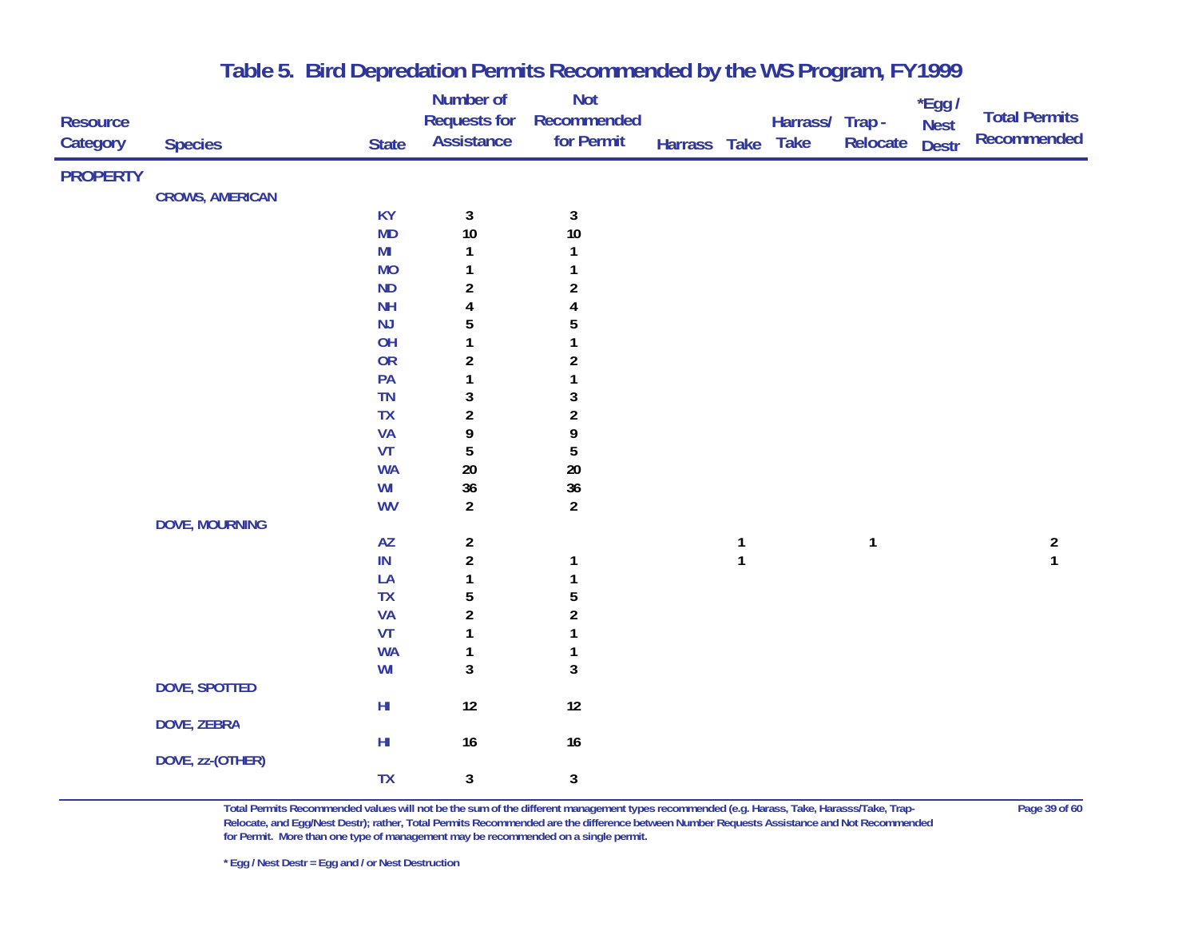|                 |                        |                        | Number of               | <b>Not</b>           |              |              |                |              | $*$ Egg /    |                      |
|-----------------|------------------------|------------------------|-------------------------|----------------------|--------------|--------------|----------------|--------------|--------------|----------------------|
| <b>Resource</b> |                        |                        | <b>Requests for</b>     | Recommended          |              |              | Harrass/ Trap- |              | <b>Nest</b>  | <b>Total Permits</b> |
| Category        | <b>Species</b>         | <b>State</b>           | <b>Assistance</b>       | for Permit           | Harrass Take |              | <b>Take</b>    | Relocate     | <b>Destr</b> | Recommended          |
| <b>PROPERTY</b> |                        |                        |                         |                      |              |              |                |              |              |                      |
|                 |                        |                        |                         |                      |              |              |                |              |              |                      |
|                 | <b>CROWS, AMERICAN</b> |                        |                         |                      |              |              |                |              |              |                      |
|                 |                        | <b>KY</b><br><b>MD</b> | $\mathbf{3}$<br>10      | $\mathbf{3}$<br>$10$ |              |              |                |              |              |                      |
|                 |                        | MI                     | 1                       | 1                    |              |              |                |              |              |                      |
|                 |                        | <b>MO</b>              | 1                       | 1                    |              |              |                |              |              |                      |
|                 |                        | <b>ND</b>              | $\boldsymbol{2}$        | $\boldsymbol{2}$     |              |              |                |              |              |                      |
|                 |                        | <b>NH</b>              | 4                       | 4                    |              |              |                |              |              |                      |
|                 |                        | NJ                     | 5                       | 5                    |              |              |                |              |              |                      |
|                 |                        | OH                     | $\mathbf{1}$            | 1                    |              |              |                |              |              |                      |
|                 |                        | <b>OR</b>              | $\boldsymbol{2}$        | $\boldsymbol{2}$     |              |              |                |              |              |                      |
|                 |                        | PA                     | 1                       | 1                    |              |              |                |              |              |                      |
|                 |                        | <b>TN</b>              | 3                       | $\mathbf 3$          |              |              |                |              |              |                      |
|                 |                        | TX                     | $\boldsymbol{2}$        | $\boldsymbol{2}$     |              |              |                |              |              |                      |
|                 |                        | <b>VA</b>              | 9                       | 9                    |              |              |                |              |              |                      |
|                 |                        | VT                     | 5                       | 5                    |              |              |                |              |              |                      |
|                 |                        | <b>WA</b>              | $20\,$                  | 20                   |              |              |                |              |              |                      |
|                 |                        | WI                     | 36                      | 36                   |              |              |                |              |              |                      |
|                 |                        | <b>WV</b>              | $\overline{a}$          | $\overline{2}$       |              |              |                |              |              |                      |
|                 | <b>DOVE, MOURNING</b>  |                        |                         |                      |              |              |                |              |              |                      |
|                 |                        | $\mathsf{A}\mathsf{Z}$ | $\overline{\mathbf{c}}$ |                      |              | $\mathbf{1}$ |                | $\mathbf{1}$ |              | $\overline{a}$       |
|                 |                        | $\sf IN$               | $\overline{\mathbf{c}}$ | $\mathbf{1}$         |              | $\mathbf{1}$ |                |              |              | $\mathbf{1}$         |
|                 |                        | LA                     | $\mathbf{1}$            | $\mathbf{1}$         |              |              |                |              |              |                      |
|                 |                        | <b>TX</b>              | 5                       | 5                    |              |              |                |              |              |                      |
|                 |                        | <b>VA</b>              | $\boldsymbol{2}$        | $\boldsymbol{2}$     |              |              |                |              |              |                      |
|                 |                        | VT                     | 1                       | $\mathbf{1}$         |              |              |                |              |              |                      |
|                 |                        | <b>WA</b>              | 1                       | $\mathbf 1$          |              |              |                |              |              |                      |
|                 |                        | WI                     | 3                       | $\mathbf 3$          |              |              |                |              |              |                      |
|                 | DOVE, SPOTTED          |                        |                         |                      |              |              |                |              |              |                      |
|                 |                        | $\mathsf{H}\mathsf{I}$ | 12                      | $12\,$               |              |              |                |              |              |                      |
|                 | <b>DOVE, ZEBRA</b>     |                        |                         |                      |              |              |                |              |              |                      |
|                 |                        | $H\!I$                 | 16                      | 16                   |              |              |                |              |              |                      |
|                 | DOVE, zz-(OTHER)       |                        |                         |                      |              |              |                |              |              |                      |
|                 |                        | <b>TX</b>              | 3                       | 3                    |              |              |                |              |              |                      |

**Total Permits Recommended values will not be the sum of the different management types recommended (e.g. Harass, Take, Harasss/Take, Trap- Page 39 of 60 Relocate, and Egg/Nest Destr); rather, Total Permits Recommended are the difference between Number Requests Assistance and Not Recommended for Permit. More than one type of management may be recommended on a single permit.**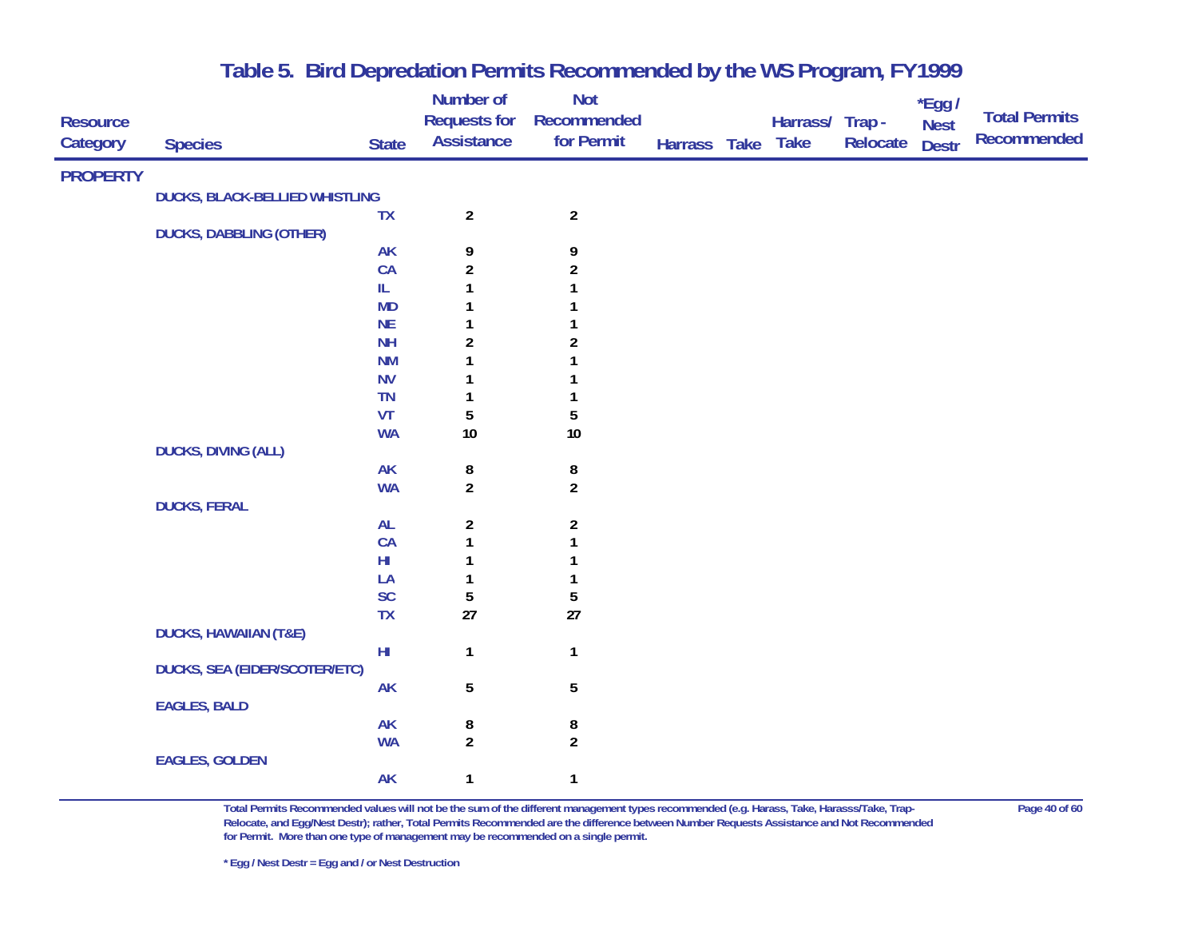|                 |                                       |               | Number of               | <b>Not</b>       |              |                 |          | *Egg /       |                      |
|-----------------|---------------------------------------|---------------|-------------------------|------------------|--------------|-----------------|----------|--------------|----------------------|
| <b>Resource</b> |                                       |               | <b>Requests for</b>     | Recommended      |              | Harrass/ Trap - |          | <b>Nest</b>  | <b>Total Permits</b> |
| Category        | <b>Species</b>                        | <b>State</b>  | <b>Assistance</b>       | for Permit       | Harrass Take | <b>Take</b>     | Relocate | <b>Destr</b> | <b>Recommended</b>   |
| <b>PROPERTY</b> |                                       |               |                         |                  |              |                 |          |              |                      |
|                 | <b>DUCKS, BLACK-BELLIED WHISTLING</b> |               |                         |                  |              |                 |          |              |                      |
|                 |                                       | <b>TX</b>     | $\overline{a}$          | $\overline{2}$   |              |                 |          |              |                      |
|                 | <b>DUCKS, DABBLING (OTHER)</b>        |               |                         |                  |              |                 |          |              |                      |
|                 |                                       | <b>AK</b>     | 9                       | 9                |              |                 |          |              |                      |
|                 |                                       | CA            | $\overline{\mathbf{c}}$ | $\boldsymbol{2}$ |              |                 |          |              |                      |
|                 |                                       | $\rm IL$      | 1                       |                  |              |                 |          |              |                      |
|                 |                                       | <b>MD</b>     |                         |                  |              |                 |          |              |                      |
|                 |                                       | NE            | 1                       |                  |              |                 |          |              |                      |
|                 |                                       | <b>NH</b>     | $\boldsymbol{2}$        | $\boldsymbol{2}$ |              |                 |          |              |                      |
|                 |                                       | <b>NM</b>     | 1                       |                  |              |                 |          |              |                      |
|                 |                                       | <b>NV</b>     | 1                       |                  |              |                 |          |              |                      |
|                 |                                       | <b>TN</b>     | 1                       | 1                |              |                 |          |              |                      |
|                 |                                       | VT            | 5                       | $\sqrt{5}$       |              |                 |          |              |                      |
|                 |                                       | <b>WA</b>     | $10$                    | $10\,$           |              |                 |          |              |                      |
|                 | <b>DUCKS, DIVING (ALL)</b>            |               |                         |                  |              |                 |          |              |                      |
|                 |                                       | <b>AK</b>     | 8                       | $\bf 8$          |              |                 |          |              |                      |
|                 |                                       | <b>WA</b>     | $\overline{2}$          | $\overline{2}$   |              |                 |          |              |                      |
|                 | <b>DUCKS, FERAL</b>                   |               |                         |                  |              |                 |          |              |                      |
|                 |                                       | <b>AL</b>     | $\boldsymbol{2}$        | $\boldsymbol{2}$ |              |                 |          |              |                      |
|                 |                                       | CA            | $\mathbf{1}$            | 1                |              |                 |          |              |                      |
|                 |                                       | $H\!I$        | 1                       | 1                |              |                 |          |              |                      |
|                 |                                       | LA            | 1                       | 1                |              |                 |          |              |                      |
|                 |                                       | SC            | 5                       | $\sqrt{5}$       |              |                 |          |              |                      |
|                 |                                       | TX            | $27\,$                  | 27               |              |                 |          |              |                      |
|                 | <b>DUCKS, HAWAIIAN (T&amp;E)</b>      |               |                         |                  |              |                 |          |              |                      |
|                 |                                       | $\mathsf{HI}$ | $\mathbf{1}$            | $\mathbf{1}$     |              |                 |          |              |                      |
|                 | <b>DUCKS, SEA (EIDER/SCOTER/ETC)</b>  |               |                         |                  |              |                 |          |              |                      |
|                 |                                       | <b>AK</b>     | 5                       | $\sqrt{5}$       |              |                 |          |              |                      |
|                 | <b>EAGLES, BALD</b>                   |               |                         |                  |              |                 |          |              |                      |
|                 |                                       | <b>AK</b>     | 8                       | 8                |              |                 |          |              |                      |
|                 |                                       | <b>WA</b>     | $\overline{a}$          | $\overline{a}$   |              |                 |          |              |                      |
|                 | <b>EAGLES, GOLDEN</b>                 |               |                         |                  |              |                 |          |              |                      |
|                 |                                       | <b>AK</b>     | 1                       | $\mathbf{1}$     |              |                 |          |              |                      |

**Total Permits Recommended values will not be the sum of the different management types recommended (e.g. Harass, Take, Harasss/Take, Trap- Page 40 of 60 Relocate, and Egg/Nest Destr); rather, Total Permits Recommended are the difference between Number Requests Assistance and Not Recommended for Permit. More than one type of management may be recommended on a single permit.**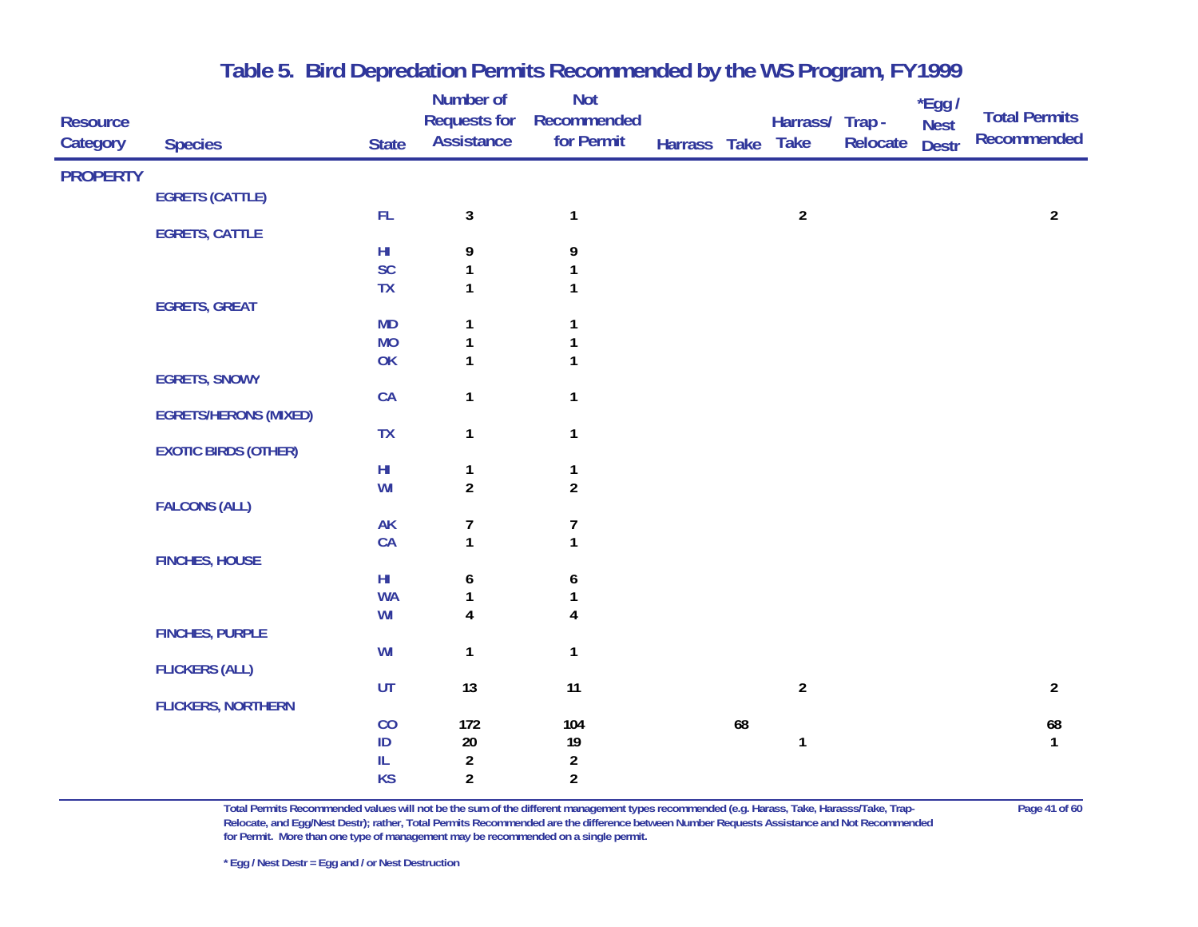|                 |                              |              | Number of           | <b>Not</b>              |              |    |                  |          | *Egg /       |                      |
|-----------------|------------------------------|--------------|---------------------|-------------------------|--------------|----|------------------|----------|--------------|----------------------|
| <b>Resource</b> |                              |              | <b>Requests for</b> | Recommended             |              |    | Harrass/ Trap -  |          | <b>Nest</b>  | <b>Total Permits</b> |
| Category        | <b>Species</b>               | <b>State</b> | <b>Assistance</b>   | for Permit              | Harrass Take |    | <b>Take</b>      | Relocate | <b>Destr</b> | <b>Recommended</b>   |
| <b>PROPERTY</b> |                              |              |                     |                         |              |    |                  |          |              |                      |
|                 | <b>EGRETS (CATTLE)</b>       |              |                     |                         |              |    |                  |          |              |                      |
|                 |                              | ${\sf FL}$   | $\mathbf{3}$        | $\mathbf{1}$            |              |    | $\overline{2}$   |          |              | $\overline{2}$       |
|                 | <b>EGRETS, CATTLE</b>        |              |                     |                         |              |    |                  |          |              |                      |
|                 |                              | $H\!I$       | 9                   | 9                       |              |    |                  |          |              |                      |
|                 |                              | SC           | 1                   | $\mathbf{1}$            |              |    |                  |          |              |                      |
|                 |                              | <b>TX</b>    | $\mathbf{1}$        | $\mathbf{1}$            |              |    |                  |          |              |                      |
|                 | <b>EGRETS, GREAT</b>         |              |                     |                         |              |    |                  |          |              |                      |
|                 |                              | MD           | $\mathbf{1}$        | 1                       |              |    |                  |          |              |                      |
|                 |                              | <b>MO</b>    | 1                   | $\mathbf 1$             |              |    |                  |          |              |                      |
|                 | <b>EGRETS, SNOWY</b>         | OK           | $\mathbf{1}$        | $\mathbf{1}$            |              |    |                  |          |              |                      |
|                 |                              | CA           | $\mathbf{1}$        | $\mathbf{1}$            |              |    |                  |          |              |                      |
|                 | <b>EGRETS/HERONS (MIXED)</b> |              |                     |                         |              |    |                  |          |              |                      |
|                 |                              | <b>TX</b>    | $\mathbf{1}$        | $\mathbf{1}$            |              |    |                  |          |              |                      |
|                 | <b>EXOTIC BIRDS (OTHER)</b>  |              |                     |                         |              |    |                  |          |              |                      |
|                 |                              | $H\!I$       | $\mathbf{1}$        | $\mathbf{1}$            |              |    |                  |          |              |                      |
|                 |                              | WI           | $\overline{a}$      | $\overline{2}$          |              |    |                  |          |              |                      |
|                 | <b>FALCONS (ALL)</b>         |              |                     |                         |              |    |                  |          |              |                      |
|                 |                              | <b>AK</b>    | 7                   | $\boldsymbol{7}$        |              |    |                  |          |              |                      |
|                 |                              | CA           | $\mathbf{1}$        | $\mathbf{1}$            |              |    |                  |          |              |                      |
|                 | <b>FINCHES, HOUSE</b>        |              |                     |                         |              |    |                  |          |              |                      |
|                 |                              | $H\!I$       | 6                   | 6                       |              |    |                  |          |              |                      |
|                 |                              | <b>WA</b>    | $\mathbf{1}$        | $\mathbf 1$             |              |    |                  |          |              |                      |
|                 | <b>FINCHES, PURPLE</b>       | WI           | 4                   | 4                       |              |    |                  |          |              |                      |
|                 |                              | WI           | $\mathbf{1}$        | $\mathbf{1}$            |              |    |                  |          |              |                      |
|                 | <b>FLICKERS (ALL)</b>        |              |                     |                         |              |    |                  |          |              |                      |
|                 |                              | UT           | 13                  | 11                      |              |    | $\boldsymbol{2}$ |          |              | $\overline{2}$       |
|                 | <b>FLICKERS, NORTHERN</b>    |              |                     |                         |              |    |                  |          |              |                      |
|                 |                              | CO           | 172                 | 104                     |              | 68 |                  |          |              | 68                   |
|                 |                              | $\sf ID$     | $20\,$              | $19$                    |              |    | $\mathbf{1}$     |          |              | $\mathbf{1}$         |
|                 |                              | IL           | $\overline{c}$      | $\overline{\mathbf{c}}$ |              |    |                  |          |              |                      |
|                 |                              | <b>KS</b>    | $\overline{a}$      | $\overline{2}$          |              |    |                  |          |              |                      |

**Total Permits Recommended values will not be the sum of the different management types recommended (e.g. Harass, Take, Harasss/Take, Trap- Page 41 of 60 Relocate, and Egg/Nest Destr); rather, Total Permits Recommended are the difference between Number Requests Assistance and Not Recommended for Permit. More than one type of management may be recommended on a single permit.**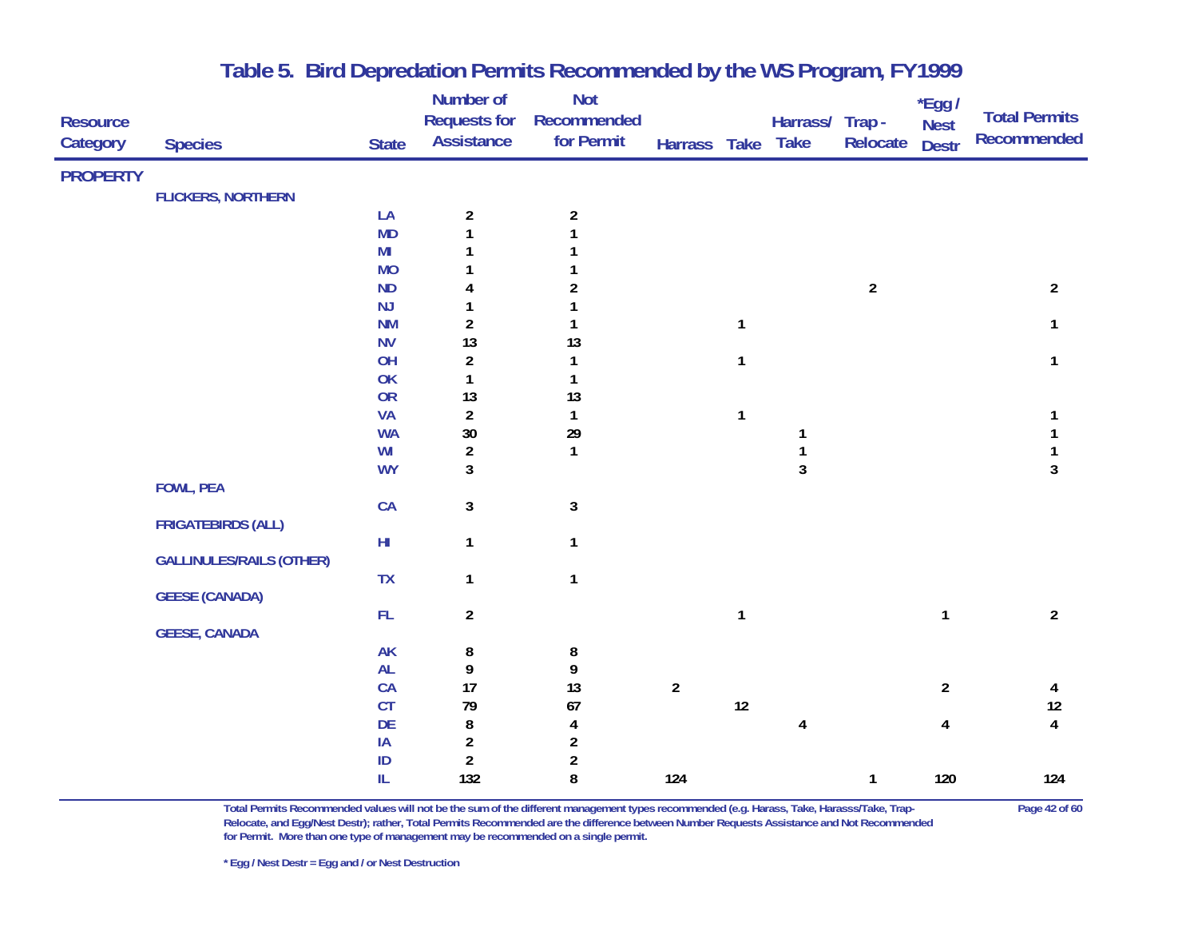|                 |                                 |                | Number of           | <b>Not</b>              |                |              |                 |                | *Egg /         |                         |
|-----------------|---------------------------------|----------------|---------------------|-------------------------|----------------|--------------|-----------------|----------------|----------------|-------------------------|
| <b>Resource</b> |                                 |                | <b>Requests for</b> | Recommended             |                |              | Harrass/ Trap - |                | <b>Nest</b>    | <b>Total Permits</b>    |
| Category        | <b>Species</b>                  | <b>State</b>   | <b>Assistance</b>   | for Permit              | Harrass Take   |              | <b>Take</b>     | Relocate       | <b>Destr</b>   | <b>Recommended</b>      |
| <b>PROPERTY</b> |                                 |                |                     |                         |                |              |                 |                |                |                         |
|                 | <b>FLICKERS, NORTHERN</b>       |                |                     |                         |                |              |                 |                |                |                         |
|                 |                                 | LA             | $\overline{2}$      | $\overline{2}$          |                |              |                 |                |                |                         |
|                 |                                 | <b>MD</b>      | $\mathbf{1}$        | 1                       |                |              |                 |                |                |                         |
|                 |                                 | M <sub>l</sub> | $\mathbf{1}$        |                         |                |              |                 |                |                |                         |
|                 |                                 | <b>MO</b>      |                     |                         |                |              |                 |                |                |                         |
|                 |                                 | <b>ND</b>      | 4                   | $\boldsymbol{2}$        |                |              |                 | $\overline{a}$ |                | $\overline{2}$          |
|                 |                                 | NJ             | $\mathbf{1}$        | 1                       |                |              |                 |                |                |                         |
|                 |                                 | <b>NM</b>      | $\overline{a}$      | 1                       |                | $\mathbf{1}$ |                 |                |                | 1                       |
|                 |                                 | <b>NV</b>      | 13                  | 13                      |                |              |                 |                |                |                         |
|                 |                                 | OH             | $\overline{a}$      | $\mathbf{1}$            |                | 1            |                 |                |                | 1                       |
|                 |                                 | OK             | $\mathbf{1}$        | $\mathbf{1}$            |                |              |                 |                |                |                         |
|                 |                                 | OR             | 13                  | 13                      |                |              |                 |                |                |                         |
|                 |                                 | <b>VA</b>      | $\overline{a}$      | $\mathbf{1}$            |                | $\mathbf{1}$ |                 |                |                | 1                       |
|                 |                                 | <b>WA</b>      | $30\,$              | $29\,$                  |                |              | 1               |                |                |                         |
|                 |                                 | WI             | $\overline{a}$      | $\mathbf{1}$            |                |              | $\mathbf{1}$    |                |                |                         |
|                 |                                 | <b>WY</b>      | $\mathbf{3}$        |                         |                |              | $\mathbf{3}$    |                |                | 3                       |
|                 | <b>FOWL, PEA</b>                |                |                     |                         |                |              |                 |                |                |                         |
|                 |                                 | CA             | $\mathbf{3}$        | $\mathbf{3}$            |                |              |                 |                |                |                         |
|                 | <b>FRIGATEBIRDS (ALL)</b>       |                |                     |                         |                |              |                 |                |                |                         |
|                 | <b>GALLINULES/RAILS (OTHER)</b> | $\mathsf{HI}$  | $\mathbf{1}$        | $\mathbf{1}$            |                |              |                 |                |                |                         |
|                 |                                 | TX             | $\mathbf{1}$        | $\mathbf{1}$            |                |              |                 |                |                |                         |
|                 | <b>GEESE (CANADA)</b>           |                |                     |                         |                |              |                 |                |                |                         |
|                 |                                 | FL             | $\overline{2}$      |                         |                | $\mathbf{1}$ |                 |                | $\mathbf{1}$   | $\overline{2}$          |
|                 | <b>GEESE, CANADA</b>            |                |                     |                         |                |              |                 |                |                |                         |
|                 |                                 | <b>AK</b>      | 8                   | 8                       |                |              |                 |                |                |                         |
|                 |                                 | <b>AL</b>      | 9                   | 9                       |                |              |                 |                |                |                         |
|                 |                                 | CA             | 17                  | 13                      | $\overline{2}$ |              |                 |                | $\overline{2}$ | 4                       |
|                 |                                 | CT             | 79                  | 67                      |                | $12\,$       |                 |                |                | 12                      |
|                 |                                 | DE             | 8                   | $\overline{\mathbf{4}}$ |                |              | 4               |                | 4              | $\overline{\mathbf{4}}$ |
|                 |                                 | IA             | $\overline{2}$      | $\overline{2}$          |                |              |                 |                |                |                         |
|                 |                                 | $\sf ID$       | $\overline{a}$      | $\boldsymbol{2}$        |                |              |                 |                |                |                         |
|                 |                                 | ${\rm IL}$     | 132                 | 8                       | 124            |              |                 | $\mathbf{1}$   | 120            | 124                     |
|                 |                                 |                |                     |                         |                |              |                 |                |                |                         |

**Total Permits Recommended values will not be the sum of the different management types recommended (e.g. Harass, Take, Harasss/Take, Trap- Page 42 of 60 Relocate, and Egg/Nest Destr); rather, Total Permits Recommended are the difference between Number Requests Assistance and Not Recommended for Permit. More than one type of management may be recommended on a single permit.**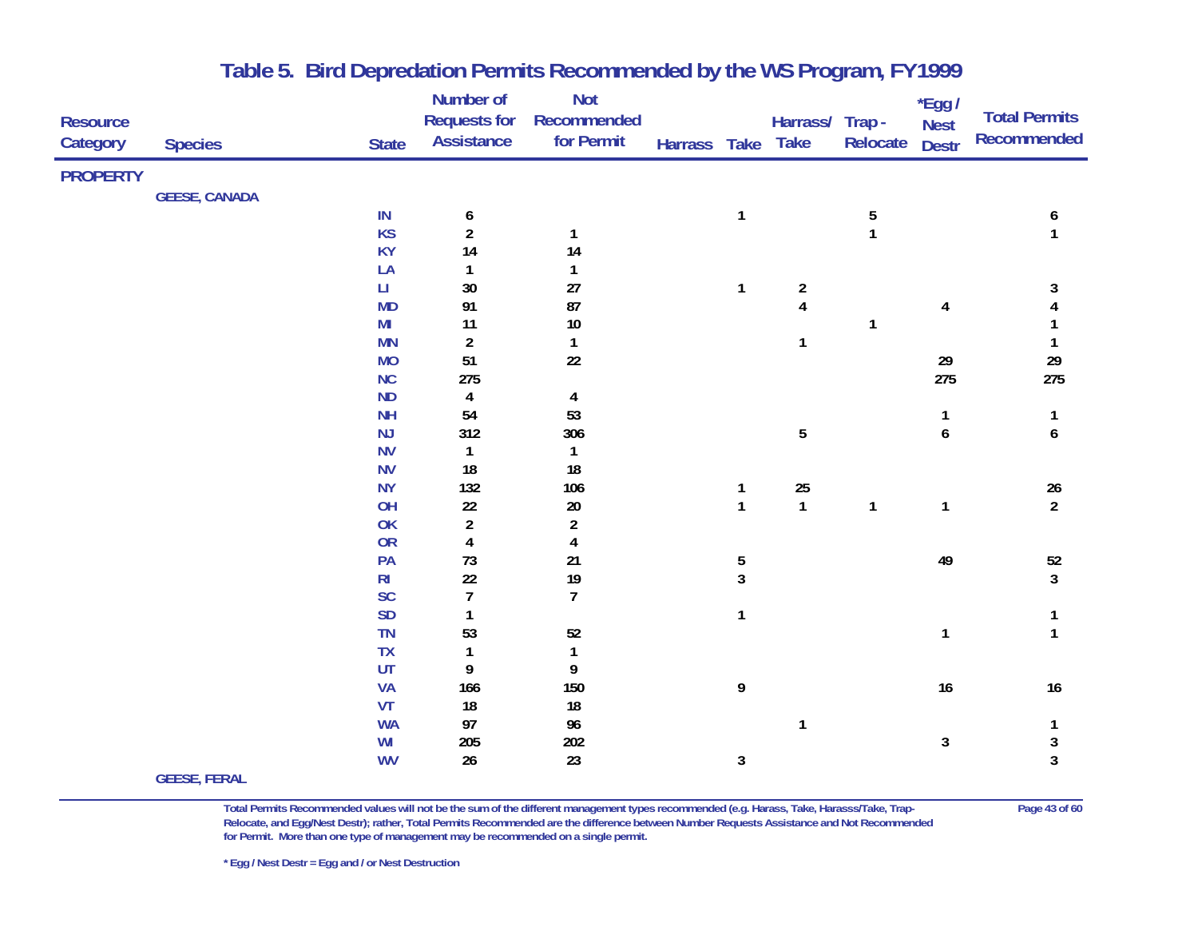|                 |                      |                        | Number of               | <b>Not</b>              |              |              |                         |              | $*$ Egg /    |                      |
|-----------------|----------------------|------------------------|-------------------------|-------------------------|--------------|--------------|-------------------------|--------------|--------------|----------------------|
| <b>Resource</b> |                      |                        | <b>Requests for</b>     | Recommended             |              |              | Harrass/ Trap -         |              | <b>Nest</b>  | <b>Total Permits</b> |
| Category        | <b>Species</b>       | <b>State</b>           | <b>Assistance</b>       | for Permit              | Harrass Take |              | <b>Take</b>             | Relocate     | <b>Destr</b> | Recommended          |
| <b>PROPERTY</b> |                      |                        |                         |                         |              |              |                         |              |              |                      |
|                 | <b>GEESE, CANADA</b> |                        |                         |                         |              |              |                         |              |              |                      |
|                 |                      | IN                     | 6                       |                         |              | $\mathbf{1}$ |                         | 5            |              | 6                    |
|                 |                      | <b>KS</b>              | $\overline{\mathbf{c}}$ | 1                       |              |              |                         | $\mathbf{1}$ |              | 1                    |
|                 |                      | <b>KY</b>              | 14                      | 14                      |              |              |                         |              |              |                      |
|                 |                      | LA                     | 1                       | 1                       |              |              |                         |              |              |                      |
|                 |                      | $\mathsf{L}\mathsf{L}$ | $30\,$                  | 27                      |              | 1            | $\overline{\mathbf{c}}$ |              |              | 3                    |
|                 |                      | <b>MD</b>              | 91                      | 87                      |              |              | $\overline{\mathbf{4}}$ |              | 4            |                      |
|                 |                      | MI                     | 11                      | $10\,$                  |              |              |                         | $\mathbf{1}$ |              |                      |
|                 |                      | <b>MN</b>              | $\overline{2}$          | $\mathbf{1}$            |              |              | 1                       |              |              | 1                    |
|                 |                      | <b>MO</b>              | 51                      | 22                      |              |              |                         |              | 29           | $29\,$               |
|                 |                      | NC                     | 275                     |                         |              |              |                         |              | 275          | 275                  |
|                 |                      | <b>ND</b>              | 4                       | $\overline{\mathbf{4}}$ |              |              |                         |              |              |                      |
|                 |                      | <b>NH</b>              | 54                      | 53                      |              |              |                         |              | 1            | 1                    |
|                 |                      | NJ                     | 312                     | 306                     |              |              | 5                       |              | 6            | 6                    |
|                 |                      | <b>NV</b>              | $\mathbf{1}$            | $\mathbf{1}$            |              |              |                         |              |              |                      |
|                 |                      | <b>NV</b>              | 18                      | 18                      |              |              |                         |              |              |                      |
|                 |                      | <b>NY</b>              | 132                     | 106                     |              | $\mathbf{1}$ | <b>25</b>               |              |              | $\frac{26}{2}$       |
|                 |                      | OH                     | $22\,$                  | $20\,$                  |              | $\mathbf{1}$ | $\mathbf{1}$            | $\mathbf{1}$ | 1            |                      |
|                 |                      | OK                     | $\boldsymbol{2}$        | $\overline{\mathbf{c}}$ |              |              |                         |              |              |                      |
|                 |                      | OR                     | $\overline{\mathbf{4}}$ | 4                       |              |              |                         |              |              |                      |
|                 |                      | PA                     | $73\,$                  | 21                      |              | 5            |                         |              | 49           | $52\,$               |
|                 |                      | R <sub>l</sub>         | 22                      | 19                      |              | $\mathbf{3}$ |                         |              |              | $\overline{3}$       |
|                 |                      | <b>SC</b>              | $\overline{7}$          | $\overline{7}$          |              |              |                         |              |              |                      |
|                 |                      | <b>SD</b>              | $\mathbf{1}$            |                         |              | $\mathbf{1}$ |                         |              |              |                      |
|                 |                      | TN                     | 53                      | 52                      |              |              |                         |              | 1            | 1                    |
|                 |                      | <b>TX</b>              | $\mathbf{1}$            | $\mathbf{1}$            |              |              |                         |              |              |                      |
|                 |                      | UT                     | 9                       | 9                       |              |              |                         |              |              |                      |
|                 |                      | <b>VA</b>              | 166                     | 150                     |              | 9            |                         |              | 16           | $16$                 |
|                 |                      | VT                     | 18                      | 18                      |              |              |                         |              |              |                      |
|                 |                      | <b>WA</b>              | 97                      | 96                      |              |              | 1                       |              |              | 1                    |
|                 |                      | WI                     | 205                     | 202                     |              |              |                         |              | $\mathbf{3}$ | 3                    |
|                 | CEECE EEDAL          | <b>WV</b>              | 26                      | 23                      |              | 3            |                         |              |              | 3                    |
|                 |                      |                        |                         |                         |              |              |                         |              |              |                      |

#### **GEESE, FERAL**

**Total Permits Recommended values will not be the sum of the different management types recommended (e.g. Harass, Take, Harasss/Take, Trap- Page 43 of 60 Relocate, and Egg/Nest Destr); rather, Total Permits Recommended are the difference between Number Requests Assistance and Not Recommended for Permit. More than one type of management may be recommended on a single permit.**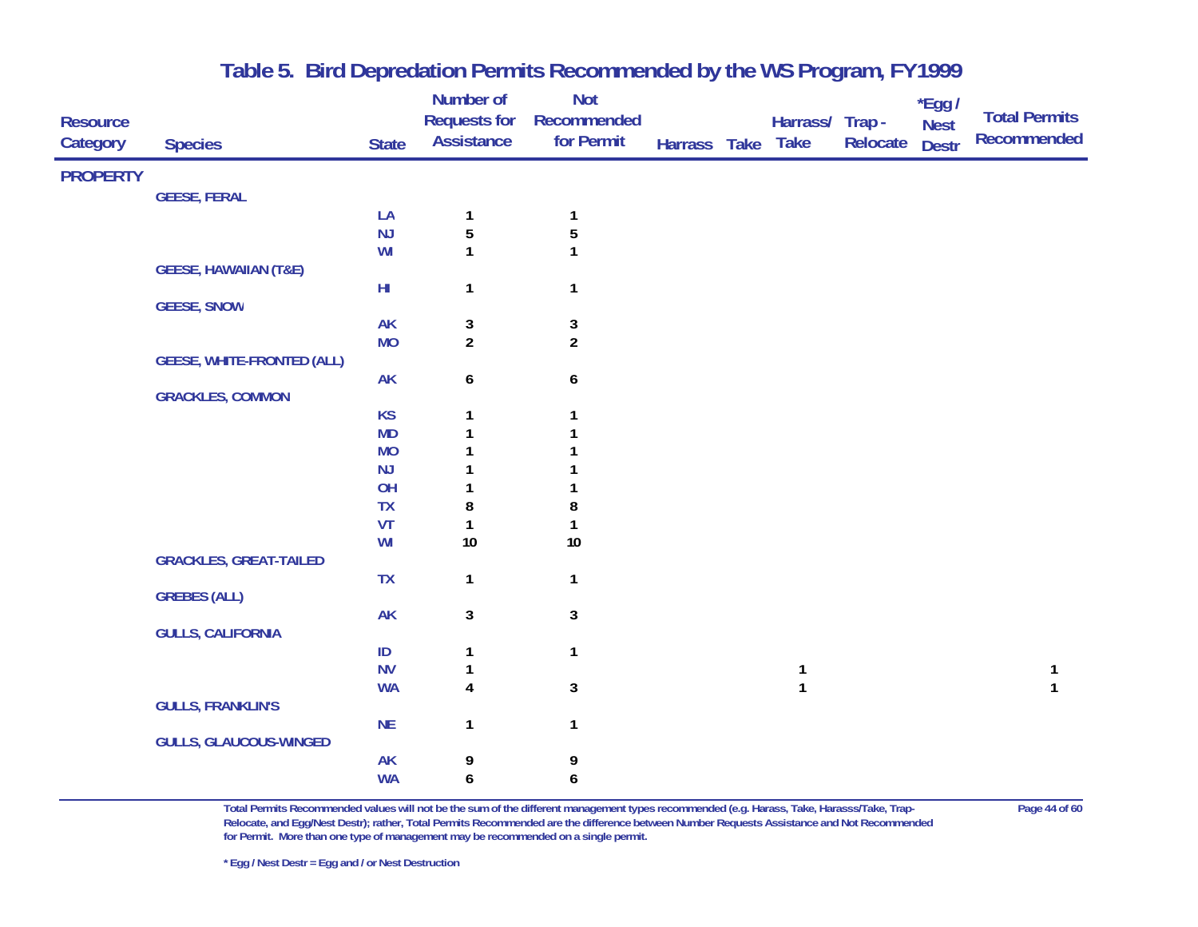| <b>Resource</b><br>Category | <b>Species</b>                    | <b>State</b>           | Number of<br><b>Requests for</b><br><b>Assistance</b> | <b>Not</b><br>Recommended<br>for Permit | Harrass Take | Harrass/ Trap -<br><b>Take</b> | Relocate | *Egg /<br><b>Nest</b><br><b>Destr</b> | <b>Total Permits</b><br>Recommended |
|-----------------------------|-----------------------------------|------------------------|-------------------------------------------------------|-----------------------------------------|--------------|--------------------------------|----------|---------------------------------------|-------------------------------------|
| <b>PROPERTY</b>             |                                   |                        |                                                       |                                         |              |                                |          |                                       |                                     |
|                             | <b>GEESE, FERAL</b>               |                        |                                                       |                                         |              |                                |          |                                       |                                     |
|                             |                                   | LA                     | 1                                                     | $\mathbf{1}$                            |              |                                |          |                                       |                                     |
|                             |                                   | NJ                     | 5                                                     | $\overline{5}$                          |              |                                |          |                                       |                                     |
|                             |                                   | WI                     | $\mathbf{1}$                                          | 1                                       |              |                                |          |                                       |                                     |
|                             | <b>GEESE, HAWAIIAN (T&amp;E)</b>  |                        |                                                       |                                         |              |                                |          |                                       |                                     |
|                             |                                   | $\mathsf{H}\mathsf{I}$ | 1                                                     | $\mathbf{1}$                            |              |                                |          |                                       |                                     |
|                             | <b>GEESE, SNOW</b>                |                        |                                                       |                                         |              |                                |          |                                       |                                     |
|                             |                                   | <b>AK</b>              | 3                                                     | $\mathbf{3}$                            |              |                                |          |                                       |                                     |
|                             |                                   | <b>MO</b>              | $\overline{2}$                                        | $\overline{2}$                          |              |                                |          |                                       |                                     |
|                             | <b>GEESE, WHITE-FRONTED (ALL)</b> | <b>AK</b>              | $\boldsymbol{6}$                                      | 6                                       |              |                                |          |                                       |                                     |
|                             | <b>GRACKLES, COMMON</b>           |                        |                                                       |                                         |              |                                |          |                                       |                                     |
|                             |                                   | <b>KS</b>              | $\mathbf{1}$                                          | $\mathbf{1}$                            |              |                                |          |                                       |                                     |
|                             |                                   | <b>MD</b>              | 1                                                     |                                         |              |                                |          |                                       |                                     |
|                             |                                   | <b>MO</b>              |                                                       |                                         |              |                                |          |                                       |                                     |
|                             |                                   | NJ                     |                                                       |                                         |              |                                |          |                                       |                                     |
|                             |                                   | OH                     |                                                       |                                         |              |                                |          |                                       |                                     |
|                             |                                   | <b>TX</b>              | 8                                                     | 8                                       |              |                                |          |                                       |                                     |
|                             |                                   | VT                     | 1                                                     |                                         |              |                                |          |                                       |                                     |
|                             |                                   | WI                     | $10\,$                                                | $10$                                    |              |                                |          |                                       |                                     |
|                             | <b>GRACKLES, GREAT-TAILED</b>     |                        |                                                       |                                         |              |                                |          |                                       |                                     |
|                             |                                   | TX                     | $\mathbf{1}$                                          | $\mathbf{1}$                            |              |                                |          |                                       |                                     |
|                             | <b>GREBES (ALL)</b>               |                        |                                                       |                                         |              |                                |          |                                       |                                     |
|                             |                                   | <b>AK</b>              | 3                                                     | $\mathbf{3}$                            |              |                                |          |                                       |                                     |
|                             | <b>GULLS, CALIFORNIA</b>          | $\sf ID$               |                                                       | $\mathbf{1}$                            |              |                                |          |                                       |                                     |
|                             |                                   | <b>NV</b>              | 1<br>1                                                |                                         |              | $\mathbf{1}$                   |          |                                       | 1                                   |
|                             |                                   | <b>WA</b>              | $\overline{\mathbf{4}}$                               | $\mathbf{3}$                            |              | $\mathbf{1}$                   |          |                                       |                                     |
|                             | <b>GULLS, FRANKLIN'S</b>          |                        |                                                       |                                         |              |                                |          |                                       |                                     |
|                             |                                   | <b>NE</b>              | 1                                                     | $\mathbf{1}$                            |              |                                |          |                                       |                                     |
|                             | <b>GULLS, GLAUCOUS-WINGED</b>     |                        |                                                       |                                         |              |                                |          |                                       |                                     |
|                             |                                   | AK                     | 9                                                     | 9                                       |              |                                |          |                                       |                                     |
|                             |                                   | <b>WA</b>              | 6                                                     | 6                                       |              |                                |          |                                       |                                     |

**Total Permits Recommended values will not be the sum of the different management types recommended (e.g. Harass, Take, Harasss/Take, Trap- Page 44 of 60 Relocate, and Egg/Nest Destr); rather, Total Permits Recommended are the difference between Number Requests Assistance and Not Recommended for Permit. More than one type of management may be recommended on a single permit.**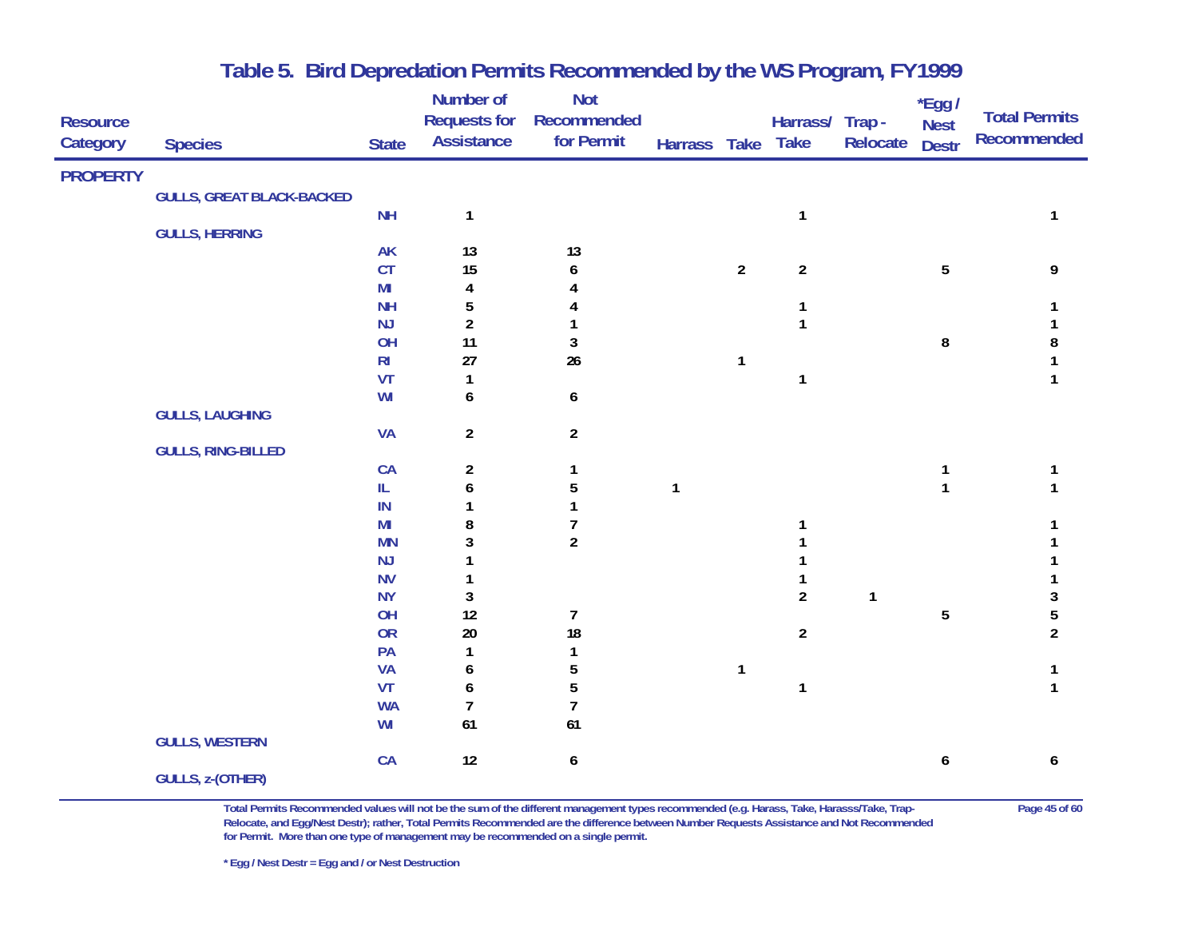|                 |                                  |                        | Number of                                | <b>Not</b>                |              |                |                 |              | $*$ Egg /      | <b>Total Permits</b> |
|-----------------|----------------------------------|------------------------|------------------------------------------|---------------------------|--------------|----------------|-----------------|--------------|----------------|----------------------|
| <b>Resource</b> |                                  |                        | <b>Requests for</b><br><b>Assistance</b> | Recommended<br>for Permit |              |                | Harrass/ Trap - |              | <b>Nest</b>    | <b>Recommended</b>   |
| Category        | <b>Species</b>                   | <b>State</b>           |                                          |                           | Harrass Take |                | <b>Take</b>     | Relocate     | <b>Destr</b>   |                      |
| <b>PROPERTY</b> |                                  |                        |                                          |                           |              |                |                 |              |                |                      |
|                 | <b>GULLS, GREAT BLACK-BACKED</b> |                        |                                          |                           |              |                |                 |              |                |                      |
|                 |                                  | <b>NH</b>              | 1                                        |                           |              |                | $\mathbf{1}$    |              |                | 1                    |
|                 | <b>GULLS, HERRING</b>            |                        |                                          |                           |              |                |                 |              |                |                      |
|                 |                                  | <b>AK</b>              | 13                                       | 13                        |              |                |                 |              |                |                      |
|                 |                                  | CT                     | 15                                       | 6                         |              | $\overline{2}$ | $\overline{2}$  |              | $\overline{5}$ | 9                    |
|                 |                                  | M <sub>l</sub>         | 4                                        |                           |              |                |                 |              |                |                      |
|                 |                                  | <b>NH</b><br>NJ        | 5<br>$\boldsymbol{2}$                    |                           |              |                | 1<br>1          |              |                |                      |
|                 |                                  | OH                     | 11                                       | $\mathbf 3$               |              |                |                 |              | $\bf 8$        | 8                    |
|                 |                                  | R <sub>l</sub>         | 27                                       | 26                        |              | $\mathbf{1}$   |                 |              |                | 1                    |
|                 |                                  | VT                     | 1                                        |                           |              |                | 1               |              |                | 1                    |
|                 |                                  | WI                     | 6                                        | 6                         |              |                |                 |              |                |                      |
|                 | <b>GULLS, LAUGHING</b>           |                        |                                          |                           |              |                |                 |              |                |                      |
|                 |                                  | <b>VA</b>              | $\overline{a}$                           | $\overline{2}$            |              |                |                 |              |                |                      |
|                 | <b>GULLS, RING-BILLED</b>        |                        |                                          |                           |              |                |                 |              |                |                      |
|                 |                                  | CA                     | $\overline{\mathbf{c}}$                  | 1                         |              |                |                 |              | 1              | 1                    |
|                 |                                  | $\mathsf{IL}$          | 6                                        | 5                         | $\mathbf{1}$ |                |                 |              | 1              |                      |
|                 |                                  | IN                     | 1                                        | 1                         |              |                |                 |              |                |                      |
|                 |                                  | M <sub>l</sub>         | 8                                        | $\overline{7}$            |              |                |                 |              |                |                      |
|                 |                                  | <b>MN</b>              | 3                                        | $\overline{2}$            |              |                |                 |              |                |                      |
|                 |                                  | NJ                     | 1                                        |                           |              |                |                 |              |                |                      |
|                 |                                  | <b>NV</b><br><b>NY</b> | 1<br>3                                   |                           |              |                | $\overline{2}$  | $\mathbf{1}$ |                | 3                    |
|                 |                                  | OH                     | 12                                       | $\overline{7}$            |              |                |                 |              | 5              | 5                    |
|                 |                                  | <b>OR</b>              | $20\,$                                   | 18                        |              |                | $\overline{a}$  |              |                | $\overline{a}$       |
|                 |                                  | PA                     | 1                                        | 1                         |              |                |                 |              |                |                      |
|                 |                                  | <b>VA</b>              | 6                                        | 5                         |              | $\mathbf{1}$   |                 |              |                | 1                    |
|                 |                                  | VT                     | 6                                        | 5                         |              |                | $\mathbf{1}$    |              |                | $\mathbf{1}$         |
|                 |                                  | <b>WA</b>              | $\overline{\mathcal{I}}$                 | $\overline{1}$            |              |                |                 |              |                |                      |
|                 |                                  | WI                     | 61                                       | 61                        |              |                |                 |              |                |                      |
|                 | <b>GULLS, WESTERN</b>            |                        |                                          |                           |              |                |                 |              |                |                      |
|                 |                                  | CA                     | 12                                       | 6                         |              |                |                 |              | 6              | 6                    |
|                 | <b>GULLS, z-(OTHER)</b>          |                        |                                          |                           |              |                |                 |              |                |                      |

**Total Permits Recommended values will not be the sum of the different management types recommended (e.g. Harass, Take, Harasss/Take, Trap- Page 45 of 60 Relocate, and Egg/Nest Destr); rather, Total Permits Recommended are the difference between Number Requests Assistance and Not Recommended for Permit. More than one type of management may be recommended on a single permit.**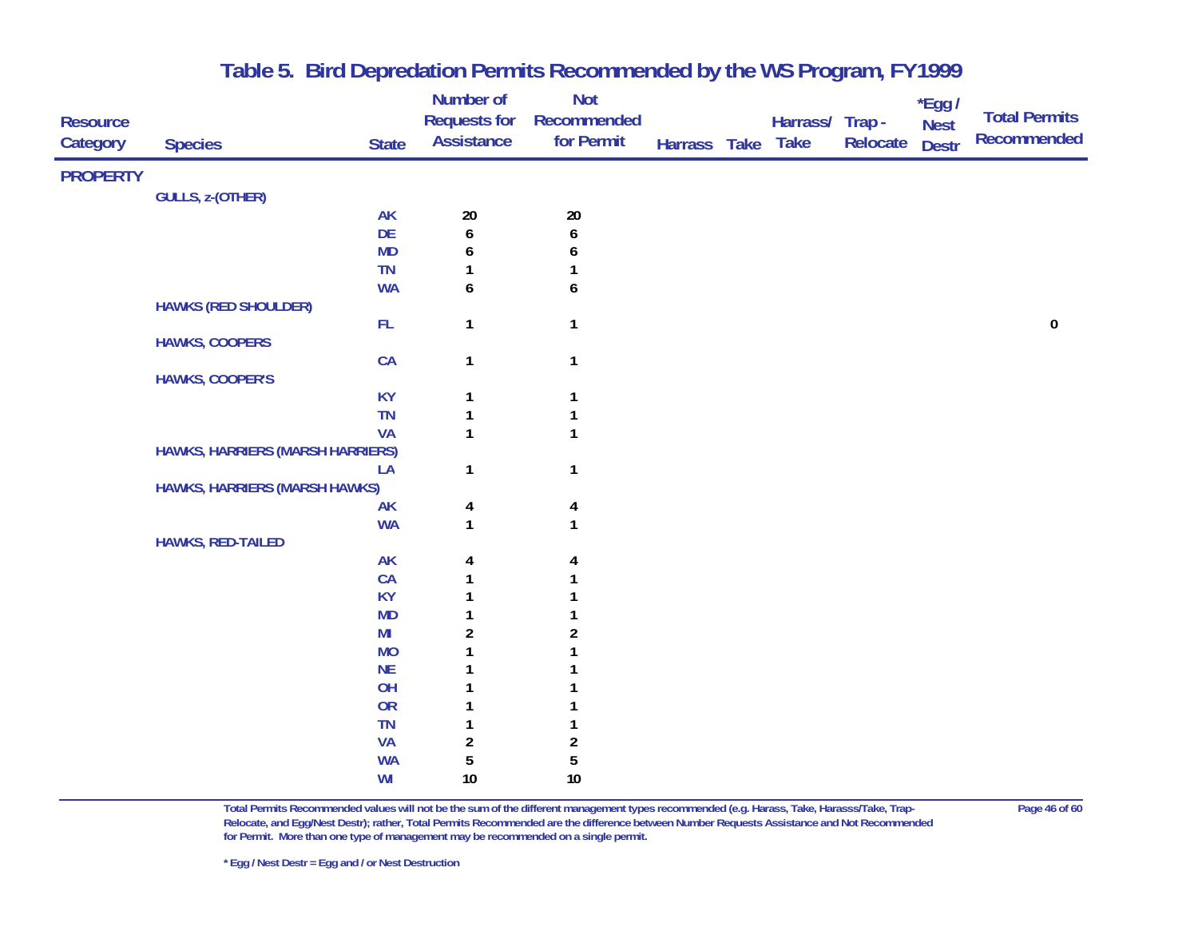| <b>Resource</b><br>Category | <b>Species</b>                          | <b>State</b>   | Number of<br><b>Requests for</b><br><b>Assistance</b> | Not<br><b>Recommended</b><br>for Permit | Harrass Take | Harrass/ Trap-<br><b>Take</b> | Relocate | *Egg /<br><b>Nest</b><br><b>Destr</b> | <b>Total Permits</b><br>Recommended |
|-----------------------------|-----------------------------------------|----------------|-------------------------------------------------------|-----------------------------------------|--------------|-------------------------------|----------|---------------------------------------|-------------------------------------|
| <b>PROPERTY</b>             |                                         |                |                                                       |                                         |              |                               |          |                                       |                                     |
|                             | <b>GULLS, z-(OTHER)</b>                 |                |                                                       |                                         |              |                               |          |                                       |                                     |
|                             |                                         | <b>AK</b>      | 20                                                    | $20\,$                                  |              |                               |          |                                       |                                     |
|                             |                                         | DE             | $\boldsymbol{6}$                                      | 6                                       |              |                               |          |                                       |                                     |
|                             |                                         | <b>MD</b>      | 6                                                     | 6                                       |              |                               |          |                                       |                                     |
|                             |                                         | TN             |                                                       |                                         |              |                               |          |                                       |                                     |
|                             |                                         | <b>WA</b>      | 6                                                     | 6                                       |              |                               |          |                                       |                                     |
|                             | <b>HAWKS (RED SHOULDER)</b>             |                |                                                       |                                         |              |                               |          |                                       |                                     |
|                             |                                         | FL             | $\mathbf{1}$                                          | $\mathbf{1}$                            |              |                               |          |                                       | ${\bf 0}$                           |
|                             | <b>HAWKS, COOPERS</b>                   |                |                                                       |                                         |              |                               |          |                                       |                                     |
|                             |                                         | CA             | $\mathbf{1}$                                          | $\mathbf{1}$                            |              |                               |          |                                       |                                     |
|                             | <b>HAWKS, COOPER'S</b>                  |                |                                                       |                                         |              |                               |          |                                       |                                     |
|                             |                                         | <b>KY</b>      | $\mathbf{1}$                                          | 1                                       |              |                               |          |                                       |                                     |
|                             |                                         | <b>TN</b>      | 1                                                     |                                         |              |                               |          |                                       |                                     |
|                             |                                         | <b>VA</b>      | 1                                                     | 1                                       |              |                               |          |                                       |                                     |
|                             | <b>HAWKS, HARRIERS (MARSH HARRIERS)</b> |                |                                                       |                                         |              |                               |          |                                       |                                     |
|                             | <b>HAWKS, HARRIERS (MARSH HAWKS)</b>    | LA             | 1                                                     | $\mathbf{1}$                            |              |                               |          |                                       |                                     |
|                             |                                         | <b>AK</b>      |                                                       | 4                                       |              |                               |          |                                       |                                     |
|                             |                                         | <b>WA</b>      | 4<br>$\mathbf{1}$                                     | 1                                       |              |                               |          |                                       |                                     |
|                             | <b>HAWKS, RED-TAILED</b>                |                |                                                       |                                         |              |                               |          |                                       |                                     |
|                             |                                         | <b>AK</b>      | 4                                                     | 4                                       |              |                               |          |                                       |                                     |
|                             |                                         | CA             |                                                       |                                         |              |                               |          |                                       |                                     |
|                             |                                         | <b>KY</b>      |                                                       |                                         |              |                               |          |                                       |                                     |
|                             |                                         | <b>MD</b>      |                                                       |                                         |              |                               |          |                                       |                                     |
|                             |                                         | M <sub>l</sub> | $\overline{a}$                                        | 2                                       |              |                               |          |                                       |                                     |
|                             |                                         | <b>MO</b>      |                                                       |                                         |              |                               |          |                                       |                                     |
|                             |                                         | NE             |                                                       |                                         |              |                               |          |                                       |                                     |
|                             |                                         | OH             |                                                       |                                         |              |                               |          |                                       |                                     |
|                             |                                         | <b>OR</b>      |                                                       |                                         |              |                               |          |                                       |                                     |
|                             |                                         | TN             |                                                       |                                         |              |                               |          |                                       |                                     |
|                             |                                         | <b>VA</b>      | $\overline{a}$                                        | $\overline{\mathbf{c}}$                 |              |                               |          |                                       |                                     |
|                             |                                         | <b>WA</b>      | 5                                                     | 5                                       |              |                               |          |                                       |                                     |
|                             |                                         | WI             | 10                                                    | $10\,$                                  |              |                               |          |                                       |                                     |

**Total Permits Recommended values will not be the sum of the different management types recommended (e.g. Harass, Take, Harasss/Take, Trap- Page 46 of 60 Relocate, and Egg/Nest Destr); rather, Total Permits Recommended are the difference between Number Requests Assistance and Not Recommended for Permit. More than one type of management may be recommended on a single permit.**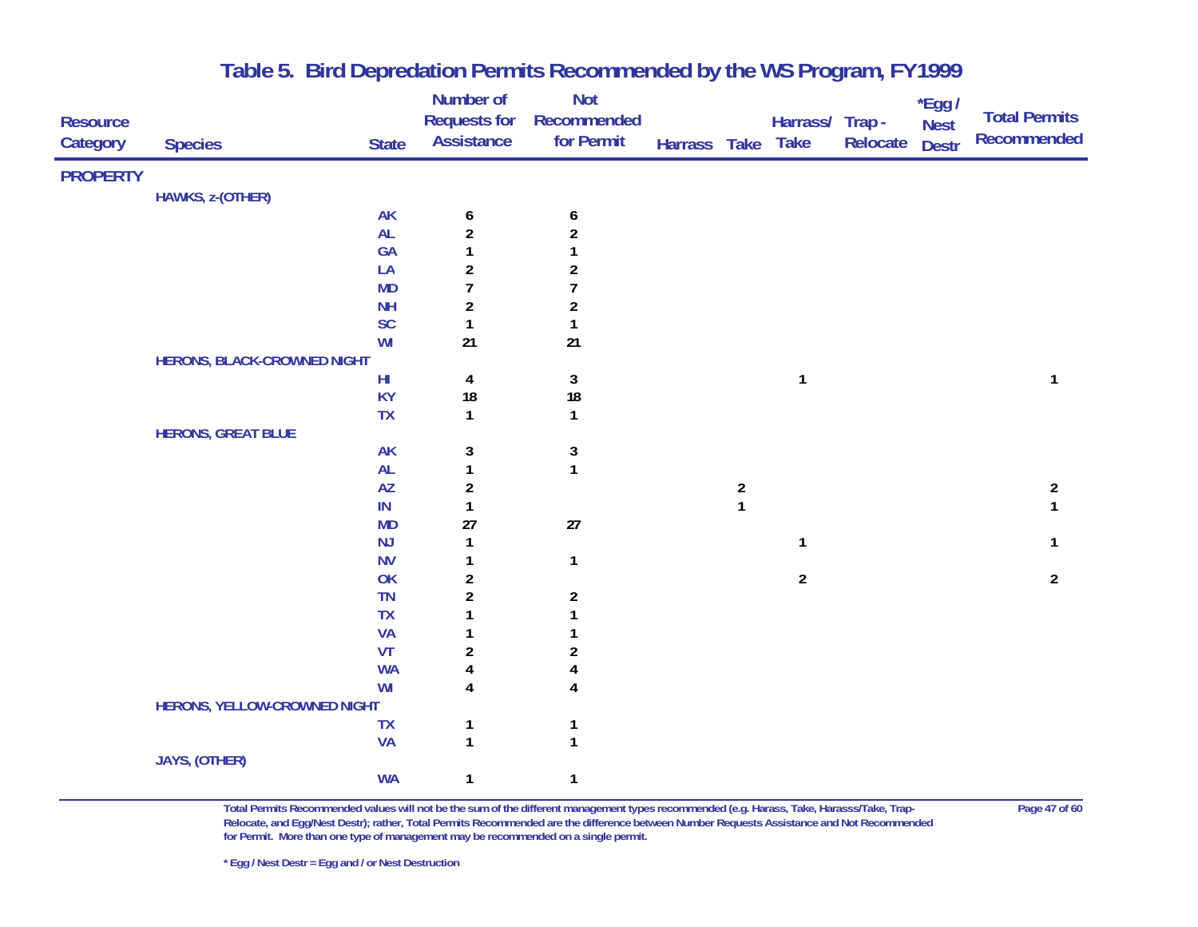|                 |                                    |                        | Number of               | <b>Not</b>              |                   |                                       |                 |          | $*$ Egg /    |                      |
|-----------------|------------------------------------|------------------------|-------------------------|-------------------------|-------------------|---------------------------------------|-----------------|----------|--------------|----------------------|
| <b>Resource</b> |                                    |                        | <b>Requests for</b>     | Recommended             |                   |                                       | Harrass/ Trap - |          | <b>Nest</b>  | <b>Total Permits</b> |
| Category        | <b>Species</b>                     | <b>State</b>           | <b>Assistance</b>       | for Permit              | Harrass Take Take |                                       |                 | Relocate | <b>Destr</b> | Recommended          |
| <b>PROPERTY</b> |                                    |                        |                         |                         |                   |                                       |                 |          |              |                      |
|                 | HAWKS, z-(OTHER)                   |                        |                         |                         |                   |                                       |                 |          |              |                      |
|                 |                                    | <b>AK</b>              | 6                       | $\boldsymbol{6}$        |                   |                                       |                 |          |              |                      |
|                 |                                    | AL                     | $\overline{\mathbf{c}}$ | $\boldsymbol{2}$        |                   |                                       |                 |          |              |                      |
|                 |                                    | GA                     | 1                       |                         |                   |                                       |                 |          |              |                      |
|                 |                                    | LA                     | $\overline{\mathbf{c}}$ | 2                       |                   |                                       |                 |          |              |                      |
|                 |                                    | <b>MD</b>              | $\overline{1}$          | $\overline{1}$          |                   |                                       |                 |          |              |                      |
|                 |                                    | <b>NH</b>              | $\overline{\mathbf{c}}$ | $\overline{\mathbf{c}}$ |                   |                                       |                 |          |              |                      |
|                 |                                    | SC                     | $\mathbf{1}$            | 1                       |                   |                                       |                 |          |              |                      |
|                 |                                    | WI                     | 21                      | 21                      |                   |                                       |                 |          |              |                      |
|                 | <b>HERONS, BLACK-CROWNED NIGHT</b> |                        |                         |                         |                   |                                       |                 |          |              |                      |
|                 |                                    | $\mathsf{H}\mathsf{I}$ | 4                       | $\mathbf{3}$            |                   |                                       | $\mathbf{1}$    |          |              | 1                    |
|                 |                                    | <b>KY</b>              | 18                      | ${\bf 18}$              |                   |                                       |                 |          |              |                      |
|                 |                                    | <b>TX</b>              | $\mathbf{1}$            | $\mathbf{1}$            |                   |                                       |                 |          |              |                      |
|                 | <b>HERONS, GREAT BLUE</b>          |                        |                         |                         |                   |                                       |                 |          |              |                      |
|                 |                                    | <b>AK</b>              | 3                       | 3                       |                   |                                       |                 |          |              |                      |
|                 |                                    | AL                     | $\mathbf{1}$            | $\mathbf{1}$            |                   |                                       |                 |          |              |                      |
|                 |                                    | AZ                     | $\overline{\mathbf{c}}$ |                         |                   | $\begin{array}{c} 2 \\ 1 \end{array}$ |                 |          |              | $\overline{2}$       |
|                 |                                    | IN                     | $\mathbf{1}$            |                         |                   |                                       |                 |          |              | 1                    |
|                 |                                    | <b>MD</b>              | 27                      | $27\,$                  |                   |                                       |                 |          |              |                      |
|                 |                                    | <b>NJ</b>              | $\mathbf{1}$            |                         |                   |                                       | $\mathbf{1}$    |          |              | 1                    |
|                 |                                    | <b>NV</b>              | 1                       | $\mathbf{1}$            |                   |                                       |                 |          |              |                      |
|                 |                                    | OK                     | $\overline{\mathbf{c}}$ |                         |                   |                                       | $\overline{2}$  |          |              | $\overline{2}$       |
|                 |                                    | <b>TN</b>              | $\overline{a}$          | $\overline{\mathbf{c}}$ |                   |                                       |                 |          |              |                      |
|                 |                                    | <b>TX</b>              |                         |                         |                   |                                       |                 |          |              |                      |
|                 |                                    | <b>VA</b>              |                         |                         |                   |                                       |                 |          |              |                      |
|                 |                                    | VT                     | $\boldsymbol{2}$        | 2                       |                   |                                       |                 |          |              |                      |
|                 |                                    | <b>WA</b>              | 4                       | 4                       |                   |                                       |                 |          |              |                      |
|                 |                                    | WI                     | 4                       | 4                       |                   |                                       |                 |          |              |                      |
|                 | HERONS, YELLOW-CROWNED NIGHT       |                        |                         |                         |                   |                                       |                 |          |              |                      |
|                 |                                    | <b>TX</b><br><b>VA</b> | 1<br>$\mathbf{1}$       | 1                       |                   |                                       |                 |          |              |                      |
|                 | JAYS, (OTHER)                      |                        |                         |                         |                   |                                       |                 |          |              |                      |
|                 |                                    | <b>WA</b>              | 1                       | 1                       |                   |                                       |                 |          |              |                      |
|                 |                                    |                        |                         |                         |                   |                                       |                 |          |              |                      |

**Total Permits Recommended values will not be the sum of the different management types recommended (e.g. Harass, Take, Harasss/Take, Trap- Page 47 of 60 Relocate, and Egg/Nest Destr); rather, Total Permits Recommended are the difference between Number Requests Assistance and Not Recommended for Permit. More than one type of management may be recommended on a single permit.**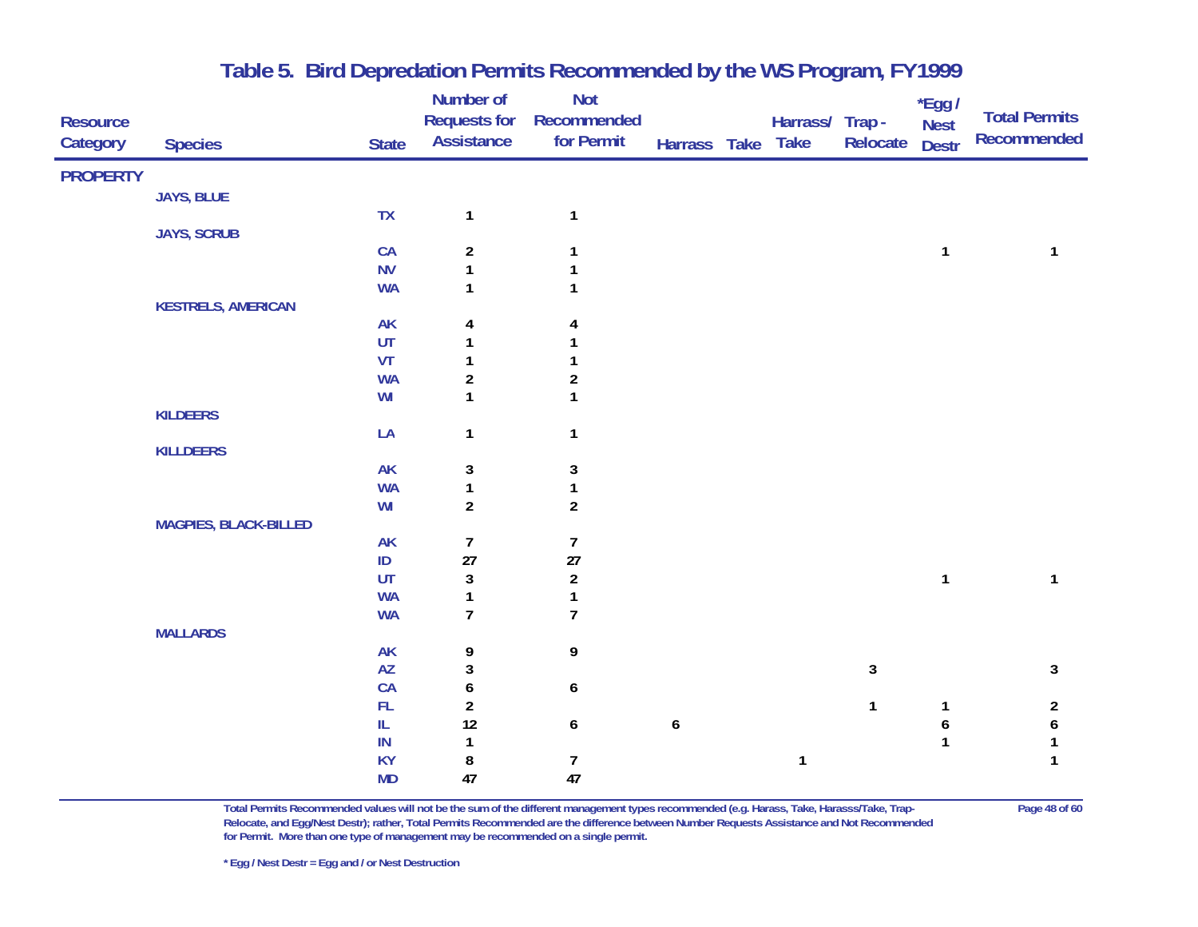|                 |                              |                              | Number of               | Not              |                  |                 |              | $*$ Egg /    |                      |
|-----------------|------------------------------|------------------------------|-------------------------|------------------|------------------|-----------------|--------------|--------------|----------------------|
| <b>Resource</b> |                              |                              | <b>Requests for</b>     | Recommended      |                  | Harrass/ Trap - |              | <b>Nest</b>  | <b>Total Permits</b> |
| Category        | <b>Species</b>               | <b>State</b>                 | <b>Assistance</b>       | for Permit       | Harrass Take     | <b>Take</b>     | Relocate     | <b>Destr</b> | Recommended          |
| <b>PROPERTY</b> |                              |                              |                         |                  |                  |                 |              |              |                      |
|                 | JAYS, BLUE                   |                              |                         |                  |                  |                 |              |              |                      |
|                 |                              | TX                           | $\mathbf{1}$            | $\mathbf{1}$     |                  |                 |              |              |                      |
|                 | <b>JAYS, SCRUB</b>           |                              |                         |                  |                  |                 |              |              |                      |
|                 |                              | CA                           | $\overline{a}$          | $\mathbf{1}$     |                  |                 |              | 1            | 1                    |
|                 |                              | <b>NV</b>                    | $\mathbf{1}$            | $\mathbf{1}$     |                  |                 |              |              |                      |
|                 |                              | <b>WA</b>                    | 1                       | $\mathbf{1}$     |                  |                 |              |              |                      |
|                 | <b>KESTRELS, AMERICAN</b>    |                              |                         |                  |                  |                 |              |              |                      |
|                 |                              | <b>AK</b>                    | 4                       | 4                |                  |                 |              |              |                      |
|                 |                              | UT                           | 1                       |                  |                  |                 |              |              |                      |
|                 |                              | VT                           | $\mathbf{1}$            | 1                |                  |                 |              |              |                      |
|                 |                              | <b>WA</b>                    | $\overline{\mathbf{c}}$ | $\boldsymbol{2}$ |                  |                 |              |              |                      |
|                 |                              | WI                           | $\mathbf{1}$            | $\mathbf{1}$     |                  |                 |              |              |                      |
|                 | <b>KILDEERS</b>              |                              |                         |                  |                  |                 |              |              |                      |
|                 |                              | LA                           | $\mathbf{1}$            | $\mathbf{1}$     |                  |                 |              |              |                      |
|                 | <b>KILLDEERS</b>             |                              |                         |                  |                  |                 |              |              |                      |
|                 |                              | <b>AK</b>                    | 3                       | 3                |                  |                 |              |              |                      |
|                 |                              | <b>WA</b>                    | $\mathbf{1}$            | 1                |                  |                 |              |              |                      |
|                 |                              | WI                           | $\overline{a}$          | $\overline{2}$   |                  |                 |              |              |                      |
|                 | <b>MAGPIES, BLACK-BILLED</b> |                              |                         |                  |                  |                 |              |              |                      |
|                 |                              | AK                           | 7                       | $\overline{7}$   |                  |                 |              |              |                      |
|                 |                              | $\mathsf{ID}$                | $27\,$                  | 27               |                  |                 |              |              |                      |
|                 |                              | UT                           | 3                       | $\sqrt{2}$       |                  |                 |              | $\mathbf{1}$ | 1                    |
|                 |                              | <b>WA</b>                    | $\mathbf{1}$            | $\mathbf{1}$     |                  |                 |              |              |                      |
|                 |                              | <b>WA</b>                    | $\overline{1}$          | $\overline{1}$   |                  |                 |              |              |                      |
|                 | <b>MALLARDS</b>              |                              |                         |                  |                  |                 |              |              |                      |
|                 |                              | AK<br>$\mathsf{A}\mathsf{Z}$ | 9<br>3                  | 9                |                  |                 | $\mathbf{3}$ |              |                      |
|                 |                              | ${\sf CA}$                   |                         |                  |                  |                 |              |              | $\mathbf{3}$         |
|                 |                              | ${\sf FL}$                   | 6<br>$\overline{a}$     | 6                |                  |                 | $\mathbf{1}$ | 1            | $\overline{2}$       |
|                 |                              | $\rm IL$                     | 12                      | $\boldsymbol{6}$ | $\boldsymbol{6}$ |                 |              | 6            | $\pmb{6}$            |
|                 |                              | IN                           | 1                       |                  |                  |                 |              | $\mathbf{1}$ | $\mathbf{1}$         |
|                 |                              | <b>KY</b>                    | 8                       | 7                |                  | $\mathbf{1}$    |              |              | $\mathbf{1}$         |
|                 |                              | <b>MD</b>                    | 47                      | 47               |                  |                 |              |              |                      |
|                 |                              |                              |                         |                  |                  |                 |              |              |                      |

**Total Permits Recommended values will not be the sum of the different management types recommended (e.g. Harass, Take, Harasss/Take, Trap- Page 48 of 60 Relocate, and Egg/Nest Destr); rather, Total Permits Recommended are the difference between Number Requests Assistance and Not Recommended for Permit. More than one type of management may be recommended on a single permit.**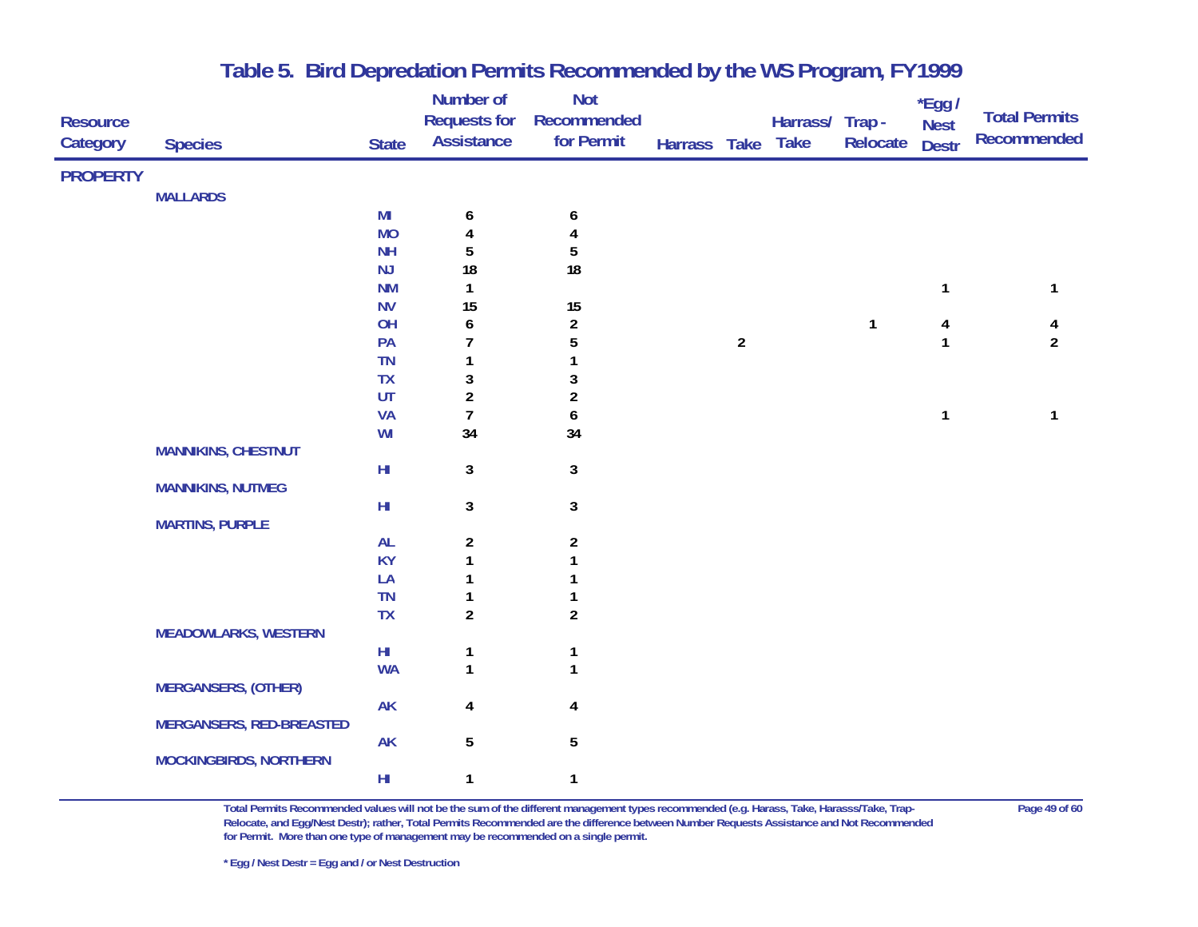| <b>Resource</b><br>Category | <b>Species</b>                  | <b>State</b>               | <b>Number of</b><br><b>Requests for</b><br><b>Assistance</b> | <b>Not</b><br>Recommended<br>for Permit | Harrass Take Take |                | Harrass/ Trap - | Relocate     | $*$ Egg /<br><b>Nest</b><br><b>Destr</b> | <b>Total Permits</b><br><b>Recommended</b> |
|-----------------------------|---------------------------------|----------------------------|--------------------------------------------------------------|-----------------------------------------|-------------------|----------------|-----------------|--------------|------------------------------------------|--------------------------------------------|
| <b>PROPERTY</b>             |                                 |                            |                                                              |                                         |                   |                |                 |              |                                          |                                            |
|                             | <b>MALLARDS</b>                 |                            |                                                              |                                         |                   |                |                 |              |                                          |                                            |
|                             |                                 | MI                         | 6                                                            | 6                                       |                   |                |                 |              |                                          |                                            |
|                             |                                 | <b>MO</b>                  | 4                                                            | 4                                       |                   |                |                 |              |                                          |                                            |
|                             |                                 | <b>NH</b>                  | 5                                                            | 5                                       |                   |                |                 |              |                                          |                                            |
|                             |                                 | <b>NJ</b>                  | 18                                                           | 18                                      |                   |                |                 |              |                                          |                                            |
|                             |                                 | <b>NM</b>                  | 1                                                            |                                         |                   |                |                 |              | $\mathbf{1}$                             | 1                                          |
|                             |                                 | <b>NV</b>                  | 15                                                           | 15                                      |                   |                |                 |              |                                          |                                            |
|                             |                                 | OH                         | $\boldsymbol{6}$                                             | $\overline{\mathbf{c}}$                 |                   |                |                 | $\mathbf{1}$ | 4                                        | 4                                          |
|                             |                                 | PA                         | 7                                                            | $\overline{5}$                          |                   | $\overline{2}$ |                 |              | $\mathbf{1}$                             | $\overline{2}$                             |
|                             |                                 | <b>TN</b>                  | 1                                                            | 1                                       |                   |                |                 |              |                                          |                                            |
|                             |                                 | TX                         | 3                                                            | $\sqrt{3}$                              |                   |                |                 |              |                                          |                                            |
|                             |                                 | $\ensuremath{\mathsf{UT}}$ | $\overline{a}$                                               | $\boldsymbol{2}$                        |                   |                |                 |              |                                          |                                            |
|                             |                                 | <b>VA</b>                  | $\boldsymbol{7}$                                             | $\pmb{6}$                               |                   |                |                 |              | $\mathbf{1}$                             | 1                                          |
|                             |                                 | WI                         | 34                                                           | 34                                      |                   |                |                 |              |                                          |                                            |
|                             | <b>MANNIKINS, CHESTNUT</b>      |                            |                                                              |                                         |                   |                |                 |              |                                          |                                            |
|                             |                                 | $\mathsf{HI}$              | $\mathbf{3}$                                                 | $\mathbf{3}$                            |                   |                |                 |              |                                          |                                            |
|                             | <b>MANNIKINS, NUTMEG</b>        |                            |                                                              |                                         |                   |                |                 |              |                                          |                                            |
|                             |                                 | $\mathsf{H}\mathsf{I}$     | $\mathbf{3}$                                                 | $\mathbf{3}$                            |                   |                |                 |              |                                          |                                            |
|                             | <b>MARTINS, PURPLE</b>          |                            |                                                              |                                         |                   |                |                 |              |                                          |                                            |
|                             |                                 | <b>AL</b>                  | $\overline{2}$                                               | $\overline{\mathbf{c}}$                 |                   |                |                 |              |                                          |                                            |
|                             |                                 | <b>KY</b>                  | 1                                                            | $\mathbf{1}$                            |                   |                |                 |              |                                          |                                            |
|                             |                                 | LA                         | 1                                                            | 1                                       |                   |                |                 |              |                                          |                                            |
|                             |                                 | TN                         | 1                                                            | 1                                       |                   |                |                 |              |                                          |                                            |
|                             |                                 | <b>TX</b>                  | $\overline{2}$                                               | $\overline{2}$                          |                   |                |                 |              |                                          |                                            |
|                             | <b>MEADOWLARKS, WESTERN</b>     |                            |                                                              |                                         |                   |                |                 |              |                                          |                                            |
|                             |                                 | $H\!I$                     | $\mathbf{1}$                                                 | $\mathbf{1}$                            |                   |                |                 |              |                                          |                                            |
|                             |                                 | <b>WA</b>                  | $\mathbf{1}$                                                 | $\mathbf{1}$                            |                   |                |                 |              |                                          |                                            |
|                             | <b>MERGANSERS, (OTHER)</b>      |                            |                                                              |                                         |                   |                |                 |              |                                          |                                            |
|                             |                                 | <b>AK</b>                  | 4                                                            | $\pmb{4}$                               |                   |                |                 |              |                                          |                                            |
|                             | <b>MERGANSERS, RED-BREASTED</b> | <b>AK</b>                  |                                                              |                                         |                   |                |                 |              |                                          |                                            |
|                             | <b>MOCKINGBIRDS, NORTHERN</b>   |                            | $\sqrt{5}$                                                   | $\overline{5}$                          |                   |                |                 |              |                                          |                                            |
|                             |                                 | $H\!I$                     | $\mathbf{1}$                                                 | $\mathbf{1}$                            |                   |                |                 |              |                                          |                                            |

**Total Permits Recommended values will not be the sum of the different management types recommended (e.g. Harass, Take, Harasss/Take, Trap- Page 49 of 60 Relocate, and Egg/Nest Destr); rather, Total Permits Recommended are the difference between Number Requests Assistance and Not Recommended for Permit. More than one type of management may be recommended on a single permit.**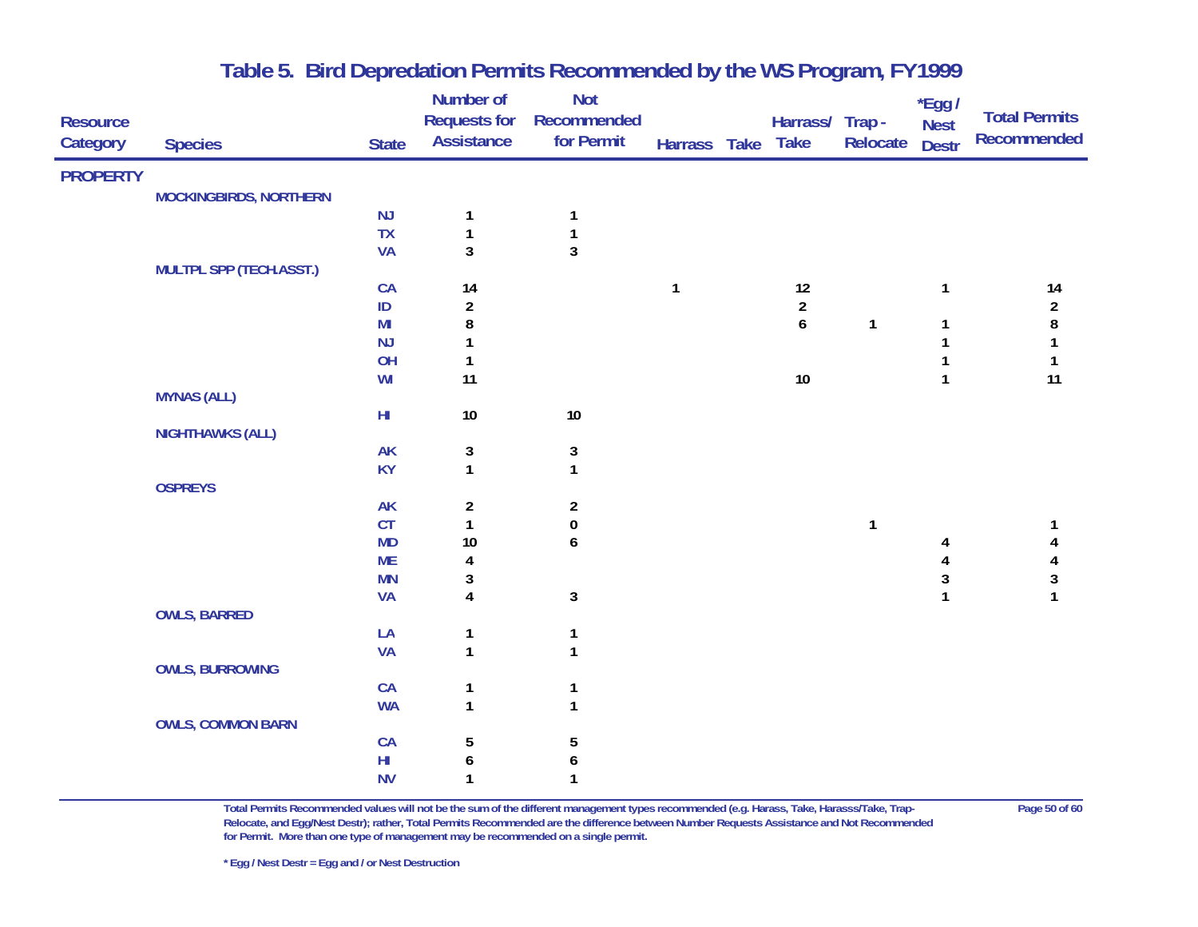|                 |                                |                        | Number of               | <b>Not</b>              |              |                  |              | $*$ Egg /    |                      |
|-----------------|--------------------------------|------------------------|-------------------------|-------------------------|--------------|------------------|--------------|--------------|----------------------|
| <b>Resource</b> |                                |                        | <b>Requests for</b>     | Recommended             |              | Harrass/ Trap -  |              | <b>Nest</b>  | <b>Total Permits</b> |
| Category        | <b>Species</b>                 | <b>State</b>           | <b>Assistance</b>       | for Permit              | Harrass Take | <b>Take</b>      | Relocate     | <b>Destr</b> | <b>Recommended</b>   |
| <b>PROPERTY</b> |                                |                        |                         |                         |              |                  |              |              |                      |
|                 | <b>MOCKINGBIRDS, NORTHERN</b>  |                        |                         |                         |              |                  |              |              |                      |
|                 |                                | NJ                     | 1                       | $\mathbf{1}$            |              |                  |              |              |                      |
|                 |                                | <b>TX</b>              | $\mathbf{1}$            | $\mathbf{1}$            |              |                  |              |              |                      |
|                 |                                | <b>VA</b>              | 3                       | 3                       |              |                  |              |              |                      |
|                 | <b>MULTPL SPP (TECH.ASST.)</b> |                        |                         |                         |              |                  |              |              |                      |
|                 |                                | CA                     | 14                      |                         | $\mathbf{1}$ | $12\,$           |              | 1            | 14                   |
|                 |                                | ID                     | $\overline{\mathbf{c}}$ |                         |              | $\overline{a}$   |              |              | $\overline{2}$       |
|                 |                                | M <sub>l</sub>         | 8                       |                         |              | $\boldsymbol{6}$ | $\mathbf{1}$ | 1            | 8                    |
|                 |                                | NJ                     | 1                       |                         |              |                  |              |              | $\mathbf{1}$         |
|                 |                                | OH                     | 1                       |                         |              |                  |              |              | $\mathbf{1}$         |
|                 |                                | WI                     | 11                      |                         |              | $10\,$           |              | $\mathbf{1}$ | 11                   |
|                 | <b>MYNAS (ALL)</b>             |                        |                         |                         |              |                  |              |              |                      |
|                 |                                | $H\!I$                 | $10\,$                  | $10$                    |              |                  |              |              |                      |
|                 | <b>NIGHTHAWKS (ALL)</b>        |                        |                         |                         |              |                  |              |              |                      |
|                 |                                | <b>AK</b>              | 3                       | 3                       |              |                  |              |              |                      |
|                 |                                | <b>KY</b>              | $\mathbf{1}$            | $\mathbf{1}$            |              |                  |              |              |                      |
|                 | <b>OSPREYS</b>                 |                        |                         |                         |              |                  |              |              |                      |
|                 |                                | <b>AK</b>              | $\overline{\mathbf{c}}$ | $\overline{\mathbf{c}}$ |              |                  |              |              |                      |
|                 |                                | CT                     | $\mathbf{1}$            | $\pmb{0}$               |              |                  | $\mathbf{1}$ |              | 1                    |
|                 |                                | <b>MD</b><br><b>ME</b> | $10$                    | 6                       |              |                  |              | 4            | 4<br>4               |
|                 |                                | <b>MN</b>              | 4<br>3                  |                         |              |                  |              | 4<br>3       | $\sqrt{3}$           |
|                 |                                | <b>VA</b>              | $\overline{\mathbf{4}}$ | $\mathbf{3}$            |              |                  |              | $\mathbf{1}$ | $\mathbf{1}$         |
|                 | <b>OWLS, BARRED</b>            |                        |                         |                         |              |                  |              |              |                      |
|                 |                                | LA                     | 1                       | $\mathbf{1}$            |              |                  |              |              |                      |
|                 |                                | <b>VA</b>              | $\mathbf{1}$            | $\mathbf{1}$            |              |                  |              |              |                      |
|                 | <b>OWLS, BURROWING</b>         |                        |                         |                         |              |                  |              |              |                      |
|                 |                                | CA                     | 1                       | 1                       |              |                  |              |              |                      |
|                 |                                | <b>WA</b>              | $\mathbf{1}$            | $\mathbf{1}$            |              |                  |              |              |                      |
|                 | <b>OWLS, COMMON BARN</b>       |                        |                         |                         |              |                  |              |              |                      |
|                 |                                | CA                     | 5                       | 5                       |              |                  |              |              |                      |
|                 |                                | $\mathsf{HI}$          | 6                       | 6                       |              |                  |              |              |                      |
|                 |                                | <b>NV</b>              | 1                       | $\mathbf{1}$            |              |                  |              |              |                      |

**Total Permits Recommended values will not be the sum of the different management types recommended (e.g. Harass, Take, Harasss/Take, Trap- Page 50 of 60 Relocate, and Egg/Nest Destr); rather, Total Permits Recommended are the difference between Number Requests Assistance and Not Recommended for Permit. More than one type of management may be recommended on a single permit.**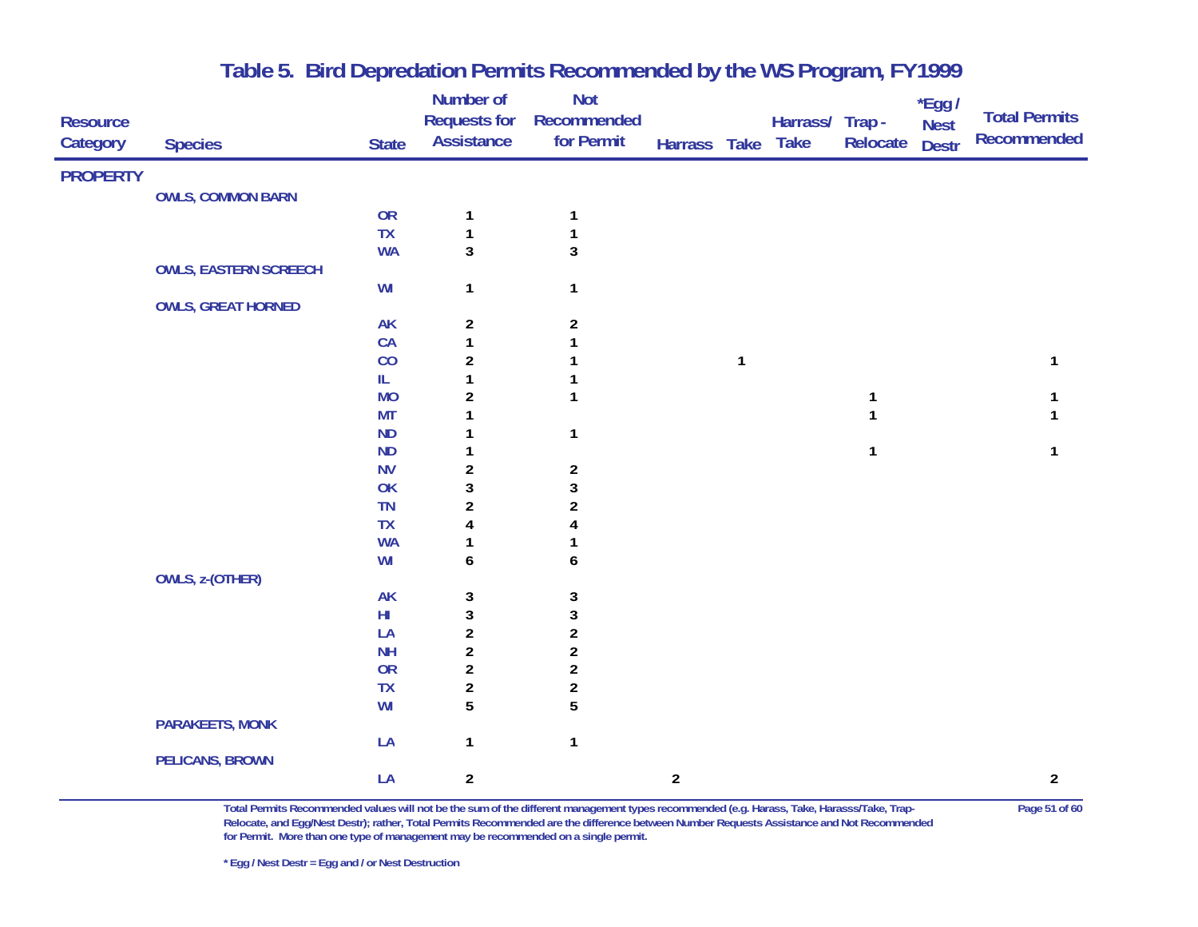| <b>Resource</b> |                              |              | Number of<br><b>Requests for</b> | <b>Not</b><br>Recommended |                |              | Harrass/ Trap- |          | $*$ Egg /<br><b>Nest</b> | <b>Total Permits</b> |
|-----------------|------------------------------|--------------|----------------------------------|---------------------------|----------------|--------------|----------------|----------|--------------------------|----------------------|
| Category        | <b>Species</b>               | <b>State</b> | <b>Assistance</b>                | for Permit                | Harrass Take   |              | <b>Take</b>    | Relocate | <b>Destr</b>             | Recommended          |
| <b>PROPERTY</b> |                              |              |                                  |                           |                |              |                |          |                          |                      |
|                 | <b>OWLS, COMMON BARN</b>     |              |                                  |                           |                |              |                |          |                          |                      |
|                 |                              | <b>OR</b>    | $\mathbf{1}$                     | $\mathbf{1}$              |                |              |                |          |                          |                      |
|                 |                              | <b>TX</b>    | $\mathbf{1}$                     | $\mathbf{1}$              |                |              |                |          |                          |                      |
|                 |                              | <b>WA</b>    | $\mathbf{3}$                     | $\mathbf{3}$              |                |              |                |          |                          |                      |
|                 | <b>OWLS, EASTERN SCREECH</b> |              |                                  |                           |                |              |                |          |                          |                      |
|                 |                              | WI           | $\mathbf{1}$                     | $\mathbf{1}$              |                |              |                |          |                          |                      |
|                 | <b>OWLS, GREAT HORNED</b>    |              |                                  |                           |                |              |                |          |                          |                      |
|                 |                              | <b>AK</b>    | $\overline{\mathbf{c}}$          | $\overline{c}$            |                |              |                |          |                          |                      |
|                 |                              | CA           | $\mathbf{1}$                     | $\mathbf{1}$              |                |              |                |          |                          |                      |
|                 |                              | CO           | $\overline{2}$                   | 1                         |                | $\mathbf{1}$ |                |          |                          | 1                    |
|                 |                              | IL.          | 1                                | 1                         |                |              |                |          |                          |                      |
|                 |                              | <b>MO</b>    | $\boldsymbol{2}$                 | 1                         |                |              |                | 1        |                          |                      |
|                 |                              | <b>MT</b>    | 1                                |                           |                |              |                | 1        |                          |                      |
|                 |                              | ND<br>ND     | 1                                | $\mathbf{1}$              |                |              |                | 1        |                          | 1                    |
|                 |                              | <b>NV</b>    | 1<br>$\overline{\mathbf{c}}$     | $\boldsymbol{2}$          |                |              |                |          |                          |                      |
|                 |                              | OK           | $\sqrt{3}$                       | $\mathbf{3}$              |                |              |                |          |                          |                      |
|                 |                              | TN           | $\overline{\mathbf{c}}$          | $\overline{\mathbf{c}}$   |                |              |                |          |                          |                      |
|                 |                              | TX           | 4                                |                           |                |              |                |          |                          |                      |
|                 |                              | <b>WA</b>    | 1                                |                           |                |              |                |          |                          |                      |
|                 |                              | WI           | $\boldsymbol{6}$                 | 6                         |                |              |                |          |                          |                      |
|                 | <b>OWLS, z-(OTHER)</b>       |              |                                  |                           |                |              |                |          |                          |                      |
|                 |                              | <b>AK</b>    | 3                                | 3                         |                |              |                |          |                          |                      |
|                 |                              | ${\sf HI}$   | 3                                | $\mathbf 3$               |                |              |                |          |                          |                      |
|                 |                              | LA           | $\boldsymbol{2}$                 | $\boldsymbol{2}$          |                |              |                |          |                          |                      |
|                 |                              | <b>NH</b>    | $\boldsymbol{2}$                 | $\overline{\mathbf{c}}$   |                |              |                |          |                          |                      |
|                 |                              | OR           | $\sqrt{2}$                       | $\boldsymbol{2}$          |                |              |                |          |                          |                      |
|                 |                              | TX           | $\sqrt{2}$                       | $\overline{\mathbf{c}}$   |                |              |                |          |                          |                      |
|                 |                              | WI           | 5                                | 5                         |                |              |                |          |                          |                      |
|                 | <b>PARAKEETS, MONK</b>       |              |                                  |                           |                |              |                |          |                          |                      |
|                 |                              | LA           | $\mathbf{1}$                     | $\mathbf{1}$              |                |              |                |          |                          |                      |
|                 | <b>PELICANS, BROWN</b>       | LA           |                                  |                           |                |              |                |          |                          |                      |
|                 |                              |              | $\overline{2}$                   |                           | $\overline{2}$ |              |                |          |                          | $\overline{a}$       |

**Total Permits Recommended values will not be the sum of the different management types recommended (e.g. Harass, Take, Harasss/Take, Trap- Page 51 of 60 Relocate, and Egg/Nest Destr); rather, Total Permits Recommended are the difference between Number Requests Assistance and Not Recommended for Permit. More than one type of management may be recommended on a single permit.**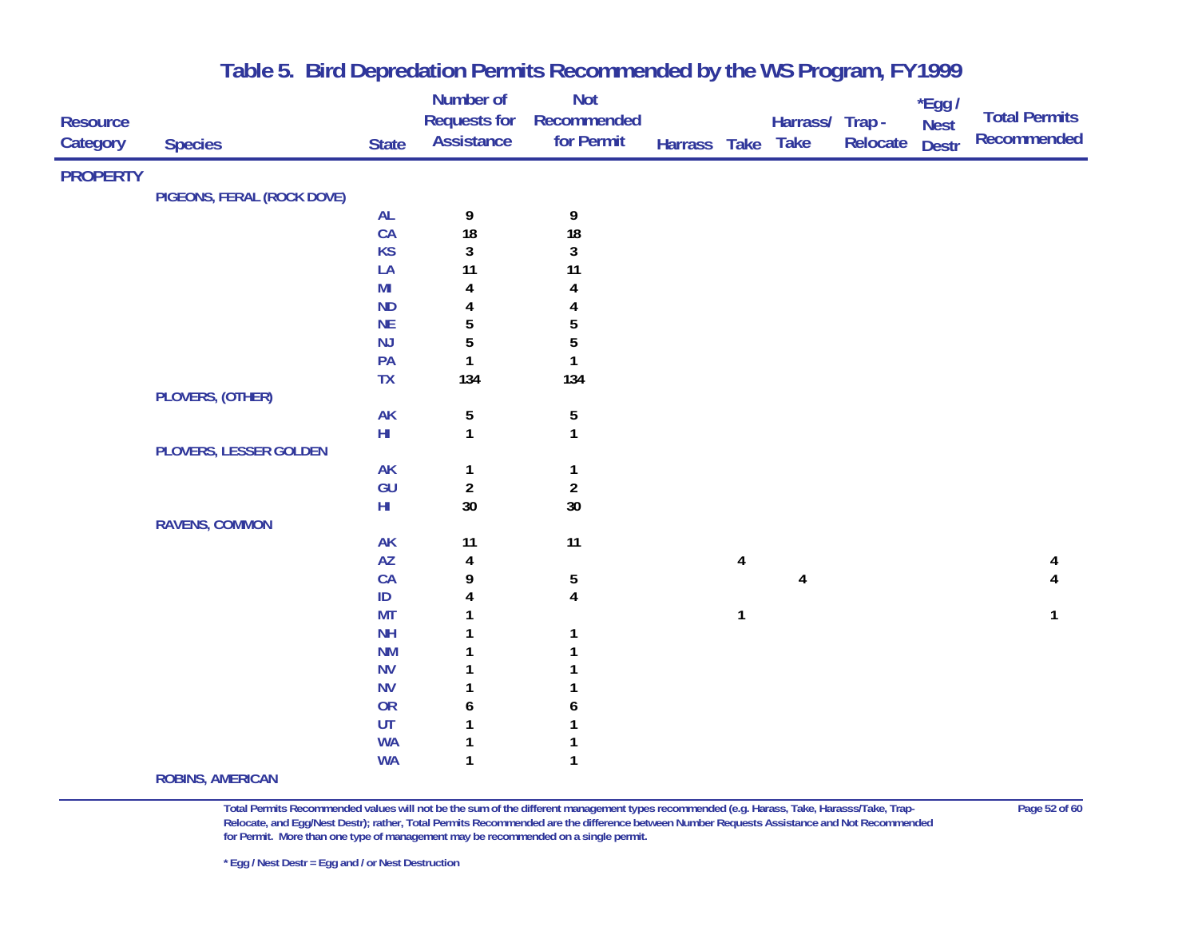| <b>Resource</b> |                            |                 | Number of<br><b>Requests for</b> | <b>Not</b><br>Recommended        |              |                         | Harrass/ Trap - |          | $*$ Egg /<br><b>Nest</b> | <b>Total Permits</b> |
|-----------------|----------------------------|-----------------|----------------------------------|----------------------------------|--------------|-------------------------|-----------------|----------|--------------------------|----------------------|
| Category        | <b>Species</b>             | <b>State</b>    | <b>Assistance</b>                | for Permit                       | Harrass Take |                         | <b>Take</b>     | Relocate | <b>Destr</b>             | Recommended          |
| <b>PROPERTY</b> |                            |                 |                                  |                                  |              |                         |                 |          |                          |                      |
|                 | PIGEONS, FERAL (ROCK DOVE) |                 |                                  |                                  |              |                         |                 |          |                          |                      |
|                 |                            | <b>AL</b>       | 9                                | 9                                |              |                         |                 |          |                          |                      |
|                 |                            | CA              | 18                               | 18                               |              |                         |                 |          |                          |                      |
|                 |                            | <b>KS</b>       | $\mathbf{3}$                     | $\mathbf{3}$                     |              |                         |                 |          |                          |                      |
|                 |                            | LA              | 11                               | 11                               |              |                         |                 |          |                          |                      |
|                 |                            | M <sub>l</sub>  | 4                                | 4                                |              |                         |                 |          |                          |                      |
|                 |                            | ND              | 4                                |                                  |              |                         |                 |          |                          |                      |
|                 |                            | <b>NE</b>       | $\overline{5}$                   | 5                                |              |                         |                 |          |                          |                      |
|                 |                            | $\mathsf{NJ}$   | 5                                | 5                                |              |                         |                 |          |                          |                      |
|                 |                            | PA              | $\mathbf{1}$                     | $\mathbf{1}$                     |              |                         |                 |          |                          |                      |
|                 |                            | <b>TX</b>       | 134                              | 134                              |              |                         |                 |          |                          |                      |
|                 | PLOVERS, (OTHER)           |                 |                                  |                                  |              |                         |                 |          |                          |                      |
|                 |                            | AK              | 5                                | 5                                |              |                         |                 |          |                          |                      |
|                 |                            | $\mathsf{HI}$   | $\mathbf{1}$                     | $\mathbf{1}$                     |              |                         |                 |          |                          |                      |
|                 | PLOVERS, LESSER GOLDEN     |                 |                                  |                                  |              |                         |                 |          |                          |                      |
|                 |                            | <b>AK</b><br>GU | $\mathbf{1}$<br>$\boldsymbol{2}$ | $\mathbf{1}$<br>$\boldsymbol{2}$ |              |                         |                 |          |                          |                      |
|                 |                            | ${\sf HI}$      | 30                               | $30\,$                           |              |                         |                 |          |                          |                      |
|                 | <b>RAVENS, COMMON</b>      |                 |                                  |                                  |              |                         |                 |          |                          |                      |
|                 |                            | <b>AK</b>       | 11                               | 11                               |              |                         |                 |          |                          |                      |
|                 |                            | <b>AZ</b>       | 4                                |                                  |              | $\overline{\mathbf{4}}$ |                 |          |                          | 4                    |
|                 |                            | CA              | 9                                | 5                                |              |                         | 4               |          |                          |                      |
|                 |                            | $\sf ID$        | 4                                | $\overline{\mathbf{4}}$          |              |                         |                 |          |                          |                      |
|                 |                            | <b>MT</b>       | 1                                |                                  |              | $\mathbf{1}$            |                 |          |                          | 1                    |
|                 |                            | <b>NH</b>       |                                  |                                  |              |                         |                 |          |                          |                      |
|                 |                            | <b>NM</b>       |                                  |                                  |              |                         |                 |          |                          |                      |
|                 |                            | <b>NV</b>       |                                  |                                  |              |                         |                 |          |                          |                      |
|                 |                            | <b>NV</b>       | 1                                |                                  |              |                         |                 |          |                          |                      |
|                 |                            | OR              | 6                                | 6                                |              |                         |                 |          |                          |                      |
|                 |                            | UT              | 1                                |                                  |              |                         |                 |          |                          |                      |
|                 |                            | <b>WA</b>       | 1                                |                                  |              |                         |                 |          |                          |                      |
|                 |                            | <b>WA</b>       | $\mathbf{1}$                     | $\mathbf{1}$                     |              |                         |                 |          |                          |                      |
|                 | <b>ROBINS, AMERICAN</b>    |                 |                                  |                                  |              |                         |                 |          |                          |                      |

**Total Permits Recommended values will not be the sum of the different management types recommended (e.g. Harass, Take, Harasss/Take, Trap- Page 52 of 60 Relocate, and Egg/Nest Destr); rather, Total Permits Recommended are the difference between Number Requests Assistance and Not Recommended for Permit. More than one type of management may be recommended on a single permit.**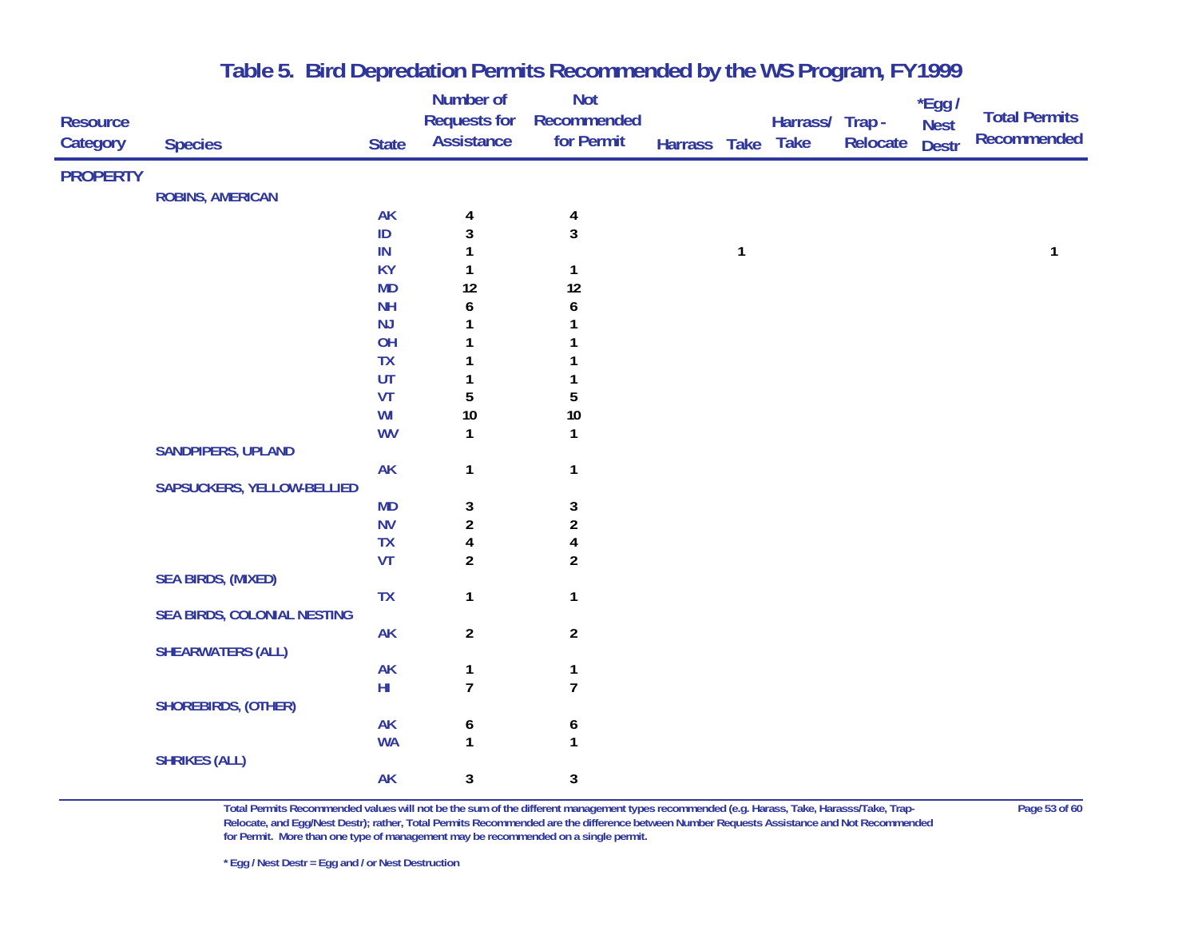|                 |                             |                 | Number of               | <b>Not</b>       |              |              |                 |                 | *Egg /       | <b>Total Permits</b> |
|-----------------|-----------------------------|-----------------|-------------------------|------------------|--------------|--------------|-----------------|-----------------|--------------|----------------------|
| <b>Resource</b> |                             |                 | <b>Requests for</b>     | Recommended      |              |              | Harrass/ Trap - |                 | <b>Nest</b>  | <b>Recommended</b>   |
| Category        | <b>Species</b>              | <b>State</b>    | <b>Assistance</b>       | for Permit       | Harrass Take |              | <b>Take</b>     | <b>Relocate</b> | <b>Destr</b> |                      |
| <b>PROPERTY</b> |                             |                 |                         |                  |              |              |                 |                 |              |                      |
|                 | <b>ROBINS, AMERICAN</b>     |                 |                         |                  |              |              |                 |                 |              |                      |
|                 |                             | AK              | 4                       | 4                |              |              |                 |                 |              |                      |
|                 |                             | ID              | 3                       | $\mathbf{3}$     |              |              |                 |                 |              |                      |
|                 |                             | IN              | $\mathbf{1}$            |                  |              | $\mathbf{1}$ |                 |                 |              | 1                    |
|                 |                             | <b>KY</b>       | 1                       | $\mathbf{1}$     |              |              |                 |                 |              |                      |
|                 |                             | <b>MD</b>       | 12                      | 12               |              |              |                 |                 |              |                      |
|                 |                             | <b>NH</b>       | 6                       | 6                |              |              |                 |                 |              |                      |
|                 |                             | NJ              | $\mathbf{1}$<br>1       | 1<br>1           |              |              |                 |                 |              |                      |
|                 |                             | OH<br><b>TX</b> | 1                       |                  |              |              |                 |                 |              |                      |
|                 |                             | UT              | 1                       | 1                |              |              |                 |                 |              |                      |
|                 |                             | <b>VT</b>       | 5                       | $\sqrt{5}$       |              |              |                 |                 |              |                      |
|                 |                             | WI              | $10\,$                  | $10\,$           |              |              |                 |                 |              |                      |
|                 |                             | <b>WV</b>       | $\mathbf{1}$            | $\mathbf{1}$     |              |              |                 |                 |              |                      |
|                 | <b>SANDPIPERS, UPLAND</b>   |                 |                         |                  |              |              |                 |                 |              |                      |
|                 |                             | AK              | $\mathbf{1}$            | $\mathbf{1}$     |              |              |                 |                 |              |                      |
|                 | SAPSUCKERS, YELLOW-BELLIED  |                 |                         |                  |              |              |                 |                 |              |                      |
|                 |                             | <b>MD</b>       | 3                       | 3                |              |              |                 |                 |              |                      |
|                 |                             | <b>NV</b>       | $\overline{a}$          | $\boldsymbol{2}$ |              |              |                 |                 |              |                      |
|                 |                             | <b>TX</b>       | $\overline{\mathbf{4}}$ | $\pmb{4}$        |              |              |                 |                 |              |                      |
|                 |                             | VT              | $\overline{2}$          | $\overline{2}$   |              |              |                 |                 |              |                      |
|                 | <b>SEA BIRDS, (MIXED)</b>   |                 |                         |                  |              |              |                 |                 |              |                      |
|                 |                             | <b>TX</b>       | $\mathbf{1}$            | $\mathbf{1}$     |              |              |                 |                 |              |                      |
|                 | SEA BIRDS, COLONIAL NESTING | <b>AK</b>       | $\overline{2}$          | $\overline{2}$   |              |              |                 |                 |              |                      |
|                 | <b>SHEARWATERS (ALL)</b>    |                 |                         |                  |              |              |                 |                 |              |                      |
|                 |                             | AK              | $\mathbf{1}$            | $\mathbf{1}$     |              |              |                 |                 |              |                      |
|                 |                             | ${\sf HI}$      | $\overline{7}$          | $\overline{7}$   |              |              |                 |                 |              |                      |
|                 | SHOREBIRDS, (OTHER)         |                 |                         |                  |              |              |                 |                 |              |                      |
|                 |                             | <b>AK</b>       | 6                       | 6                |              |              |                 |                 |              |                      |
|                 |                             | <b>WA</b>       | $\mathbf{1}$            | $\mathbf{1}$     |              |              |                 |                 |              |                      |
|                 | <b>SHRIKES (ALL)</b>        |                 |                         |                  |              |              |                 |                 |              |                      |
|                 |                             | <b>AK</b>       | 3                       | 3                |              |              |                 |                 |              |                      |
|                 |                             |                 |                         |                  |              |              |                 |                 |              |                      |

**Total Permits Recommended values will not be the sum of the different management types recommended (e.g. Harass, Take, Harasss/Take, Trap- Page 53 of 60 Relocate, and Egg/Nest Destr); rather, Total Permits Recommended are the difference between Number Requests Assistance and Not Recommended for Permit. More than one type of management may be recommended on a single permit.**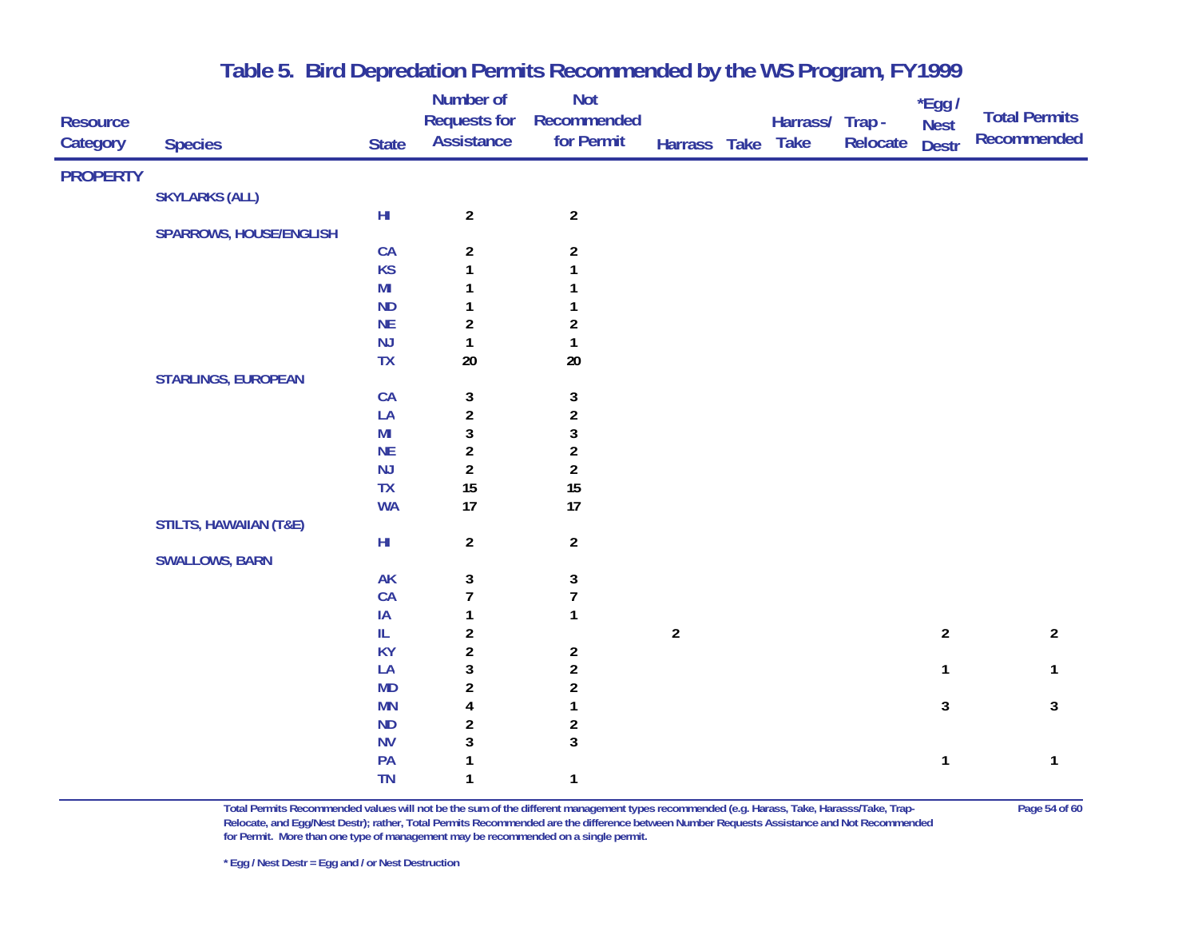|                 |                                   |                        | Number of               | <b>Not</b>              |                |                 |          | *Egg /         |                      |
|-----------------|-----------------------------------|------------------------|-------------------------|-------------------------|----------------|-----------------|----------|----------------|----------------------|
| <b>Resource</b> |                                   |                        | <b>Requests for</b>     | Recommended             |                | Harrass/ Trap - |          | <b>Nest</b>    | <b>Total Permits</b> |
| Category        | <b>Species</b>                    | <b>State</b>           | <b>Assistance</b>       | for Permit              | Harrass Take   | <b>Take</b>     | Relocate | <b>Destr</b>   | <b>Recommended</b>   |
| <b>PROPERTY</b> |                                   |                        |                         |                         |                |                 |          |                |                      |
|                 | <b>SKYLARKS (ALL)</b>             |                        |                         |                         |                |                 |          |                |                      |
|                 |                                   | $\mathsf{HI}$          | $\overline{2}$          | $\overline{2}$          |                |                 |          |                |                      |
|                 | <b>SPARROWS, HOUSE/ENGLISH</b>    |                        |                         |                         |                |                 |          |                |                      |
|                 |                                   | CA                     | $\overline{a}$          | $\overline{\mathbf{c}}$ |                |                 |          |                |                      |
|                 |                                   | <b>KS</b>              | $\mathbf{1}$            |                         |                |                 |          |                |                      |
|                 |                                   | M <sub>l</sub>         |                         |                         |                |                 |          |                |                      |
|                 |                                   | <b>ND</b>              | 1                       |                         |                |                 |          |                |                      |
|                 |                                   | <b>NE</b>              | $\boldsymbol{2}$        | $\boldsymbol{2}$        |                |                 |          |                |                      |
|                 |                                   | NJ                     | $\mathbf{1}$            | 1                       |                |                 |          |                |                      |
|                 |                                   | <b>TX</b>              | $20\,$                  | $20\,$                  |                |                 |          |                |                      |
|                 | <b>STARLINGS, EUROPEAN</b>        |                        |                         |                         |                |                 |          |                |                      |
|                 |                                   | CA                     | 3                       | 3                       |                |                 |          |                |                      |
|                 |                                   | LA                     | $\overline{\mathbf{c}}$ | $\boldsymbol{2}$        |                |                 |          |                |                      |
|                 |                                   | M <sub>l</sub>         | $\overline{3}$          | $\sqrt{3}$              |                |                 |          |                |                      |
|                 |                                   | <b>NE</b>              | $\boldsymbol{2}$        | $\boldsymbol{2}$        |                |                 |          |                |                      |
|                 |                                   | NJ                     | $\overline{a}$          | $\boldsymbol{2}$        |                |                 |          |                |                      |
|                 |                                   | <b>TX</b>              | 15                      | 15                      |                |                 |          |                |                      |
|                 |                                   | <b>WA</b>              | 17                      | 17                      |                |                 |          |                |                      |
|                 | <b>STILTS, HAWAIIAN (T&amp;E)</b> |                        |                         |                         |                |                 |          |                |                      |
|                 |                                   | $\mathsf{H}\mathsf{I}$ | $\overline{2}$          | $\overline{2}$          |                |                 |          |                |                      |
|                 | <b>SWALLOWS, BARN</b>             |                        |                         |                         |                |                 |          |                |                      |
|                 |                                   | <b>AK</b>              | $\sqrt{3}$              | 3                       |                |                 |          |                |                      |
|                 |                                   | CA                     | $\overline{7}$          | $\overline{1}$          |                |                 |          |                |                      |
|                 |                                   | IA                     | 1                       | $\mathbf{1}$            |                |                 |          |                |                      |
|                 |                                   | IL.                    | $\overline{2}$          |                         | $\overline{2}$ |                 |          | $\overline{2}$ | $\overline{2}$       |
|                 |                                   | <b>KY</b>              | $\overline{\mathbf{c}}$ | $\boldsymbol{2}$        |                |                 |          |                |                      |
|                 |                                   | LA                     | $\mathbf{3}$            | $\overline{\mathbf{c}}$ |                |                 |          | $\mathbf{1}$   | 1                    |
|                 |                                   | <b>MD</b>              | $\sqrt{2}$              | $\overline{\mathbf{c}}$ |                |                 |          |                |                      |
|                 |                                   | <b>MN</b>              | 4                       | 1                       |                |                 |          | $\mathbf{3}$   | $\mathbf{3}$         |
|                 |                                   | <b>ND</b>              | $\boldsymbol{2}$        | $\overline{\mathbf{c}}$ |                |                 |          |                |                      |
|                 |                                   | <b>NV</b>              | $\mathbf 3$             | $\mathbf{3}$            |                |                 |          |                |                      |
|                 |                                   | PA                     | $\mathbf{1}$            |                         |                |                 |          | $\mathbf{1}$   | 1                    |
|                 |                                   | <b>TN</b>              | $\mathbf{1}$            | $\mathbf{1}$            |                |                 |          |                |                      |

**Total Permits Recommended values will not be the sum of the different management types recommended (e.g. Harass, Take, Harasss/Take, Trap- Page 54 of 60 Relocate, and Egg/Nest Destr); rather, Total Permits Recommended are the difference between Number Requests Assistance and Not Recommended for Permit. More than one type of management may be recommended on a single permit.**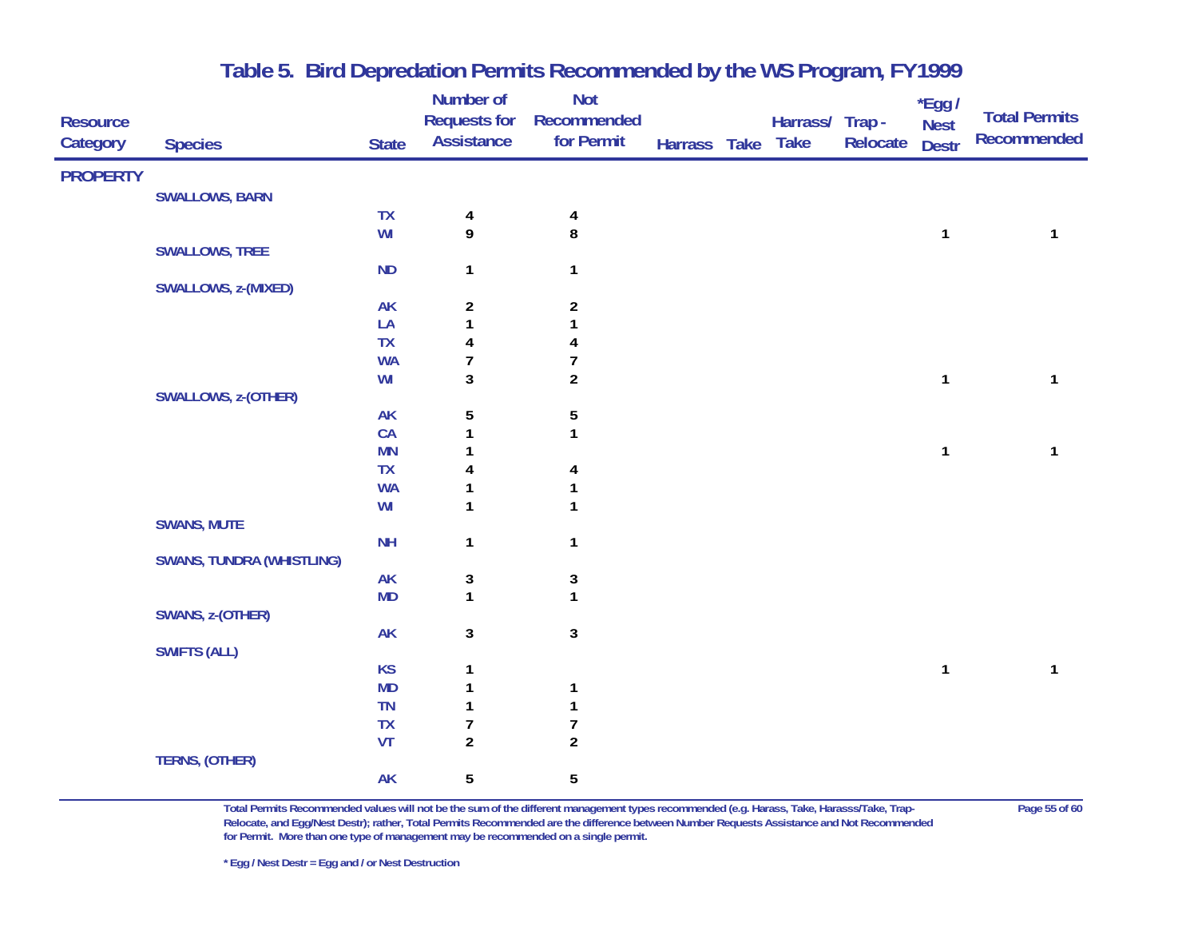| <b>Resource</b><br>Category | <b>Species</b>                   | <b>State</b>           | <b>Number of</b><br><b>Requests for</b><br><b>Assistance</b> | <b>Not</b><br>Recommended<br>for Permit | Harrass Take | Harrass/ Trap-<br><b>Take</b> | Relocate | *Egg /<br><b>Nest</b><br><b>Destr</b> | <b>Total Permits</b><br><b>Recommended</b> |
|-----------------------------|----------------------------------|------------------------|--------------------------------------------------------------|-----------------------------------------|--------------|-------------------------------|----------|---------------------------------------|--------------------------------------------|
| <b>PROPERTY</b>             |                                  |                        |                                                              |                                         |              |                               |          |                                       |                                            |
|                             | <b>SWALLOWS, BARN</b>            |                        |                                                              |                                         |              |                               |          |                                       |                                            |
|                             |                                  | TX                     | 4                                                            | 4                                       |              |                               |          |                                       |                                            |
|                             |                                  | WI                     | 9                                                            | 8                                       |              |                               |          | $\mathbf{1}$                          | 1                                          |
|                             | <b>SWALLOWS, TREE</b>            |                        |                                                              |                                         |              |                               |          |                                       |                                            |
|                             |                                  | <b>ND</b>              | $\mathbf{1}$                                                 | $\mathbf{1}$                            |              |                               |          |                                       |                                            |
|                             | SWALLOWS, z-(MIXED)              |                        |                                                              |                                         |              |                               |          |                                       |                                            |
|                             |                                  | <b>AK</b>              | $\overline{a}$                                               | $\boldsymbol{2}$                        |              |                               |          |                                       |                                            |
|                             |                                  | LA                     | $\mathbf{1}$                                                 | 1                                       |              |                               |          |                                       |                                            |
|                             |                                  | TX                     | 4                                                            | 4                                       |              |                               |          |                                       |                                            |
|                             |                                  | <b>WA</b>              | $\overline{7}$                                               | $\overline{7}$                          |              |                               |          |                                       |                                            |
|                             |                                  | WI                     | 3                                                            | $\overline{a}$                          |              |                               |          | $\mathbf{1}$                          | $\mathbf{1}$                               |
|                             | SWALLOWS, z-(OTHER)              |                        |                                                              |                                         |              |                               |          |                                       |                                            |
|                             |                                  | <b>AK</b>              | 5                                                            | $\sqrt{5}$                              |              |                               |          |                                       |                                            |
|                             |                                  | CA                     | 1<br>1                                                       | $\mathbf{1}$                            |              |                               |          |                                       | $\mathbf{1}$                               |
|                             |                                  | <b>MN</b><br><b>TX</b> |                                                              |                                         |              |                               |          | $\mathbf{1}$                          |                                            |
|                             |                                  | <b>WA</b>              | 4<br>1                                                       | 4                                       |              |                               |          |                                       |                                            |
|                             |                                  | WI                     | 1                                                            | 1<br>$\mathbf{1}$                       |              |                               |          |                                       |                                            |
|                             | <b>SWANS, MUTE</b>               |                        |                                                              |                                         |              |                               |          |                                       |                                            |
|                             |                                  | <b>NH</b>              | $\mathbf{1}$                                                 | $\mathbf{1}$                            |              |                               |          |                                       |                                            |
|                             | <b>SWANS, TUNDRA (WHISTLING)</b> |                        |                                                              |                                         |              |                               |          |                                       |                                            |
|                             |                                  | <b>AK</b>              | 3                                                            | 3                                       |              |                               |          |                                       |                                            |
|                             |                                  | <b>MD</b>              | $\mathbf{1}$                                                 | $\mathbf{1}$                            |              |                               |          |                                       |                                            |
|                             | SWANS, z-(OTHER)                 |                        |                                                              |                                         |              |                               |          |                                       |                                            |
|                             |                                  | <b>AK</b>              | 3                                                            | $\mathbf{3}$                            |              |                               |          |                                       |                                            |
|                             | <b>SWIFTS (ALL)</b>              |                        |                                                              |                                         |              |                               |          |                                       |                                            |
|                             |                                  | <b>KS</b>              | 1                                                            |                                         |              |                               |          | $\mathbf{1}$                          | 1                                          |
|                             |                                  | <b>MD</b>              | 1                                                            | $\mathbf{1}$                            |              |                               |          |                                       |                                            |
|                             |                                  | TN                     | 1                                                            | $\mathbf 1$                             |              |                               |          |                                       |                                            |
|                             |                                  | <b>TX</b>              | 7                                                            | $\boldsymbol{7}$                        |              |                               |          |                                       |                                            |
|                             |                                  | VT                     | $\overline{\mathbf{c}}$                                      | $\boldsymbol{2}$                        |              |                               |          |                                       |                                            |
|                             | TERNS, (OTHER)                   |                        |                                                              |                                         |              |                               |          |                                       |                                            |
|                             |                                  | <b>AK</b>              | 5                                                            | 5                                       |              |                               |          |                                       |                                            |

**Total Permits Recommended values will not be the sum of the different management types recommended (e.g. Harass, Take, Harasss/Take, Trap- Page 55 of 60 Relocate, and Egg/Nest Destr); rather, Total Permits Recommended are the difference between Number Requests Assistance and Not Recommended for Permit. More than one type of management may be recommended on a single permit.**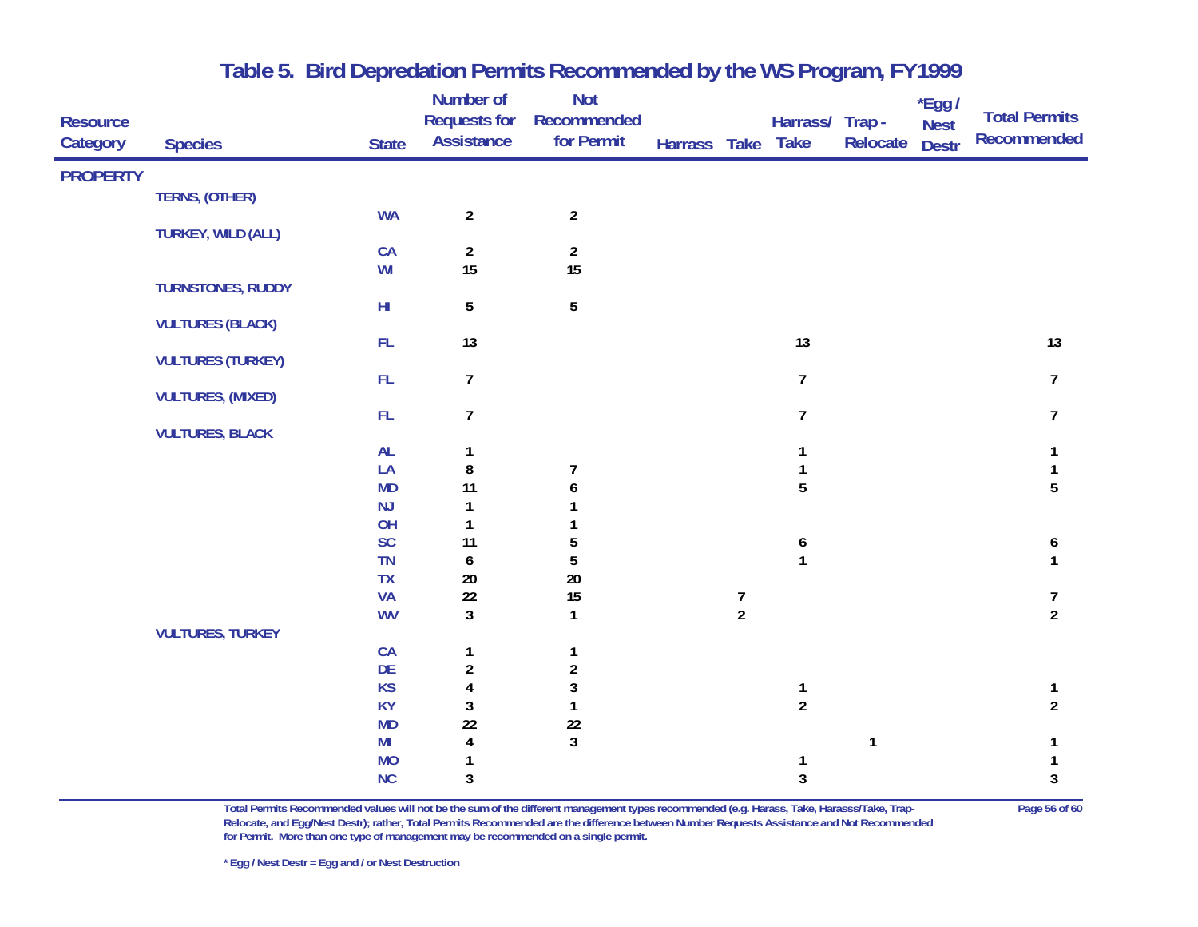| <b>Resource</b><br>Category | <b>Species</b>            | <b>State</b>                | Number of<br><b>Requests for</b><br><b>Assistance</b> | <b>Not</b><br>Recommended<br>for Permit | Harrass Take |                                       | Harrass/ Trap -<br><b>Take</b> | Relocate     | $*$ Egg /<br><b>Nest</b><br><b>Destr</b> | <b>Total Permits</b><br>Recommended |
|-----------------------------|---------------------------|-----------------------------|-------------------------------------------------------|-----------------------------------------|--------------|---------------------------------------|--------------------------------|--------------|------------------------------------------|-------------------------------------|
| <b>PROPERTY</b>             |                           |                             |                                                       |                                         |              |                                       |                                |              |                                          |                                     |
|                             | TERNS, (OTHER)            |                             |                                                       |                                         |              |                                       |                                |              |                                          |                                     |
|                             |                           | <b>WA</b>                   | $\overline{2}$                                        | $\overline{2}$                          |              |                                       |                                |              |                                          |                                     |
|                             | <b>TURKEY, WILD (ALL)</b> | CA                          | $\overline{2}$                                        | $\overline{2}$                          |              |                                       |                                |              |                                          |                                     |
|                             |                           | WI                          | 15                                                    | 15                                      |              |                                       |                                |              |                                          |                                     |
|                             | <b>TURNSTONES, RUDDY</b>  |                             |                                                       |                                         |              |                                       |                                |              |                                          |                                     |
|                             |                           | $\mathsf{H}\mathsf{I}$      | $\overline{5}$                                        | $\overline{5}$                          |              |                                       |                                |              |                                          |                                     |
|                             | <b>VULTURES (BLACK)</b>   |                             |                                                       |                                         |              |                                       |                                |              |                                          |                                     |
|                             | <b>VULTURES (TURKEY)</b>  | FL                          | 13                                                    |                                         |              |                                       | 13                             |              |                                          | 13                                  |
|                             |                           | FL                          | $\overline{7}$                                        |                                         |              |                                       | $\overline{7}$                 |              |                                          | $\overline{7}$                      |
|                             | <b>VULTURES, (MIXED)</b>  |                             |                                                       |                                         |              |                                       |                                |              |                                          |                                     |
|                             |                           | FL                          | $\overline{7}$                                        |                                         |              |                                       | $\overline{7}$                 |              |                                          | 7                                   |
|                             | <b>VULTURES, BLACK</b>    |                             |                                                       |                                         |              |                                       |                                |              |                                          |                                     |
|                             |                           | <b>AL</b>                   | 1                                                     |                                         |              |                                       | 1                              |              |                                          | 1                                   |
|                             |                           | LA<br><b>MD</b>             | 8<br>11                                               | $\overline{7}$<br>6                     |              |                                       | 1<br>5                         |              |                                          | 5                                   |
|                             |                           | NJ                          | 1                                                     |                                         |              |                                       |                                |              |                                          |                                     |
|                             |                           | OH                          | $\mathbf{1}$                                          |                                         |              |                                       |                                |              |                                          |                                     |
|                             |                           | <b>SC</b>                   | 11                                                    | 5                                       |              |                                       | 6                              |              |                                          | 6                                   |
|                             |                           | TN                          | 6                                                     | 5                                       |              |                                       | $\mathbf{1}$                   |              |                                          | 1                                   |
|                             |                           | TX                          | $20\,$                                                | 20                                      |              |                                       |                                |              |                                          |                                     |
|                             |                           | <b>VA</b>                   | $22\,$                                                | 15                                      |              | $\begin{array}{c} 7 \\ 2 \end{array}$ |                                |              |                                          | 7                                   |
|                             | <b>VULTURES, TURKEY</b>   | <b>WV</b>                   | $\mathbf{3}$                                          | $\mathbf{1}$                            |              |                                       |                                |              |                                          | $\overline{a}$                      |
|                             |                           | CA                          | 1                                                     | 1                                       |              |                                       |                                |              |                                          |                                     |
|                             |                           | <b>DE</b>                   | $\overline{\mathbf{c}}$                               | $\overline{\mathbf{c}}$                 |              |                                       |                                |              |                                          |                                     |
|                             |                           | <b>KS</b>                   | $\pmb{4}$                                             | 3                                       |              |                                       | $\mathbf{1}$                   |              |                                          | 1                                   |
|                             |                           | <b>KY</b>                   | $\mathbf{3}$                                          | $\mathbf{1}$                            |              |                                       | $\overline{2}$                 |              |                                          | $\overline{2}$                      |
|                             |                           | <b>MD</b>                   | 22                                                    | $22\,$                                  |              |                                       |                                |              |                                          |                                     |
|                             |                           | M <sub>l</sub><br><b>MO</b> | $\pmb{4}$<br>1                                        | $\mathbf{3}$                            |              |                                       |                                | $\mathbf{1}$ |                                          |                                     |
|                             |                           | NC                          | $\sqrt{3}$                                            |                                         |              |                                       | $\mathbf{3}$                   |              |                                          | 3                                   |
|                             |                           |                             |                                                       |                                         |              |                                       |                                |              |                                          |                                     |

**Total Permits Recommended values will not be the sum of the different management types recommended (e.g. Harass, Take, Harasss/Take, Trap- Page 56 of 60 Relocate, and Egg/Nest Destr); rather, Total Permits Recommended are the difference between Number Requests Assistance and Not Recommended for Permit. More than one type of management may be recommended on a single permit.**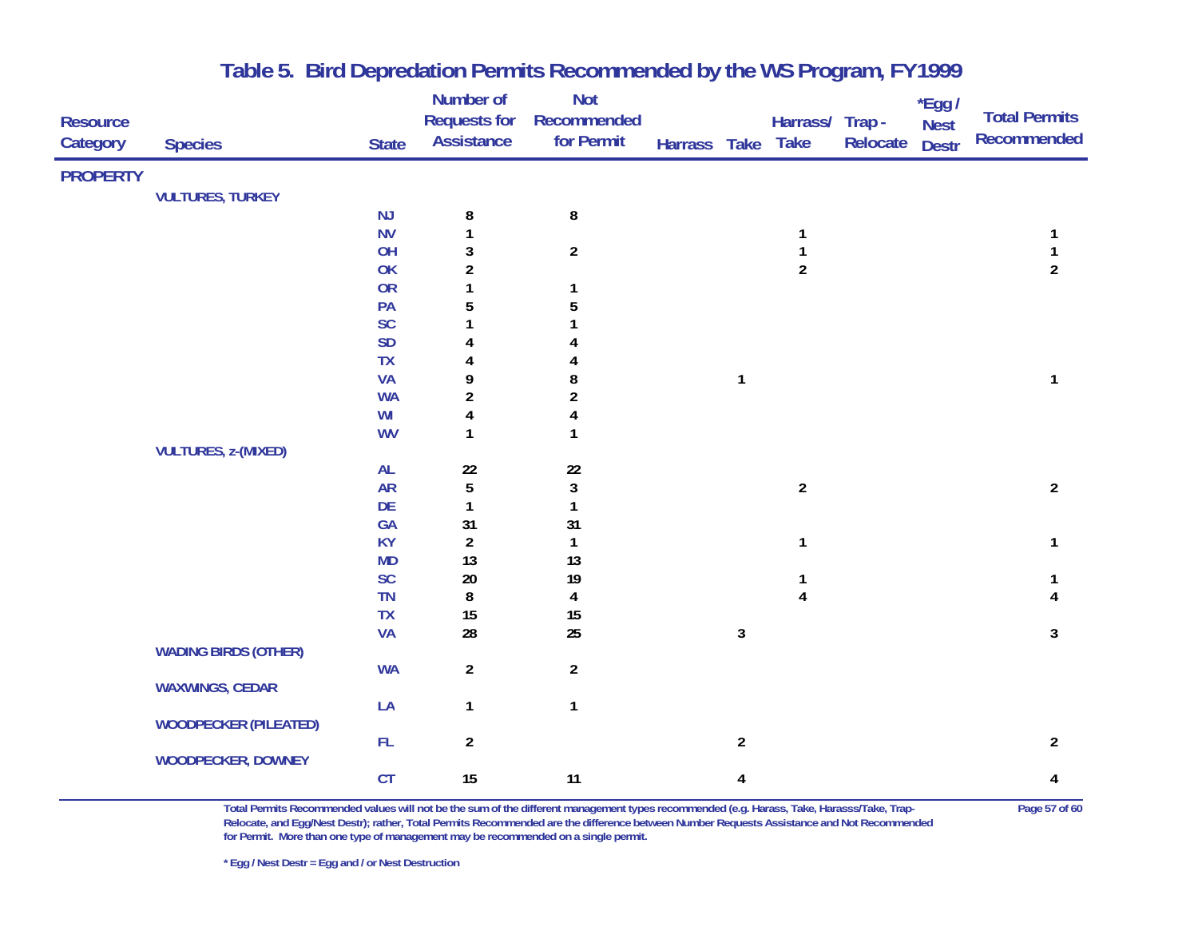|                 |                              |              | Number of               | <b>Not</b>              |              |                |                         |          | *Egg /       |                      |
|-----------------|------------------------------|--------------|-------------------------|-------------------------|--------------|----------------|-------------------------|----------|--------------|----------------------|
| <b>Resource</b> |                              |              | <b>Requests for</b>     | Recommended             |              |                | Harrass/ Trap -         |          | <b>Nest</b>  | <b>Total Permits</b> |
| Category        | <b>Species</b>               | <b>State</b> | <b>Assistance</b>       | for Permit              | Harrass Take |                | <b>Take</b>             | Relocate | <b>Destr</b> | <b>Recommended</b>   |
| <b>PROPERTY</b> |                              |              |                         |                         |              |                |                         |          |              |                      |
|                 | <b>VULTURES, TURKEY</b>      |              |                         |                         |              |                |                         |          |              |                      |
|                 |                              | NJ           | 8                       | $\bf 8$                 |              |                |                         |          |              |                      |
|                 |                              | <b>NV</b>    | 1                       |                         |              |                | 1                       |          |              |                      |
|                 |                              | OH           | 3                       | $\overline{2}$          |              |                | $\mathbf 1$             |          |              | $\mathbf{1}$         |
|                 |                              | OK           | $\overline{\mathbf{c}}$ |                         |              |                | $\overline{\mathbf{c}}$ |          |              | $\overline{2}$       |
|                 |                              | <b>OR</b>    | 1                       | 1                       |              |                |                         |          |              |                      |
|                 |                              | PA           | 5                       | 5                       |              |                |                         |          |              |                      |
|                 |                              | <b>SC</b>    | 1                       |                         |              |                |                         |          |              |                      |
|                 |                              | <b>SD</b>    | 4                       |                         |              |                |                         |          |              |                      |
|                 |                              | TX           | 4                       |                         |              |                |                         |          |              |                      |
|                 |                              | <b>VA</b>    | 9                       | 8                       |              | $\mathbf{1}$   |                         |          |              | 1                    |
|                 |                              | <b>WA</b>    | $\overline{2}$          | $\overline{\mathbf{c}}$ |              |                |                         |          |              |                      |
|                 |                              | WI           | 4                       | 4                       |              |                |                         |          |              |                      |
|                 |                              | <b>WV</b>    | 1                       | 1                       |              |                |                         |          |              |                      |
|                 | <b>VULTURES, z-(MIXED)</b>   |              |                         |                         |              |                |                         |          |              |                      |
|                 |                              | AL           | 22                      | $22\,$                  |              |                |                         |          |              |                      |
|                 |                              | <b>AR</b>    | 5                       | $\mathbf{3}$            |              |                | $\overline{2}$          |          |              | $\overline{2}$       |
|                 |                              | DE           | $\mathbf{1}$            | 1                       |              |                |                         |          |              |                      |
|                 |                              | GA           | 31                      | 31                      |              |                |                         |          |              |                      |
|                 |                              | <b>KY</b>    | $\overline{2}$          | $\mathbf{1}$            |              |                | 1                       |          |              | 1                    |
|                 |                              | <b>MD</b>    | 13                      | 13                      |              |                |                         |          |              |                      |
|                 |                              | <b>SC</b>    | $20\,$                  | 19                      |              |                | 1                       |          |              |                      |
|                 |                              | <b>TN</b>    | $\bf 8$                 | 4                       |              |                | $\overline{\mathbf{4}}$ |          |              |                      |
|                 |                              | <b>TX</b>    | 15                      | 15<br>25                |              |                |                         |          |              |                      |
|                 |                              | <b>VA</b>    | 28                      |                         |              | $\mathbf{3}$   |                         |          |              | 3                    |
|                 | <b>WADING BIRDS (OTHER)</b>  | <b>WA</b>    | $\overline{a}$          | $\overline{2}$          |              |                |                         |          |              |                      |
|                 | <b>WAXWINGS, CEDAR</b>       |              |                         |                         |              |                |                         |          |              |                      |
|                 |                              | LA           | $\mathbf{1}$            | $\mathbf{1}$            |              |                |                         |          |              |                      |
|                 | <b>WOODPECKER (PILEATED)</b> |              |                         |                         |              |                |                         |          |              |                      |
|                 |                              | ${\sf FL}$   | $\overline{a}$          |                         |              | $\overline{2}$ |                         |          |              | $\overline{a}$       |
|                 | <b>WOODPECKER, DOWNEY</b>    |              |                         |                         |              |                |                         |          |              |                      |
|                 |                              | CT           | 15                      | 11                      |              | 4              |                         |          |              | 4                    |
|                 |                              |              |                         |                         |              |                |                         |          |              |                      |

**Total Permits Recommended values will not be the sum of the different management types recommended (e.g. Harass, Take, Harasss/Take, Trap- Page 57 of 60 Relocate, and Egg/Nest Destr); rather, Total Permits Recommended are the difference between Number Requests Assistance and Not Recommended for Permit. More than one type of management may be recommended on a single permit.**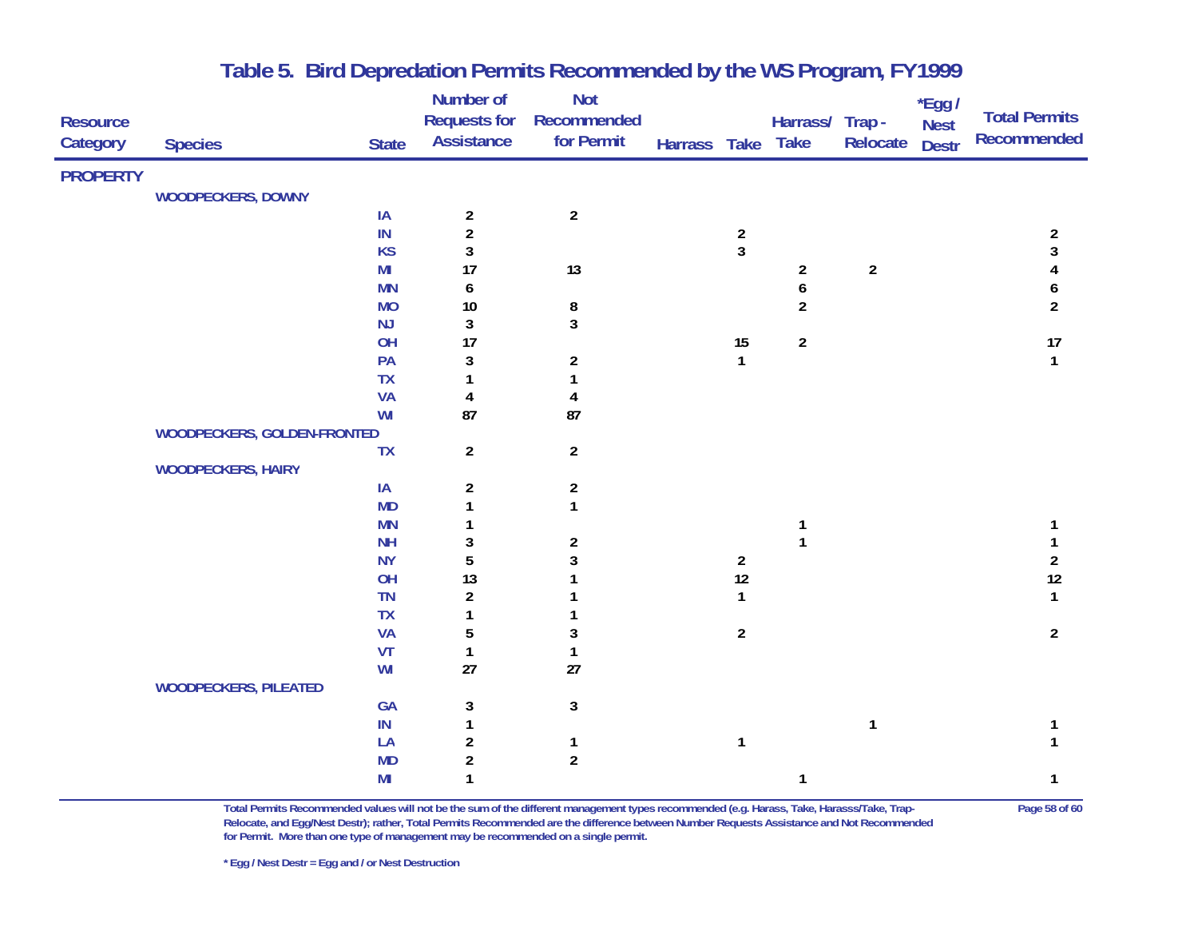|                 |                              |                | Number of               | <b>Not</b>            |              |                         |                         |                | $*$ Egg /    |                      |
|-----------------|------------------------------|----------------|-------------------------|-----------------------|--------------|-------------------------|-------------------------|----------------|--------------|----------------------|
| <b>Resource</b> |                              |                | <b>Requests for</b>     | Recommended           |              |                         | Harrass/ Trap -         |                | <b>Nest</b>  | <b>Total Permits</b> |
| Category        | <b>Species</b>               | <b>State</b>   | <b>Assistance</b>       | for Permit            | Harrass Take |                         | <b>Take</b>             | Relocate       | <b>Destr</b> | <b>Recommended</b>   |
|                 |                              |                |                         |                       |              |                         |                         |                |              |                      |
| <b>PROPERTY</b> |                              |                |                         |                       |              |                         |                         |                |              |                      |
|                 | WOODPECKERS, DOWNY           |                |                         |                       |              |                         |                         |                |              |                      |
|                 |                              | IA             | $\boldsymbol{2}$        | $\overline{2}$        |              |                         |                         |                |              |                      |
|                 |                              | $\sf IN$       | $\overline{\mathbf{c}}$ |                       |              | $\overline{\mathbf{c}}$ |                         |                |              | $\overline{c}$       |
|                 |                              | <b>KS</b>      | 3                       |                       |              | $\mathbf{3}$            |                         |                |              | 3                    |
|                 |                              | M <sub>l</sub> | 17                      | 13                    |              |                         | $\overline{\mathbf{c}}$ | $\overline{a}$ |              |                      |
|                 |                              | <b>MN</b>      | 6                       |                       |              |                         | 6                       |                |              | 6                    |
|                 |                              | <b>MO</b>      | $10$                    | 8                     |              |                         | $\overline{a}$          |                |              | $\overline{2}$       |
|                 |                              | NJ<br>OH       | 3                       | $\mathbf{3}$          |              |                         |                         |                |              |                      |
|                 |                              | PA             | 17                      |                       |              | $15\,$<br>$\mathbf{1}$  | $\boldsymbol{2}$        |                |              | 17<br>$\mathbf{1}$   |
|                 |                              | <b>TX</b>      | 3<br>1                  | $\boldsymbol{2}$<br>1 |              |                         |                         |                |              |                      |
|                 |                              | <b>VA</b>      | 4                       | 4                     |              |                         |                         |                |              |                      |
|                 |                              | WI             | 87                      | 87                    |              |                         |                         |                |              |                      |
|                 | WOODPECKERS, GOLDEN-FRONTED  |                |                         |                       |              |                         |                         |                |              |                      |
|                 |                              | <b>TX</b>      | $\overline{2}$          | $\overline{2}$        |              |                         |                         |                |              |                      |
|                 | <b>WOODPECKERS, HAIRY</b>    |                |                         |                       |              |                         |                         |                |              |                      |
|                 |                              | IA             | $\overline{\mathbf{c}}$ | $\boldsymbol{2}$      |              |                         |                         |                |              |                      |
|                 |                              | <b>MD</b>      | 1                       | $\mathbf{1}$          |              |                         |                         |                |              |                      |
|                 |                              | <b>MN</b>      | 1                       |                       |              |                         | $\mathbf{1}$            |                |              |                      |
|                 |                              | <b>NH</b>      | 3                       | $\boldsymbol{2}$      |              |                         | $\mathbf{1}$            |                |              |                      |
|                 |                              | <b>NY</b>      | 5                       | 3                     |              | $\overline{2}$          |                         |                |              | $\overline{a}$       |
|                 |                              | OH             | 13                      |                       |              | $12\,$                  |                         |                |              | 12                   |
|                 |                              | <b>TN</b>      | $\overline{\mathbf{c}}$ |                       |              | $\mathbf{1}$            |                         |                |              | $\mathbf{1}$         |
|                 |                              | TX             | 1                       |                       |              |                         |                         |                |              |                      |
|                 |                              | <b>VA</b>      | 5                       | $\mathbf 3$           |              | $\overline{2}$          |                         |                |              | $\overline{2}$       |
|                 |                              | VT             | $\mathbf{1}$            | $\mathbf{1}$          |              |                         |                         |                |              |                      |
|                 |                              | WI             | 27                      | 27                    |              |                         |                         |                |              |                      |
|                 | <b>WOODPECKERS, PILEATED</b> |                |                         |                       |              |                         |                         |                |              |                      |
|                 |                              | GA             | 3                       | $\mathbf{3}$          |              |                         |                         |                |              |                      |
|                 |                              | IN             | $\mathbf{1}$            |                       |              |                         |                         | $\mathbf{1}$   |              |                      |
|                 |                              | LA             | $\overline{\mathbf{c}}$ | $\mathbf{1}$          |              | $\mathbf{1}$            |                         |                |              |                      |
|                 |                              | <b>MD</b>      | $\overline{\mathbf{c}}$ | $\boldsymbol{2}$      |              |                         |                         |                |              |                      |
|                 |                              | M <sub>l</sub> | $\mathbf{1}$            |                       |              |                         | 1                       |                |              | 1                    |
|                 |                              |                |                         |                       |              |                         |                         |                |              |                      |

**Total Permits Recommended values will not be the sum of the different management types recommended (e.g. Harass, Take, Harasss/Take, Trap- Page 58 of 60 Relocate, and Egg/Nest Destr); rather, Total Permits Recommended are the difference between Number Requests Assistance and Not Recommended for Permit. More than one type of management may be recommended on a single permit.**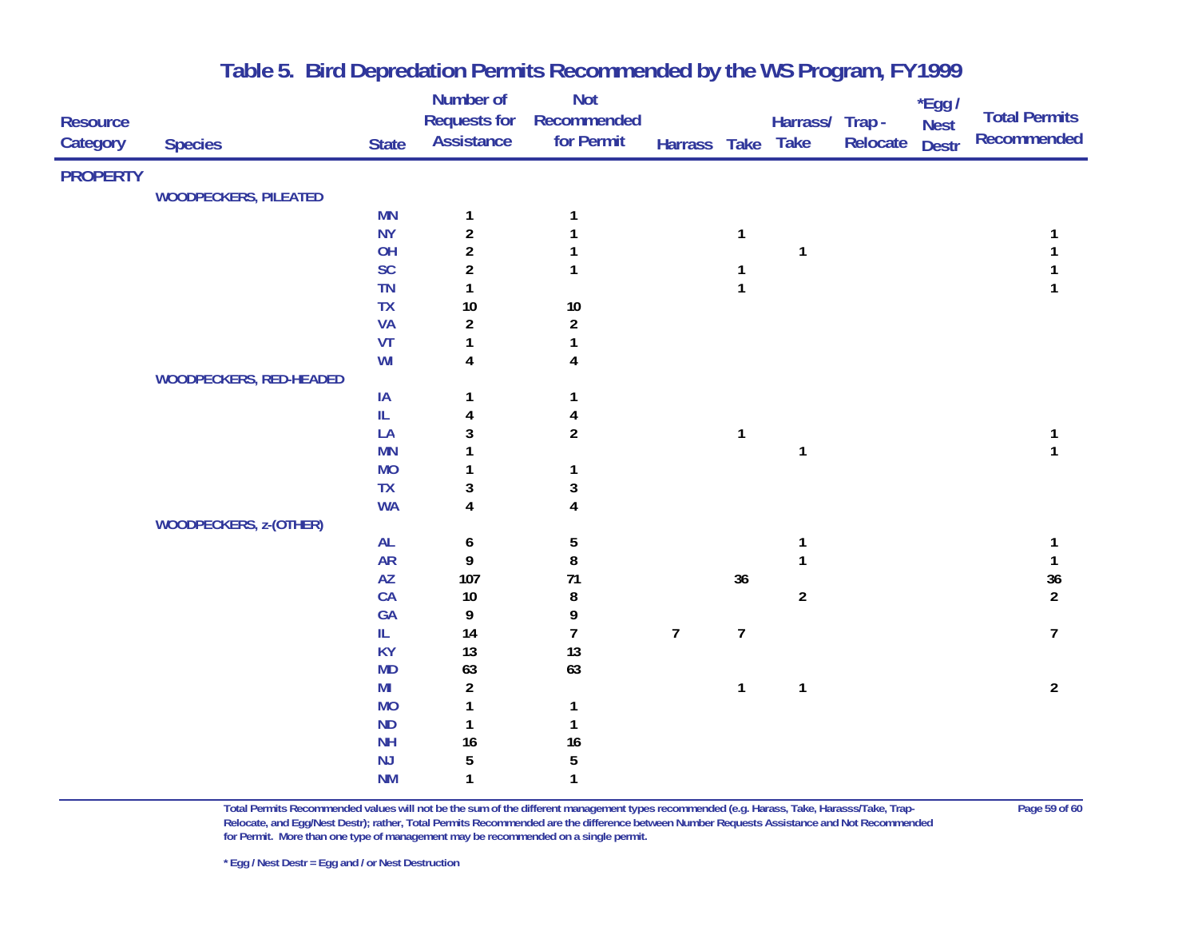|                 |                                |                              | Number of               | <b>Not</b>              |                |                |                 |          | *Egg /       |                          |
|-----------------|--------------------------------|------------------------------|-------------------------|-------------------------|----------------|----------------|-----------------|----------|--------------|--------------------------|
| <b>Resource</b> |                                |                              | <b>Requests for</b>     | Recommended             |                |                | Harrass/ Trap - |          | <b>Nest</b>  | <b>Total Permits</b>     |
| Category        | <b>Species</b>                 | <b>State</b>                 | <b>Assistance</b>       | for Permit              | Harrass Take   |                | <b>Take</b>     | Relocate | <b>Destr</b> | Recommended              |
| <b>PROPERTY</b> |                                |                              |                         |                         |                |                |                 |          |              |                          |
|                 | <b>WOODPECKERS, PILEATED</b>   |                              |                         |                         |                |                |                 |          |              |                          |
|                 |                                | <b>MN</b>                    | 1                       | 1                       |                |                |                 |          |              |                          |
|                 |                                | <b>NY</b>                    | $\overline{\mathbf{c}}$ |                         |                | $\mathbf{1}$   |                 |          |              |                          |
|                 |                                | OH                           | $\overline{2}$          |                         |                |                | 1               |          |              |                          |
|                 |                                | <b>SC</b>                    | $\boldsymbol{2}$        | 1                       |                | 1              |                 |          |              |                          |
|                 |                                | <b>TN</b>                    | 1                       |                         |                | $\mathbf{1}$   |                 |          |              |                          |
|                 |                                | <b>TX</b>                    | $10$                    | $10\,$                  |                |                |                 |          |              |                          |
|                 |                                | <b>VA</b>                    | $\overline{\mathbf{c}}$ | $\boldsymbol{2}$        |                |                |                 |          |              |                          |
|                 |                                | VT                           | 1                       |                         |                |                |                 |          |              |                          |
|                 |                                | WI                           | 4                       | 4                       |                |                |                 |          |              |                          |
|                 | <b>WOODPECKERS, RED-HEADED</b> |                              |                         |                         |                |                |                 |          |              |                          |
|                 |                                | IA                           | 1                       | 1                       |                |                |                 |          |              |                          |
|                 |                                | IL                           | 4                       | 4                       |                |                |                 |          |              |                          |
|                 |                                | LA                           | 3                       | $\overline{2}$          |                | $\mathbf{1}$   |                 |          |              | 1                        |
|                 |                                | <b>MN</b>                    | 1                       |                         |                |                | 1               |          |              | 1                        |
|                 |                                | <b>MO</b>                    | 1                       | 1                       |                |                |                 |          |              |                          |
|                 |                                | <b>TX</b>                    | 3                       | 3                       |                |                |                 |          |              |                          |
|                 |                                | <b>WA</b>                    | $\overline{\mathbf{4}}$ | $\overline{\mathbf{4}}$ |                |                |                 |          |              |                          |
|                 | <b>WOODPECKERS, z-(OTHER)</b>  |                              |                         |                         |                |                |                 |          |              |                          |
|                 |                                | <b>AL</b>                    | 6                       | 5                       |                |                | 1               |          |              | 1                        |
|                 |                                | <b>AR</b>                    | 9                       | 8                       |                |                | 1               |          |              | $\mathbf{1}$             |
|                 |                                | $\mathsf{A}\mathsf{Z}$<br>CA | 107                     | 71                      |                | $36\,$         |                 |          |              | $36\,$<br>$\overline{2}$ |
|                 |                                | GA                           | $10$<br>9               | 8<br>9                  |                |                | $\overline{a}$  |          |              |                          |
|                 |                                | IL                           | 14                      | $\overline{1}$          | $\overline{7}$ | $\overline{I}$ |                 |          |              | $\overline{7}$           |
|                 |                                | <b>KY</b>                    | 13                      | 13                      |                |                |                 |          |              |                          |
|                 |                                | <b>MD</b>                    | 63                      | 63                      |                |                |                 |          |              |                          |
|                 |                                | MI                           | $\boldsymbol{2}$        |                         |                | $\mathbf{1}$   | $\mathbf{1}$    |          |              | $\overline{2}$           |
|                 |                                | <b>MO</b>                    | 1                       | $\mathbf{1}$            |                |                |                 |          |              |                          |
|                 |                                | <b>ND</b>                    | 1                       | 1                       |                |                |                 |          |              |                          |
|                 |                                | <b>NH</b>                    | 16                      | 16                      |                |                |                 |          |              |                          |
|                 |                                | NJ                           | 5                       | $\sqrt{5}$              |                |                |                 |          |              |                          |
|                 |                                | <b>NM</b>                    | 1                       | 1                       |                |                |                 |          |              |                          |

**Total Permits Recommended values will not be the sum of the different management types recommended (e.g. Harass, Take, Harasss/Take, Trap- Page 59 of 60 Relocate, and Egg/Nest Destr); rather, Total Permits Recommended are the difference between Number Requests Assistance and Not Recommended for Permit. More than one type of management may be recommended on a single permit.**